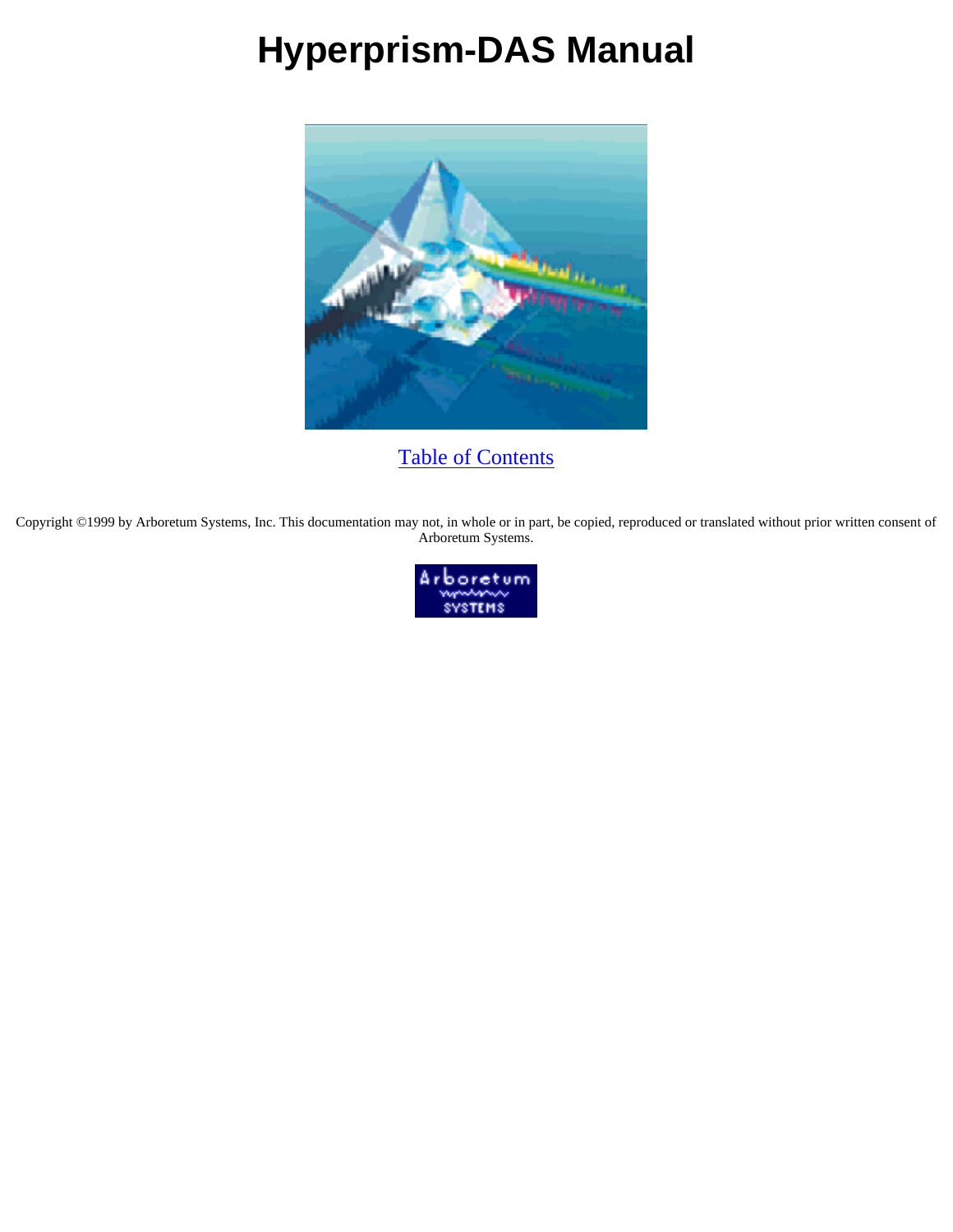# **Hyperprism-DAS Manual**



[Table of Contents](#page-1-0)

Copyright ©1999 by Arboretum Systems, Inc. This documentation may not, in whole or in part, be copied, reproduced or translated without prior written consent of Arboretum Systems.

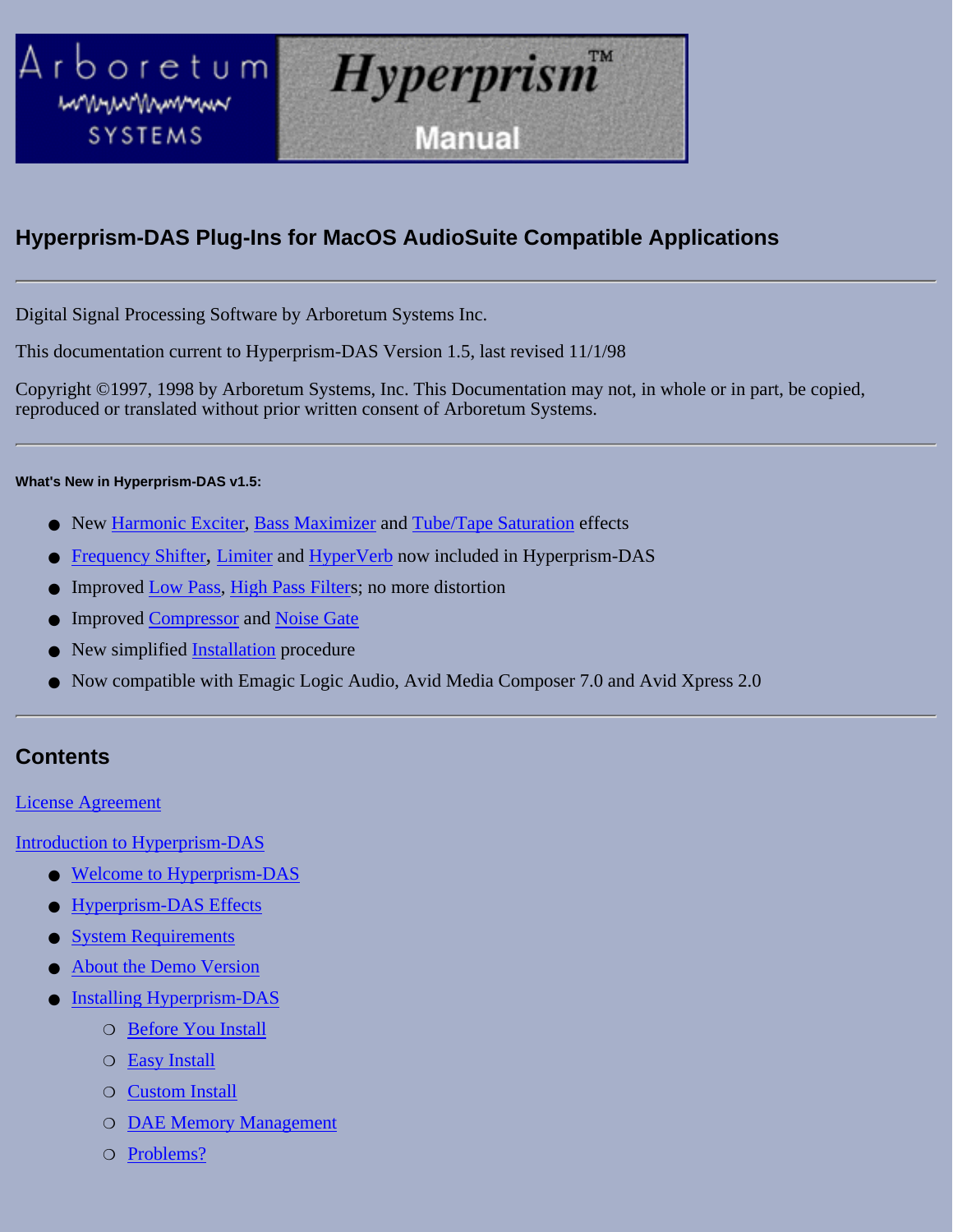<span id="page-1-0"></span>

### **Hyperprism-DAS Plug-Ins for MacOS AudioSuite Compatible Applications**

Digital Signal Processing Software by Arboretum Systems Inc.

This documentation current to Hyperprism-DAS Version 1.5, last revised 11/1/98

Copyright ©1997, 1998 by Arboretum Systems, Inc. This Documentation may not, in whole or in part, be copied, reproduced or translated without prior written consent of Arboretum Systems.

#### **What's New in Hyperprism-DAS v1.5:**

- New [Harmonic Exciter](#page-81-0), [Bass Maximizer](#page-83-0) and [Tube/Tape Saturation](#page-84-0) effects
- Frequency Shifter, [Limiter](#page-92-0) and [HyperVerb](#page-48-0) now included in Hyperprism-DAS
- Improved Low Pass, High Pass Filters; no more distortion
- **Improved [Compressor](#page-89-0) and [Noise Gate](#page-88-0)**
- New simplified [Installation](#page-8-0) procedure
- Now compatible with Emagic Logic Audio, Avid Media Composer 7.0 and Avid Xpress 2.0

### **Contents**

#### [License Agreement](#page-4-0)

[Introduction to Hyperprism-DAS](#page-6-0)

- [Welcome to Hyperprism-DAS](#page-6-1)
- **[Hyperprism-DAS Effects](#page-7-0)**
- **[System Requirements](#page-8-1)**
- [About the Demo Version](#page-8-2)
- [Installing Hyperprism-DAS](#page-8-3) ●
	- ❍ [Before You Install](#page-8-0)
	- ❍ [Easy Install](#page-9-0)
	- ❍ [Custom Install](#page-12-0)
	- ❍ [DAE Memory Management](#page-15-0)
	- ❍ [Problems?](#page-15-1)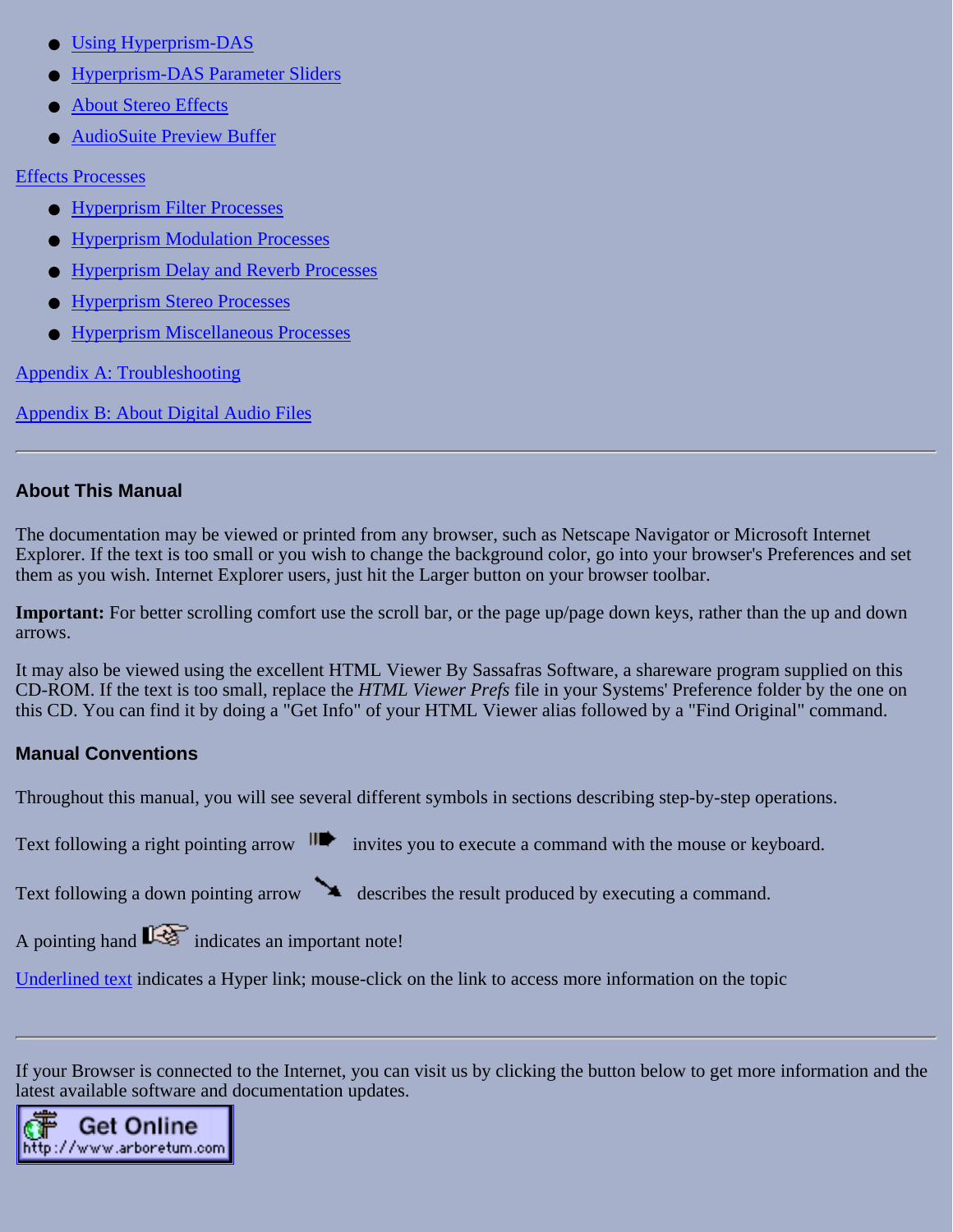- [Using Hyperprism-DAS](#page-16-0)
- **[Hyperprism-DAS Parameter Sliders](#page-17-0)**
- **[About Stereo Effects](#page-17-1)**
- [AudioSuite Preview Buffer](#page-17-2)

[Effects Processes](#page-18-0)

- [Hyperprism Filter Processes](#page-20-0)
- [Hyperprism Modulation Processes](#page-31-0)
- [Hyperprism Delay and Reverb Processes](#page-45-0)
- **[Hyperprism Stereo Processes](#page-65-0)**
- **[Hyperprism Miscellaneous Processes](#page-81-1)**

[Appendix A: Troubleshooting](#page-94-0)

[Appendix B: About Digital Audio Files](#page-99-0)

### **About This Manual**

The documentation may be viewed or printed from any browser, such as Netscape Navigator or Microsoft Internet Explorer. If the text is too small or you wish to change the background color, go into your browser's Preferences and set them as you wish. Internet Explorer users, just hit the Larger button on your browser toolbar.

**Important:** For better scrolling comfort use the scroll bar, or the page up/page down keys, rather than the up and down arrows.

It may also be viewed using the excellent HTML Viewer By Sassafras Software, a shareware program supplied on this CD-ROM. If the text is too small, replace the *HTML Viewer Prefs* file in your Systems' Preference folder by the one on this CD. You can find it by doing a "Get Info" of your HTML Viewer alias followed by a "Find Original" command.

### <span id="page-2-0"></span>**Manual Conventions**

Throughout this manual, you will see several different symbols in sections describing step-by-step operations.

Text following a right pointing arrow  $\mathbf{H}$  invites you to execute a command with the mouse or keyboard.

Text following a down pointing arrow describes the result produced by executing a command.

A pointing hand  $\mathbb{R}$  indicates an important note!

[Underlined text](#page-2-0) indicates a Hyper link; mouse-click on the link to access more information on the topic

If your Browser is connected to the Internet, you can visit us by clicking the button below to get more information and the latest available software and documentation updates.

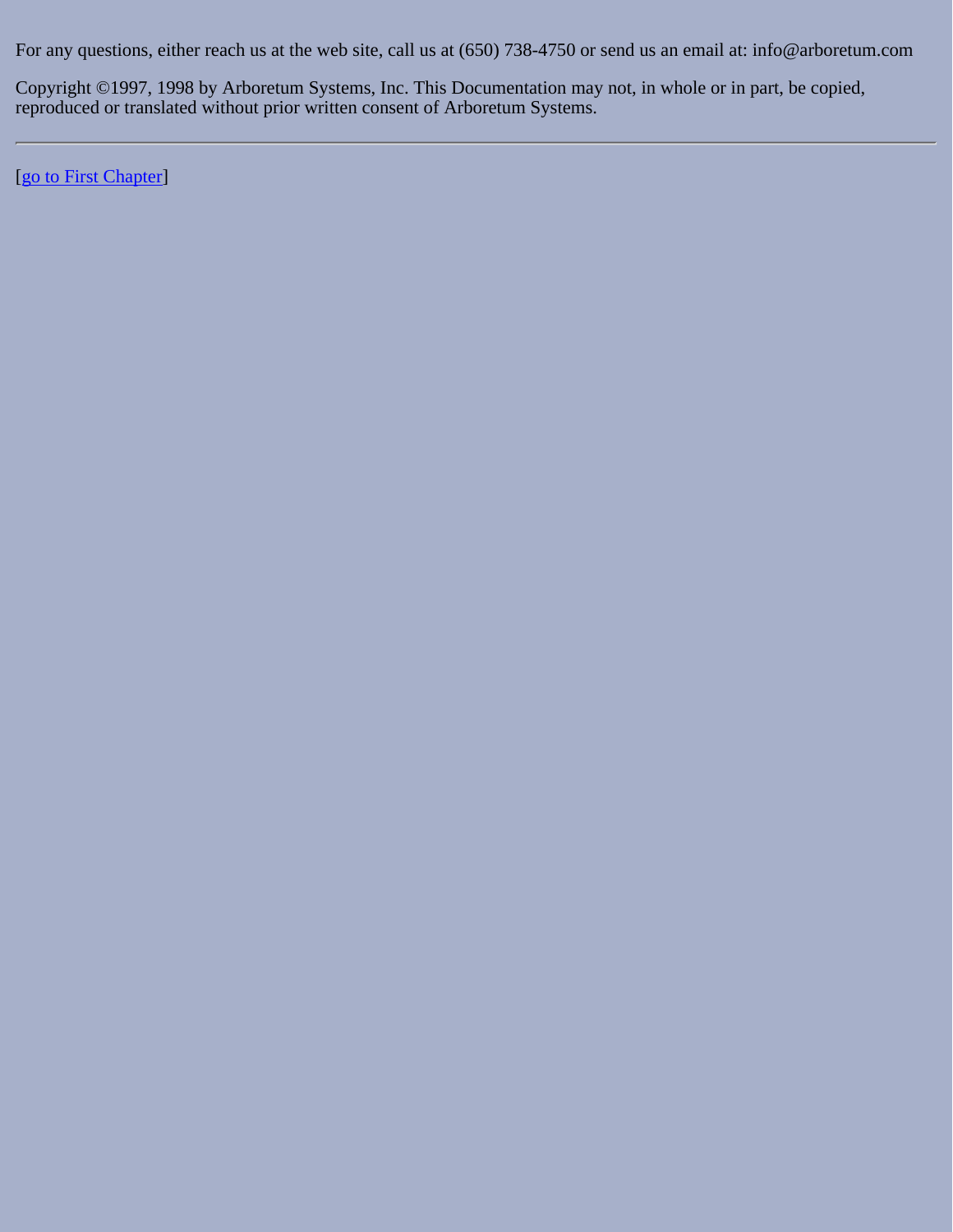For any questions, either reach us at the web site, call us at (650) 738-4750 or send us an email at: info@arboretum.com

Copyright ©1997, 1998 by Arboretum Systems, Inc. This Documentation may not, in whole or in part, be copied, reproduced or translated without prior written consent of Arboretum Systems.

[[go to First Chapter](#page-6-0)]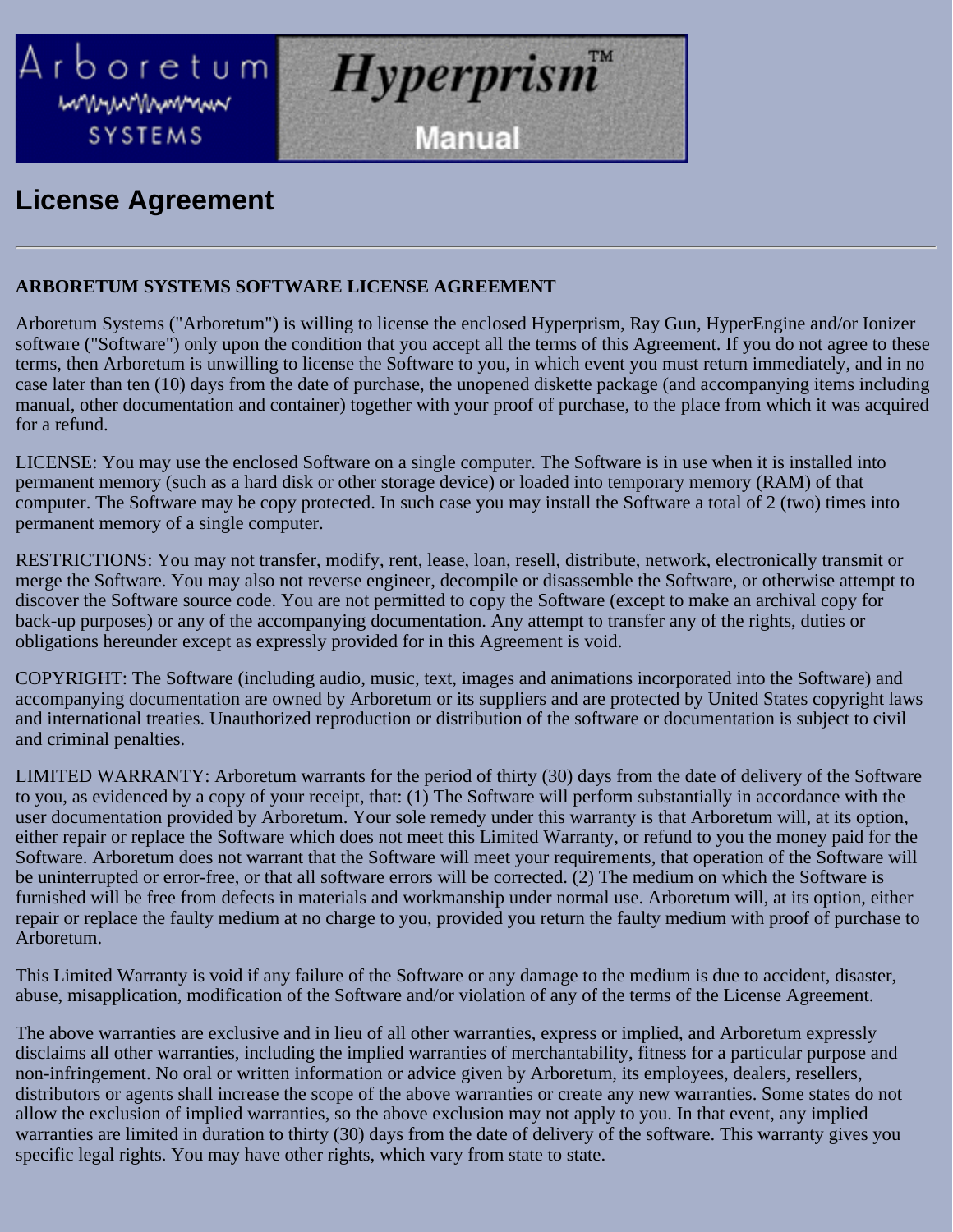<span id="page-4-0"></span>

## **License Agreement**

### **ARBORETUM SYSTEMS SOFTWARE LICENSE AGREEMENT**

Arboretum Systems ("Arboretum") is willing to license the enclosed Hyperprism, Ray Gun, HyperEngine and/or Ionizer software ("Software") only upon the condition that you accept all the terms of this Agreement. If you do not agree to these terms, then Arboretum is unwilling to license the Software to you, in which event you must return immediately, and in no case later than ten (10) days from the date of purchase, the unopened diskette package (and accompanying items including manual, other documentation and container) together with your proof of purchase, to the place from which it was acquired for a refund.

LICENSE: You may use the enclosed Software on a single computer. The Software is in use when it is installed into permanent memory (such as a hard disk or other storage device) or loaded into temporary memory (RAM) of that computer. The Software may be copy protected. In such case you may install the Software a total of 2 (two) times into permanent memory of a single computer.

RESTRICTIONS: You may not transfer, modify, rent, lease, loan, resell, distribute, network, electronically transmit or merge the Software. You may also not reverse engineer, decompile or disassemble the Software, or otherwise attempt to discover the Software source code. You are not permitted to copy the Software (except to make an archival copy for back-up purposes) or any of the accompanying documentation. Any attempt to transfer any of the rights, duties or obligations hereunder except as expressly provided for in this Agreement is void.

COPYRIGHT: The Software (including audio, music, text, images and animations incorporated into the Software) and accompanying documentation are owned by Arboretum or its suppliers and are protected by United States copyright laws and international treaties. Unauthorized reproduction or distribution of the software or documentation is subject to civil and criminal penalties.

LIMITED WARRANTY: Arboretum warrants for the period of thirty (30) days from the date of delivery of the Software to you, as evidenced by a copy of your receipt, that: (1) The Software will perform substantially in accordance with the user documentation provided by Arboretum. Your sole remedy under this warranty is that Arboretum will, at its option, either repair or replace the Software which does not meet this Limited Warranty, or refund to you the money paid for the Software. Arboretum does not warrant that the Software will meet your requirements, that operation of the Software will be uninterrupted or error-free, or that all software errors will be corrected. (2) The medium on which the Software is furnished will be free from defects in materials and workmanship under normal use. Arboretum will, at its option, either repair or replace the faulty medium at no charge to you, provided you return the faulty medium with proof of purchase to Arboretum.

This Limited Warranty is void if any failure of the Software or any damage to the medium is due to accident, disaster, abuse, misapplication, modification of the Software and/or violation of any of the terms of the License Agreement.

The above warranties are exclusive and in lieu of all other warranties, express or implied, and Arboretum expressly disclaims all other warranties, including the implied warranties of merchantability, fitness for a particular purpose and non-infringement. No oral or written information or advice given by Arboretum, its employees, dealers, resellers, distributors or agents shall increase the scope of the above warranties or create any new warranties. Some states do not allow the exclusion of implied warranties, so the above exclusion may not apply to you. In that event, any implied warranties are limited in duration to thirty (30) days from the date of delivery of the software. This warranty gives you specific legal rights. You may have other rights, which vary from state to state.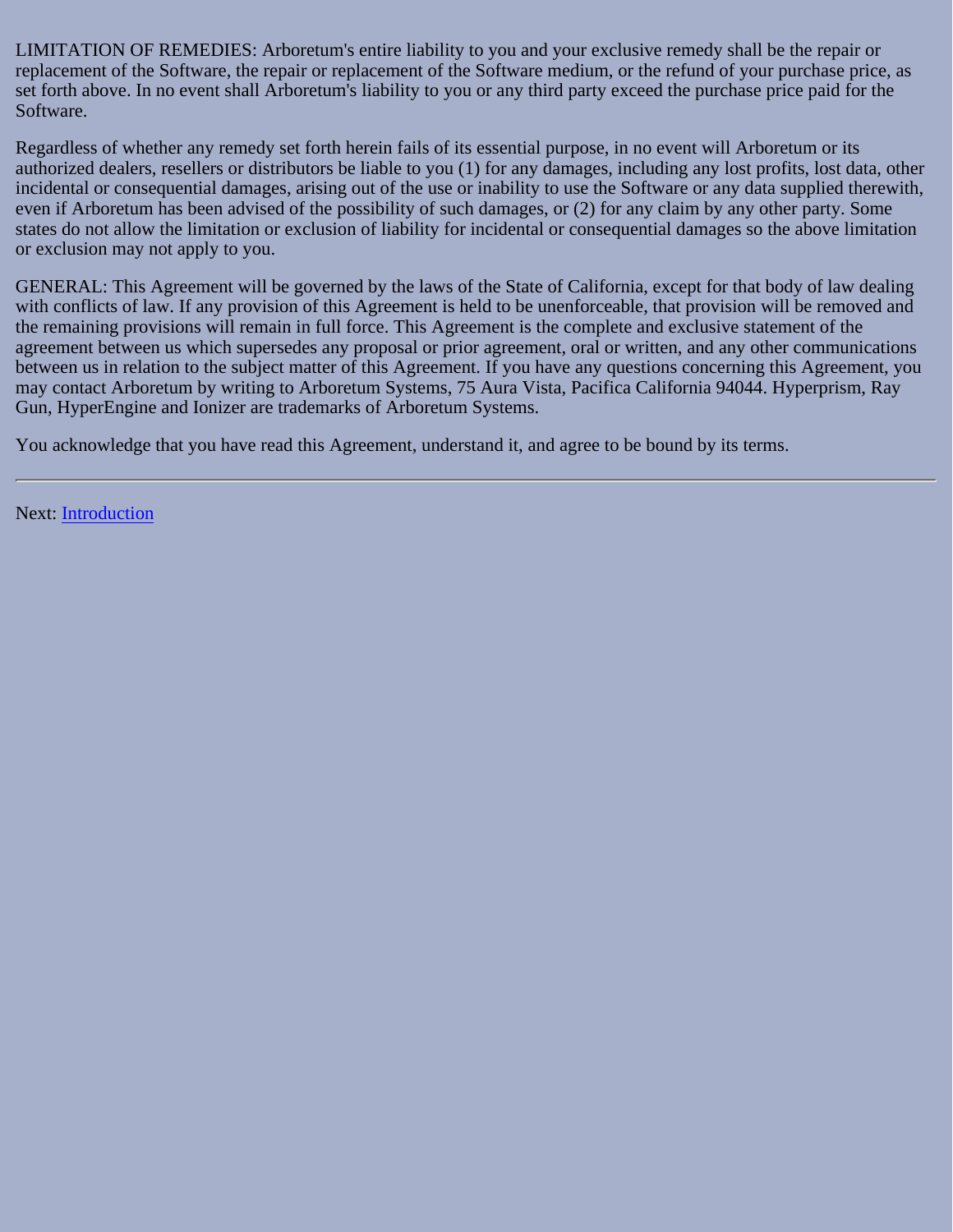LIMITATION OF REMEDIES: Arboretum's entire liability to you and your exclusive remedy shall be the repair or replacement of the Software, the repair or replacement of the Software medium, or the refund of your purchase price, as set forth above. In no event shall Arboretum's liability to you or any third party exceed the purchase price paid for the Software.

Regardless of whether any remedy set forth herein fails of its essential purpose, in no event will Arboretum or its authorized dealers, resellers or distributors be liable to you (1) for any damages, including any lost profits, lost data, other incidental or consequential damages, arising out of the use or inability to use the Software or any data supplied therewith, even if Arboretum has been advised of the possibility of such damages, or (2) for any claim by any other party. Some states do not allow the limitation or exclusion of liability for incidental or consequential damages so the above limitation or exclusion may not apply to you.

GENERAL: This Agreement will be governed by the laws of the State of California, except for that body of law dealing with conflicts of law. If any provision of this Agreement is held to be unenforceable, that provision will be removed and the remaining provisions will remain in full force. This Agreement is the complete and exclusive statement of the agreement between us which supersedes any proposal or prior agreement, oral or written, and any other communications between us in relation to the subject matter of this Agreement. If you have any questions concerning this Agreement, you may contact Arboretum by writing to Arboretum Systems, 75 Aura Vista, Pacifica California 94044. Hyperprism, Ray Gun, HyperEngine and Ionizer are trademarks of Arboretum Systems.

You acknowledge that you have read this Agreement, understand it, and agree to be bound by its terms.

Next: [Introduction](file:///C|/Program Files/Arboretum Systems/Pdf manual/Hyperprism-DAS-AudioSuite Guide/Files/hpmmp_intro.html)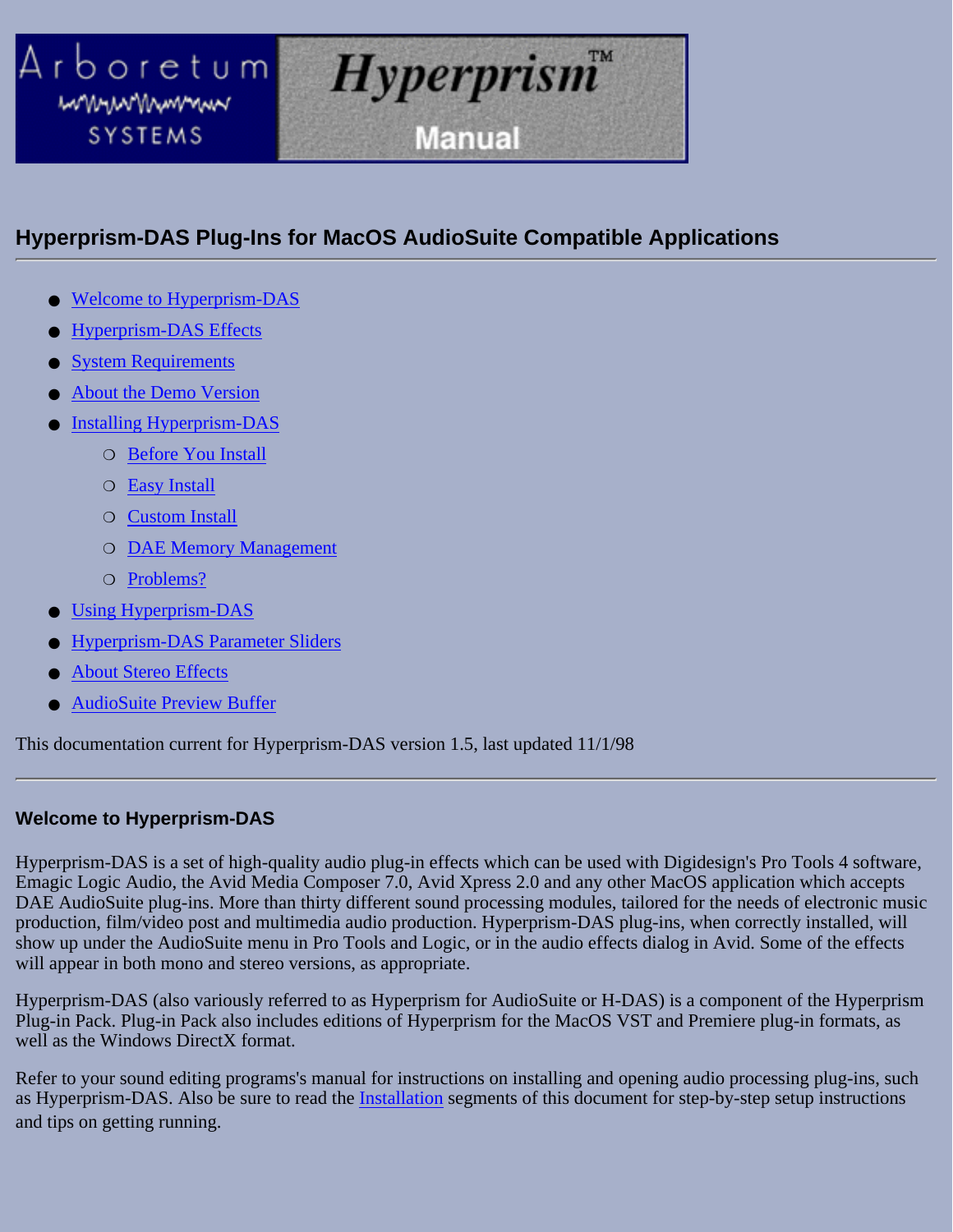<span id="page-6-0"></span>

### **Hyperprism-DAS Plug-Ins for MacOS AudioSuite Compatible Applications**

- [Welcome to Hyperprism-DAS](#page-6-1)
- **[Hyperprism-DAS Effects](#page-7-0)**
- **[System Requirements](#page-8-1)**
- [About the Demo Version](#page-8-2)
- [Installing Hyperprism-DAS](#page-8-3) ●
	- ❍ [Before You Install](#page-8-0)
	- ❍ [Easy Install](#page-9-0)
	- ❍ [Custom Install](#page-12-0)
	- ❍ [DAE Memory Management](#page-15-0)
	- ❍ [Problems?](#page-15-1)
- [Using Hyperprism-DAS](#page-16-0)
- [Hyperprism-DAS Parameter Sliders](#page-17-0)
- **[About Stereo Effects](#page-17-1)**
- **[AudioSuite Preview Buffer](#page-17-2)**

This documentation current for Hyperprism-DAS version 1.5, last updated 11/1/98

#### <span id="page-6-1"></span>**Welcome to Hyperprism-DAS**

Hyperprism-DAS is a set of high-quality audio plug-in effects which can be used with Digidesign's Pro Tools 4 software, Emagic Logic Audio, the Avid Media Composer 7.0, Avid Xpress 2.0 and any other MacOS application which accepts DAE AudioSuite plug-ins. More than thirty different sound processing modules, tailored for the needs of electronic music production, film/video post and multimedia audio production. Hyperprism-DAS plug-ins, when correctly installed, will show up under the AudioSuite menu in Pro Tools and Logic, or in the audio effects dialog in Avid. Some of the effects will appear in both mono and stereo versions, as appropriate.

Hyperprism-DAS (also variously referred to as Hyperprism for AudioSuite or H-DAS) is a component of the Hyperprism Plug-in Pack. Plug-in Pack also includes editions of Hyperprism for the MacOS VST and Premiere plug-in formats, as well as the Windows DirectX format.

Refer to your sound editing programs's manual for instructions on installing and opening audio processing plug-ins, such as Hyperprism-DAS. Also be sure to read the [Installation](#page-8-3) segments of this document for step-by-step setup instructions and tips on getting running.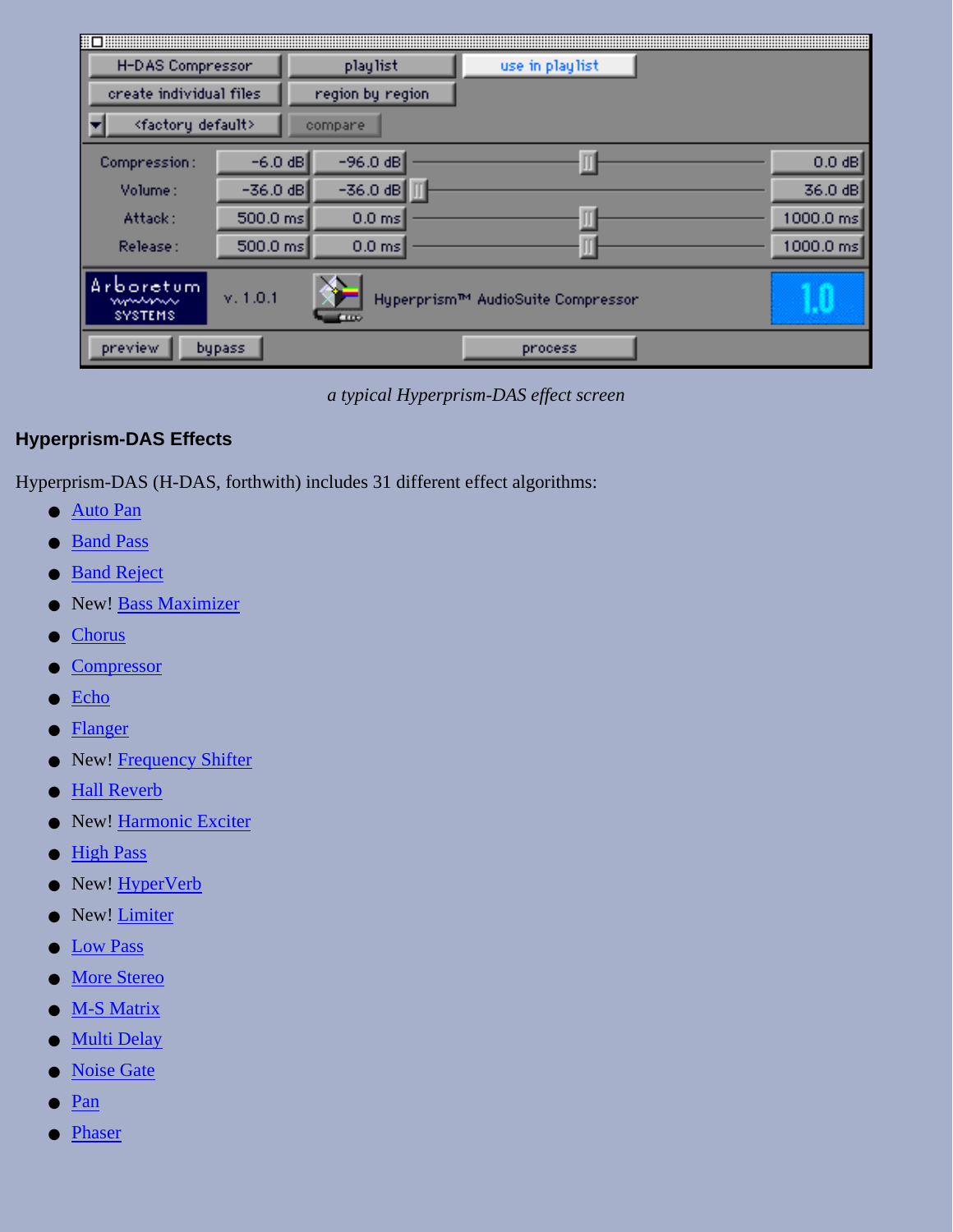| H-DAS Compressor                    |                    | playlist               | use in playlist                   |           |
|-------------------------------------|--------------------|------------------------|-----------------------------------|-----------|
| create individual files             |                    | region by region       |                                   |           |
| <factory default=""></factory>      |                    | compane                |                                   |           |
| Compression:                        | $-6.0$ dB          | $-96.0$ dB             |                                   | $0.0$ dB  |
| Volume:                             | $-36.0$ dB         | $-36.0$ dB             |                                   | 36.0 dB   |
| Attack:                             | $500.0 \text{ ms}$ | $0.0$ ms               |                                   | 1000.0 ms |
| Release:                            | $500.0 \text{ ms}$ | $0.0$ ms               |                                   | 1000.0 ms |
| rboretum.<br>wwww<br><b>SYSTEMS</b> | v. 1.0.1           | $\overline{\text{co}}$ | Hyperprism™ AudioSuite Compressor |           |
| preview                             | bypass             |                        | process                           |           |

*a typical Hyperprism-DAS effect screen*

### <span id="page-7-0"></span>**Hyperprism-DAS Effects**

Hyperprism-DAS (H-DAS, forthwith) includes 31 different effect algorithms:

- [Auto Pan](#page-66-0)
- **Band Pass**
- Band Reject
- New! **[Bass Maximizer](#page-83-0)**
- Chorus
- [Compressor](#page-89-0)
- [Echo](#page-47-0)
- Flanger
- New! Frequency Shifter
- [Hall Reverb](#page-51-0)
- New! [Harmonic Exciter](#page-81-0)
- High Pass
- New! [HyperVerb](#page-48-0)
- New! <u>[Limiter](#page-92-0)</u>
- Low Pass
- [More Stereo](#page-74-0)
- [M-S Matrix](#page-75-0)
- [Multi Delay](#page-45-1)
- [Noise Gate](#page-88-0)
- [Pan](#page-65-1)
- Phaser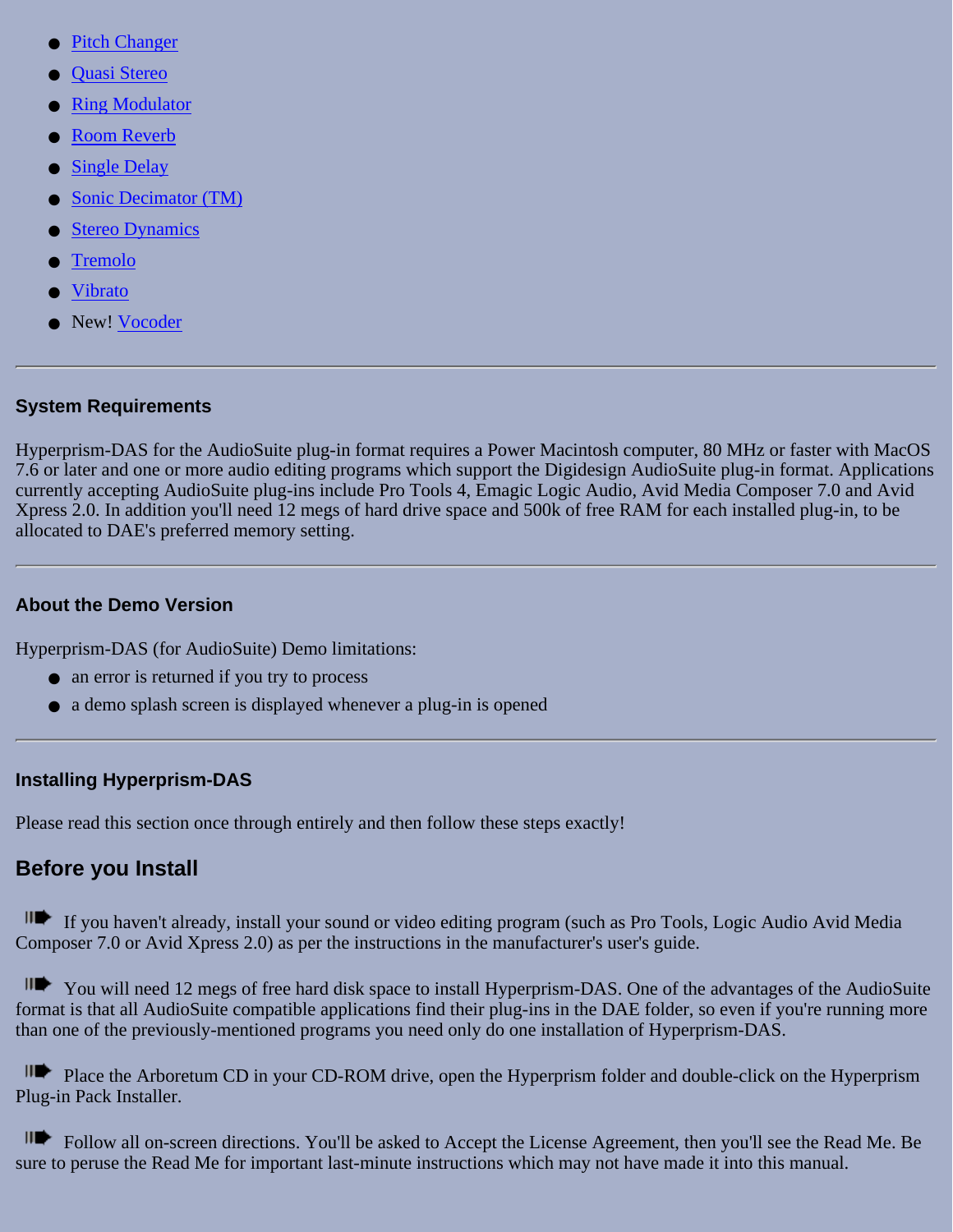- **[Pitch Changer](#page-87-0)**
- [Quasi Stereo](#page-68-0)
- **Ring Modulator**
- **[Room Reverb](#page-50-0)**
- **[Single Delay](#page-45-2)**
- [Sonic Decimator \(TM\)](#page-93-0)
- **[Stereo Dynamics](#page-70-0)**
- **Tremolo**
- **Vibrato**
- New! Vocoder

### <span id="page-8-1"></span>**System Requirements**

Hyperprism-DAS for the AudioSuite plug-in format requires a Power Macintosh computer, 80 MHz or faster with MacOS 7.6 or later and one or more audio editing programs which support the Digidesign AudioSuite plug-in format. Applications currently accepting AudioSuite plug-ins include Pro Tools 4, Emagic Logic Audio, Avid Media Composer 7.0 and Avid Xpress 2.0. In addition you'll need 12 megs of hard drive space and 500k of free RAM for each installed plug-in, to be allocated to DAE's preferred memory setting.

### <span id="page-8-2"></span>**About the Demo Version**

Hyperprism-DAS (for AudioSuite) Demo limitations:

- an error is returned if you try to process
- a demo splash screen is displayed whenever a plug-in is opened

### <span id="page-8-3"></span>**Installing Hyperprism-DAS**

Please read this section once through entirely and then follow these steps exactly!

### <span id="page-8-0"></span>**Before you Install**

If you haven't already, install your sound or video editing program (such as Pro Tools, Logic Audio Avid Media Composer 7.0 or Avid Xpress 2.0) as per the instructions in the manufacturer's user's guide.

You will need 12 megs of free hard disk space to install Hyperprism-DAS. One of the advantages of the AudioSuite format is that all AudioSuite compatible applications find their plug-ins in the DAE folder, so even if you're running more than one of the previously-mentioned programs you need only do one installation of Hyperprism-DAS.

IIP Place the Arboretum CD in your CD-ROM drive, open the Hyperprism folder and double-click on the Hyperprism Plug-in Pack Installer.

Follow all on-screen directions. You'll be asked to Accept the License Agreement, then you'll see the Read Me. Be sure to peruse the Read Me for important last-minute instructions which may not have made it into this manual.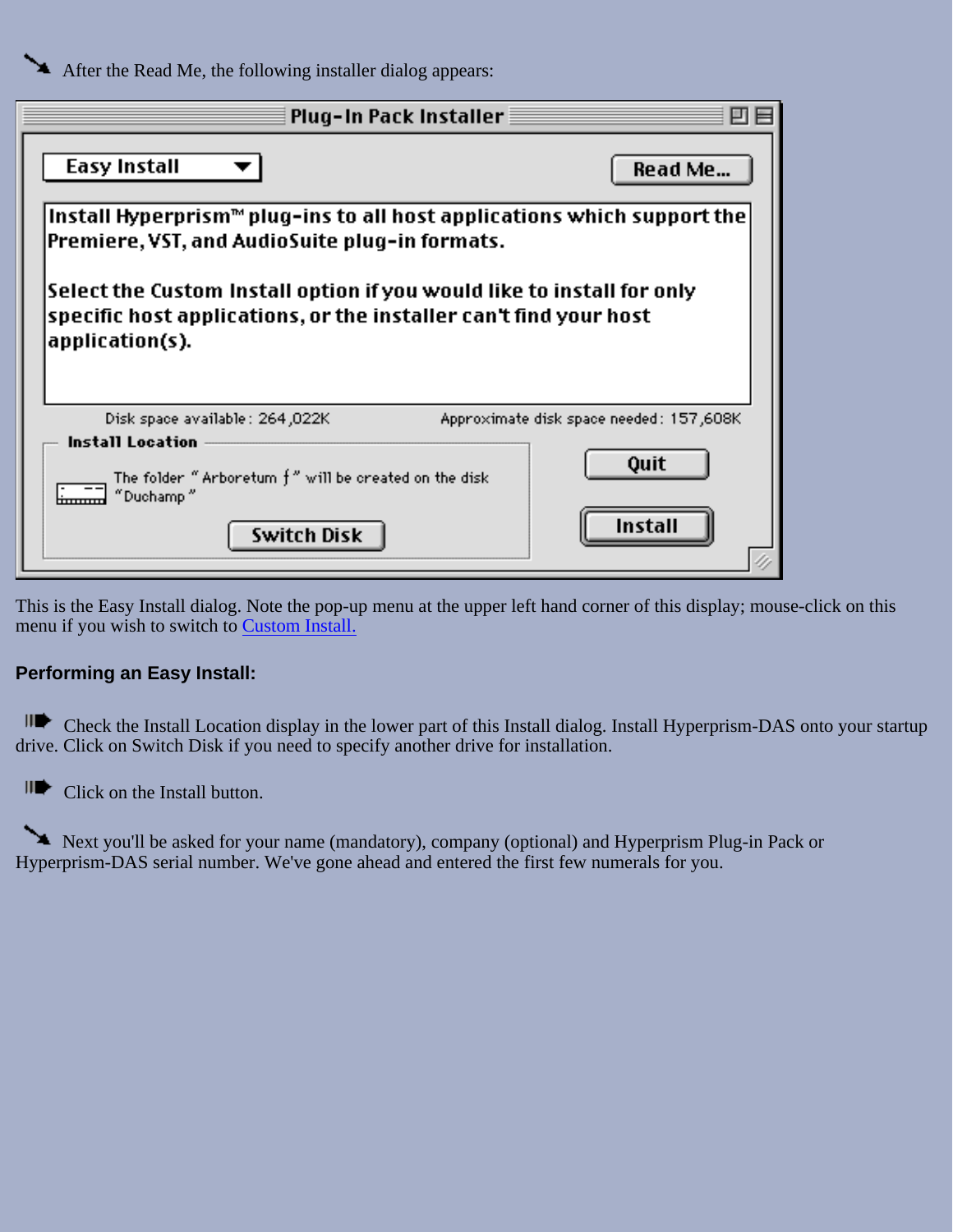After the Read Me, the following installer dialog appears:

<span id="page-9-0"></span>

| Plug-In Pack Installer                                                                                                                                         |                                         |
|----------------------------------------------------------------------------------------------------------------------------------------------------------------|-----------------------------------------|
| Easy Install                                                                                                                                                   | Read Me                                 |
| Install Hyperprism <sup><math>m</math></sup> plug-ins to all host applications which support the<br>Premiere, VST, and AudioSuite plug-in formats.             |                                         |
| Select the Custom Install option if you would like to install for only<br>specific host applications, or the installer can't find your host<br>application(s). |                                         |
| Disk space available: 264,022K                                                                                                                                 | Approximate disk space needed: 157,608K |
| <b>Install Location</b>                                                                                                                                        |                                         |

This is the Easy Install dialog. Note the pop-up menu at the upper left hand corner of this display; mouse-click on this menu if you wish to switch to [Custom Install.](#page-12-0)

#### **Performing an Easy Install:**

Check the Install Location display in the lower part of this Install dialog. Install Hyperprism-DAS onto your startup drive. Click on Switch Disk if you need to specify another drive for installation.

Click on the Install button.

Next you'll be asked for your name (mandatory), company (optional) and Hyperprism Plug-in Pack or Hyperprism-DAS serial number. We've gone ahead and entered the first few numerals for you.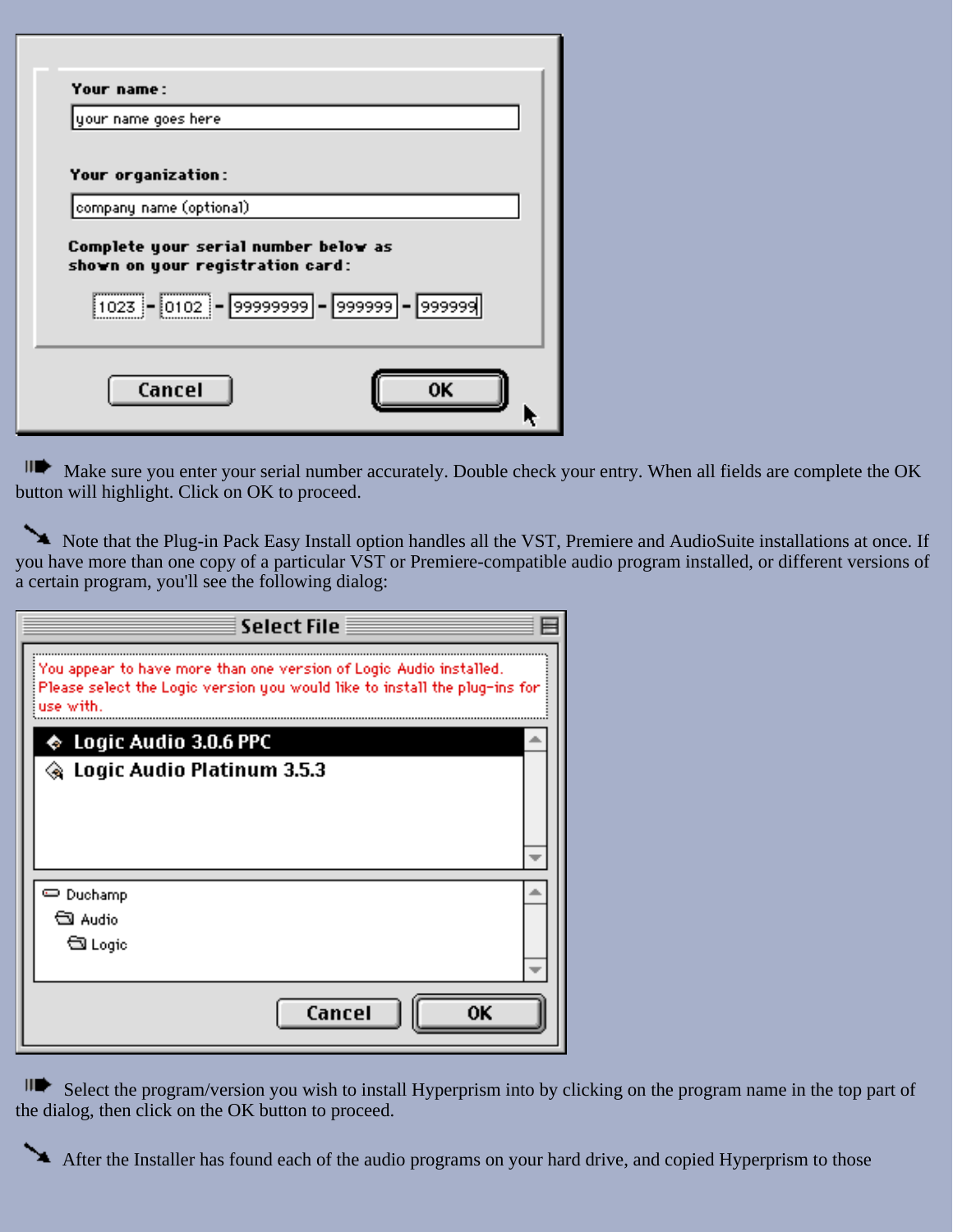| <b>Your name:</b>                                                                   |  |
|-------------------------------------------------------------------------------------|--|
| your name goes here                                                                 |  |
| <b>Your organization:</b>                                                           |  |
| company name (optional)                                                             |  |
| Complete your serial number below as<br>shown on your registration card:            |  |
| $\boxed{1023} - \boxed{0102} - \boxed{99999999} - \boxed{999999} - \boxed{9999999}$ |  |
|                                                                                     |  |
| Cancel                                                                              |  |
|                                                                                     |  |

III Make sure you enter your serial number accurately. Double check your entry. When all fields are complete the OK button will highlight. Click on OK to proceed.

Note that the Plug-in Pack Easy Install option handles all the VST, Premiere and AudioSuite installations at once. If you have more than one copy of a particular VST or Premiere-compatible audio program installed, or different versions of a certain program, you'll see the following dialog:

| <b>Select File</b>                                                                                                                                            |  |
|---------------------------------------------------------------------------------------------------------------------------------------------------------------|--|
| You appear to have more than one version of Logic Audio installed.<br>Please select the Logic version you would like to install the plug-ins for<br>use with. |  |
| $\spadesuit\,$ Logic Audio 3.0.6 PPC                                                                                                                          |  |
| ◈ Logic Audio Platinum 3.5.3                                                                                                                                  |  |
|                                                                                                                                                               |  |
|                                                                                                                                                               |  |
|                                                                                                                                                               |  |
| ⇔ Duchamp                                                                                                                                                     |  |
| લી Audio                                                                                                                                                      |  |
| ম Logic                                                                                                                                                       |  |
|                                                                                                                                                               |  |
| Cancel<br>nκ                                                                                                                                                  |  |

 $\mathbf{H}$ Select the program/version you wish to install Hyperprism into by clicking on the program name in the top part of the dialog, then click on the OK button to proceed.

After the Installer has found each of the audio programs on your hard drive, and copied Hyperprism to those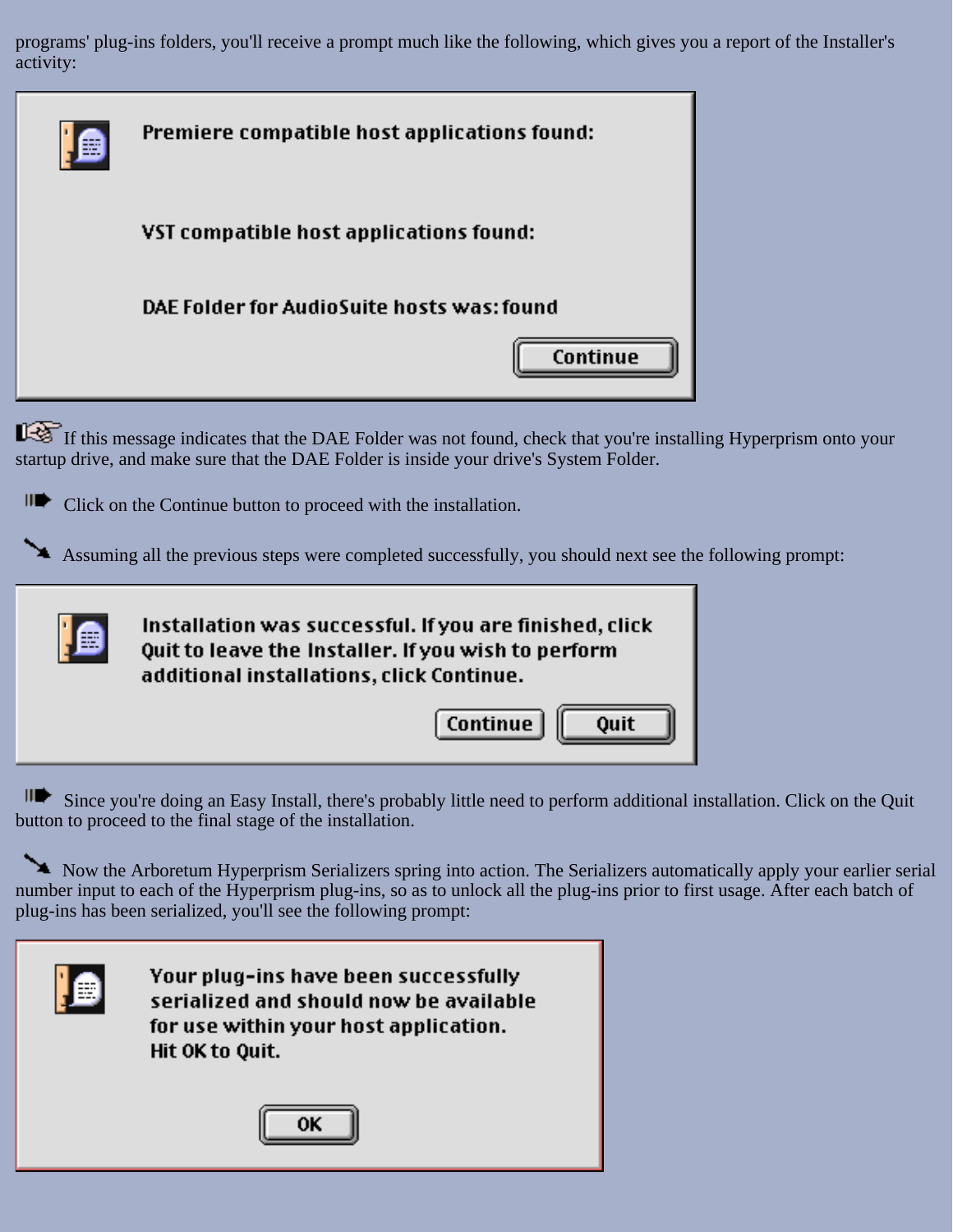programs' plug-ins folders, you'll receive a prompt much like the following, which gives you a report of the Installer's activity:

| Premiere compatible host applications found: |  |  |
|----------------------------------------------|--|--|
| VST compatible host applications found:      |  |  |
| DAE Folder for AudioSuite hosts was: found   |  |  |
| Continue                                     |  |  |
|                                              |  |  |

If this message indicates that the DAE Folder was not found, check that you're installing Hyperprism onto your startup drive, and make sure that the DAE Folder is inside your drive's System Folder.

Click on the Continue button to proceed with the installation.

Assuming all the previous steps were completed successfully, you should next see the following prompt:



Since you're doing an Easy Install, there's probably little need to perform additional installation. Click on the Quit button to proceed to the final stage of the installation.

Now the Arboretum Hyperprism Serializers spring into action. The Serializers automatically apply your earlier serial number input to each of the Hyperprism plug-ins, so as to unlock all the plug-ins prior to first usage. After each batch of plug-ins has been serialized, you'll see the following prompt:

| --<br>-<br>----<br>--- |
|------------------------|
| --                     |

Your plug-ins have been successfully serialized and should now be available for use within your host application. Hit OK to Quit.

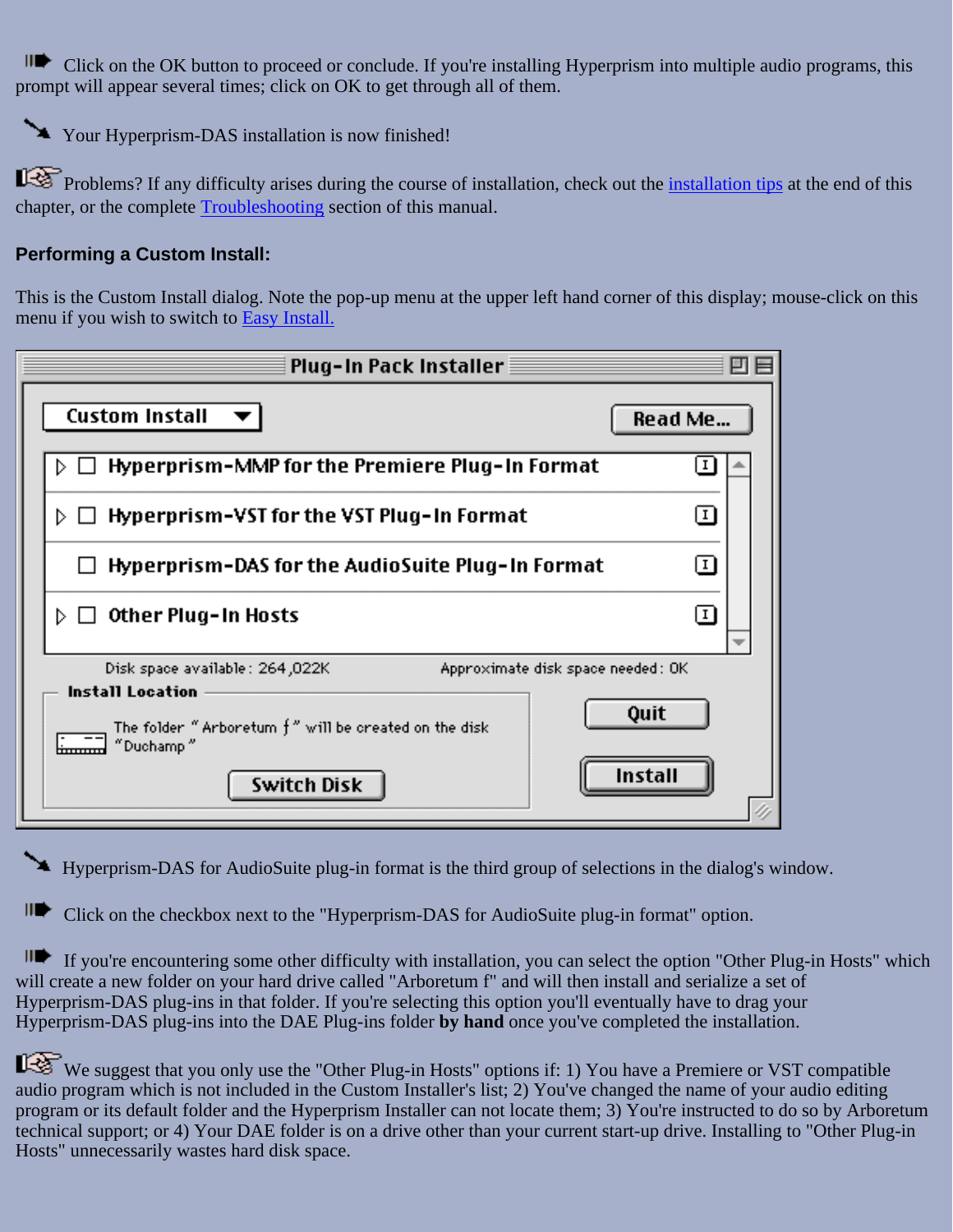II Click on the OK button to proceed or conclude. If you're installing Hyperprism into multiple audio programs, this prompt will appear several times; click on OK to get through all of them.

Your Hyperprism-DAS installation is now finished!

Problems? If any difficulty arises during the course of installation, check out the <u>[installation tips](#page-15-1)</u> at the end of this chapter, or the complete [Troubleshooting](#page-94-0) section of this manual.

### <span id="page-12-0"></span>**Performing a Custom Install:**

This is the Custom Install dialog. Note the pop-up menu at the upper left hand corner of this display; mouse-click on this menu if you wish to switch to [Easy Install.](#page-9-0)

| Plug-In Pack Installer                                                                                                                                                                                   |             |
|----------------------------------------------------------------------------------------------------------------------------------------------------------------------------------------------------------|-------------|
| <b>Custom Install</b>                                                                                                                                                                                    | Read Me     |
| Hyperprism-MMP for the Premiere Plug-In Format                                                                                                                                                           |             |
| Hyperprism-VST for the VST Plug-In Format<br>D.                                                                                                                                                          | 1           |
| Hyperprism-DAS for the AudioSuite Plug-In Format                                                                                                                                                         | $\boxed{1}$ |
| Other Plug-In Hosts<br>D.                                                                                                                                                                                | ΙI          |
| Disk space available: 264,022K<br>Approximate disk space needed: OK<br><b>Install Location</b><br>Quit<br>The folder "Arboretum $f''$ will be created on the disk<br>"Duchamp"<br>Install<br>Switch Disk |             |

Hyperprism-DAS for AudioSuite plug-in format is the third group of selections in the dialog's window.

Click on the checkbox next to the "Hyperprism-DAS for AudioSuite plug-in format" option.

If you're encountering some other difficulty with installation, you can select the option "Other Plug-in Hosts" which will create a new folder on your hard drive called "Arboretum f" and will then install and serialize a set of Hyperprism-DAS plug-ins in that folder. If you're selecting this option you'll eventually have to drag your Hyperprism-DAS plug-ins into the DAE Plug-ins folder **by hand** once you've completed the installation.

We suggest that you only use the "Other Plug-in Hosts" options if: 1) You have a Premiere or VST compatible audio program which is not included in the Custom Installer's list; 2) You've changed the name of your audio editing program or its default folder and the Hyperprism Installer can not locate them; 3) You're instructed to do so by Arboretum technical support; or 4) Your DAE folder is on a drive other than your current start-up drive. Installing to "Other Plug-in Hosts" unnecessarily wastes hard disk space.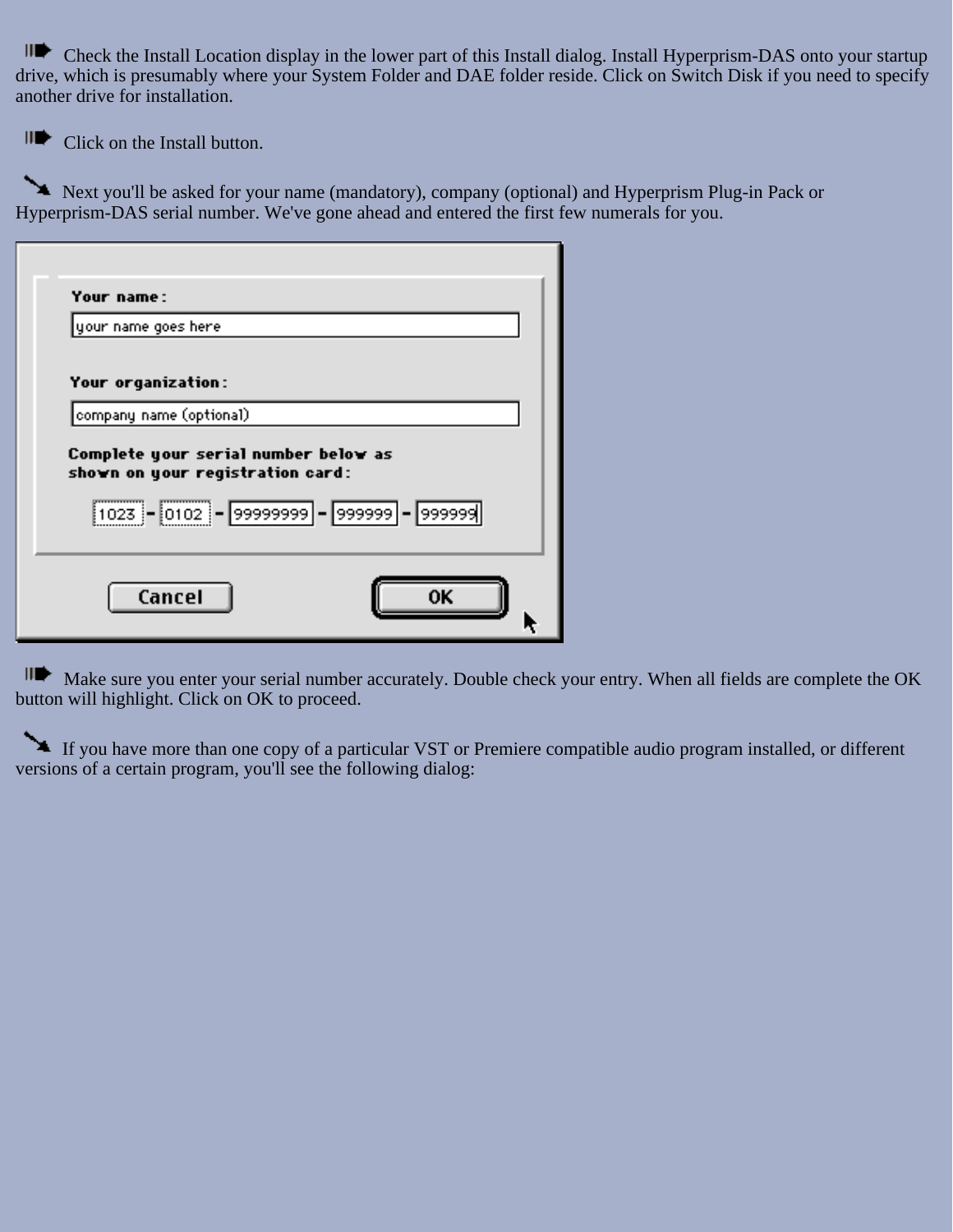Ш Check the Install Location display in the lower part of this Install dialog. Install Hyperprism-DAS onto your startup drive, which is presumably where your System Folder and DAE folder reside. Click on Switch Disk if you need to specify another drive for installation.

Click on the Install button.

Next you'll be asked for your name (mandatory), company (optional) and Hyperprism Plug-in Pack or Hyperprism-DAS serial number. We've gone ahead and entered the first few numerals for you.

| <b>Your name:</b>                                                                   |    |
|-------------------------------------------------------------------------------------|----|
| your name goes here                                                                 |    |
| <b>Your organization:</b>                                                           |    |
| company name (optional)                                                             |    |
| Complete your serial number below as<br>shown on your registration card:            |    |
| $\boxed{1023} - \boxed{0102} - \boxed{99999999} - \boxed{999999} - \boxed{9999999}$ |    |
| Cancel                                                                              | ΛK |

Make sure you enter your serial number accurately. Double check your entry. When all fields are complete the OK button will highlight. Click on OK to proceed.

If you have more than one copy of a particular VST or Premiere compatible audio program installed, or different versions of a certain program, you'll see the following dialog: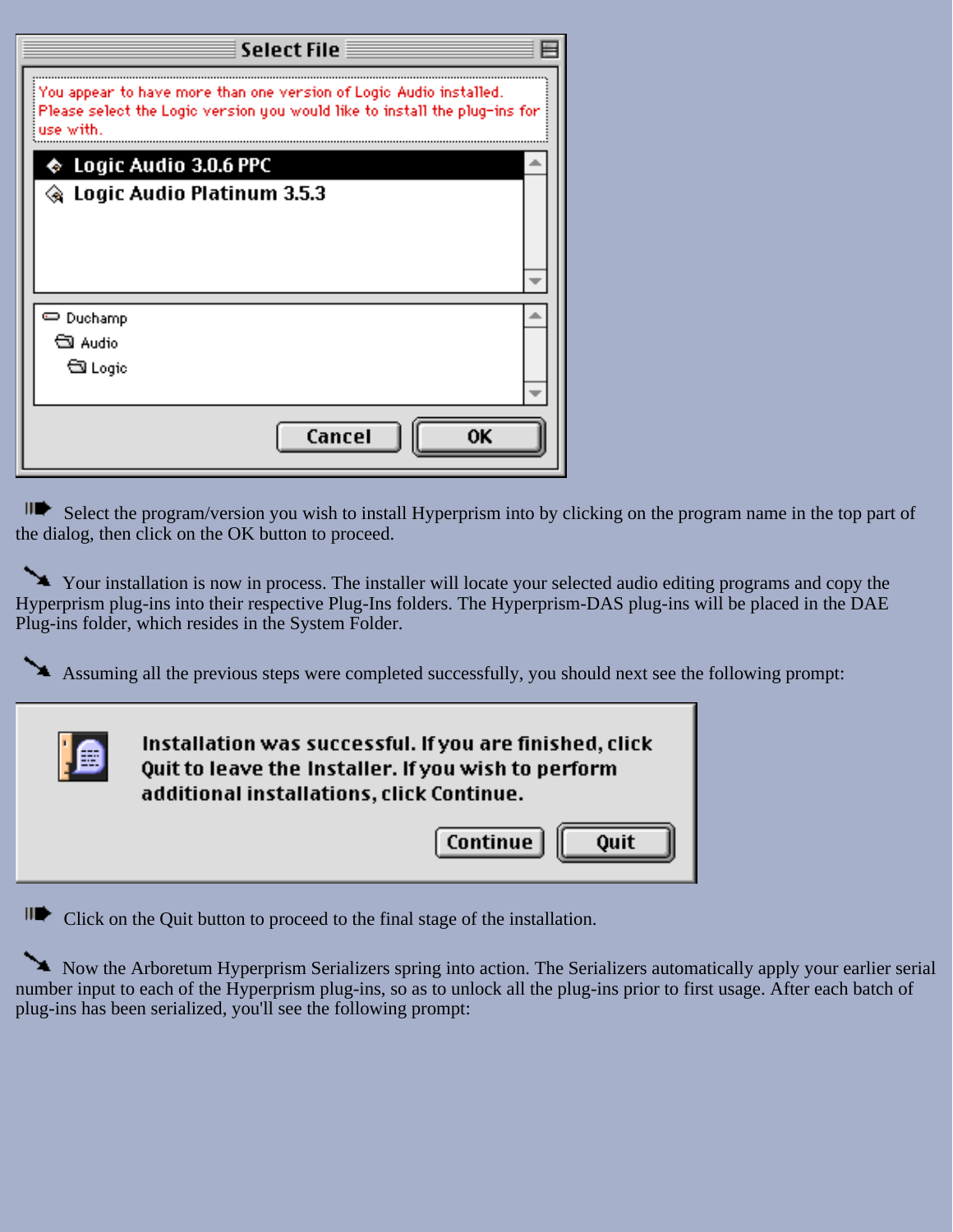| <b>Select File</b>                                                                                                                                            |  |
|---------------------------------------------------------------------------------------------------------------------------------------------------------------|--|
| You appear to have more than one version of Logic Audio installed.<br>Please select the Logic version you would like to install the plug-ins for<br>use with. |  |
| $\bullet\,$ Logic Audio 3.0.6 PPC                                                                                                                             |  |
| ◈ Logic Audio Platinum 3.5.3                                                                                                                                  |  |
|                                                                                                                                                               |  |
|                                                                                                                                                               |  |
|                                                                                                                                                               |  |
|                                                                                                                                                               |  |
| લી Audio                                                                                                                                                      |  |
| ম Logic                                                                                                                                                       |  |
|                                                                                                                                                               |  |
| Cancel<br>0K                                                                                                                                                  |  |

Select the program/version you wish to install Hyperprism into by clicking on the program name in the top part of the dialog, then click on the OK button to proceed.

Your installation is now in process. The installer will locate your selected audio editing programs and copy the Hyperprism plug-ins into their respective Plug-Ins folders. The Hyperprism-DAS plug-ins will be placed in the DAE Plug-ins folder, which resides in the System Folder.

Assuming all the previous steps were completed successfully, you should next see the following prompt:



II Click on the Quit button to proceed to the final stage of the installation.

Now the Arboretum Hyperprism Serializers spring into action. The Serializers automatically apply your earlier serial number input to each of the Hyperprism plug-ins, so as to unlock all the plug-ins prior to first usage. After each batch of plug-ins has been serialized, you'll see the following prompt: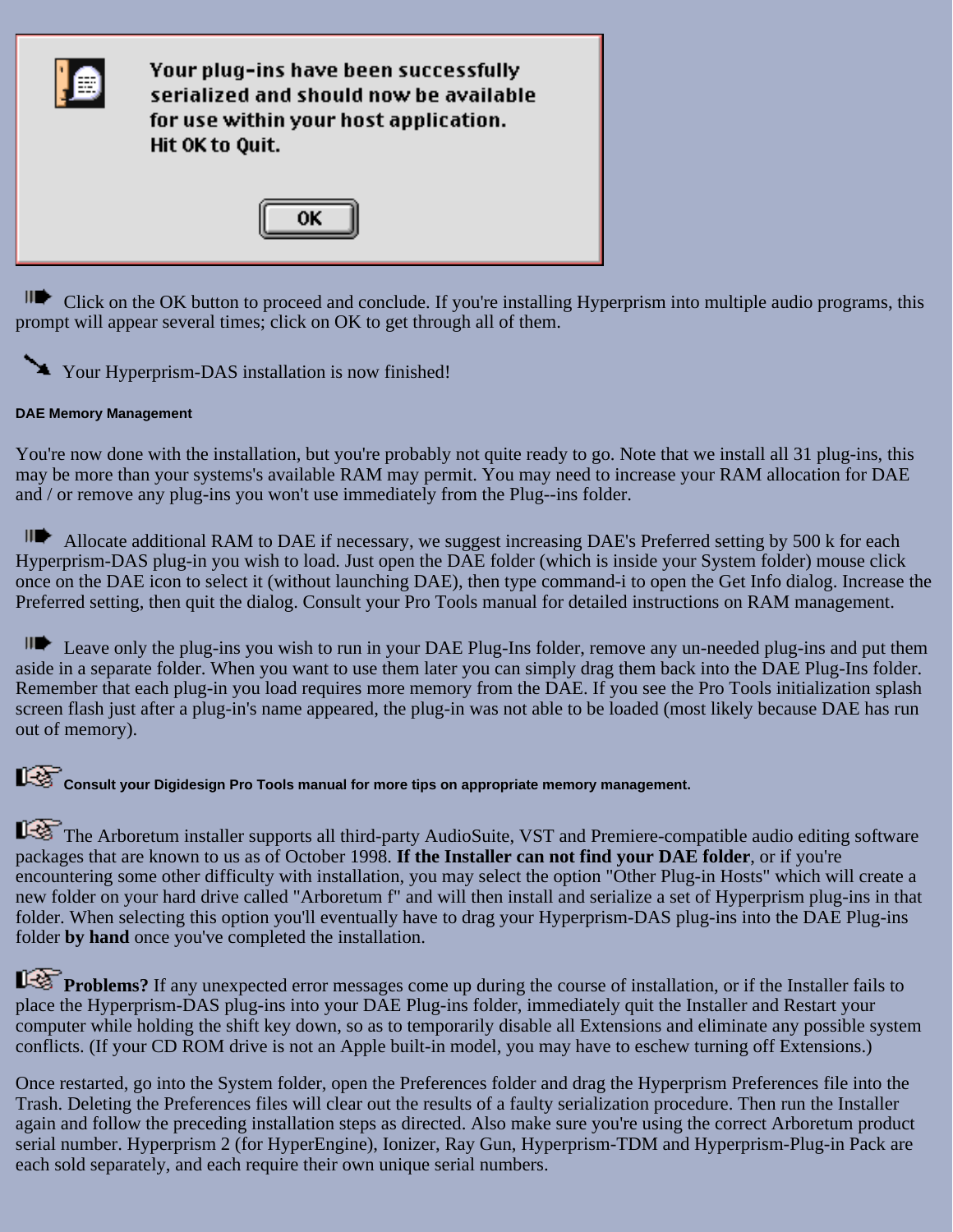

II Click on the OK button to proceed and conclude. If you're installing Hyperprism into multiple audio programs, this prompt will appear several times; click on OK to get through all of them.



#### <span id="page-15-0"></span>**DAE Memory Management**

You're now done with the installation, but you're probably not quite ready to go. Note that we install all 31 plug-ins, this may be more than your systems's available RAM may permit. You may need to increase your RAM allocation for DAE and / or remove any plug-ins you won't use immediately from the Plug--ins folder.

Allocate additional RAM to DAE if necessary, we suggest increasing DAE's Preferred setting by 500 k for each Hyperprism-DAS plug-in you wish to load. Just open the DAE folder (which is inside your System folder) mouse click once on the DAE icon to select it (without launching DAE), then type command-i to open the Get Info dialog. Increase the Preferred setting, then quit the dialog. Consult your Pro Tools manual for detailed instructions on RAM management.

Leave only the plug-ins you wish to run in your DAE Plug-Ins folder, remove any un-needed plug-ins and put them aside in a separate folder. When you want to use them later you can simply drag them back into the DAE Plug-Ins folder. Remember that each plug-in you load requires more memory from the DAE. If you see the Pro Tools initialization splash screen flash just after a plug-in's name appeared, the plug-in was not able to be loaded (most likely because DAE has run out of memory).

Consult your Digidesign Pro Tools manual for more tips on appropriate memory management.

<span id="page-15-1"></span>The Arboretum installer supports all third-party AudioSuite, VST and Premiere-compatible audio editing software packages that are known to us as of October 1998. **If the Installer can not find your DAE folder**, or if you're encountering some other difficulty with installation, you may select the option "Other Plug-in Hosts" which will create a new folder on your hard drive called "Arboretum f" and will then install and serialize a set of Hyperprism plug-ins in that folder. When selecting this option you'll eventually have to drag your Hyperprism-DAS plug-ins into the DAE Plug-ins folder **by hand** once you've completed the installation.

**Problems?** If any unexpected error messages come up during the course of installation, or if the Installer fails to place the Hyperprism-DAS plug-ins into your DAE Plug-ins folder, immediately quit the Installer and Restart your computer while holding the shift key down, so as to temporarily disable all Extensions and eliminate any possible system conflicts. (If your CD ROM drive is not an Apple built-in model, you may have to eschew turning off Extensions.)

Once restarted, go into the System folder, open the Preferences folder and drag the Hyperprism Preferences file into the Trash. Deleting the Preferences files will clear out the results of a faulty serialization procedure. Then run the Installer again and follow the preceding installation steps as directed. Also make sure you're using the correct Arboretum product serial number. Hyperprism 2 (for HyperEngine), Ionizer, Ray Gun, Hyperprism-TDM and Hyperprism-Plug-in Pack are each sold separately, and each require their own unique serial numbers.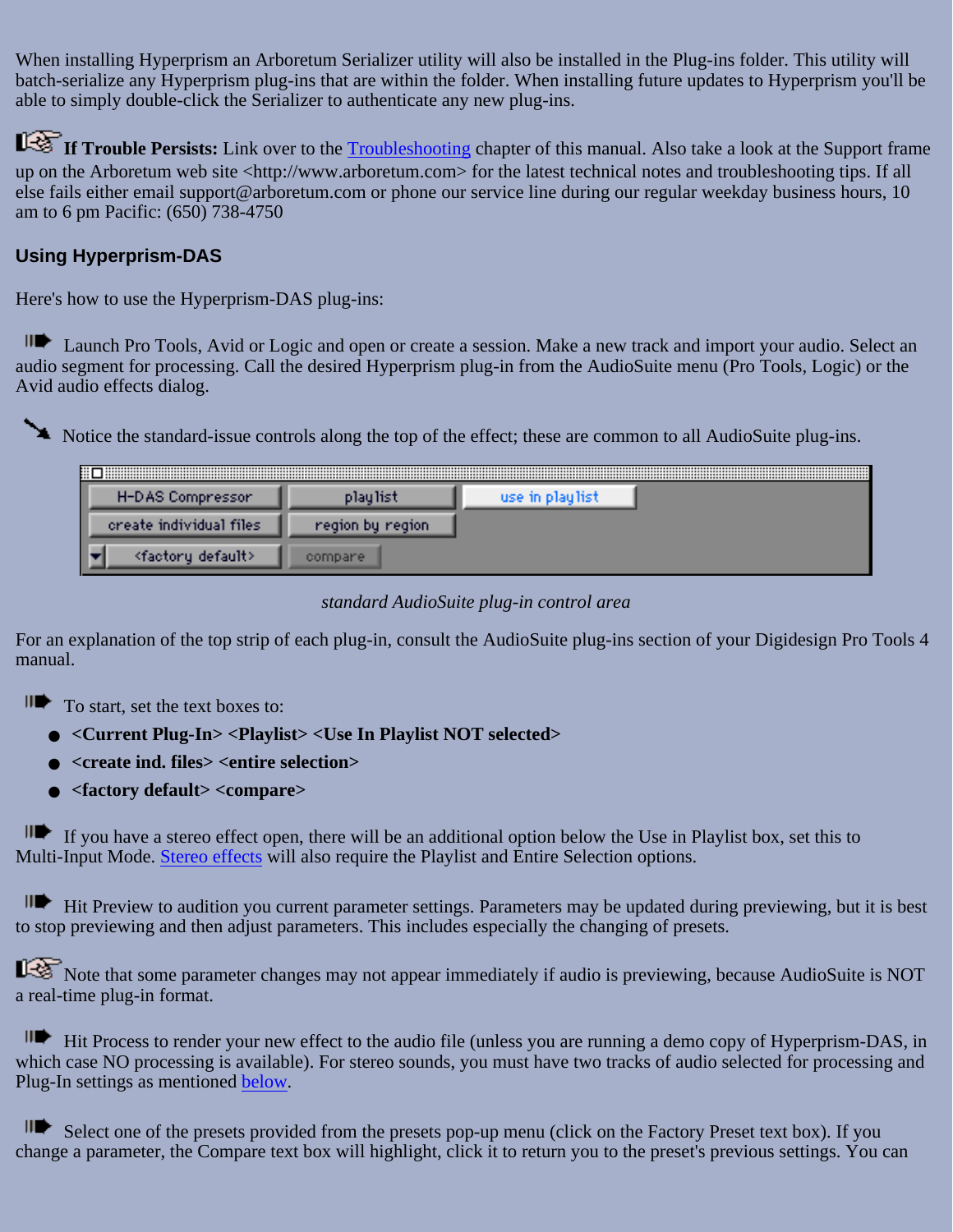When installing Hyperprism an Arboretum Serializer utility will also be installed in the Plug-ins folder. This utility will batch-serialize any Hyperprism plug-ins that are within the folder. When installing future updates to Hyperprism you'll be able to simply double-click the Serializer to authenticate any new plug-ins.

**If Trouble Persists:** Link over to the [Troubleshooting](#page-94-0) chapter of this manual. Also take a look at the Support frame up on the Arboretum web site <http://www.arboretum.com> for the latest technical notes and troubleshooting tips. If all else fails either email support@arboretum.com or phone our service line during our regular weekday business hours, 10 am to 6 pm Pacific: (650) 738-4750

### <span id="page-16-0"></span>**Using Hyperprism-DAS**

Here's how to use the Hyperprism-DAS plug-ins:

II Launch Pro Tools, Avid or Logic and open or create a session. Make a new track and import your audio. Select an audio segment for processing. Call the desired Hyperprism plug-in from the AudioSuite menu (Pro Tools, Logic) or the Avid audio effects dialog.

Notice the standard-issue controls along the top of the effect; these are common to all AudioSuite plug-ins.

| ⊞                              |                  |                 | <br> |
|--------------------------------|------------------|-----------------|------|
| H-DAS Compressor               | playlist         | use in playlist |      |
| create individual files        | region by region |                 |      |
| <factory default=""></factory> | compare          |                 |      |

### *standard AudioSuite plug-in control area*

For an explanation of the top strip of each plug-in, consult the AudioSuite plug-ins section of your Digidesign Pro Tools 4 manual.

- II<sup>t</sup> To start, set the text boxes to:
	- **<Current Plug-In> <Playlist> <Use In Playlist NOT selected>**
	- **<create ind. files> <entire selection>**
	- **<factory default> <compare>**

If you have a stereo effect open, there will be an additional option below the Use in Playlist box, set this to Multi-Input Mode. [Stereo effects](#page-17-1) will also require the Playlist and Entire Selection options.

Hit Preview to audition you current parameter settings. Parameters may be updated during previewing, but it is best to stop previewing and then adjust parameters. This includes especially the changing of presets.

Note that some parameter changes may not appear immediately if audio is previewing, because AudioSuite is NOT a real-time plug-in format.

Hit Process to render your new effect to the audio file (unless you are running a demo copy of Hyperprism-DAS, in which case NO processing is available). For stereo sounds, you must have two tracks of audio selected for processing and Plug-In settings as mentioned [below.](#page-17-1)

Select one of the presets provided from the presets pop-up menu (click on the Factory Preset text box). If you change a parameter, the Compare text box will highlight, click it to return you to the preset's previous settings. You can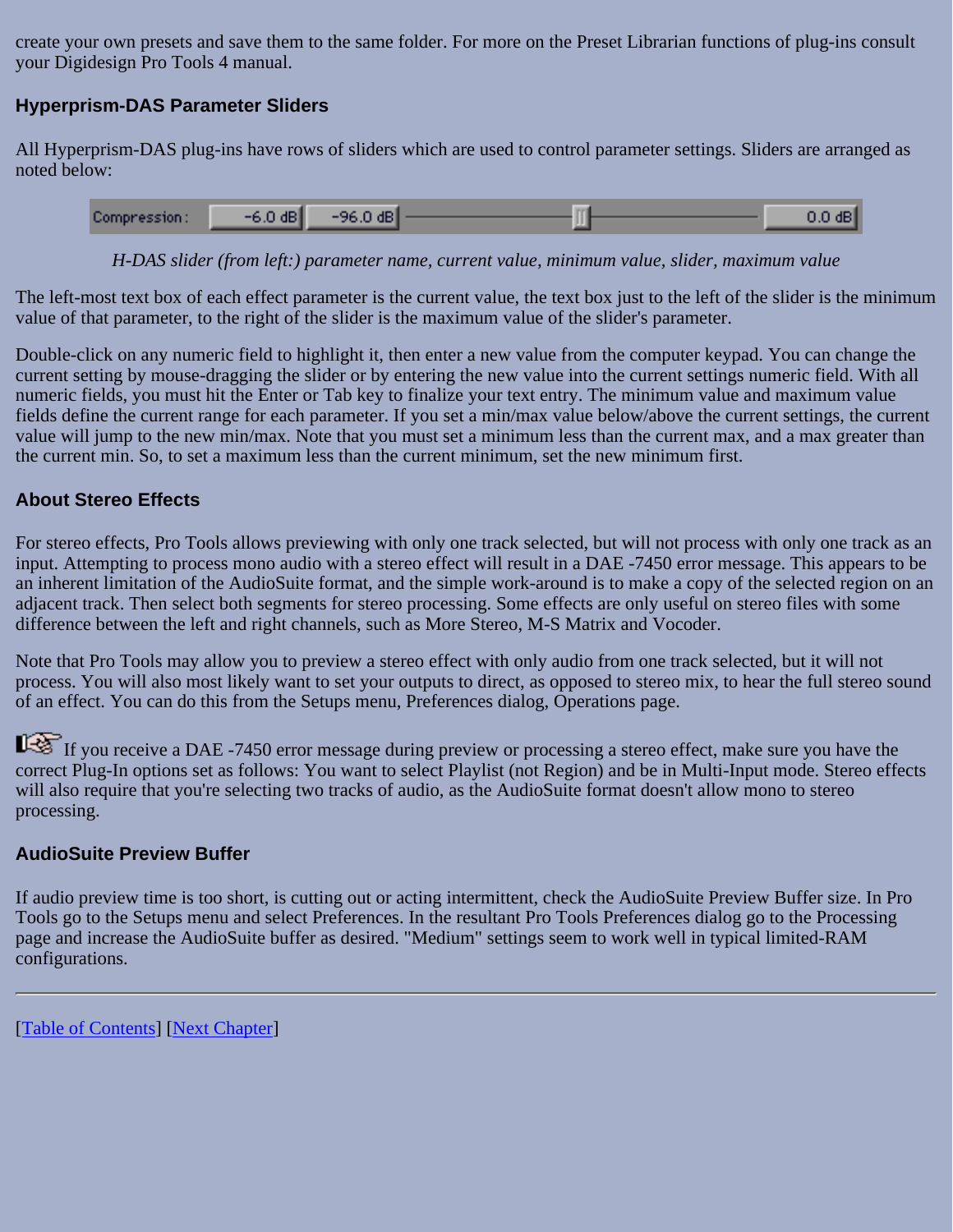create your own presets and save them to the same folder. For more on the Preset Librarian functions of plug-ins consult your Digidesign Pro Tools 4 manual.

### <span id="page-17-0"></span>**Hyperprism-DAS Parameter Sliders**

All Hyperprism-DAS plug-ins have rows of sliders which are used to control parameter settings. Sliders are arranged as noted below:

| Compression: | $-6.0$ dB | $-96.0$ dB |  | $0.0$ dB |
|--------------|-----------|------------|--|----------|
|--------------|-----------|------------|--|----------|

*H-DAS slider (from left:) parameter name, current value, minimum value, slider, maximum value*

The left-most text box of each effect parameter is the current value, the text box just to the left of the slider is the minimum value of that parameter, to the right of the slider is the maximum value of the slider's parameter.

Double-click on any numeric field to highlight it, then enter a new value from the computer keypad. You can change the current setting by mouse-dragging the slider or by entering the new value into the current settings numeric field. With all numeric fields, you must hit the Enter or Tab key to finalize your text entry. The minimum value and maximum value fields define the current range for each parameter. If you set a min/max value below/above the current settings, the current value will jump to the new min/max. Note that you must set a minimum less than the current max, and a max greater than the current min. So, to set a maximum less than the current minimum, set the new minimum first.

### <span id="page-17-1"></span>**About Stereo Effects**

For stereo effects, Pro Tools allows previewing with only one track selected, but will not process with only one track as an input. Attempting to process mono audio with a stereo effect will result in a DAE -7450 error message. This appears to be an inherent limitation of the AudioSuite format, and the simple work-around is to make a copy of the selected region on an adjacent track. Then select both segments for stereo processing. Some effects are only useful on stereo files with some difference between the left and right channels, such as More Stereo, M-S Matrix and Vocoder.

Note that Pro Tools may allow you to preview a stereo effect with only audio from one track selected, but it will not process. You will also most likely want to set your outputs to direct, as opposed to stereo mix, to hear the full stereo sound of an effect. You can do this from the Setups menu, Preferences dialog, Operations page.

If you receive a DAE -7450 error message during preview or processing a stereo effect, make sure you have the correct Plug-In options set as follows: You want to select Playlist (not Region) and be in Multi-Input mode. Stereo effects will also require that you're selecting two tracks of audio, as the AudioSuite format doesn't allow mono to stereo processing.

#### <span id="page-17-2"></span>**AudioSuite Preview Buffer**

If audio preview time is too short, is cutting out or acting intermittent, check the AudioSuite Preview Buffer size. In Pro Tools go to the Setups menu and select Preferences. In the resultant Pro Tools Preferences dialog go to the Processing page and increase the AudioSuite buffer as desired. "Medium" settings seem to work well in typical limited-RAM configurations.

[[Table of Contents\]](#page-1-0) [[Next Chapter](#page-18-0)]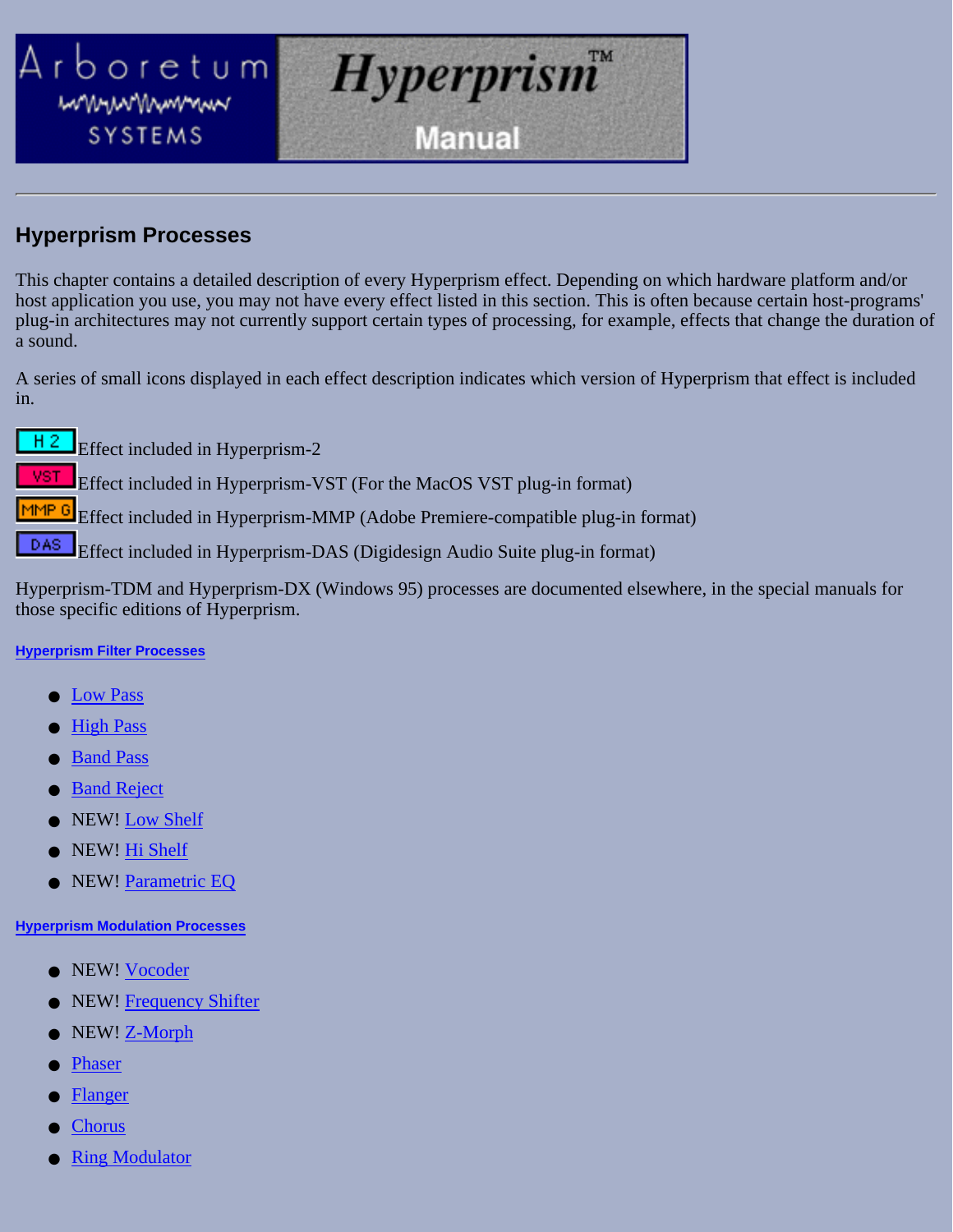<span id="page-18-0"></span>

### **Hyperprism Processes**

This chapter contains a detailed description of every Hyperprism effect. Depending on which hardware platform and/or host application you use, you may not have every effect listed in this section. This is often because certain host-programs' plug-in architectures may not currently support certain types of processing, for example, effects that change the duration of a sound.

A series of small icons displayed in each effect description indicates which version of Hyperprism that effect is included in.

Effect included in Hyperprism-2

Effect included in Hyperprism-VST (For the MacOS VST plug-in format)

Effect included in Hyperprism-MMP (Adobe Premiere-compatible plug-in format)

DAS. Effect included in Hyperprism-DAS (Digidesign Audio Suite plug-in format)

Hyperprism-TDM and Hyperprism-DX (Windows 95) processes are documented elsewhere, in the special manuals for those specific editions of Hyperprism.

#### **[Hyperprism Filter Processes](#page-20-0)**

- Low Pass
- **High Pass**
- **Band Pass**
- **Band Reject**
- NEW! Low Shelf
- NEW! Hi Shelf
- NEW! Parametric EQ

#### **[Hyperprism Modulation Processes](#page-31-0)**

- NEW! Vocoder
- NEW! Frequency Shifter
- NEW! Z-Morph
- Phaser
- **Flanger**
- **Chorus**
- **Ring Modulator**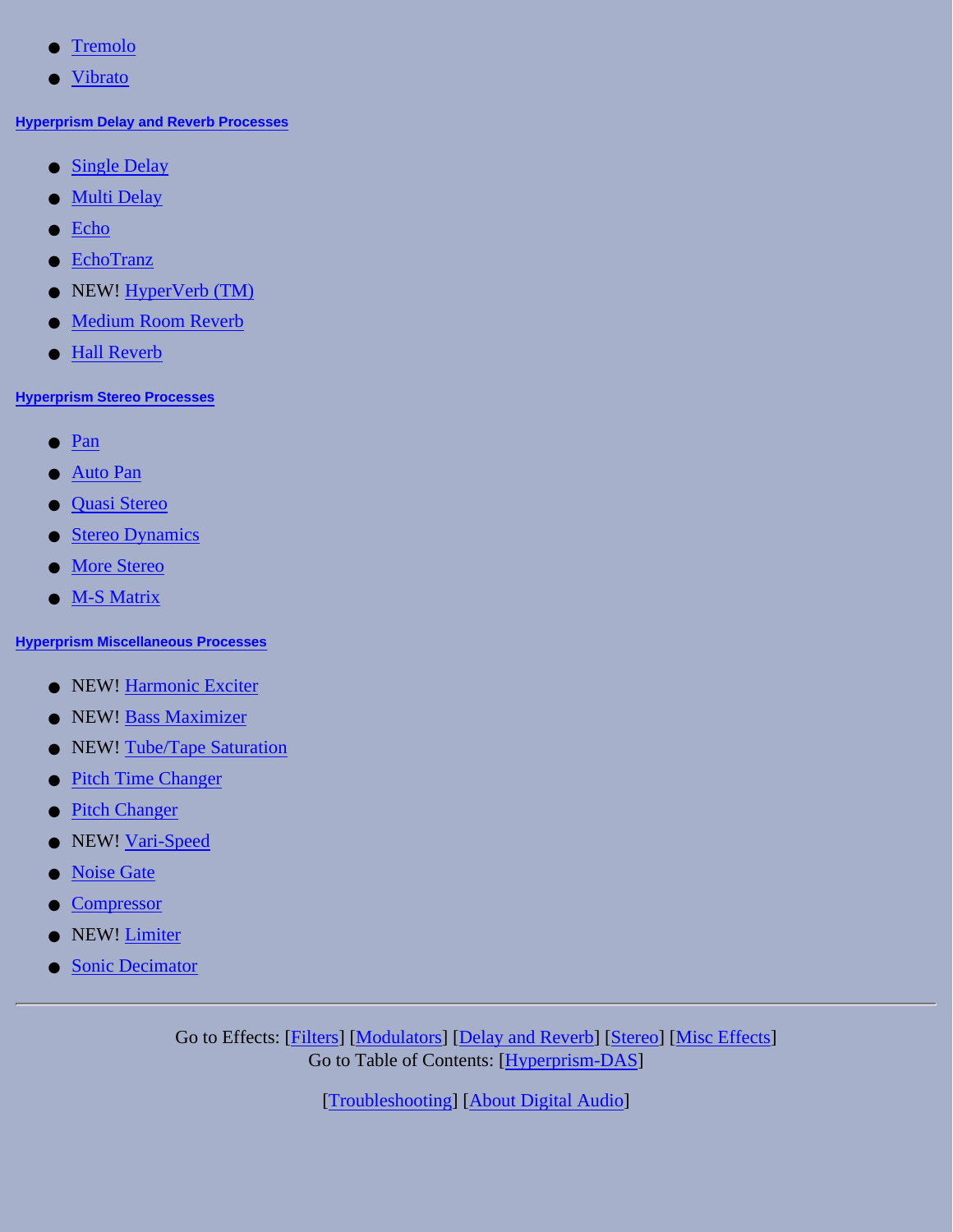- Tremolo
- Vibrato

#### **[Hyperprism Delay and Reverb Processes](#page-45-0)**

- [Single Delay](#page-45-2)
- [Multi Delay](#page-45-1)
- [Echo](#page-47-0)
- [EchoTranz](#page-47-1)
- NEW! [HyperVerb \(TM\)](#page-48-0)
- [Medium Room Reverb](#page-50-0)
- [Hall Reverb](#page-51-0)

#### **[Hyperprism Stereo Processes](#page-65-0)**

- [Pan](#page-65-1)
- [Auto Pan](#page-66-0)
- [Quasi Stereo](#page-68-0)
- [Stereo Dynamics](#page-70-0)
- [More Stereo](#page-74-0)
- [M-S Matrix](#page-65-0)

#### **[Hyperprism Miscellaneous Processes](#page-81-1)**

- NEW! [Harmonic Exciter](#page-81-0)
- NEW! [Bass Maximizer](#page-83-0)
- NEW! [Tube/Tape Saturation](#page-84-0)
- [Pitch Time Changer](#page-85-0)
- [Pitch Changer](#page-87-0)
- NEW! [Vari-Speed](#page-88-1)
- [Noise Gate](#page-88-0)
- **[Compressor](#page-89-0)**
- NEW! [Limiter](#page-92-0)
- [Sonic Decimator](#page-93-0)

Go to Effects: [\[Filters\]](#page-20-0) [[Modulators](#page-31-0)] [\[Delay and Reverb\]](#page-45-0) [[Stereo](#page-65-0)] [\[Misc Effects](#page-81-1)] Go to Table of Contents: [[Hyperprism-DAS\]](#page-1-0)

[\[Troubleshooting\]](#page-94-0) [\[About Digital Audio\]](#page-99-0)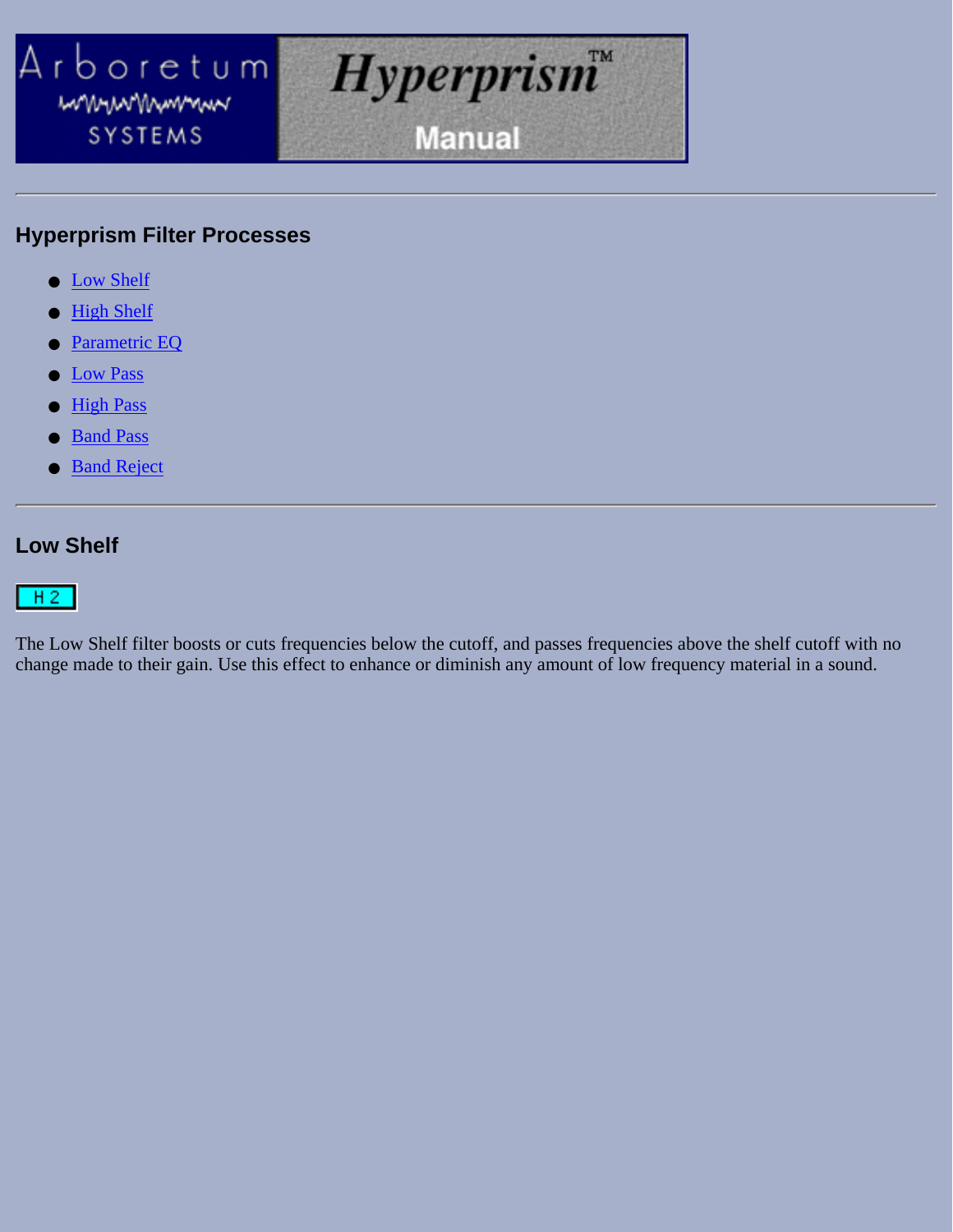<span id="page-20-0"></span>

### **Hyperprism Filter Processes**

- Low Shelf
- High Shelf
- Parametric EQ
- Low Pass
- High Pass
- Band Pass
- **Band Reject**

### **Low Shelf**

 $H2$ 

The Low Shelf filter boosts or cuts frequencies below the cutoff, and passes frequencies above the shelf cutoff with no change made to their gain. Use this effect to enhance or diminish any amount of low frequency material in a sound.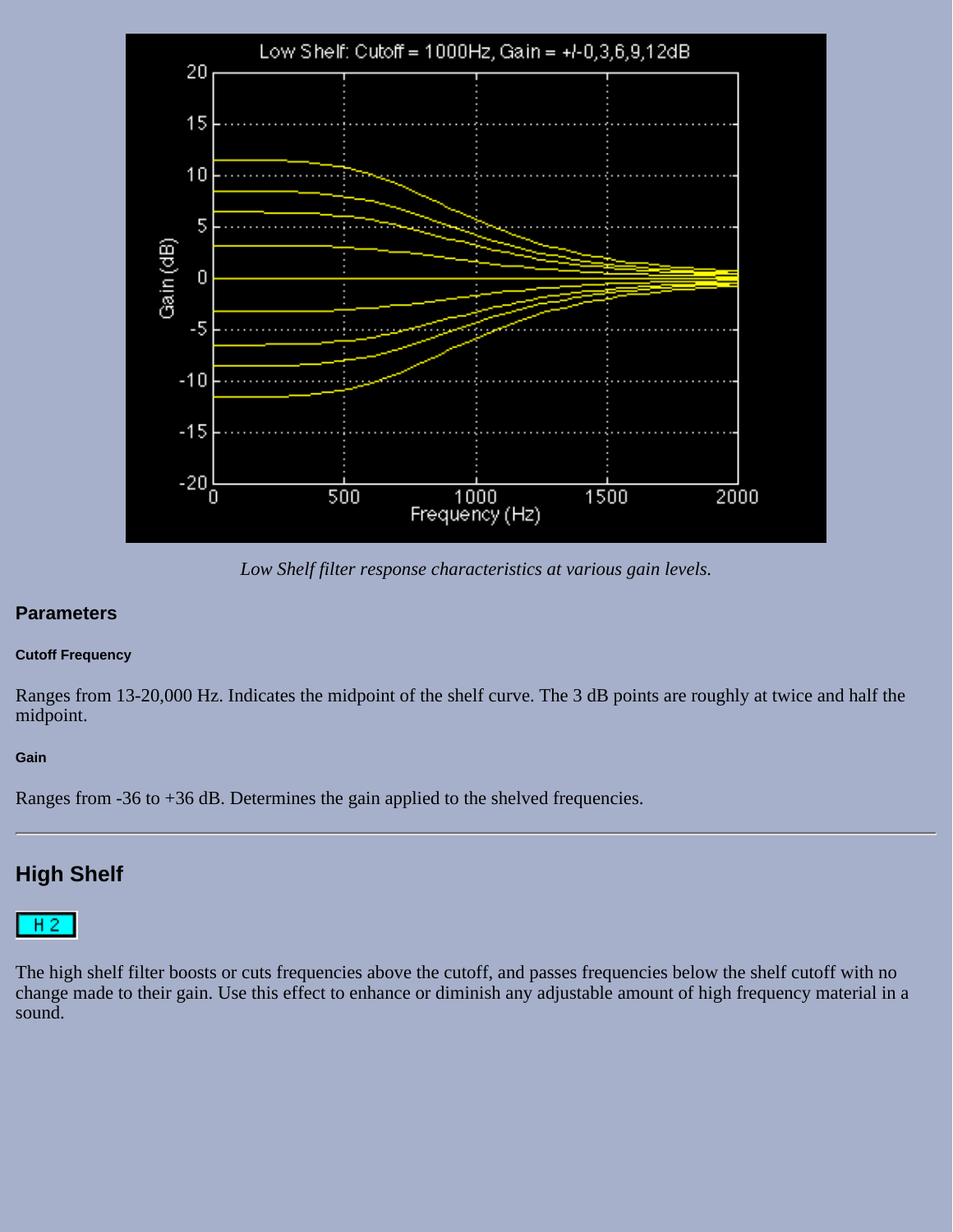

*Low Shelf filter response characteristics at various gain levels.*

#### **Parameters**

#### **Cutoff Frequency**

Ranges from 13-20,000 Hz. Indicates the midpoint of the shelf curve. The 3 dB points are roughly at twice and half the midpoint.

#### **Gain**

Ranges from -36 to +36 dB. Determines the gain applied to the shelved frequencies.

### **High Shelf**



The high shelf filter boosts or cuts frequencies above the cutoff, and passes frequencies below the shelf cutoff with no change made to their gain. Use this effect to enhance or diminish any adjustable amount of high frequency material in a sound.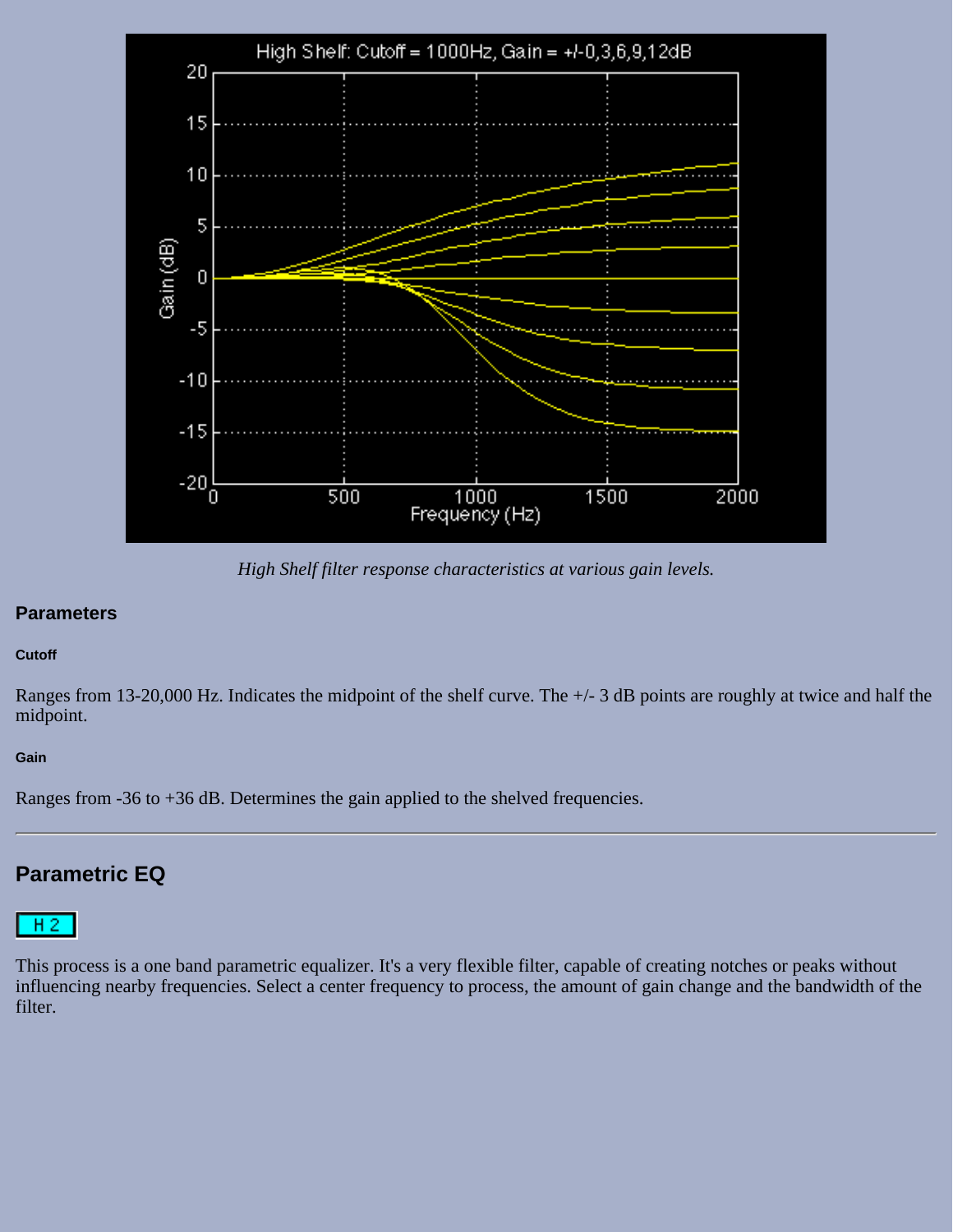

*High Shelf filter response characteristics at various gain levels.*

#### **Parameters**

#### **Cutoff**

Ranges from 13-20,000 Hz. Indicates the midpoint of the shelf curve. The +/- 3 dB points are roughly at twice and half the midpoint.

#### **Gain**

Ranges from -36 to +36 dB. Determines the gain applied to the shelved frequencies.

### **Parametric EQ**



This process is a one band parametric equalizer. It's a very flexible filter, capable of creating notches or peaks without influencing nearby frequencies. Select a center frequency to process, the amount of gain change and the bandwidth of the filter.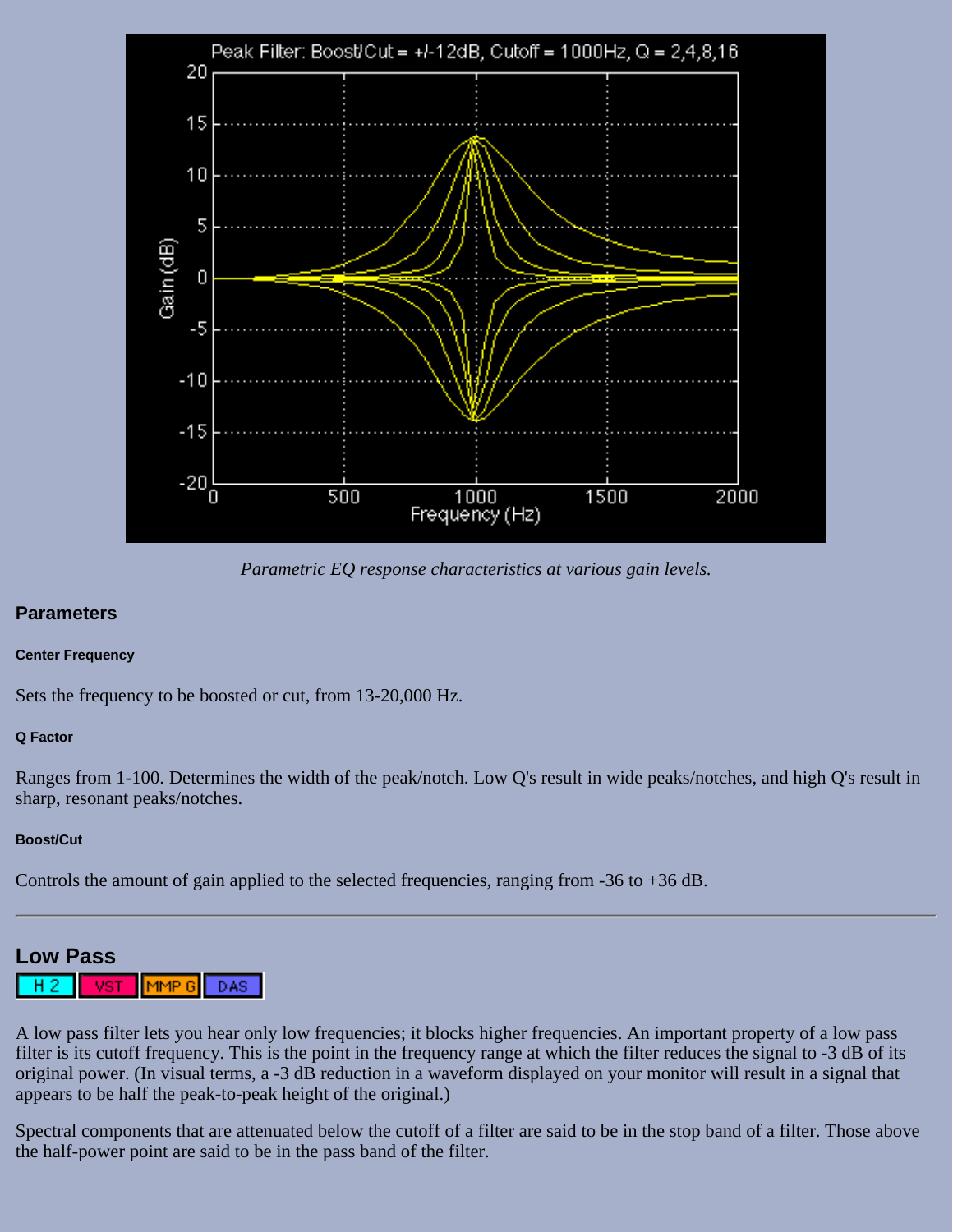

*Parametric EQ response characteristics at various gain levels.*

#### **Parameters**

#### **Center Frequency**

Sets the frequency to be boosted or cut, from 13-20,000 Hz.

#### **Q Factor**

Ranges from 1-100. Determines the width of the peak/notch. Low Q's result in wide peaks/notches, and high Q's result in sharp, resonant peaks/notches.

#### **Boost/Cut**

Controls the amount of gain applied to the selected frequencies, ranging from -36 to +36 dB.

### **Low Pass**

MMP G DAS:

A low pass filter lets you hear only low frequencies; it blocks higher frequencies. An important property of a low pass filter is its cutoff frequency. This is the point in the frequency range at which the filter reduces the signal to -3 dB of its original power. (In visual terms, a -3 dB reduction in a waveform displayed on your monitor will result in a signal that appears to be half the peak-to-peak height of the original.)

Spectral components that are attenuated below the cutoff of a filter are said to be in the stop band of a filter. Those above the half-power point are said to be in the pass band of the filter.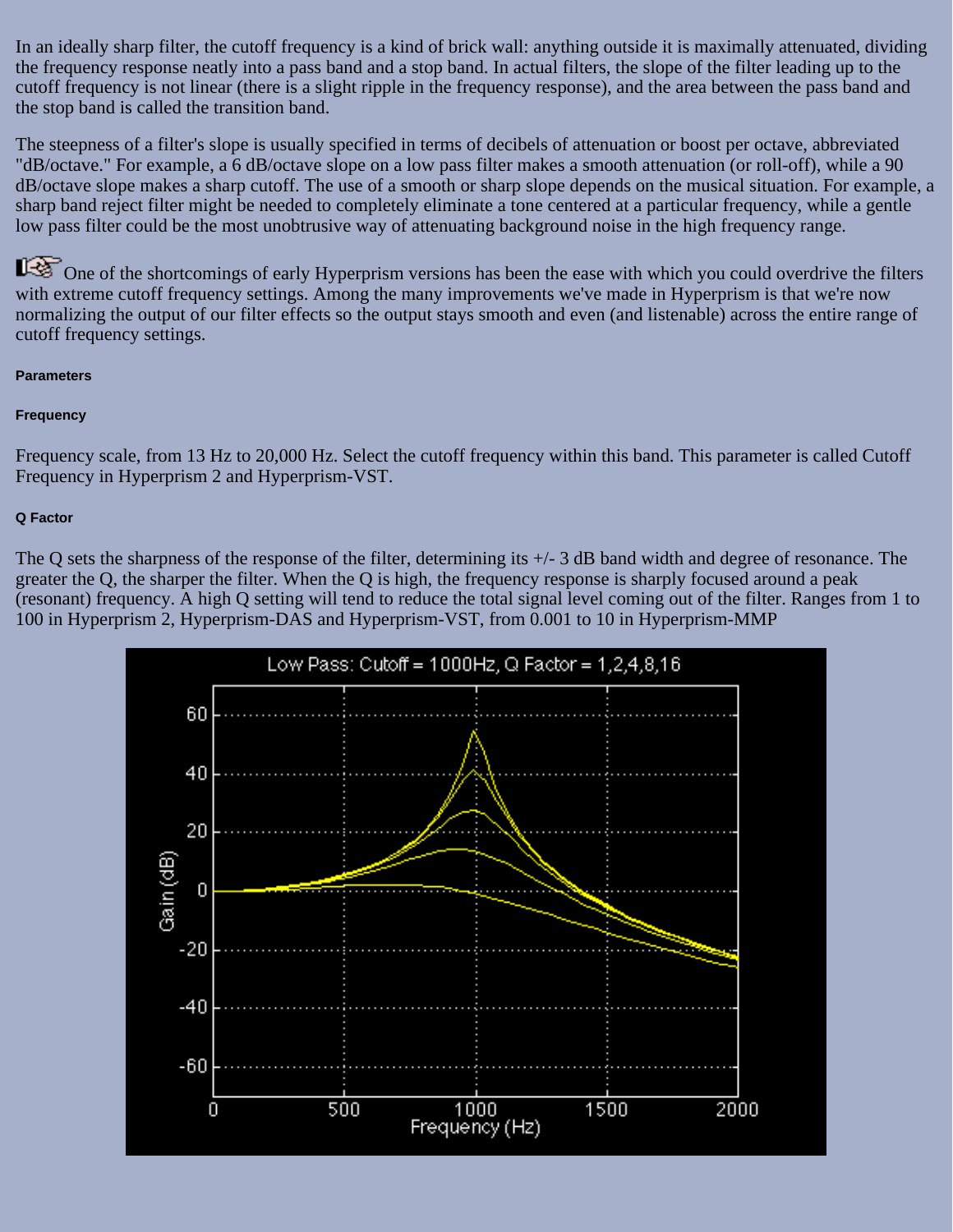In an ideally sharp filter, the cutoff frequency is a kind of brick wall: anything outside it is maximally attenuated, dividing the frequency response neatly into a pass band and a stop band. In actual filters, the slope of the filter leading up to the cutoff frequency is not linear (there is a slight ripple in the frequency response), and the area between the pass band and the stop band is called the transition band.

The steepness of a filter's slope is usually specified in terms of decibels of attenuation or boost per octave, abbreviated "dB/octave." For example, a 6 dB/octave slope on a low pass filter makes a smooth attenuation (or roll-off), while a 90 dB/octave slope makes a sharp cutoff. The use of a smooth or sharp slope depends on the musical situation. For example, a sharp band reject filter might be needed to completely eliminate a tone centered at a particular frequency, while a gentle low pass filter could be the most unobtrusive way of attenuating background noise in the high frequency range.

One of the shortcomings of early Hyperprism versions has been the ease with which you could overdrive the filters with extreme cutoff frequency settings. Among the many improvements we've made in Hyperprism is that we're now normalizing the output of our filter effects so the output stays smooth and even (and listenable) across the entire range of cutoff frequency settings.

#### **Parameters**

#### **Frequency**

Frequency scale, from 13 Hz to 20,000 Hz. Select the cutoff frequency within this band. This parameter is called Cutoff Frequency in Hyperprism 2 and Hyperprism-VST.

#### **Q Factor**

The Q sets the sharpness of the response of the filter, determining its  $+/-3$  dB band width and degree of resonance. The greater the Q, the sharper the filter. When the Q is high, the frequency response is sharply focused around a peak (resonant) frequency. A high Q setting will tend to reduce the total signal level coming out of the filter. Ranges from 1 to 100 in Hyperprism 2, Hyperprism-DAS and Hyperprism-VST, from 0.001 to 10 in Hyperprism-MMP

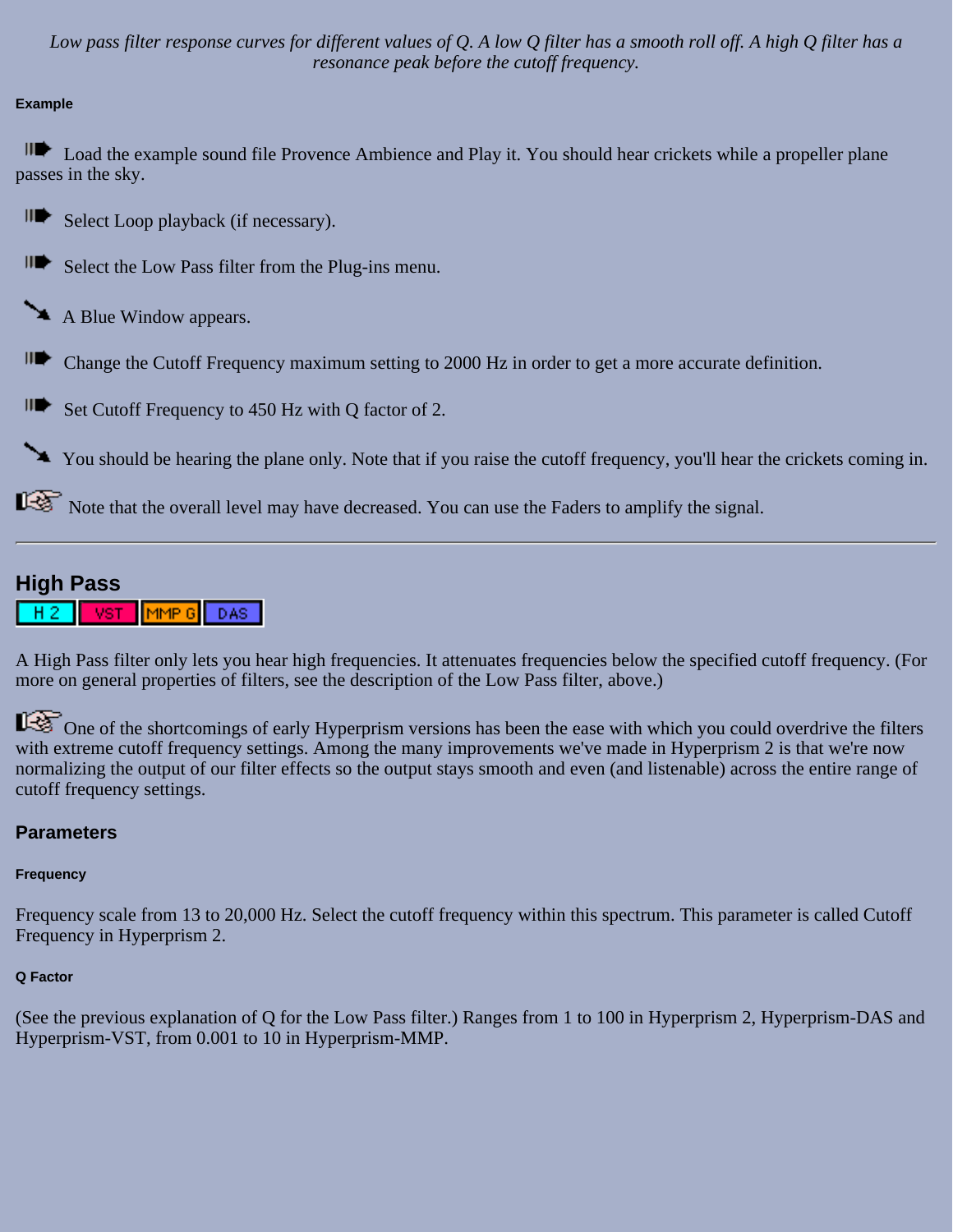*Low pass filter response curves for different values of Q. A low Q filter has a smooth roll off. A high Q filter has a resonance peak before the cutoff frequency.*

#### **Example**

**ID** Load the example sound file Provence Ambience and Play it. You should hear crickets while a propeller plane passes in the sky.

II<sup>t</sup> Select Loop playback (if necessary).

- **IDE** Select the Low Pass filter from the Plug-ins menu.
- A Blue Window appears.
- Change the Cutoff Frequency maximum setting to 2000 Hz in order to get a more accurate definition.

 $\blacksquare$  Set Cutoff Frequency to 450 Hz with Q factor of 2.

You should be hearing the plane only. Note that if you raise the cutoff frequency, you'll hear the crickets coming in.

Note that the overall level may have decreased. You can use the Faders to amplify the signal.

### **High Pass**



A High Pass filter only lets you hear high frequencies. It attenuates frequencies below the specified cutoff frequency. (For more on general properties of filters, see the description of the Low Pass filter, above.)

One of the shortcomings of early Hyperprism versions has been the ease with which you could overdrive the filters with extreme cutoff frequency settings. Among the many improvements we've made in Hyperprism 2 is that we're now normalizing the output of our filter effects so the output stays smooth and even (and listenable) across the entire range of cutoff frequency settings.

#### **Parameters**

#### **Frequency**

Frequency scale from 13 to 20,000 Hz. Select the cutoff frequency within this spectrum. This parameter is called Cutoff Frequency in Hyperprism 2.

#### **Q Factor**

(See the previous explanation of Q for the Low Pass filter.) Ranges from 1 to 100 in Hyperprism 2, Hyperprism-DAS and Hyperprism-VST, from 0.001 to 10 in Hyperprism-MMP.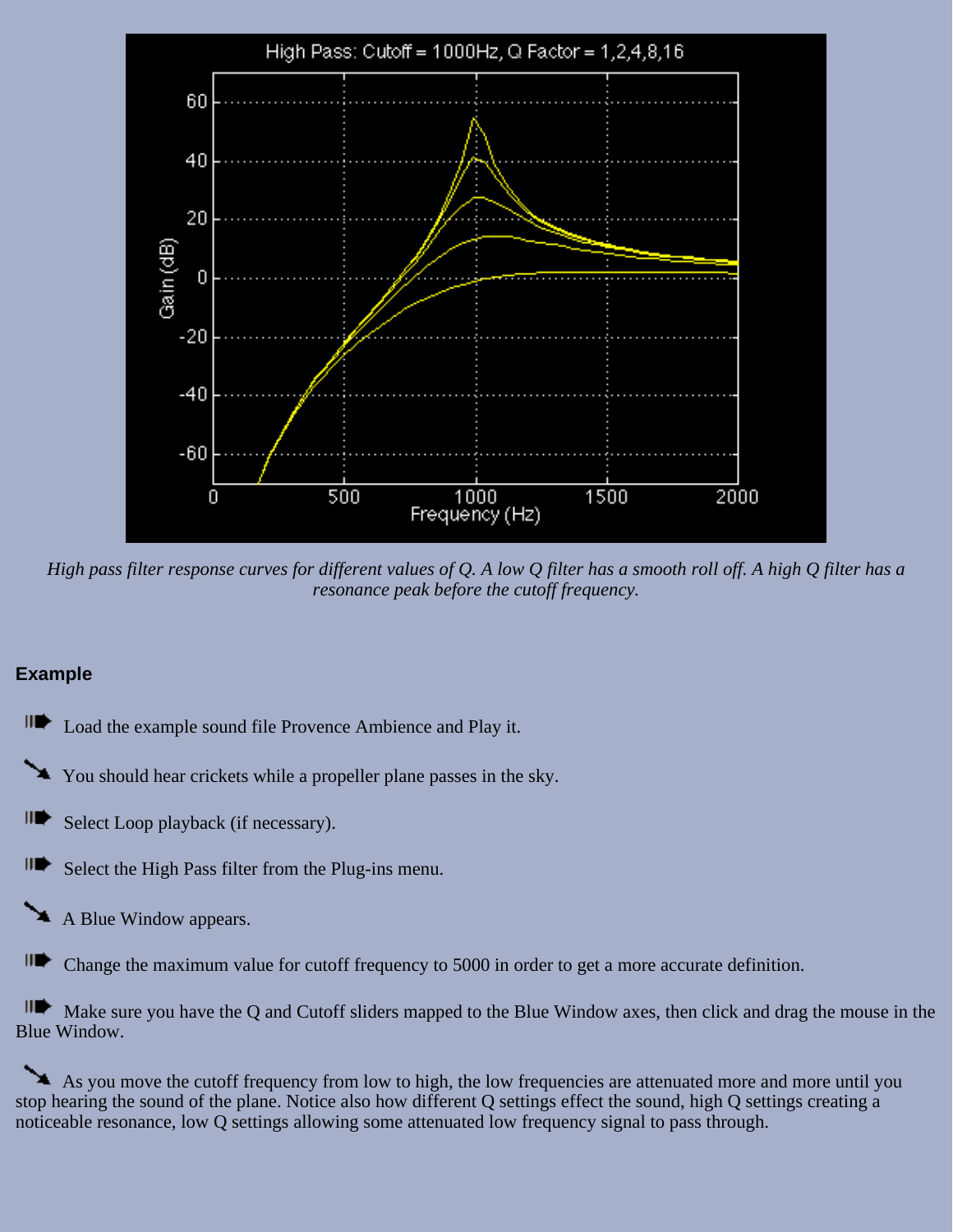

*High pass filter response curves for different values of Q. A low Q filter has a smooth roll off. A high Q filter has a resonance peak before the cutoff frequency.*

#### **Example**



You should hear crickets while a propeller plane passes in the sky.

III Select Loop playback (if necessary).

III Select the High Pass filter from the Plug-ins menu.

A Blue Window appears.

HD⊵ Change the maximum value for cutoff frequency to 5000 in order to get a more accurate definition.

Make sure you have the Q and Cutoff sliders mapped to the Blue Window axes, then click and drag the mouse in the Blue Window.

As you move the cutoff frequency from low to high, the low frequencies are attenuated more and more until you stop hearing the sound of the plane. Notice also how different Q settings effect the sound, high Q settings creating a noticeable resonance, low Q settings allowing some attenuated low frequency signal to pass through.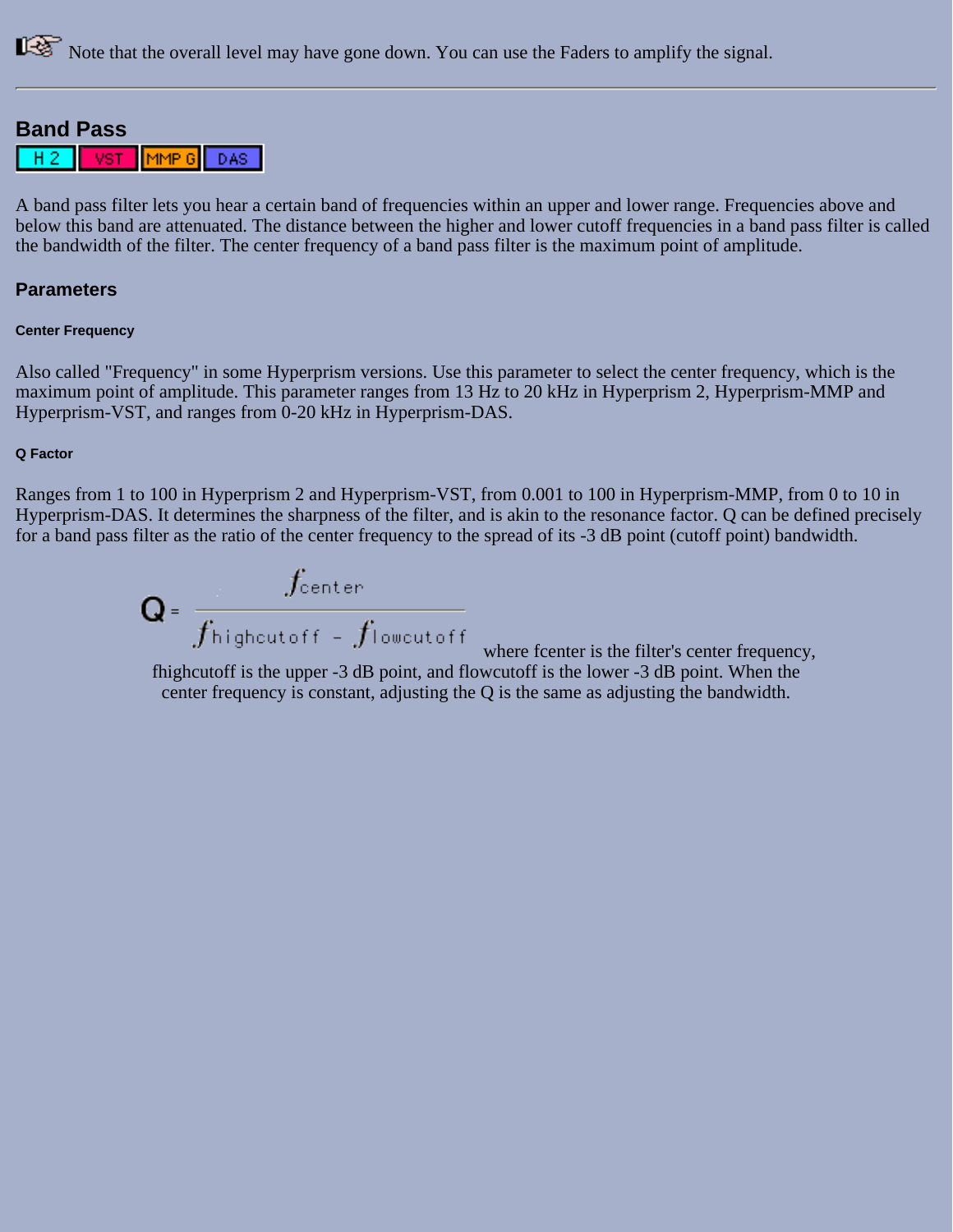Note that the overall level may have gone down. You can use the Faders to amplify the signal.

#### **Band Pass**



A band pass filter lets you hear a certain band of frequencies within an upper and lower range. Frequencies above and below this band are attenuated. The distance between the higher and lower cutoff frequencies in a band pass filter is called the bandwidth of the filter. The center frequency of a band pass filter is the maximum point of amplitude.

#### **Parameters**

#### **Center Frequency**

Also called "Frequency" in some Hyperprism versions. Use this parameter to select the center frequency, which is the maximum point of amplitude. This parameter ranges from 13 Hz to 20 kHz in Hyperprism 2, Hyperprism-MMP and Hyperprism-VST, and ranges from 0-20 kHz in Hyperprism-DAS.

#### **Q Factor**

Ranges from 1 to 100 in Hyperprism 2 and Hyperprism-VST, from 0.001 to 100 in Hyperprism-MMP, from 0 to 10 in Hyperprism-DAS. It determines the sharpness of the filter, and is akin to the resonance factor. Q can be defined precisely for a band pass filter as the ratio of the center frequency to the spread of its -3 dB point (cutoff point) bandwidth.

 $\mathbf{Q} = \frac{f_{\text{center}}}{f_{\text{higher}}f_{\text{lower}}f_{\text{lower}}f_{\text{lower}}f_{\text{lower}}f_{\text{lower}}$ 

 where fcenter is the filter's center frequency, fhighcutoff is the upper -3 dB point, and flowcutoff is the lower -3 dB point. When the center frequency is constant, adjusting the Q is the same as adjusting the bandwidth.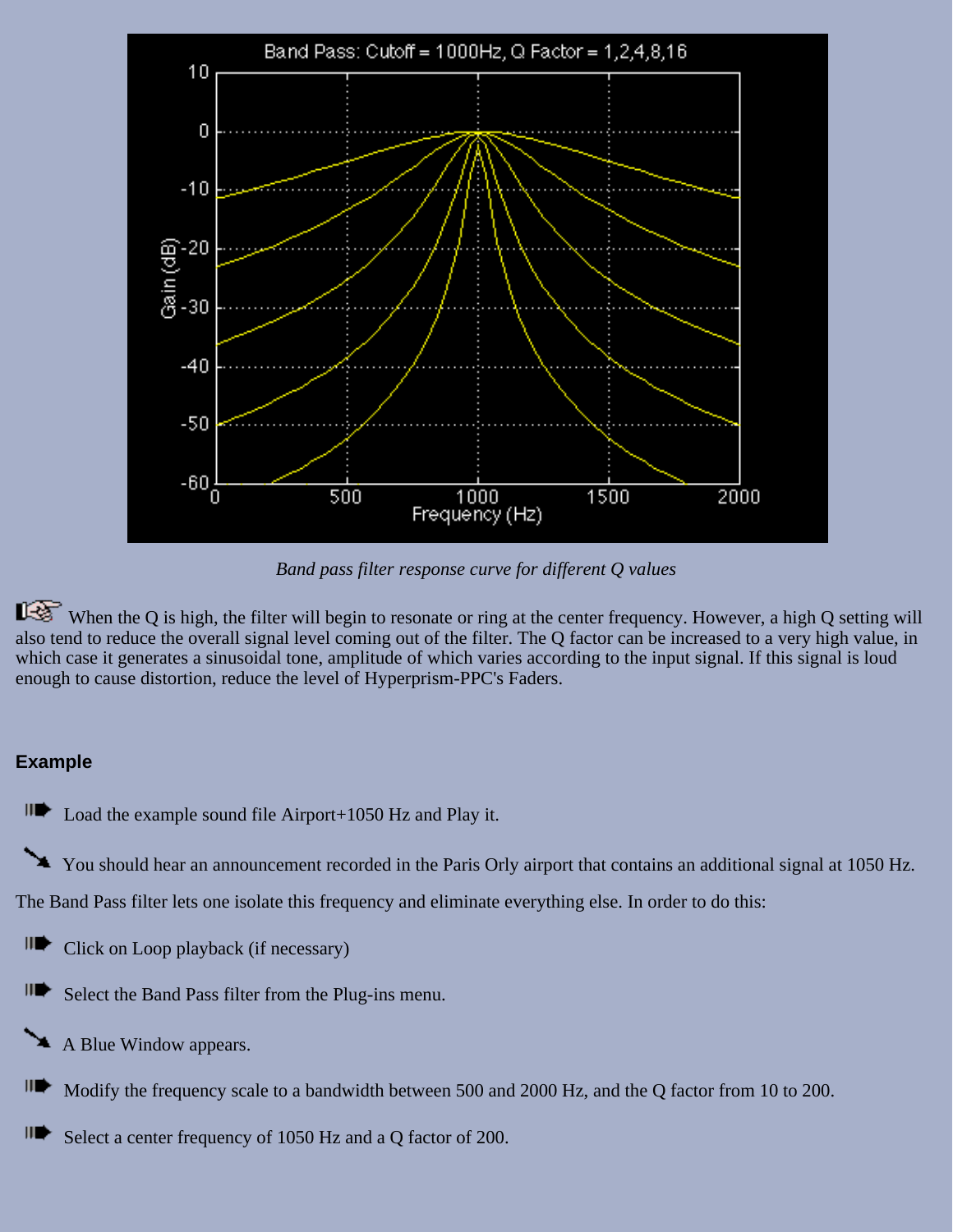

*Band pass filter response curve for different Q values*

When the Q is high, the filter will begin to resonate or ring at the center frequency. However, a high Q setting will also tend to reduce the overall signal level coming out of the filter. The Q factor can be increased to a very high value, in which case it generates a sinusoidal tone, amplitude of which varies according to the input signal. If this signal is loud enough to cause distortion, reduce the level of Hyperprism-PPC's Faders.

### **Example**

 $\blacksquare$ Load the example sound file Airport+1050 Hz and Play it.

You should hear an announcement recorded in the Paris Orly airport that contains an additional signal at 1050 Hz.

The Band Pass filter lets one isolate this frequency and eliminate everything else. In order to do this:

- IID Click on Loop playback (if necessary)
- IID≻ Select the Band Pass filter from the Plug-ins menu.
- A Blue Window appears.
- III) Modify the frequency scale to a bandwidth between 500 and 2000 Hz, and the Q factor from 10 to 200.
- III) Select a center frequency of 1050 Hz and a Q factor of 200.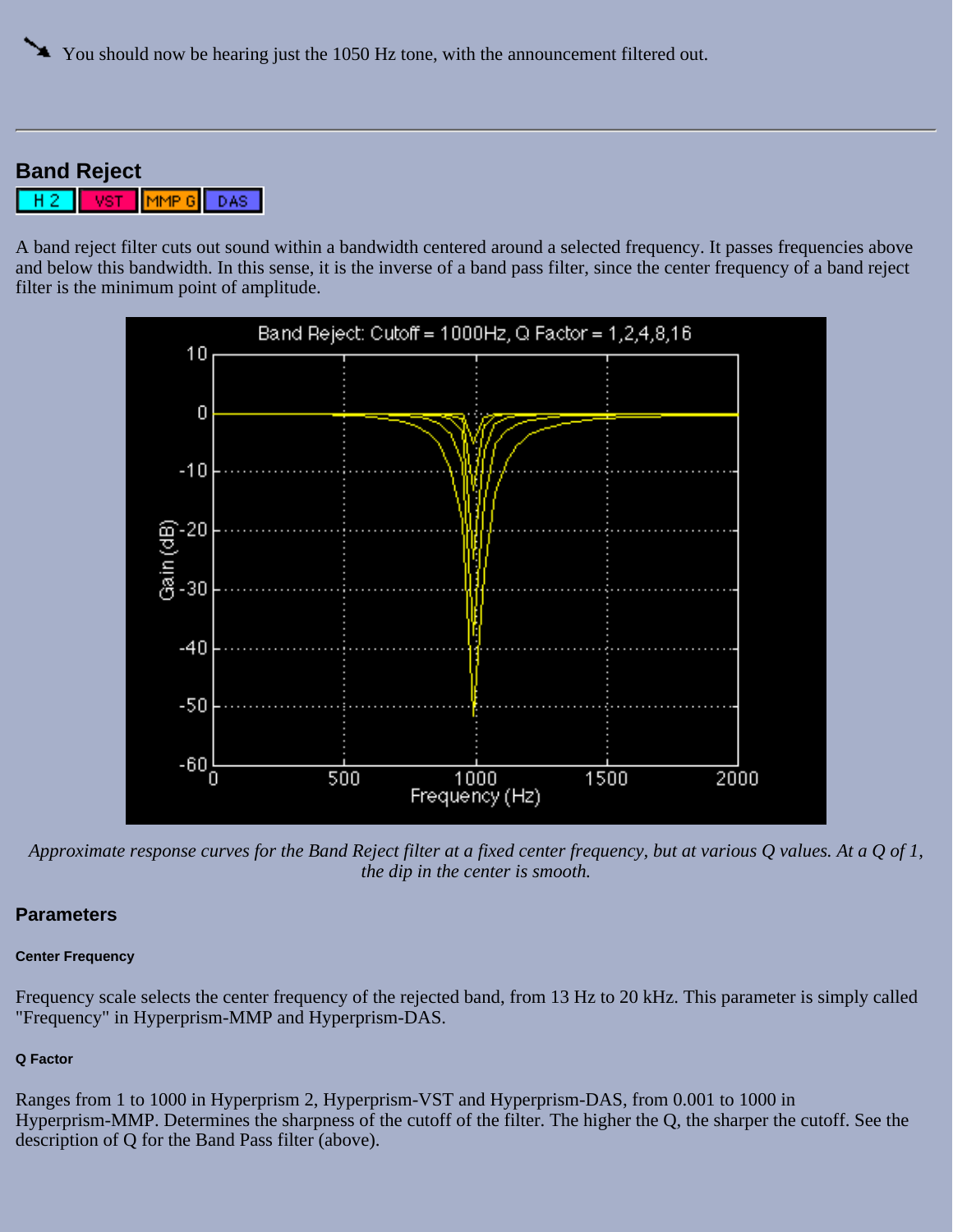### **Band Reject**

MMP Gl DAS: VST

A band reject filter cuts out sound within a bandwidth centered around a selected frequency. It passes frequencies above and below this bandwidth. In this sense, it is the inverse of a band pass filter, since the center frequency of a band reject filter is the minimum point of amplitude.



*Approximate response curves for the Band Reject filter at a fixed center frequency, but at various Q values. At a Q of 1, the dip in the center is smooth.*

#### **Parameters**

#### **Center Frequency**

Frequency scale selects the center frequency of the rejected band, from 13 Hz to 20 kHz. This parameter is simply called "Frequency" in Hyperprism-MMP and Hyperprism-DAS.

#### **Q Factor**

Ranges from 1 to 1000 in Hyperprism 2, Hyperprism-VST and Hyperprism-DAS, from 0.001 to 1000 in Hyperprism-MMP. Determines the sharpness of the cutoff of the filter. The higher the Q, the sharper the cutoff. See the description of Q for the Band Pass filter (above).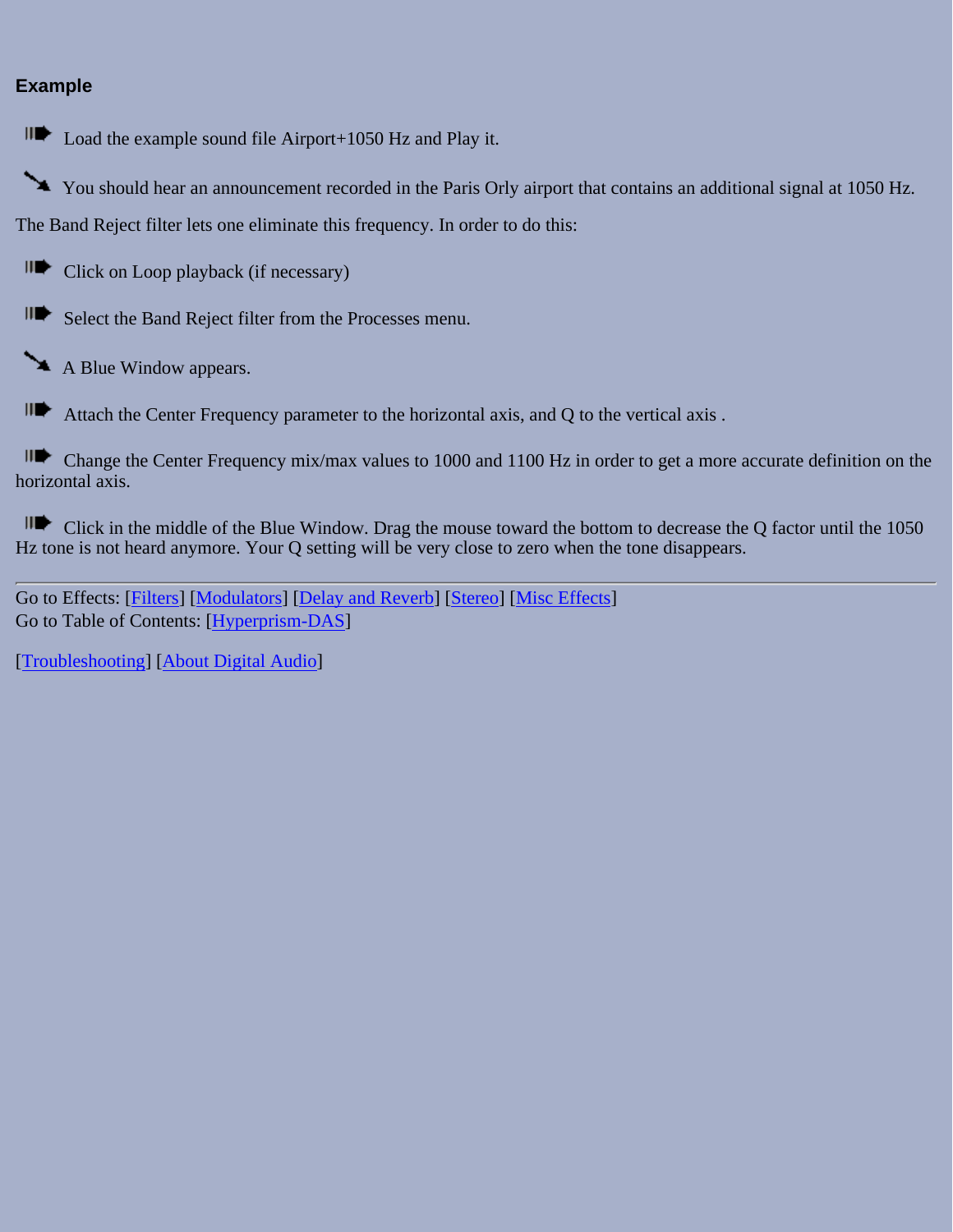### **Example**

Load the example sound file Airport+1050 Hz and Play it.

You should hear an announcement recorded in the Paris Orly airport that contains an additional signal at 1050 Hz. The Band Reject filter lets one eliminate this frequency. In order to do this:

II<sup>I</sup> Click on Loop playback (if necessary)

Select the Band Reject filter from the Processes menu.

A Blue Window appears.

Attach the Center Frequency parameter to the horizontal axis, and Q to the vertical axis .

Change the Center Frequency mix/max values to 1000 and 1100 Hz in order to get a more accurate definition on the horizontal axis.

III Click in the middle of the Blue Window. Drag the mouse toward the bottom to decrease the Q factor until the 1050 Hz tone is not heard anymore. Your Q setting will be very close to zero when the tone disappears.

Go to Effects: [\[Filters\]](#page-20-0) [[Modulators](#page-31-0)] [\[Delay and Reverb\]](#page-45-0) [[Stereo\]](#page-65-0) [[Misc Effects\]](#page-81-1) Go to Table of Contents: [\[Hyperprism-DAS\]](#page-1-0)

[[Troubleshooting](#page-94-0)] [\[About Digital Audio\]](#page-99-0)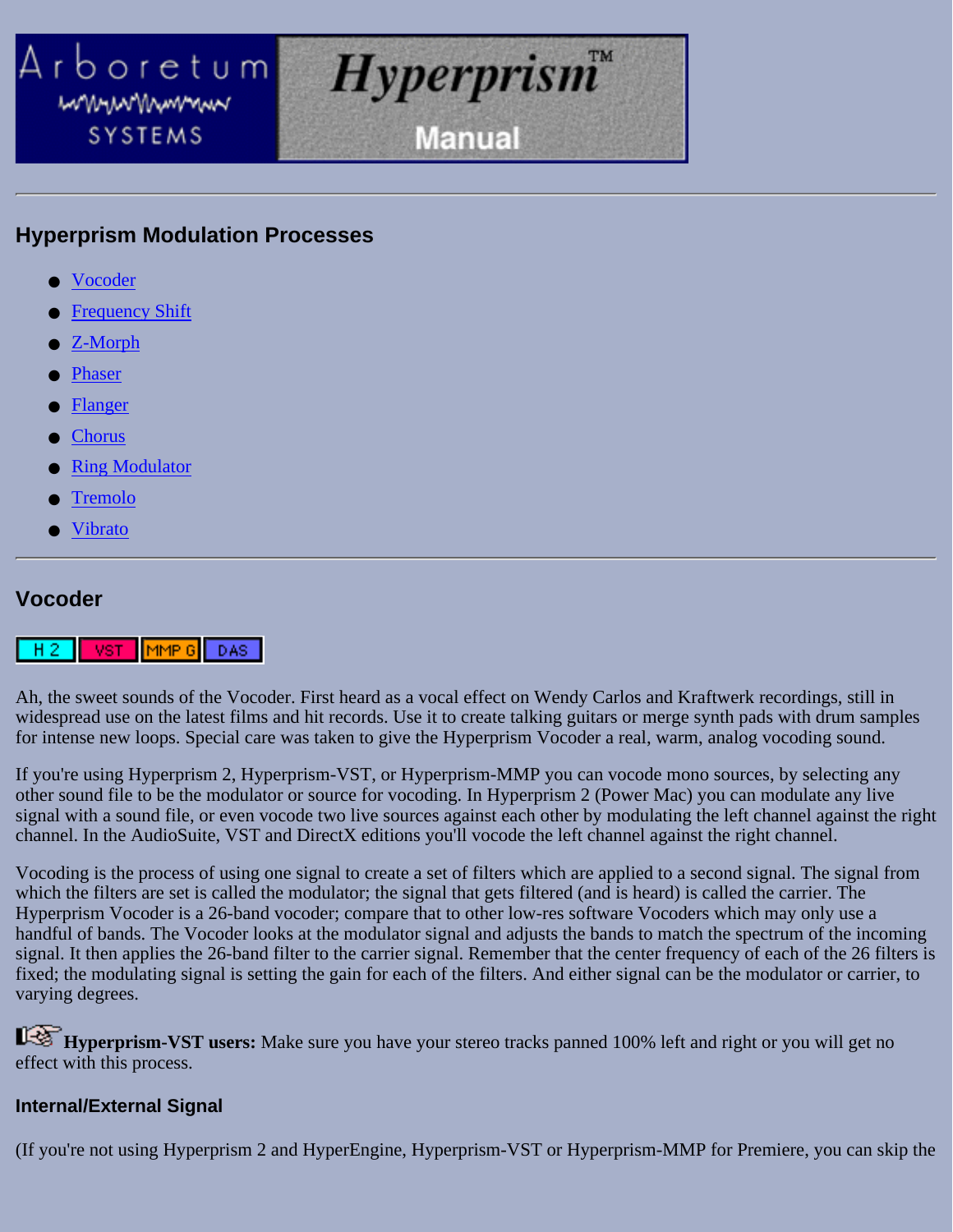### <span id="page-31-0"></span>Arboretum *Hyperprism* mmunnnmmm **Manual SYSTEMS**

### **Hyperprism Modulation Processes**

- **Vocoder**
- **Frequency Shift**
- Z-Morph
- Phaser
- **Flanger**
- Chorus
- **Ring Modulator**
- **Tremolo**
- **Vibrato**

### **Vocoder**

#### $|$ MMP  $|6|$ VST DAS:

Ah, the sweet sounds of the Vocoder. First heard as a vocal effect on Wendy Carlos and Kraftwerk recordings, still in widespread use on the latest films and hit records. Use it to create talking guitars or merge synth pads with drum samples for intense new loops. Special care was taken to give the Hyperprism Vocoder a real, warm, analog vocoding sound.

If you're using Hyperprism 2, Hyperprism-VST, or Hyperprism-MMP you can vocode mono sources, by selecting any other sound file to be the modulator or source for vocoding. In Hyperprism 2 (Power Mac) you can modulate any live signal with a sound file, or even vocode two live sources against each other by modulating the left channel against the right channel. In the AudioSuite, VST and DirectX editions you'll vocode the left channel against the right channel.

Vocoding is the process of using one signal to create a set of filters which are applied to a second signal. The signal from which the filters are set is called the modulator; the signal that gets filtered (and is heard) is called the carrier. The Hyperprism Vocoder is a 26-band vocoder; compare that to other low-res software Vocoders which may only use a handful of bands. The Vocoder looks at the modulator signal and adjusts the bands to match the spectrum of the incoming signal. It then applies the 26-band filter to the carrier signal. Remember that the center frequency of each of the 26 filters is fixed; the modulating signal is setting the gain for each of the filters. And either signal can be the modulator or carrier, to varying degrees.

**Hyperprism-VST users:** Make sure you have your stereo tracks panned 100% left and right or you will get no effect with this process.

### **Internal/External Signal**

(If you're not using Hyperprism 2 and HyperEngine, Hyperprism-VST or Hyperprism-MMP for Premiere, you can skip the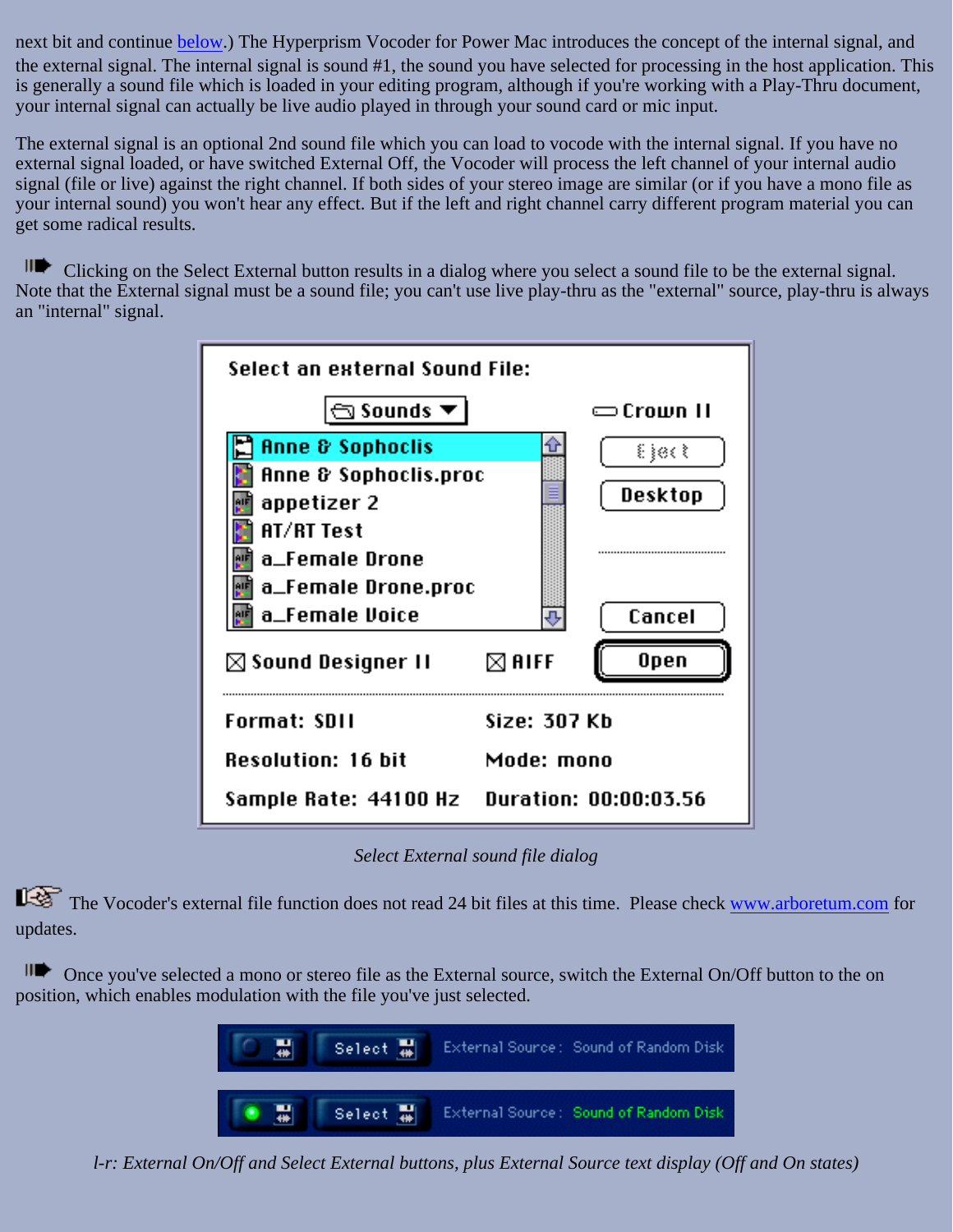next bit and continue below.) The Hyperprism Vocoder for Power Mac introduces the concept of the internal signal, and the external signal. The internal signal is sound #1, the sound you have selected for processing in the host application. This is generally a sound file which is loaded in your editing program, although if you're working with a Play-Thru document, your internal signal can actually be live audio played in through your sound card or mic input.

The external signal is an optional 2nd sound file which you can load to vocode with the internal signal. If you have no external signal loaded, or have switched External Off, the Vocoder will process the left channel of your internal audio signal (file or live) against the right channel. If both sides of your stereo image are similar (or if you have a mono file as your internal sound) you won't hear any effect. But if the left and right channel carry different program material you can get some radical results.

ILC Clicking on the Select External button results in a dialog where you select a sound file to be the external signal. Note that the External signal must be a sound file; you can't use live play-thru as the "external" source, play-thru is always an "internal" signal.

| Select an external Sound File:                       |                  |           |
|------------------------------------------------------|------------------|-----------|
| $\mathbf{\widehat{\Xi}}$ Sounds $\blacktriangledown$ |                  | ⇔Crown II |
| Anne & Sophoclis                                     |                  | ક}િ∂∢ કે  |
| Anne & Sophoclis.proc                                |                  |           |
| appetizer 2                                          |                  | Desktop   |
| AT/RT Test                                           |                  |           |
| a_Female Drone                                       |                  |           |
| a_Female Drone.proc                                  |                  |           |
| a_Female Voice                                       |                  | Cancel    |
| $\boxtimes$ Sound Designer II                        | $\boxtimes$ aiff | Open      |
| Format: SDII                                         | Size: 307 Kb     |           |
| <b>Resolution: 16 bit</b>                            | Mode: mono       |           |
| Sample Rate: 44100 Hz Duration: 00:00:03.56          |                  |           |

*Select External sound file dialog*

The Vocoder's external file function does not read 24 bit files at this time. Please check [www.arboretum.com](http://www.arboretum.com/) for updates.

Once you've selected a mono or stereo file as the External source, switch the External On/Off button to the on position, which enables modulation with the file you've just selected.



*l-r: External On/Off and Select External buttons, plus External Source text display (Off and On states)*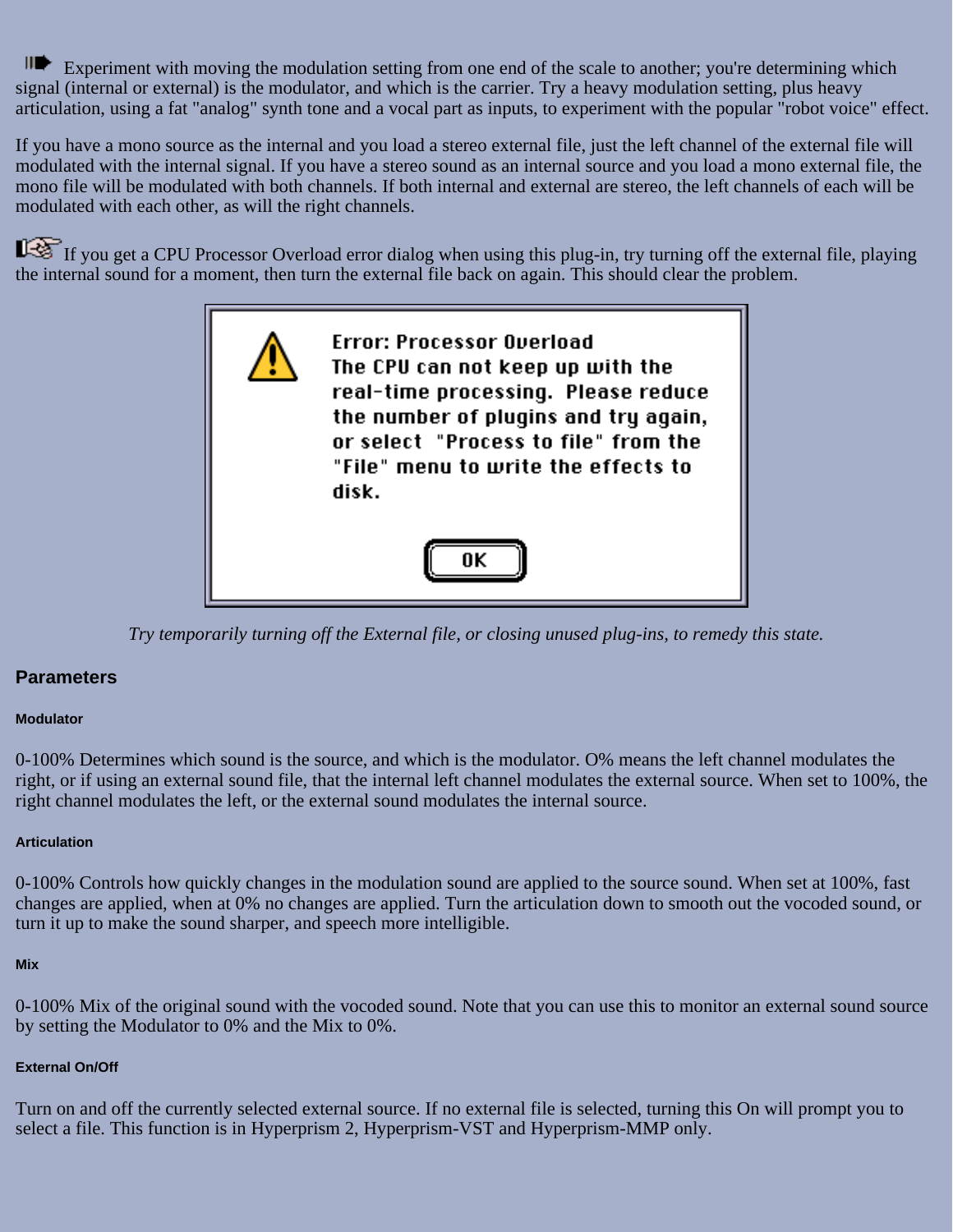Experiment with moving the modulation setting from one end of the scale to another; you're determining which signal (internal or external) is the modulator, and which is the carrier. Try a heavy modulation setting, plus heavy articulation, using a fat "analog" synth tone and a vocal part as inputs, to experiment with the popular "robot voice" effect.

If you have a mono source as the internal and you load a stereo external file, just the left channel of the external file will modulated with the internal signal. If you have a stereo sound as an internal source and you load a mono external file, the mono file will be modulated with both channels. If both internal and external are stereo, the left channels of each will be modulated with each other, as will the right channels.

If you get a CPU Processor Overload error dialog when using this plug-in, try turning off the external file, playing the internal sound for a moment, then turn the external file back on again. This should clear the problem.



*Try temporarily turning off the External file, or closing unused plug-ins, to remedy this state.*

#### **Parameters**

#### **Modulator**

0-100% Determines which sound is the source, and which is the modulator. O% means the left channel modulates the right, or if using an external sound file, that the internal left channel modulates the external source. When set to 100%, the right channel modulates the left, or the external sound modulates the internal source.

#### **Articulation**

0-100% Controls how quickly changes in the modulation sound are applied to the source sound. When set at 100%, fast changes are applied, when at 0% no changes are applied. Turn the articulation down to smooth out the vocoded sound, or turn it up to make the sound sharper, and speech more intelligible.

#### **Mix**

0-100% Mix of the original sound with the vocoded sound. Note that you can use this to monitor an external sound source by setting the Modulator to 0% and the Mix to 0%.

#### **External On/Off**

Turn on and off the currently selected external source. If no external file is selected, turning this On will prompt you to select a file. This function is in Hyperprism 2, Hyperprism-VST and Hyperprism-MMP only.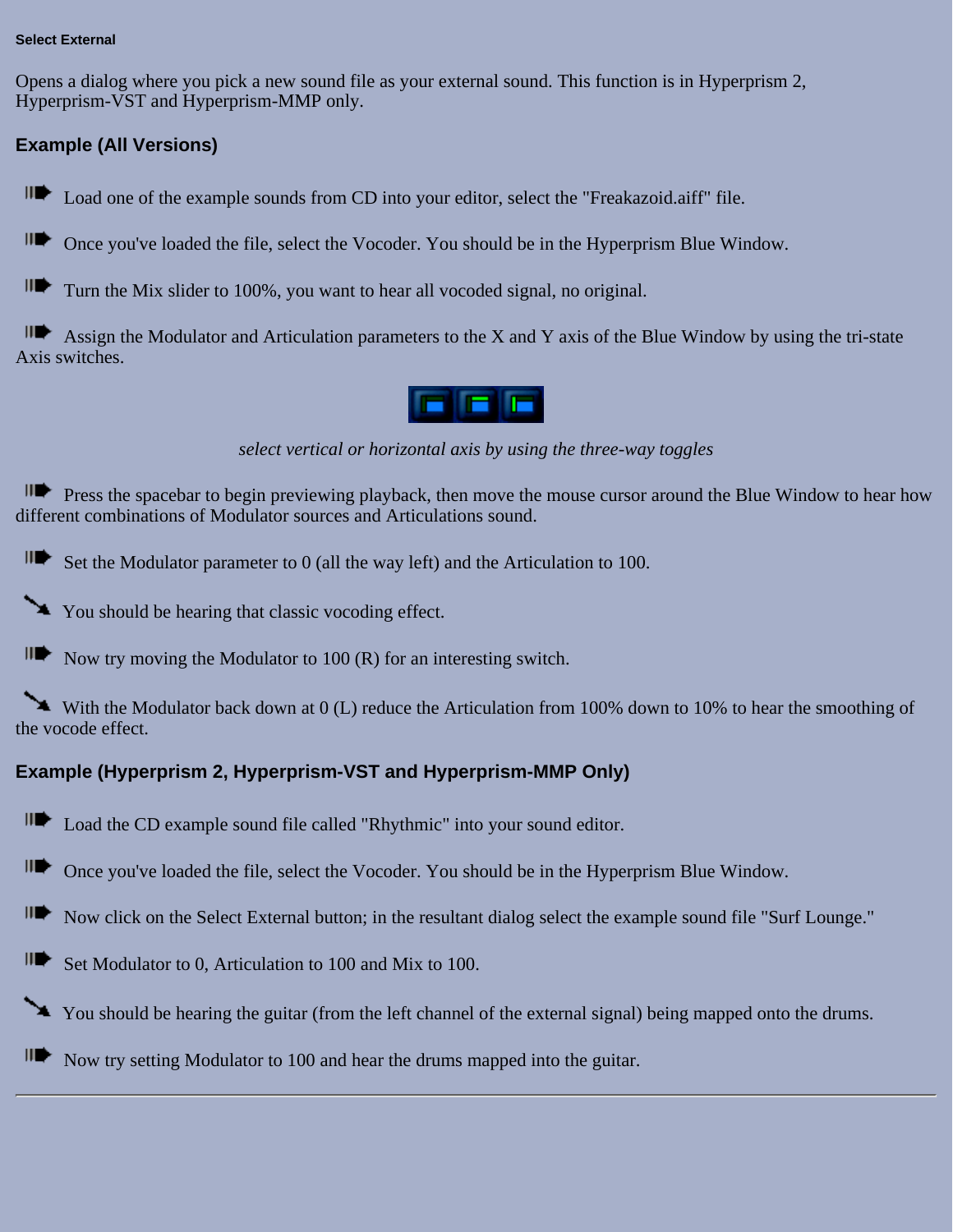#### **Select External**

Opens a dialog where you pick a new sound file as your external sound. This function is in Hyperprism 2, Hyperprism-VST and Hyperprism-MMP only.

### **Example (All Versions)**

IID Load one of the example sounds from CD into your editor, select the "Freakazoid.aiff" file.

IID⊳ Once you've loaded the file, select the Vocoder. You should be in the Hyperprism Blue Window.

IIID Turn the Mix slider to 100%, you want to hear all vocoded signal, no original.

IID Assign the Modulator and Articulation parameters to the X and Y axis of the Blue Window by using the tri-state Axis switches.

## F E F

*select vertical or horizontal axis by using the three-way toggles*

**IIT** Press the spacebar to begin previewing playback, then move the mouse cursor around the Blue Window to hear how different combinations of Modulator sources and Articulations sound.

 $\mathsf{H}$  Set the Modulator parameter to 0 (all the way left) and the Articulation to 100.

You should be hearing that classic vocoding effect.

 $\Pi$  Now try moving the Modulator to 100 (R) for an interesting switch.

With the Modulator back down at 0 (L) reduce the Articulation from 100% down to 10% to hear the smoothing of the vocode effect.

### **Example (Hyperprism 2, Hyperprism-VST and Hyperprism-MMP Only)**

IID Load the CD example sound file called "Rhythmic" into your sound editor.

IID Once you've loaded the file, select the Vocoder. You should be in the Hyperprism Blue Window.

III) Now click on the Select External button; in the resultant dialog select the example sound file "Surf Lounge."

IID≻ Set Modulator to 0, Articulation to 100 and Mix to 100.

You should be hearing the guitar (from the left channel of the external signal) being mapped onto the drums.

III) Now try setting Modulator to 100 and hear the drums mapped into the guitar.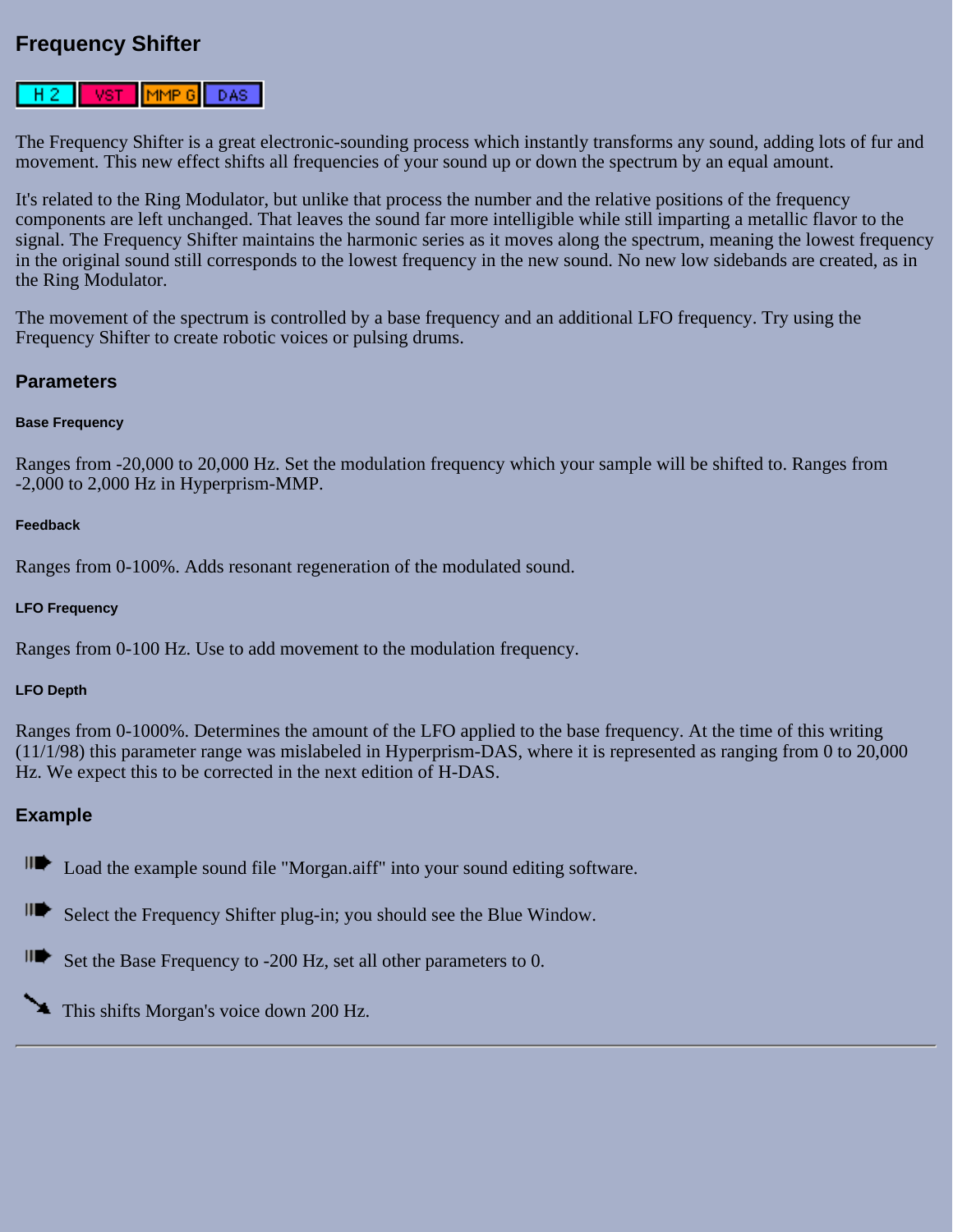### **Frequency Shifter**

#### $[$ MMP 6 $]$ DAS- $H<sub>2</sub>$ VST

The Frequency Shifter is a great electronic-sounding process which instantly transforms any sound, adding lots of fur and movement. This new effect shifts all frequencies of your sound up or down the spectrum by an equal amount.

It's related to the Ring Modulator, but unlike that process the number and the relative positions of the frequency components are left unchanged. That leaves the sound far more intelligible while still imparting a metallic flavor to the signal. The Frequency Shifter maintains the harmonic series as it moves along the spectrum, meaning the lowest frequency in the original sound still corresponds to the lowest frequency in the new sound. No new low sidebands are created, as in the Ring Modulator.

The movement of the spectrum is controlled by a base frequency and an additional LFO frequency. Try using the Frequency Shifter to create robotic voices or pulsing drums.

#### **Parameters**

#### **Base Frequency**

Ranges from -20,000 to 20,000 Hz. Set the modulation frequency which your sample will be shifted to. Ranges from -2,000 to 2,000 Hz in Hyperprism-MMP.

#### **Feedback**

Ranges from 0-100%. Adds resonant regeneration of the modulated sound.

#### **LFO Frequency**

Ranges from 0-100 Hz. Use to add movement to the modulation frequency.

#### **LFO Depth**

Ranges from 0-1000%. Determines the amount of the LFO applied to the base frequency. At the time of this writing (11/1/98) this parameter range was mislabeled in Hyperprism-DAS, where it is represented as ranging from 0 to 20,000 Hz. We expect this to be corrected in the next edition of H-DAS.

#### **Example**

∥D⊱ Load the example sound file "Morgan.aiff" into your sound editing software.

III) Select the Frequency Shifter plug-in; you should see the Blue Window.

IID⊵ Set the Base Frequency to -200 Hz, set all other parameters to 0.

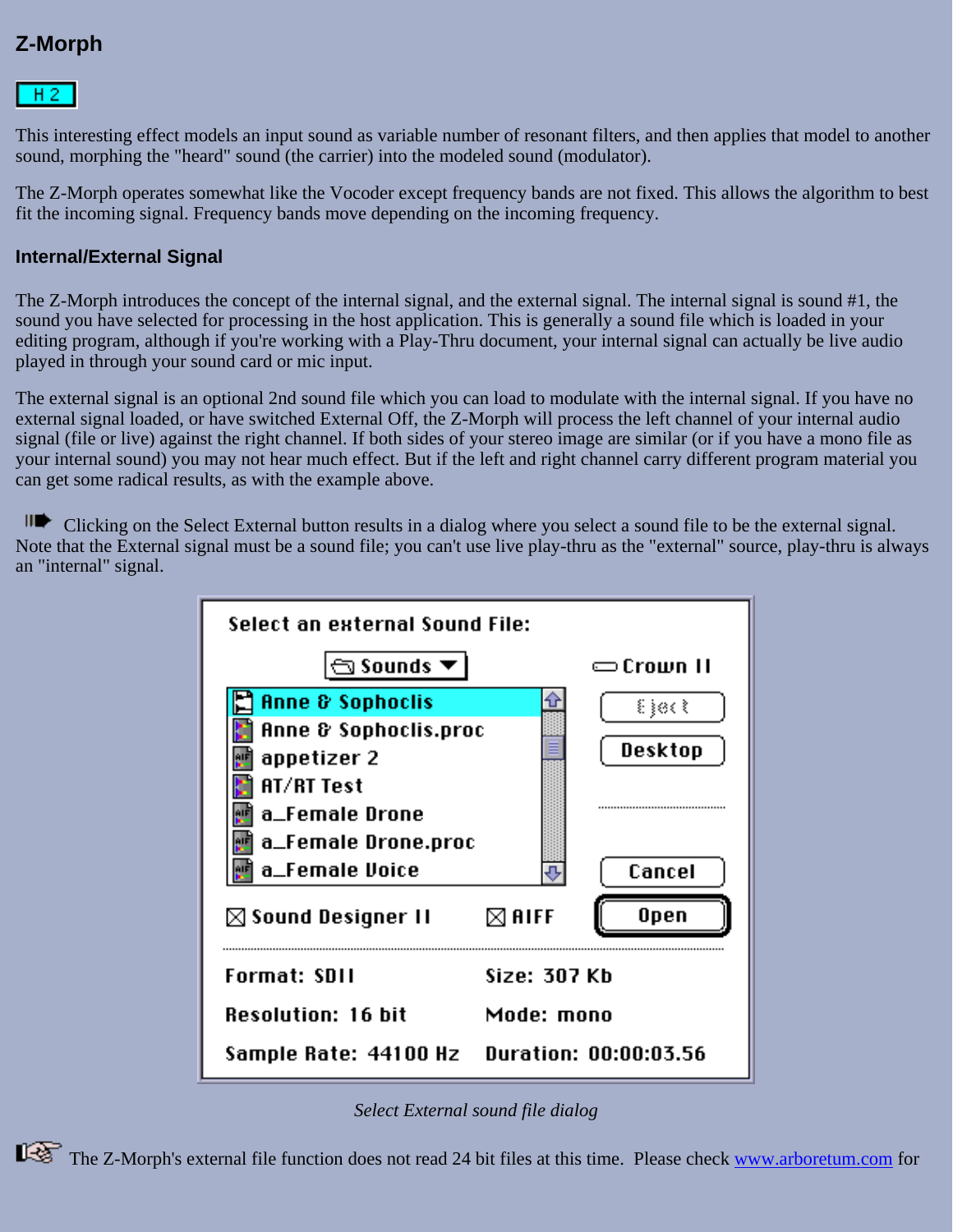# **Z-Morph**

# $HZ$

This interesting effect models an input sound as variable number of resonant filters, and then applies that model to another sound, morphing the "heard" sound (the carrier) into the modeled sound (modulator).

The Z-Morph operates somewhat like the Vocoder except frequency bands are not fixed. This allows the algorithm to best fit the incoming signal. Frequency bands move depending on the incoming frequency.

### **Internal/External Signal**

The Z-Morph introduces the concept of the internal signal, and the external signal. The internal signal is sound #1, the sound you have selected for processing in the host application. This is generally a sound file which is loaded in your editing program, although if you're working with a Play-Thru document, your internal signal can actually be live audio played in through your sound card or mic input.

The external signal is an optional 2nd sound file which you can load to modulate with the internal signal. If you have no external signal loaded, or have switched External Off, the Z-Morph will process the left channel of your internal audio signal (file or live) against the right channel. If both sides of your stereo image are similar (or if you have a mono file as your internal sound) you may not hear much effect. But if the left and right channel carry different program material you can get some radical results, as with the example above.

ILC Clicking on the Select External button results in a dialog where you select a sound file to be the external signal. Note that the External signal must be a sound file; you can't use live play-thru as the "external" source, play-thru is always an "internal" signal.



*Select External sound file dialog*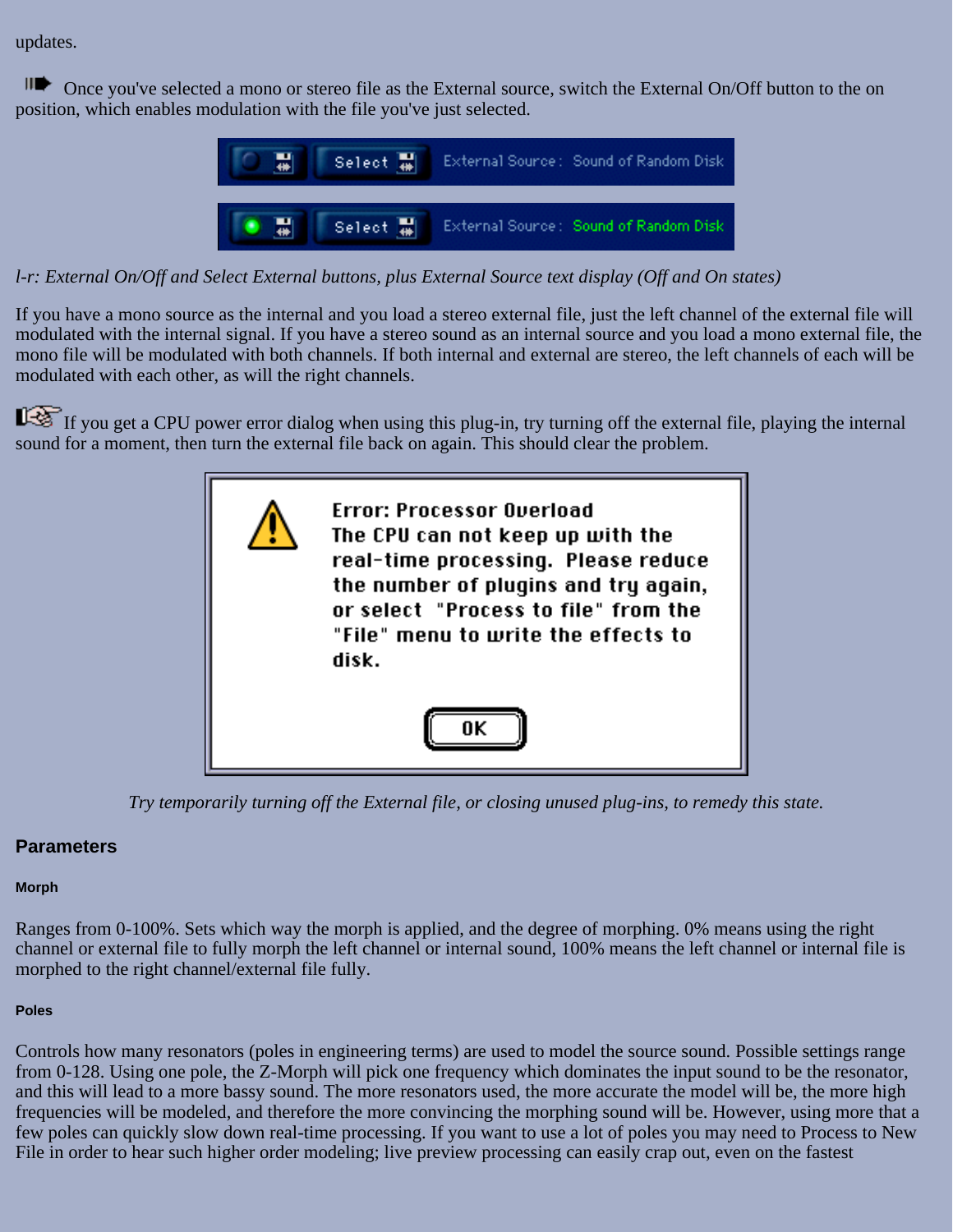updates.

**IDE** Once you've selected a mono or stereo file as the External source, switch the External On/Off button to the on position, which enables modulation with the file you've just selected.



*l-r: External On/Off and Select External buttons, plus External Source text display (Off and On states)*

If you have a mono source as the internal and you load a stereo external file, just the left channel of the external file will modulated with the internal signal. If you have a stereo sound as an internal source and you load a mono external file, the mono file will be modulated with both channels. If both internal and external are stereo, the left channels of each will be modulated with each other, as will the right channels.

If you get a CPU power error dialog when using this plug-in, try turning off the external file, playing the internal sound for a moment, then turn the external file back on again. This should clear the problem.



*Try temporarily turning off the External file, or closing unused plug-ins, to remedy this state.*

## **Parameters**

### **Morph**

Ranges from 0-100%. Sets which way the morph is applied, and the degree of morphing. 0% means using the right channel or external file to fully morph the left channel or internal sound, 100% means the left channel or internal file is morphed to the right channel/external file fully.

### **Poles**

Controls how many resonators (poles in engineering terms) are used to model the source sound. Possible settings range from 0-128. Using one pole, the Z-Morph will pick one frequency which dominates the input sound to be the resonator, and this will lead to a more bassy sound. The more resonators used, the more accurate the model will be, the more high frequencies will be modeled, and therefore the more convincing the morphing sound will be. However, using more that a few poles can quickly slow down real-time processing. If you want to use a lot of poles you may need to Process to New File in order to hear such higher order modeling; live preview processing can easily crap out, even on the fastest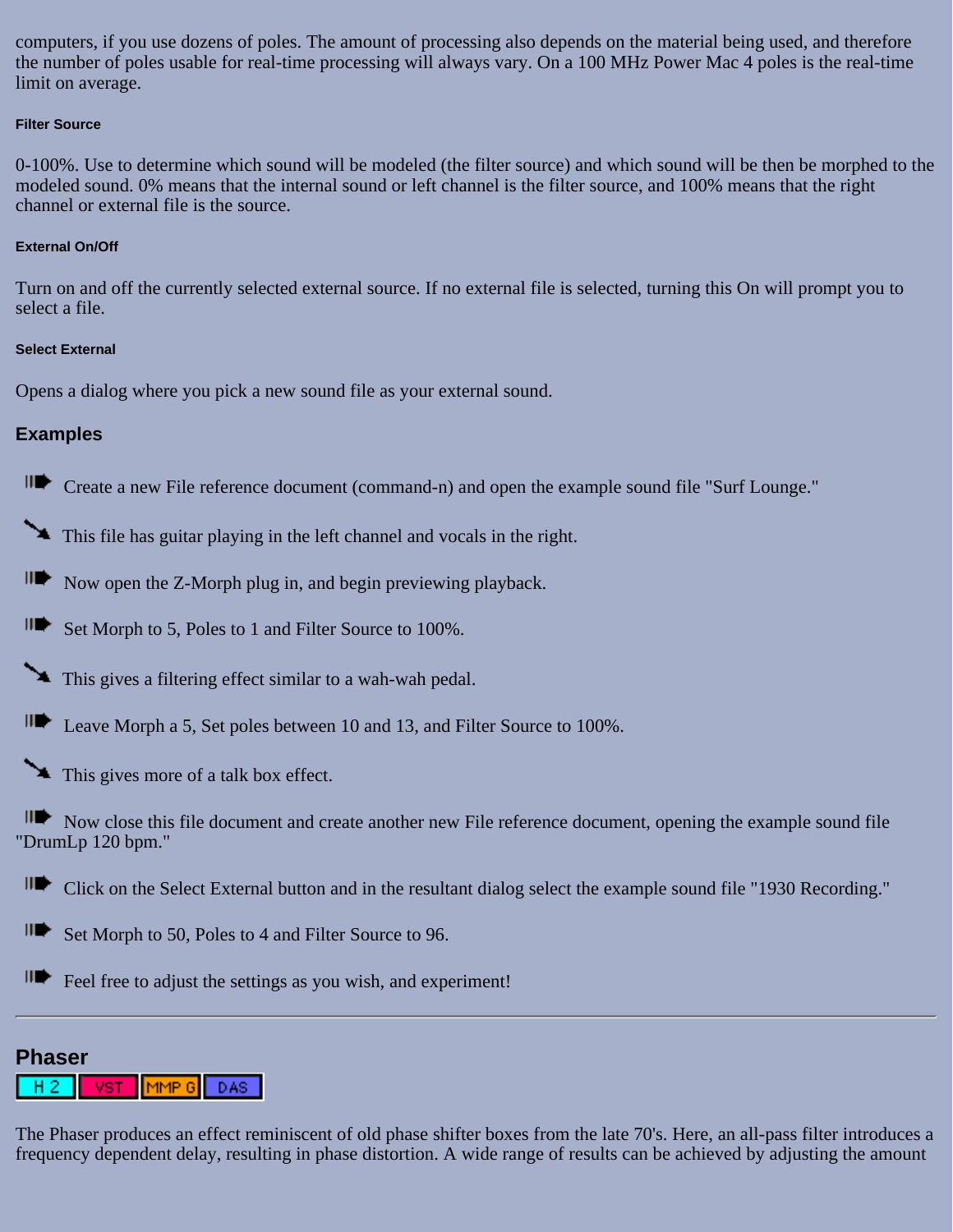computers, if you use dozens of poles. The amount of processing also depends on the material being used, and therefore the number of poles usable for real-time processing will always vary. On a 100 MHz Power Mac 4 poles is the real-time limit on average.

#### **Filter Source**

0-100%. Use to determine which sound will be modeled (the filter source) and which sound will be then be morphed to the modeled sound. 0% means that the internal sound or left channel is the filter source, and 100% means that the right channel or external file is the source.

### **External On/Off**

Turn on and off the currently selected external source. If no external file is selected, turning this On will prompt you to select a file.

#### **Select External**

Opens a dialog where you pick a new sound file as your external sound.

### **Examples**

**IDE** Create a new File reference document (command-n) and open the example sound file "Surf Lounge."

This file has guitar playing in the left channel and vocals in the right.

 $\mathbf{H}$  Now open the Z-Morph plug in, and begin previewing playback.

IID. Set Morph to 5, Poles to 1 and Filter Source to 100%.

This gives a filtering effect similar to a wah-wah pedal.

Leave Morph a 5, Set poles between 10 and 13, and Filter Source to 100%.

This gives more of a talk box effect.

Now close this file document and create another new File reference document, opening the example sound file "DrumLp 120 bpm."

II Click on the Select External button and in the resultant dialog select the example sound file "1930 Recording."

⊪ Set Morph to 50, Poles to 4 and Filter Source to 96.

IID ∙ Feel free to adjust the settings as you wish, and experiment!

### **Phaser**

#### MMP<sub>6</sub> DAS. VST.

The Phaser produces an effect reminiscent of old phase shifter boxes from the late 70's. Here, an all-pass filter introduces a frequency dependent delay, resulting in phase distortion. A wide range of results can be achieved by adjusting the amount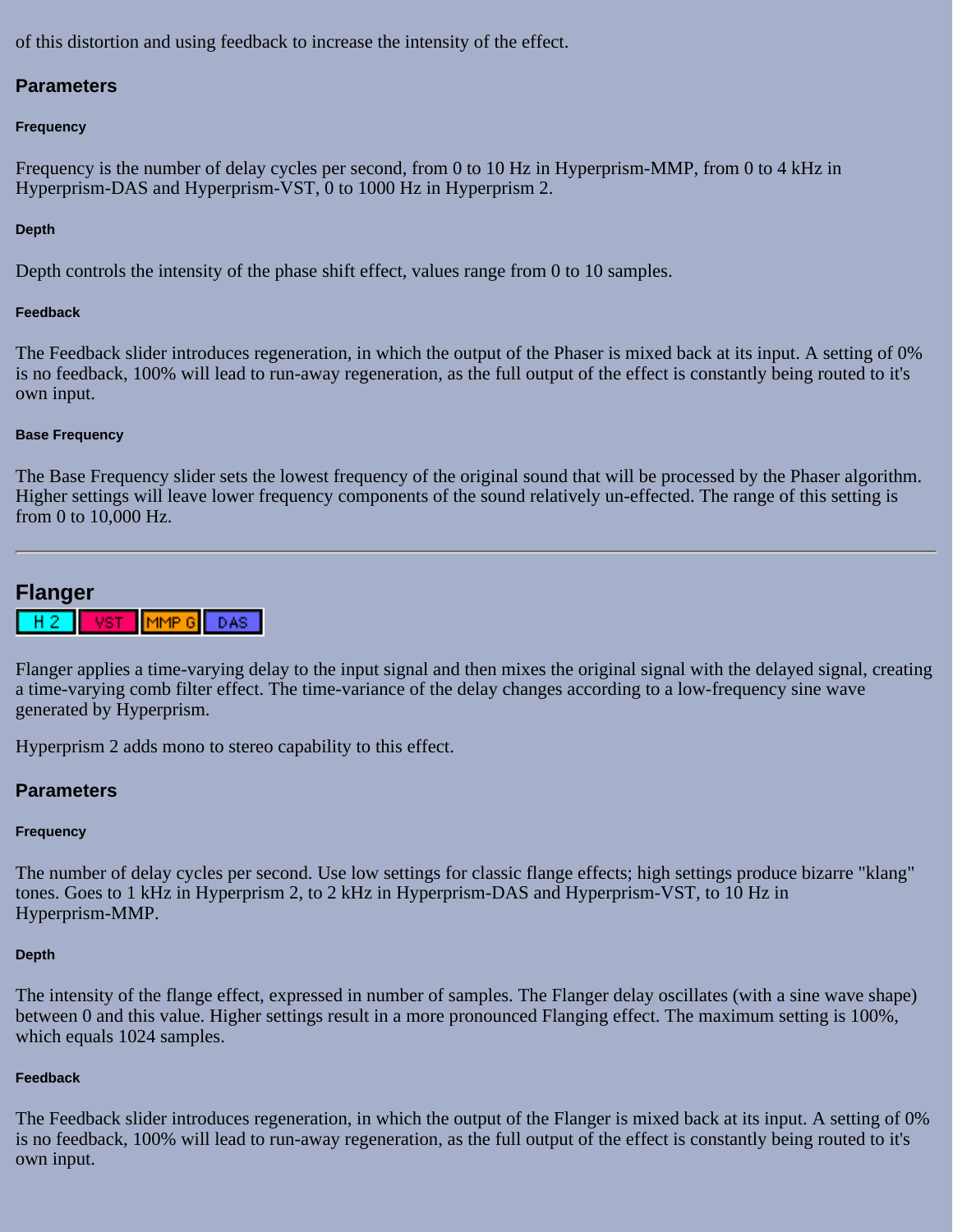of this distortion and using feedback to increase the intensity of the effect.

### **Parameters**

#### **Frequency**

Frequency is the number of delay cycles per second, from 0 to 10 Hz in Hyperprism-MMP, from 0 to 4 kHz in Hyperprism-DAS and Hyperprism-VST, 0 to 1000 Hz in Hyperprism 2.

### **Depth**

Depth controls the intensity of the phase shift effect, values range from 0 to 10 samples.

#### **Feedback**

The Feedback slider introduces regeneration, in which the output of the Phaser is mixed back at its input. A setting of 0% is no feedback, 100% will lead to run-away regeneration, as the full output of the effect is constantly being routed to it's own input.

#### **Base Frequency**

The Base Frequency slider sets the lowest frequency of the original sound that will be processed by the Phaser algorithm. Higher settings will leave lower frequency components of the sound relatively un-effected. The range of this setting is from 0 to 10,000 Hz.

## **Flanger**



Flanger applies a time-varying delay to the input signal and then mixes the original signal with the delayed signal, creating a time-varying comb filter effect. The time-variance of the delay changes according to a low-frequency sine wave generated by Hyperprism.

Hyperprism 2 adds mono to stereo capability to this effect.

### **Parameters**

### **Frequency**

The number of delay cycles per second. Use low settings for classic flange effects; high settings produce bizarre "klang" tones. Goes to 1 kHz in Hyperprism 2, to 2 kHz in Hyperprism-DAS and Hyperprism-VST, to 10 Hz in Hyperprism-MMP.

#### **Depth**

The intensity of the flange effect, expressed in number of samples. The Flanger delay oscillates (with a sine wave shape) between 0 and this value. Higher settings result in a more pronounced Flanging effect. The maximum setting is 100%, which equals 1024 samples.

### **Feedback**

The Feedback slider introduces regeneration, in which the output of the Flanger is mixed back at its input. A setting of 0% is no feedback, 100% will lead to run-away regeneration, as the full output of the effect is constantly being routed to it's own input.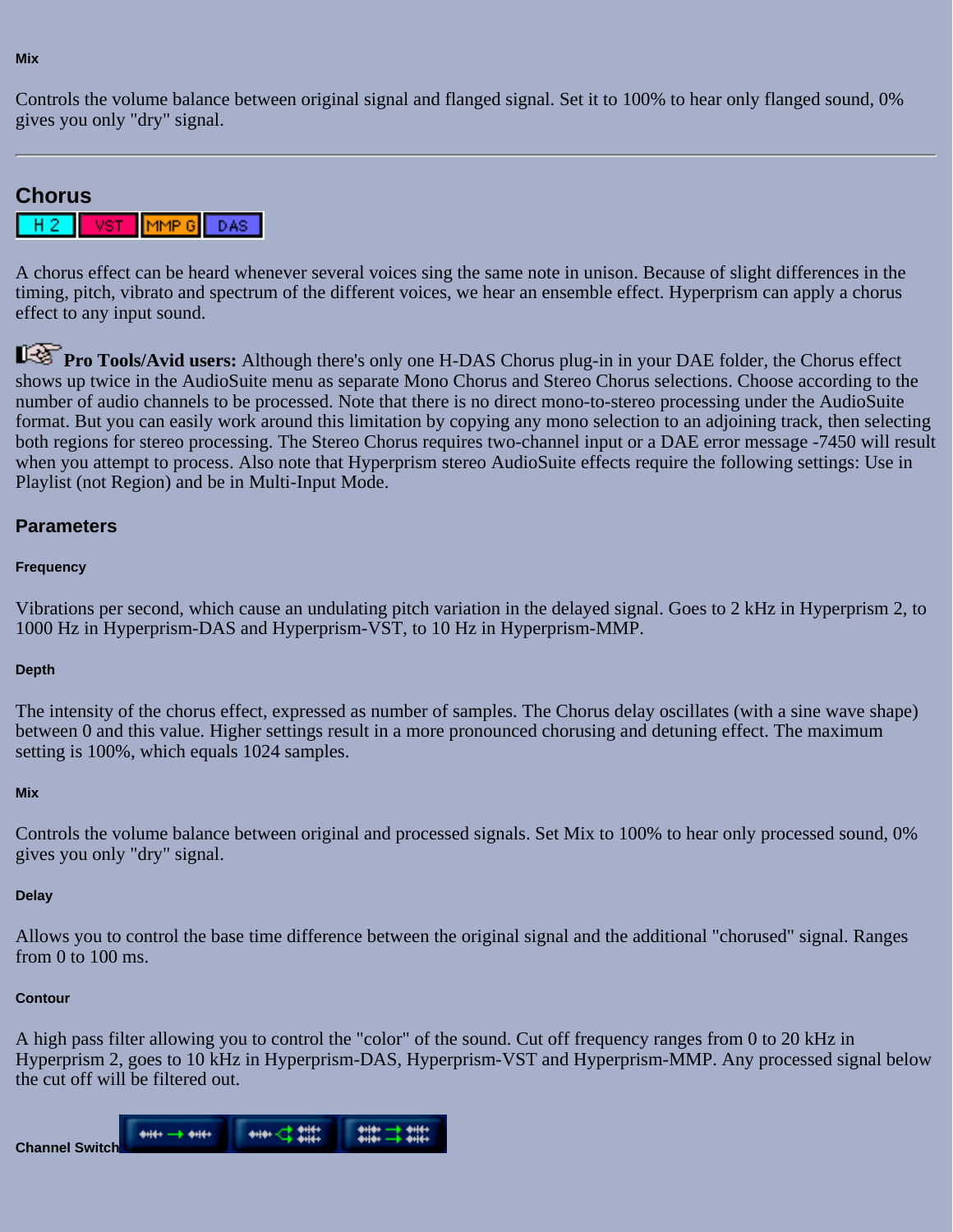Controls the volume balance between original signal and flanged signal. Set it to 100% to hear only flanged sound, 0% gives you only "dry" signal.

# **Chorus**

|--|

A chorus effect can be heard whenever several voices sing the same note in unison. Because of slight differences in the timing, pitch, vibrato and spectrum of the different voices, we hear an ensemble effect. Hyperprism can apply a chorus effect to any input sound.

**Pro Tools/Avid users:** Although there's only one H-DAS Chorus plug-in in your DAE folder, the Chorus effect shows up twice in the AudioSuite menu as separate Mono Chorus and Stereo Chorus selections. Choose according to the number of audio channels to be processed. Note that there is no direct mono-to-stereo processing under the AudioSuite format. But you can easily work around this limitation by copying any mono selection to an adjoining track, then selecting both regions for stereo processing. The Stereo Chorus requires two-channel input or a DAE error message -7450 will result when you attempt to process. Also note that Hyperprism stereo AudioSuite effects require the following settings: Use in Playlist (not Region) and be in Multi-Input Mode.

### **Parameters**

#### **Frequency**

Vibrations per second, which cause an undulating pitch variation in the delayed signal. Goes to 2 kHz in Hyperprism 2, to 1000 Hz in Hyperprism-DAS and Hyperprism-VST, to 10 Hz in Hyperprism-MMP.

#### **Depth**

The intensity of the chorus effect, expressed as number of samples. The Chorus delay oscillates (with a sine wave shape) between 0 and this value. Higher settings result in a more pronounced chorusing and detuning effect. The maximum setting is 100%, which equals 1024 samples.

#### **Mix**

Controls the volume balance between original and processed signals. Set Mix to 100% to hear only processed sound, 0% gives you only "dry" signal.

#### **Delay**

Allows you to control the base time difference between the original signal and the additional "chorused" signal. Ranges from 0 to 100 ms.

#### **Contour**

A high pass filter allowing you to control the "color" of the sound. Cut off frequency ranges from 0 to 20 kHz in Hyperprism 2, goes to 10 kHz in Hyperprism-DAS, Hyperprism-VST and Hyperprism-MMP. Any processed signal below the cut off will be filtered out.

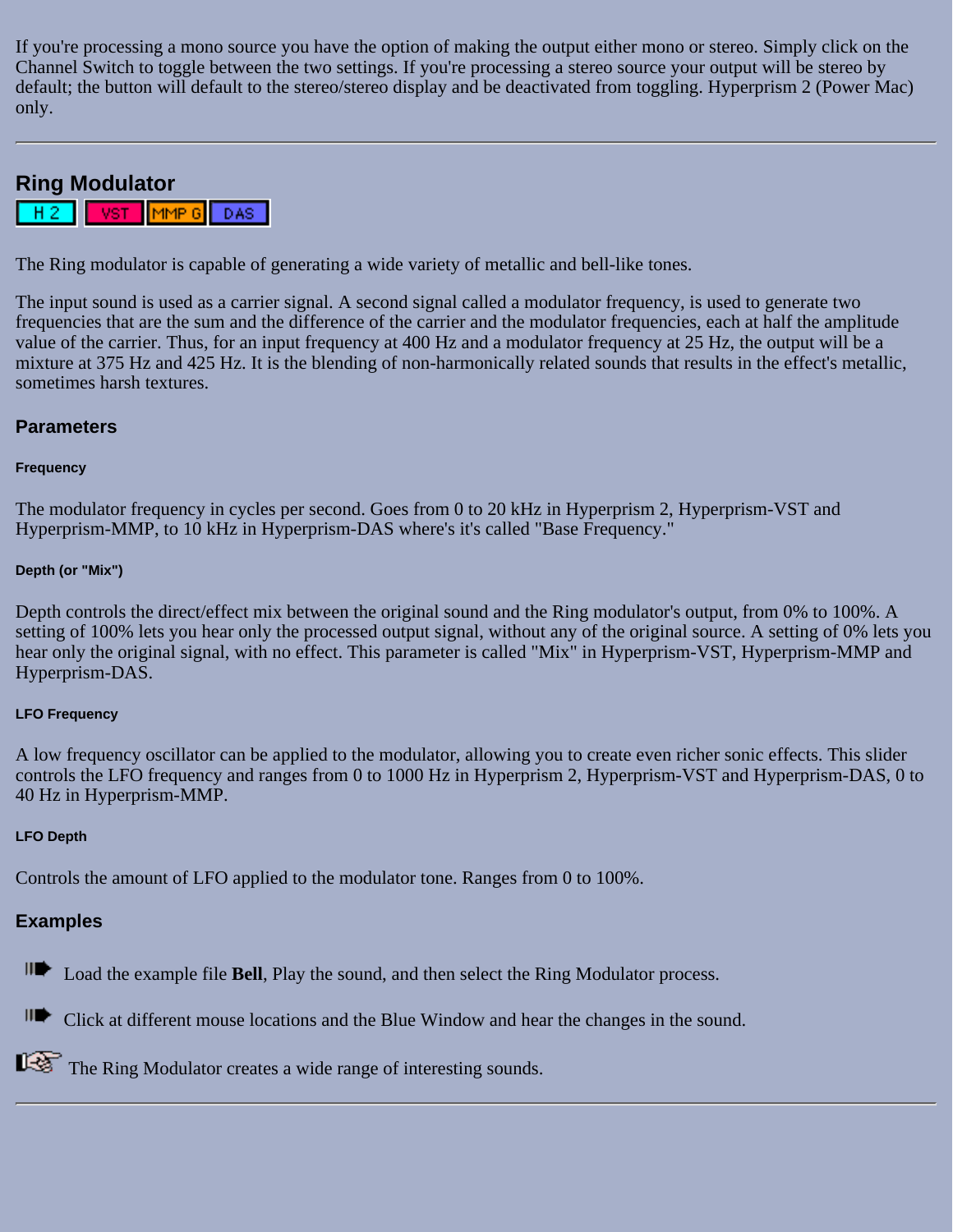If you're processing a mono source you have the option of making the output either mono or stereo. Simply click on the Channel Switch to toggle between the two settings. If you're processing a stereo source your output will be stereo by default; the button will default to the stereo/stereo display and be deactivated from toggling. Hyperprism 2 (Power Mac) only.

# **Ring Modulator**

VST<sup>1</sup> MMP 6 DAS:

The Ring modulator is capable of generating a wide variety of metallic and bell-like tones.

The input sound is used as a carrier signal. A second signal called a modulator frequency, is used to generate two frequencies that are the sum and the difference of the carrier and the modulator frequencies, each at half the amplitude value of the carrier. Thus, for an input frequency at 400 Hz and a modulator frequency at 25 Hz, the output will be a mixture at 375 Hz and 425 Hz. It is the blending of non-harmonically related sounds that results in the effect's metallic, sometimes harsh textures.

### **Parameters**

#### **Frequency**

The modulator frequency in cycles per second. Goes from 0 to 20 kHz in Hyperprism 2, Hyperprism-VST and Hyperprism-MMP, to 10 kHz in Hyperprism-DAS where's it's called "Base Frequency."

#### **Depth (or "Mix")**

Depth controls the direct/effect mix between the original sound and the Ring modulator's output, from 0% to 100%. A setting of 100% lets you hear only the processed output signal, without any of the original source. A setting of 0% lets you hear only the original signal, with no effect. This parameter is called "Mix" in Hyperprism-VST, Hyperprism-MMP and Hyperprism-DAS.

#### **LFO Frequency**

A low frequency oscillator can be applied to the modulator, allowing you to create even richer sonic effects. This slider controls the LFO frequency and ranges from 0 to 1000 Hz in Hyperprism 2, Hyperprism-VST and Hyperprism-DAS, 0 to 40 Hz in Hyperprism-MMP.

### **LFO Depth**

Controls the amount of LFO applied to the modulator tone. Ranges from 0 to 100%.

# **Examples**

Load the example file **Bell**, Play the sound, and then select the Ring Modulator process.

Click at different mouse locations and the Blue Window and hear the changes in the sound.

The Ring Modulator creates a wide range of interesting sounds.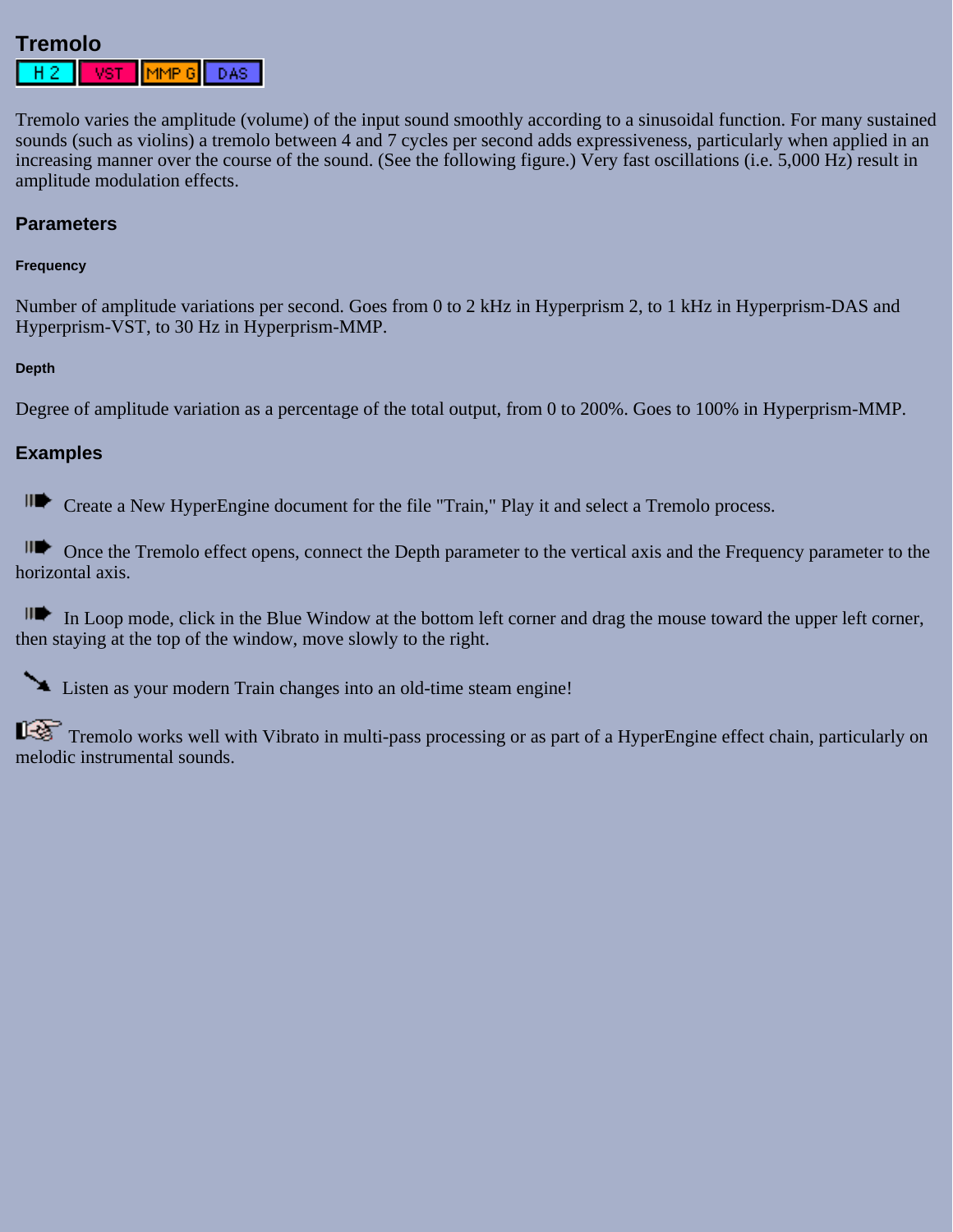# **Tremolo**

|--|--|--|--|

Tremolo varies the amplitude (volume) of the input sound smoothly according to a sinusoidal function. For many sustained sounds (such as violins) a tremolo between 4 and 7 cycles per second adds expressiveness, particularly when applied in an increasing manner over the course of the sound. (See the following figure.) Very fast oscillations (i.e. 5,000 Hz) result in amplitude modulation effects.

### **Parameters**

#### **Frequency**

Number of amplitude variations per second. Goes from 0 to 2 kHz in Hyperprism 2, to 1 kHz in Hyperprism-DAS and Hyperprism-VST, to 30 Hz in Hyperprism-MMP.

#### **Depth**

Degree of amplitude variation as a percentage of the total output, from 0 to 200%. Goes to 100% in Hyperprism-MMP.

### **Examples**

Create a New HyperEngine document for the file "Train," Play it and select a Tremolo process.

Once the Tremolo effect opens, connect the Depth parameter to the vertical axis and the Frequency parameter to the horizontal axis.

In Loop mode, click in the Blue Window at the bottom left corner and drag the mouse toward the upper left corner, then staying at the top of the window, move slowly to the right.

Listen as your modern Train changes into an old-time steam engine!

Tremolo works well with Vibrato in multi-pass processing or as part of a HyperEngine effect chain, particularly on melodic instrumental sounds.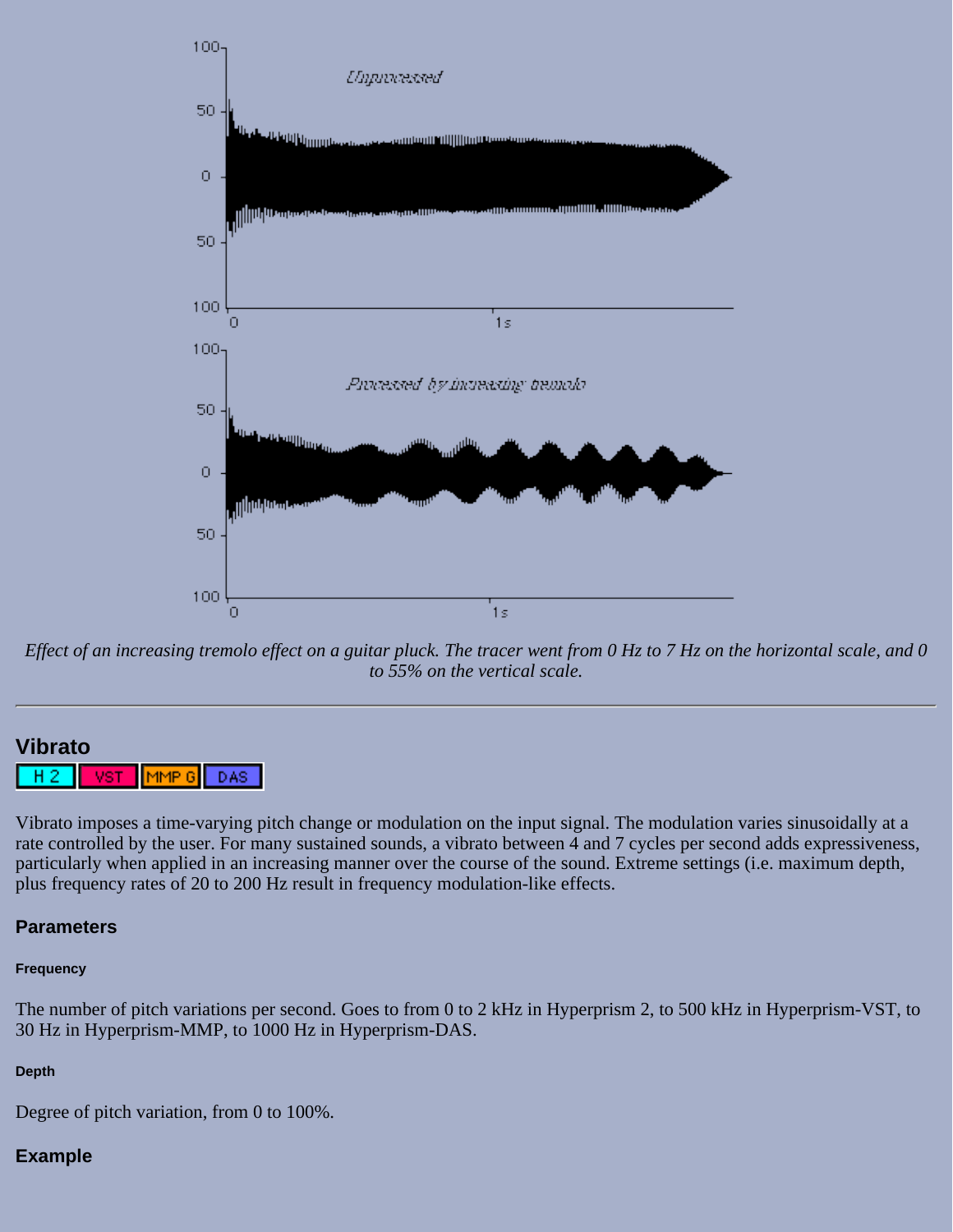

*Effect of an increasing tremolo effect on a guitar pluck. The tracer went from 0 Hz to 7 Hz on the horizontal scale, and 0 to 55% on the vertical scale.*

### **Vibrato**

н VST MMP 6 DAS

Vibrato imposes a time-varying pitch change or modulation on the input signal. The modulation varies sinusoidally at a rate controlled by the user. For many sustained sounds, a vibrato between 4 and 7 cycles per second adds expressiveness, particularly when applied in an increasing manner over the course of the sound. Extreme settings (i.e. maximum depth, plus frequency rates of 20 to 200 Hz result in frequency modulation-like effects.

### **Parameters**

#### **Frequency**

The number of pitch variations per second. Goes to from 0 to 2 kHz in Hyperprism 2, to 500 kHz in Hyperprism-VST, to 30 Hz in Hyperprism-MMP, to 1000 Hz in Hyperprism-DAS.

#### **Depth**

Degree of pitch variation, from 0 to 100%.

#### **Example**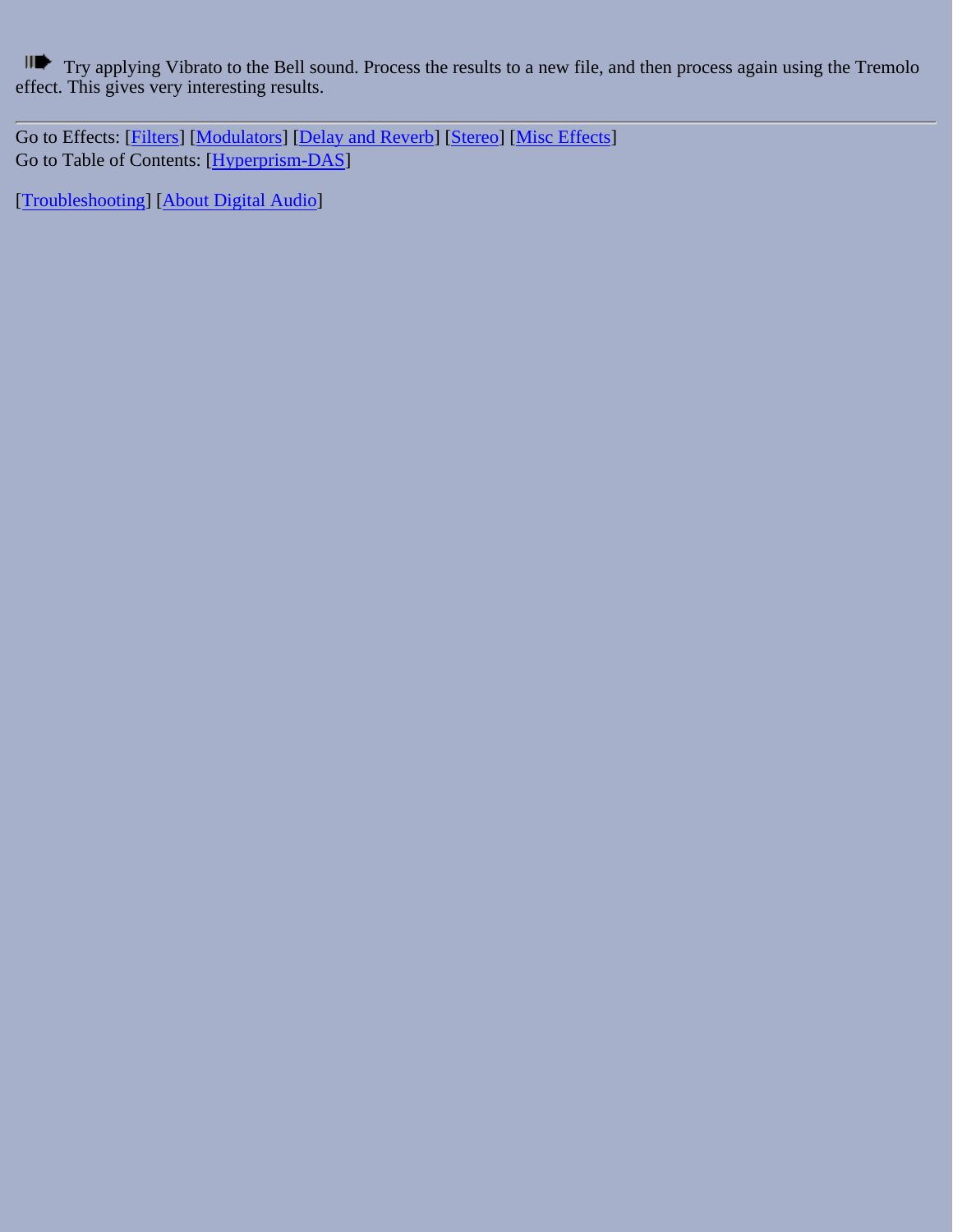Try applying Vibrato to the Bell sound. Process the results to a new file, and then process again using the Tremolo effect. This gives very interesting results.

Go to Effects: [\[Filters\]](#page-20-0) [[Modulators](#page-31-0)] [\[Delay and Reverb\]](#page-45-0) [[Stereo\]](#page-65-0) [[Misc Effects\]](#page-81-0) Go to Table of Contents: [\[Hyperprism-DAS\]](#page-1-0)

[[Troubleshooting](#page-94-0)] [\[About Digital Audio\]](#page-99-0)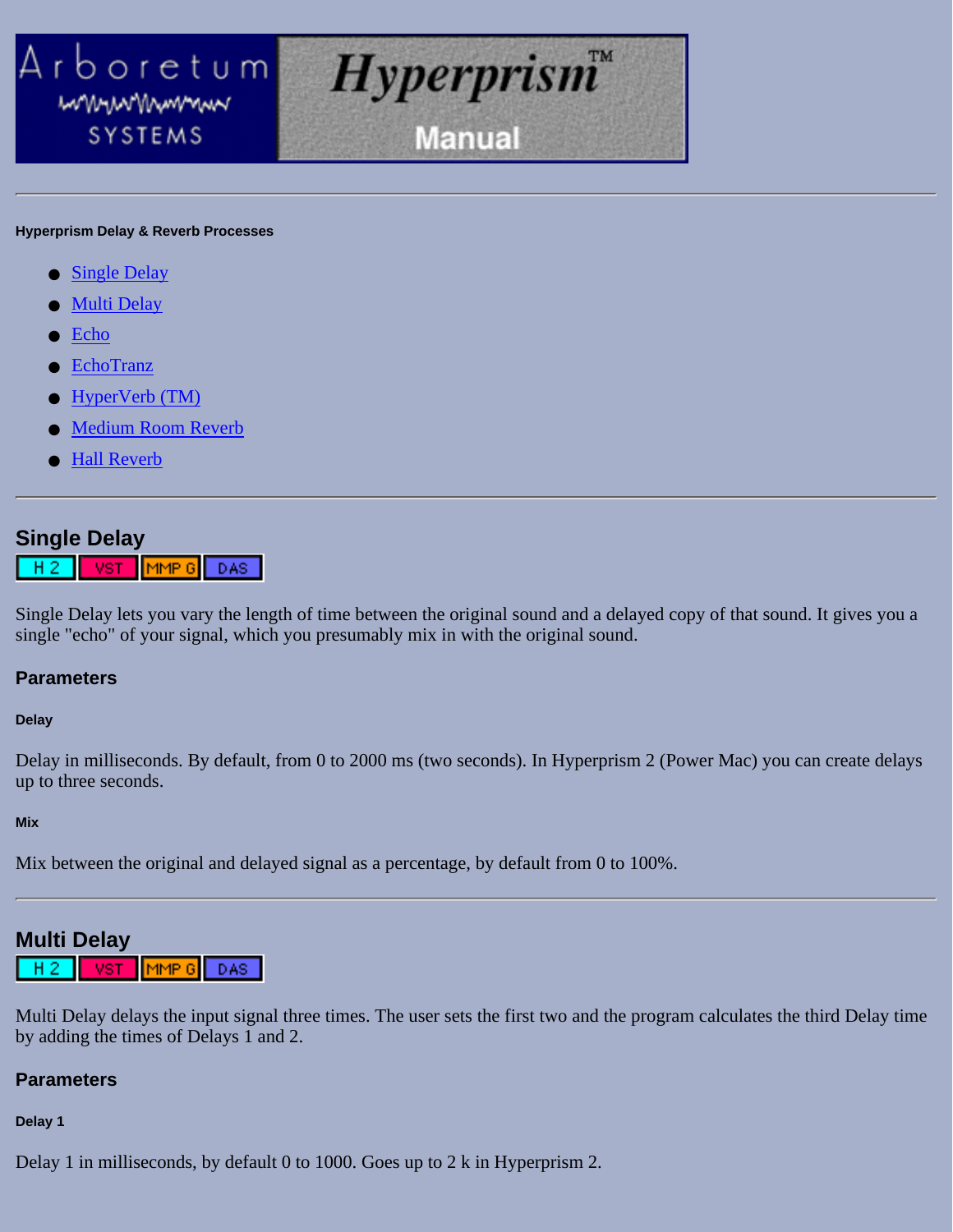<span id="page-45-0"></span>

#### **Hyperprism Delay & Reverb Processes**

- [Single Delay](#page-45-1)
- **[Multi Delay](#page-45-2)**
- [Echo](#page-47-0)
- **[EchoTranz](#page-47-1)**
- [HyperVerb \(TM\)](#page-48-0)
- **[Medium Room Reverb](#page-50-0)**
- [Hall Reverb](#page-51-0)

### <span id="page-45-1"></span>**Single Delay**

MMP 6 DAS-MST н

Single Delay lets you vary the length of time between the original sound and a delayed copy of that sound. It gives you a single "echo" of your signal, which you presumably mix in with the original sound.

### **Parameters**

#### **Delay**

Delay in milliseconds. By default, from 0 to 2000 ms (two seconds). In Hyperprism 2 (Power Mac) you can create delays up to three seconds.

#### **Mix**

Mix between the original and delayed signal as a percentage, by default from 0 to 100%.

# <span id="page-45-2"></span>**Multi Delay**

 $[$ MMP G $]$ DAS: Hг VST

Multi Delay delays the input signal three times. The user sets the first two and the program calculates the third Delay time by adding the times of Delays 1 and 2.

### **Parameters**

#### **Delay 1**

Delay 1 in milliseconds, by default 0 to 1000. Goes up to 2 k in Hyperprism 2.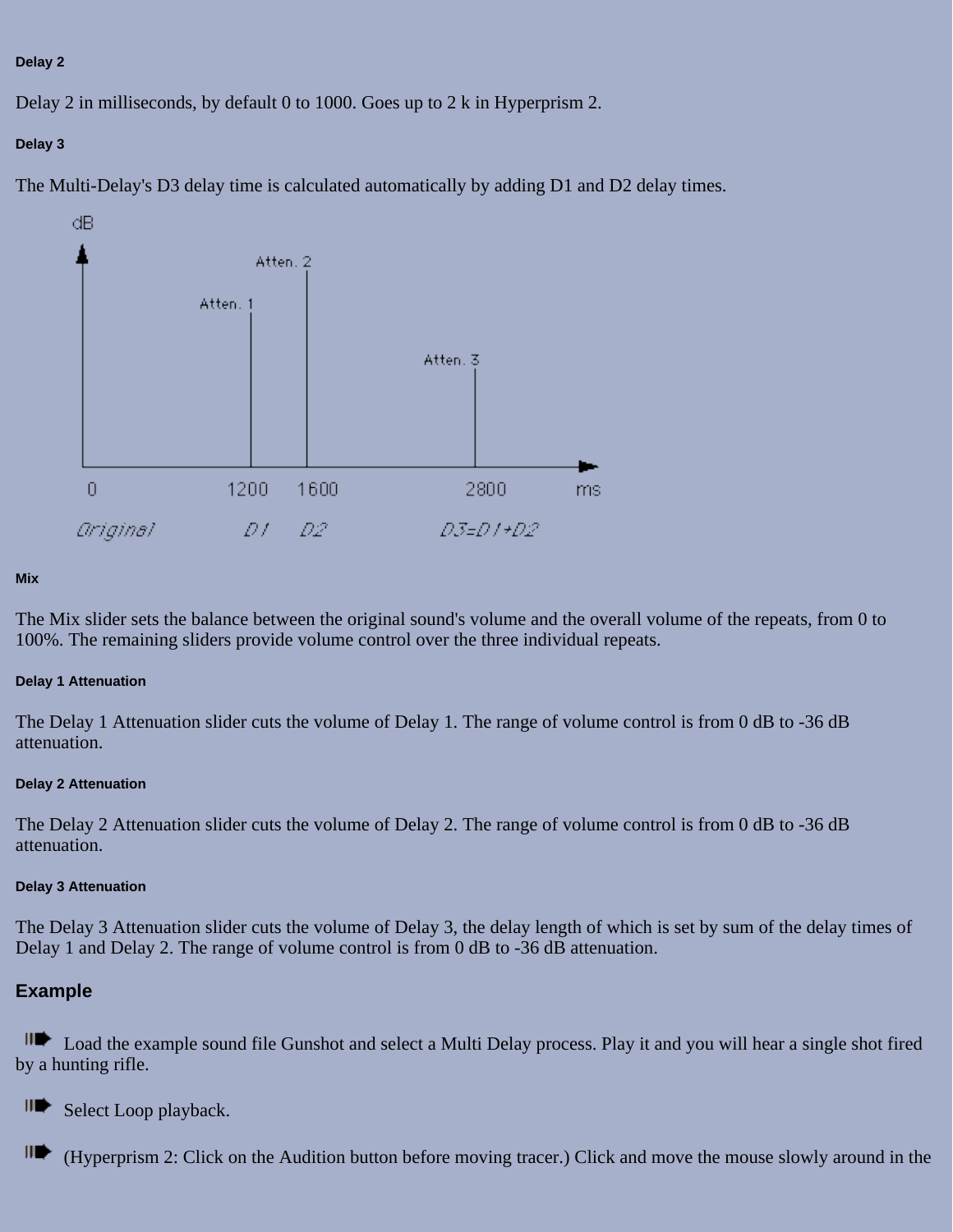#### **Delay 2**

Delay 2 in milliseconds, by default 0 to 1000. Goes up to 2 k in Hyperprism 2.

### **Delay 3**

The Multi-Delay's D3 delay time is calculated automatically by adding D1 and D2 delay times.



#### **Mix**

The Mix slider sets the balance between the original sound's volume and the overall volume of the repeats, from 0 to 100%. The remaining sliders provide volume control over the three individual repeats.

#### **Delay 1 Attenuation**

The Delay 1 Attenuation slider cuts the volume of Delay 1. The range of volume control is from 0 dB to -36 dB attenuation.

#### **Delay 2 Attenuation**

The Delay 2 Attenuation slider cuts the volume of Delay 2. The range of volume control is from 0 dB to -36 dB attenuation.

#### **Delay 3 Attenuation**

The Delay 3 Attenuation slider cuts the volume of Delay 3, the delay length of which is set by sum of the delay times of Delay 1 and Delay 2. The range of volume control is from 0 dB to -36 dB attenuation.

### **Example**

**IDE** Load the example sound file Gunshot and select a Multi Delay process. Play it and you will hear a single shot fired by a hunting rifle.

∥D⊱ Select Loop playback.

∭ (Hyperprism 2: Click on the Audition button before moving tracer.) Click and move the mouse slowly around in the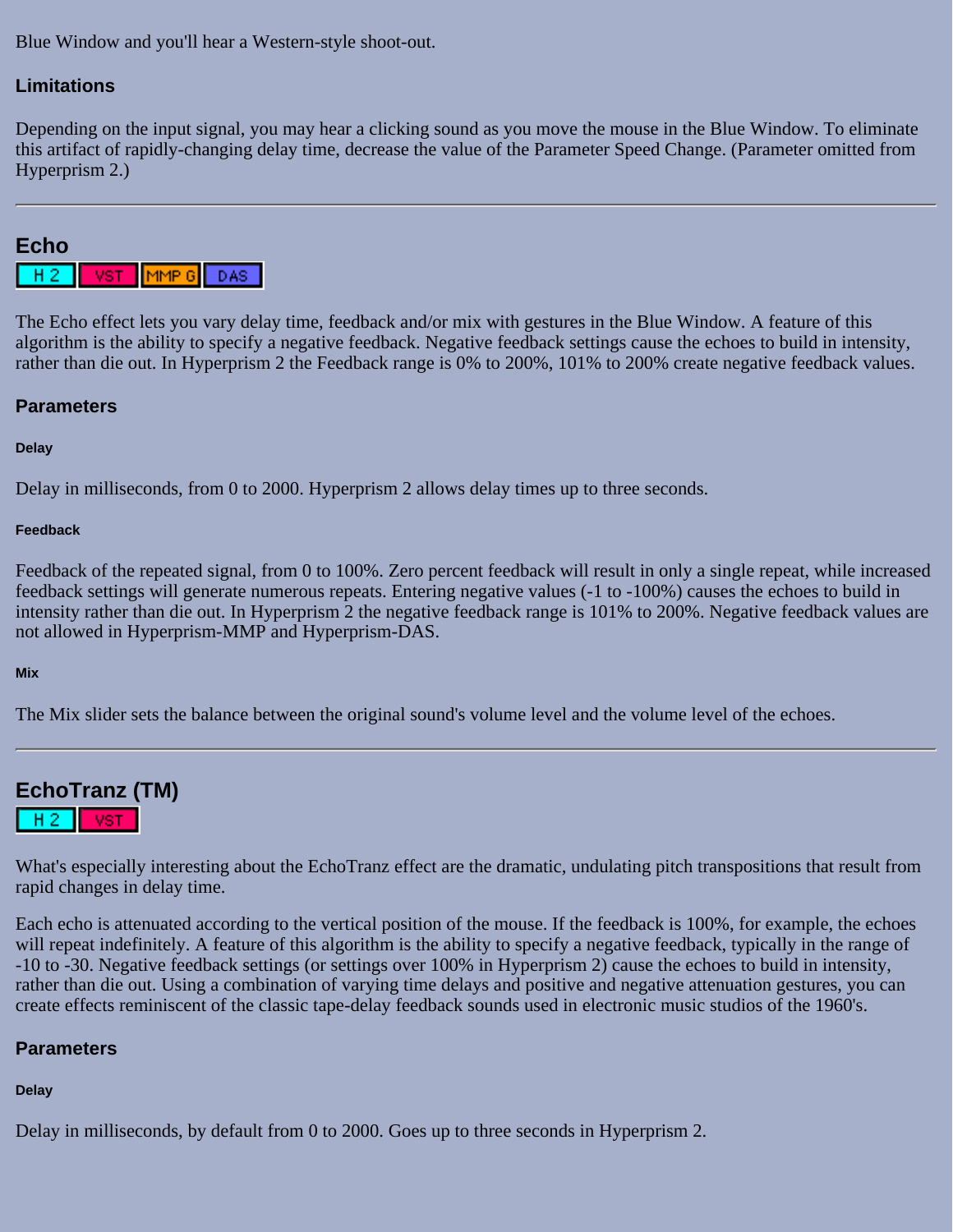Blue Window and you'll hear a Western-style shoot-out.

### **Limitations**

Depending on the input signal, you may hear a clicking sound as you move the mouse in the Blue Window. To eliminate this artifact of rapidly-changing delay time, decrease the value of the Parameter Speed Change. (Parameter omitted from Hyperprism 2.)

### <span id="page-47-0"></span>**Echo**

|--|--|--|--|

The Echo effect lets you vary delay time, feedback and/or mix with gestures in the Blue Window. A feature of this algorithm is the ability to specify a negative feedback. Negative feedback settings cause the echoes to build in intensity, rather than die out. In Hyperprism 2 the Feedback range is 0% to 200%, 101% to 200% create negative feedback values.

### **Parameters**

#### **Delay**

Delay in milliseconds, from 0 to 2000. Hyperprism 2 allows delay times up to three seconds.

#### **Feedback**

Feedback of the repeated signal, from 0 to 100%. Zero percent feedback will result in only a single repeat, while increased feedback settings will generate numerous repeats. Entering negative values (-1 to -100%) causes the echoes to build in intensity rather than die out. In Hyperprism 2 the negative feedback range is 101% to 200%. Negative feedback values are not allowed in Hyperprism-MMP and Hyperprism-DAS.

#### **Mix**

The Mix slider sets the balance between the original sound's volume level and the volume level of the echoes.

<span id="page-47-1"></span>

What's especially interesting about the EchoTranz effect are the dramatic, undulating pitch transpositions that result from rapid changes in delay time.

Each echo is attenuated according to the vertical position of the mouse. If the feedback is 100%, for example, the echoes will repeat indefinitely. A feature of this algorithm is the ability to specify a negative feedback, typically in the range of -10 to -30. Negative feedback settings (or settings over 100% in Hyperprism 2) cause the echoes to build in intensity, rather than die out. Using a combination of varying time delays and positive and negative attenuation gestures, you can create effects reminiscent of the classic tape-delay feedback sounds used in electronic music studios of the 1960's.

### **Parameters**

### **Delay**

Delay in milliseconds, by default from 0 to 2000. Goes up to three seconds in Hyperprism 2.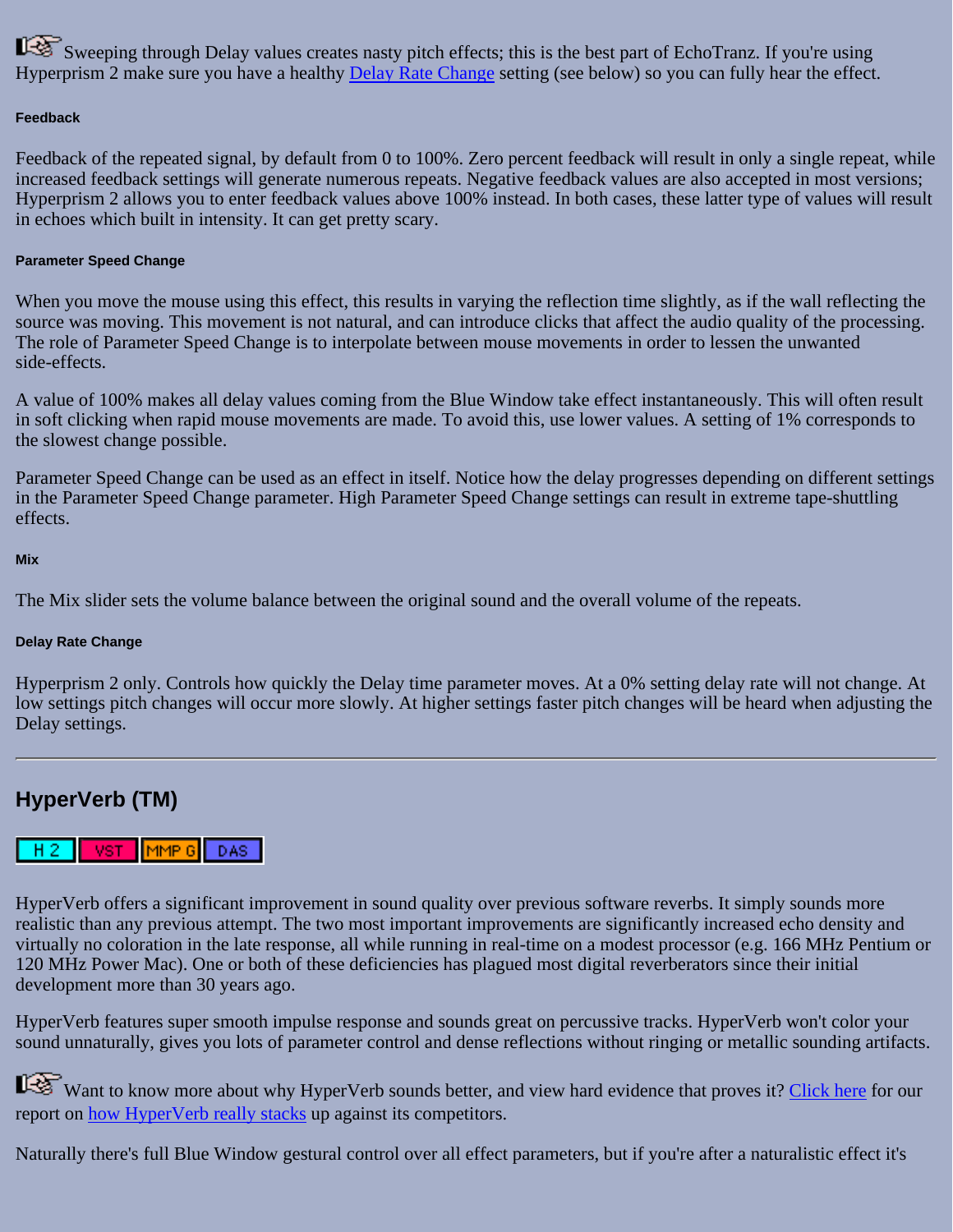Sweeping through Delay values creates nasty pitch effects; this is the best part of EchoTranz. If you're using Hyperprism 2 make sure you have a healthy [Delay Rate Change](#page-48-1) setting (see below) so you can fully hear the effect.

#### **Feedback**

Feedback of the repeated signal, by default from 0 to 100%. Zero percent feedback will result in only a single repeat, while increased feedback settings will generate numerous repeats. Negative feedback values are also accepted in most versions; Hyperprism 2 allows you to enter feedback values above 100% instead. In both cases, these latter type of values will result in echoes which built in intensity. It can get pretty scary.

#### **Parameter Speed Change**

When you move the mouse using this effect, this results in varying the reflection time slightly, as if the wall reflecting the source was moving. This movement is not natural, and can introduce clicks that affect the audio quality of the processing. The role of Parameter Speed Change is to interpolate between mouse movements in order to lessen the unwanted side-effects.

A value of 100% makes all delay values coming from the Blue Window take effect instantaneously. This will often result in soft clicking when rapid mouse movements are made. To avoid this, use lower values. A setting of 1% corresponds to the slowest change possible.

Parameter Speed Change can be used as an effect in itself. Notice how the delay progresses depending on different settings in the Parameter Speed Change parameter. High Parameter Speed Change settings can result in extreme tape-shuttling effects.

#### **Mix**

The Mix slider sets the volume balance between the original sound and the overall volume of the repeats.

#### <span id="page-48-1"></span>**Delay Rate Change**

Hyperprism 2 only. Controls how quickly the Delay time parameter moves. At a 0% setting delay rate will not change. At low settings pitch changes will occur more slowly. At higher settings faster pitch changes will be heard when adjusting the Delay settings.

# <span id="page-48-0"></span>**HyperVerb (TM)**

#### $H<sub>2</sub>$ **VST**  $\left[\mathsf{MMP}\ 6\right]$ DAS |

HyperVerb offers a significant improvement in sound quality over previous software reverbs. It simply sounds more realistic than any previous attempt. The two most important improvements are significantly increased echo density and virtually no coloration in the late response, all while running in real-time on a modest processor (e.g. 166 MHz Pentium or 120 MHz Power Mac). One or both of these deficiencies has plagued most digital reverberators since their initial development more than 30 years ago.

HyperVerb features super smooth impulse response and sounds great on percussive tracks. HyperVerb won't color your sound unnaturally, gives you lots of parameter control and dense reflections without ringing or metallic sounding artifacts.

Want to know more about why HyperVerb sounds better, and view hard evidence that proves it? [Click here](#page-53-0) for our report on [how HyperVerb really stacks](#page-53-0) up against its competitors.

Naturally there's full Blue Window gestural control over all effect parameters, but if you're after a naturalistic effect it's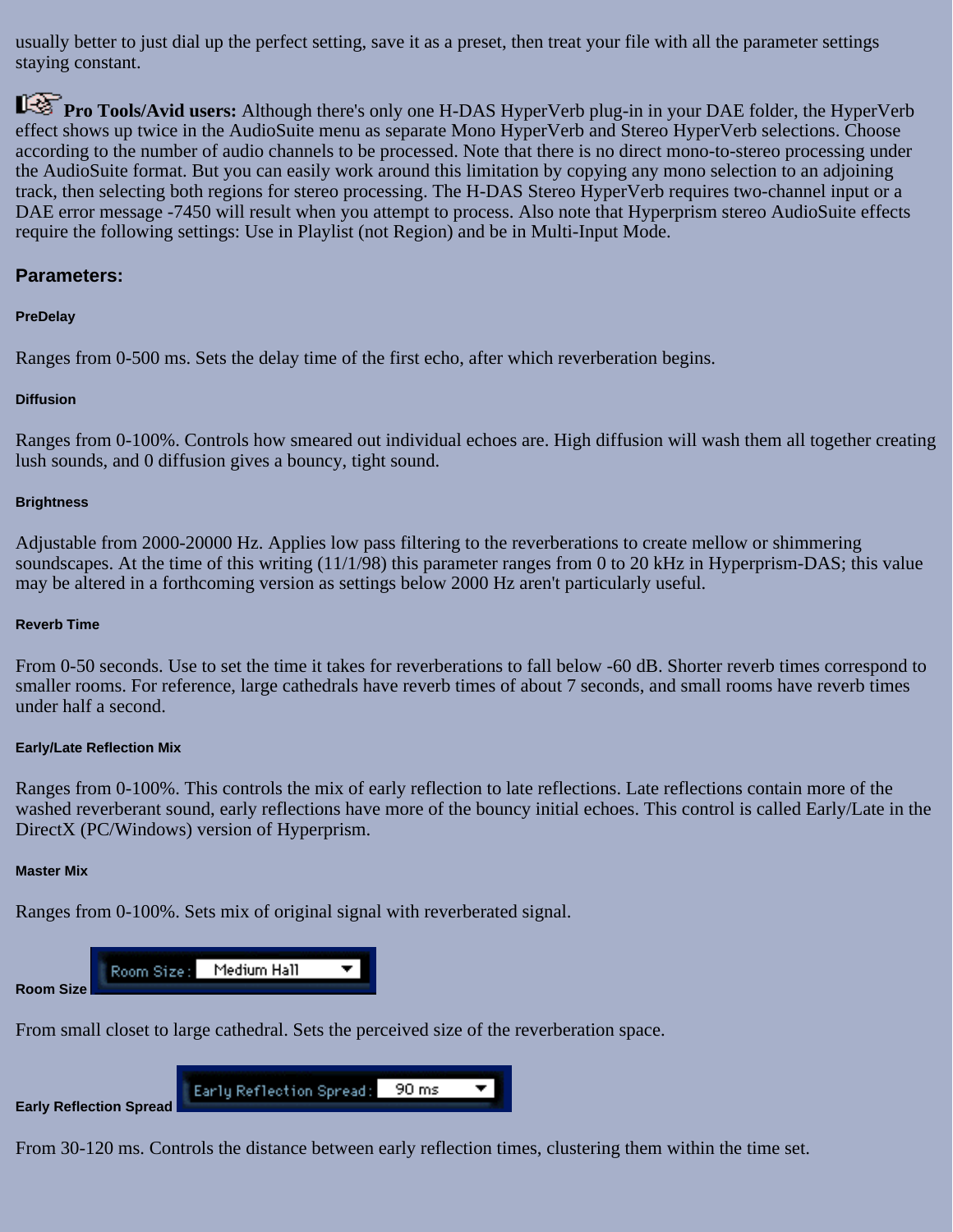usually better to just dial up the perfect setting, save it as a preset, then treat your file with all the parameter settings staying constant.

**Pro Tools/Avid users:** Although there's only one H-DAS HyperVerb plug-in in your DAE folder, the HyperVerb effect shows up twice in the AudioSuite menu as separate Mono HyperVerb and Stereo HyperVerb selections. Choose according to the number of audio channels to be processed. Note that there is no direct mono-to-stereo processing under the AudioSuite format. But you can easily work around this limitation by copying any mono selection to an adjoining track, then selecting both regions for stereo processing. The H-DAS Stereo HyperVerb requires two-channel input or a DAE error message -7450 will result when you attempt to process. Also note that Hyperprism stereo AudioSuite effects require the following settings: Use in Playlist (not Region) and be in Multi-Input Mode.

### **Parameters:**

#### **PreDelay**

Ranges from 0-500 ms. Sets the delay time of the first echo, after which reverberation begins.

#### **Diffusion**

Ranges from 0-100%. Controls how smeared out individual echoes are. High diffusion will wash them all together creating lush sounds, and 0 diffusion gives a bouncy, tight sound.

#### **Brightness**

Adjustable from 2000-20000 Hz. Applies low pass filtering to the reverberations to create mellow or shimmering soundscapes. At the time of this writing (11/1/98) this parameter ranges from 0 to 20 kHz in Hyperprism-DAS; this value may be altered in a forthcoming version as settings below 2000 Hz aren't particularly useful.

#### **Reverb Time**

From 0-50 seconds. Use to set the time it takes for reverberations to fall below -60 dB. Shorter reverb times correspond to smaller rooms. For reference, large cathedrals have reverb times of about 7 seconds, and small rooms have reverb times under half a second.

#### **Early/Late Reflection Mix**

Ranges from 0-100%. This controls the mix of early reflection to late reflections. Late reflections contain more of the washed reverberant sound, early reflections have more of the bouncy initial echoes. This control is called Early/Late in the DirectX (PC/Windows) version of Hyperprism.

#### **Master Mix**

Ranges from 0-100%. Sets mix of original signal with reverberated signal.



From small closet to large cathedral. Sets the perceived size of the reverberation space.



From 30-120 ms. Controls the distance between early reflection times, clustering them within the time set.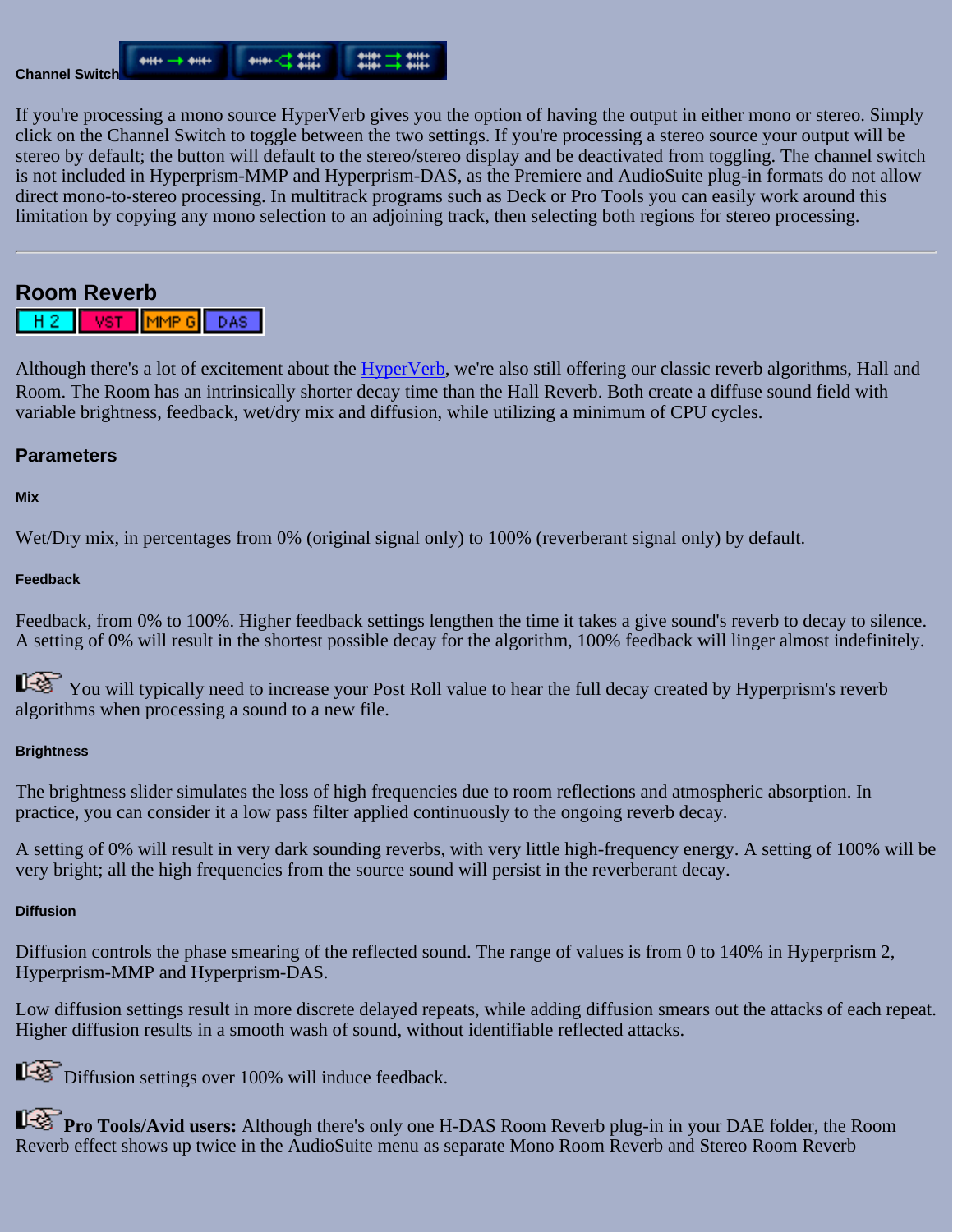

If you're processing a mono source HyperVerb gives you the option of having the output in either mono or stereo. Simply click on the Channel Switch to toggle between the two settings. If you're processing a stereo source your output will be stereo by default; the button will default to the stereo/stereo display and be deactivated from toggling. The channel switch is not included in Hyperprism-MMP and Hyperprism-DAS, as the Premiere and AudioSuite plug-in formats do not allow direct mono-to-stereo processing. In multitrack programs such as Deck or Pro Tools you can easily work around this limitation by copying any mono selection to an adjoining track, then selecting both regions for stereo processing.

# <span id="page-50-0"></span>**Room Reverb**



Although there's a lot of excitement about the [HyperVerb](#page-48-0), we're also still offering our classic reverb algorithms, Hall and Room. The Room has an intrinsically shorter decay time than the Hall Reverb. Both create a diffuse sound field with variable brightness, feedback, wet/dry mix and diffusion, while utilizing a minimum of CPU cycles.

### **Parameters**

### **Mix**

Wet/Dry mix, in percentages from 0% (original signal only) to 100% (reverberant signal only) by default.

#### **Feedback**

Feedback, from 0% to 100%. Higher feedback settings lengthen the time it takes a give sound's reverb to decay to silence. A setting of 0% will result in the shortest possible decay for the algorithm, 100% feedback will linger almost indefinitely.

You will typically need to increase your Post Roll value to hear the full decay created by Hyperprism's reverb algorithms when processing a sound to a new file.

### **Brightness**

The brightness slider simulates the loss of high frequencies due to room reflections and atmospheric absorption. In practice, you can consider it a low pass filter applied continuously to the ongoing reverb decay.

A setting of 0% will result in very dark sounding reverbs, with very little high-frequency energy. A setting of 100% will be very bright; all the high frequencies from the source sound will persist in the reverberant decay.

### **Diffusion**

Diffusion controls the phase smearing of the reflected sound. The range of values is from 0 to 140% in Hyperprism 2, Hyperprism-MMP and Hyperprism-DAS.

Low diffusion settings result in more discrete delayed repeats, while adding diffusion smears out the attacks of each repeat. Higher diffusion results in a smooth wash of sound, without identifiable reflected attacks.

Diffusion settings over 100% will induce feedback.

**Pro Tools/Avid users:** Although there's only one H-DAS Room Reverb plug-in in your DAE folder, the Room Reverb effect shows up twice in the AudioSuite menu as separate Mono Room Reverb and Stereo Room Reverb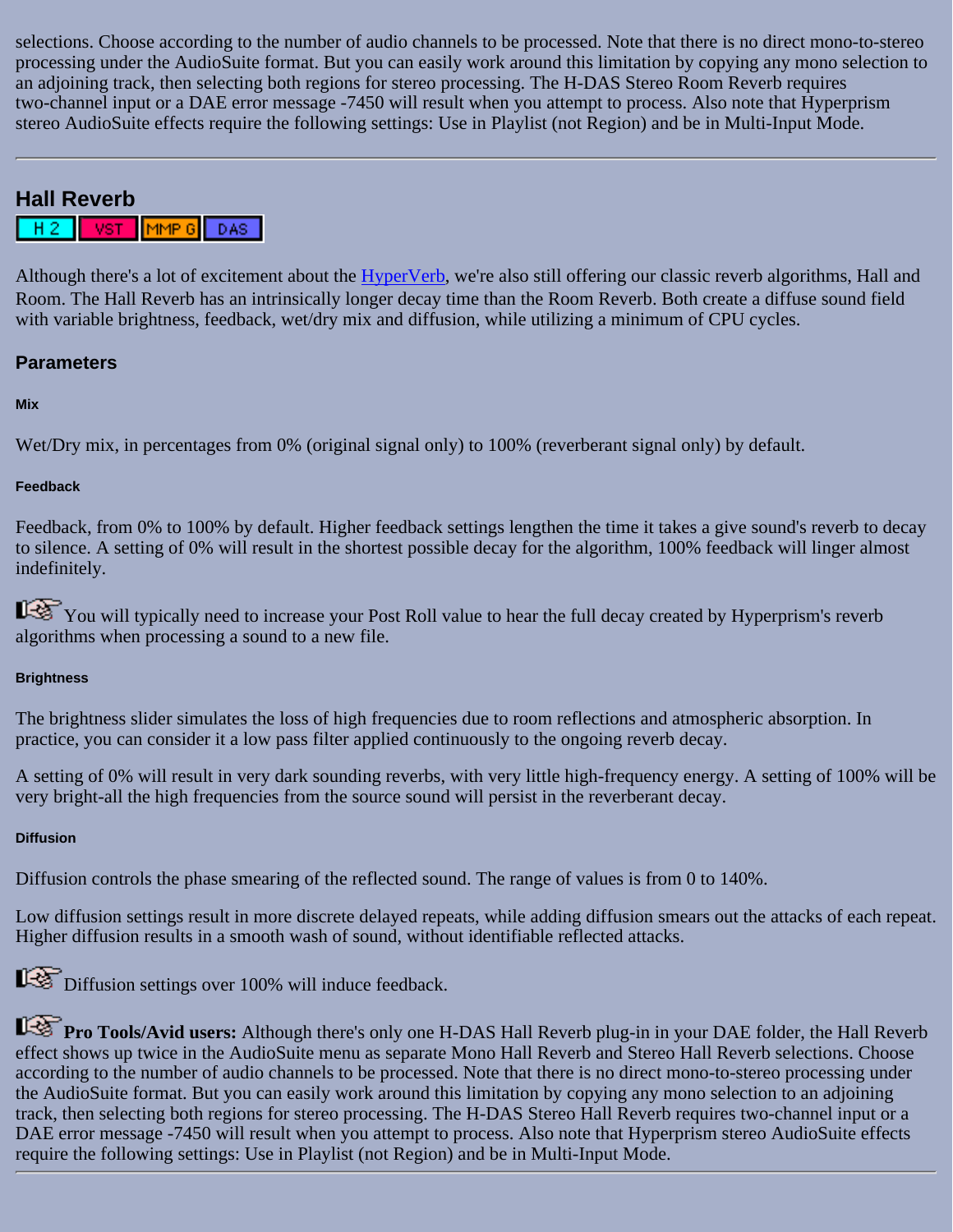selections. Choose according to the number of audio channels to be processed. Note that there is no direct mono-to-stereo processing under the AudioSuite format. But you can easily work around this limitation by copying any mono selection to an adjoining track, then selecting both regions for stereo processing. The H-DAS Stereo Room Reverb requires two-channel input or a DAE error message -7450 will result when you attempt to process. Also note that Hyperprism stereo AudioSuite effects require the following settings: Use in Playlist (not Region) and be in Multi-Input Mode.

# <span id="page-51-0"></span>**Hall Reverb**

MMP G  $HZ^ -$  VST $-$ DAS |

Although there's a lot of excitement about the [HyperVerb](#page-48-0), we're also still offering our classic reverb algorithms, Hall and Room. The Hall Reverb has an intrinsically longer decay time than the Room Reverb. Both create a diffuse sound field with variable brightness, feedback, wet/dry mix and diffusion, while utilizing a minimum of CPU cycles.

### **Parameters**

### **Mix**

Wet/Dry mix, in percentages from 0% (original signal only) to 100% (reverberant signal only) by default.

### **Feedback**

Feedback, from 0% to 100% by default. Higher feedback settings lengthen the time it takes a give sound's reverb to decay to silence. A setting of 0% will result in the shortest possible decay for the algorithm, 100% feedback will linger almost indefinitely.

You will typically need to increase your Post Roll value to hear the full decay created by Hyperprism's reverb algorithms when processing a sound to a new file.

### **Brightness**

The brightness slider simulates the loss of high frequencies due to room reflections and atmospheric absorption. In practice, you can consider it a low pass filter applied continuously to the ongoing reverb decay.

A setting of 0% will result in very dark sounding reverbs, with very little high-frequency energy. A setting of 100% will be very bright-all the high frequencies from the source sound will persist in the reverberant decay.

### **Diffusion**

Diffusion controls the phase smearing of the reflected sound. The range of values is from 0 to 140%.

Low diffusion settings result in more discrete delayed repeats, while adding diffusion smears out the attacks of each repeat. Higher diffusion results in a smooth wash of sound, without identifiable reflected attacks.

Diffusion settings over 100% will induce feedback.

**Pro Tools/Avid users:** Although there's only one H-DAS Hall Reverb plug-in in your DAE folder, the Hall Reverb effect shows up twice in the AudioSuite menu as separate Mono Hall Reverb and Stereo Hall Reverb selections. Choose according to the number of audio channels to be processed. Note that there is no direct mono-to-stereo processing under the AudioSuite format. But you can easily work around this limitation by copying any mono selection to an adjoining track, then selecting both regions for stereo processing. The H-DAS Stereo Hall Reverb requires two-channel input or a DAE error message -7450 will result when you attempt to process. Also note that Hyperprism stereo AudioSuite effects require the following settings: Use in Playlist (not Region) and be in Multi-Input Mode.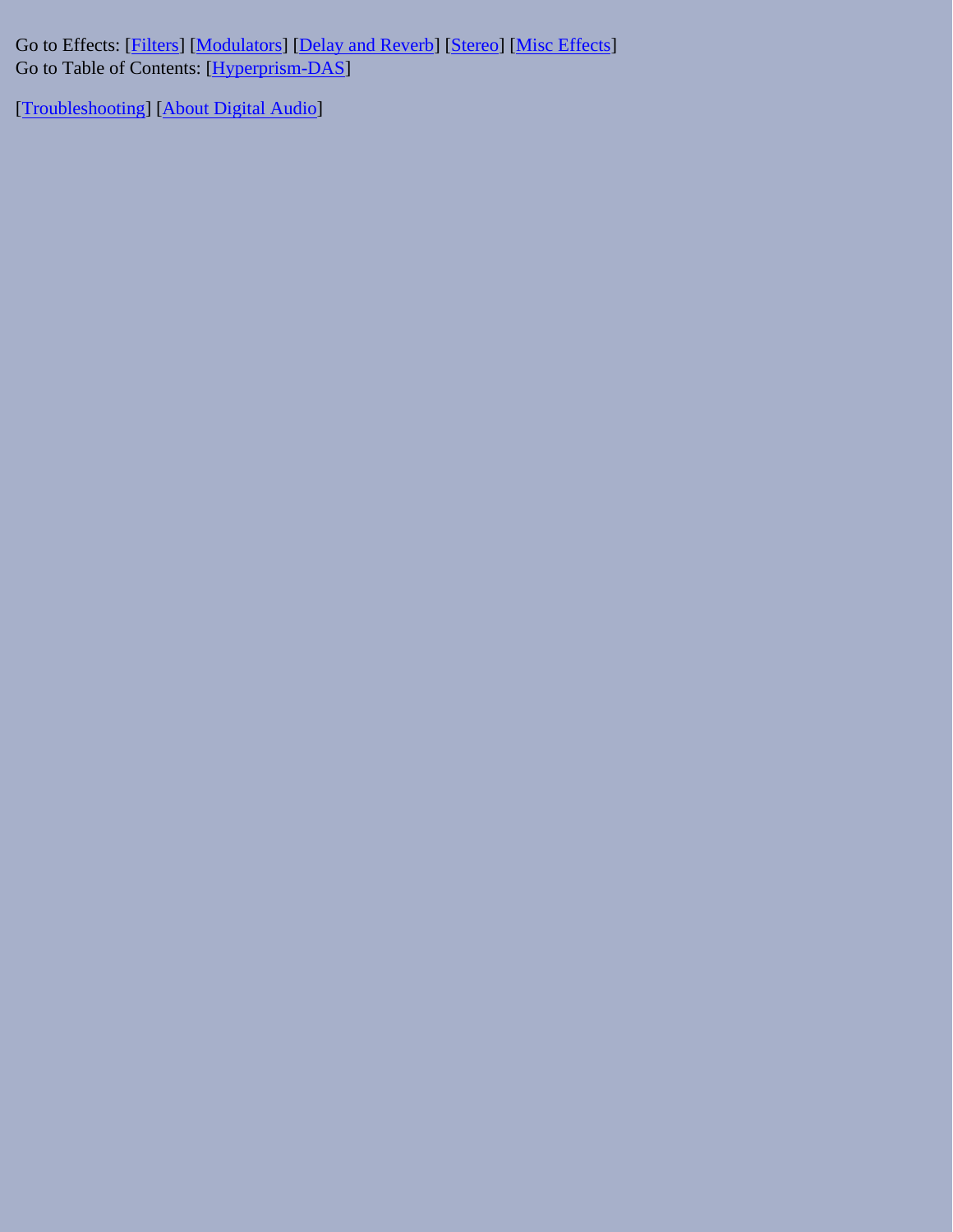Go to Effects: [\[Filters\]](#page-20-0) [[Modulators](#page-31-0)] [\[Delay and Reverb\]](#page-45-0) [[Stereo\]](#page-65-0) [[Misc Effects\]](#page-81-0) Go to Table of Contents: [\[Hyperprism-DAS\]](#page-1-0)

[[Troubleshooting](#page-94-0)] [\[About Digital Audio\]](#page-99-0)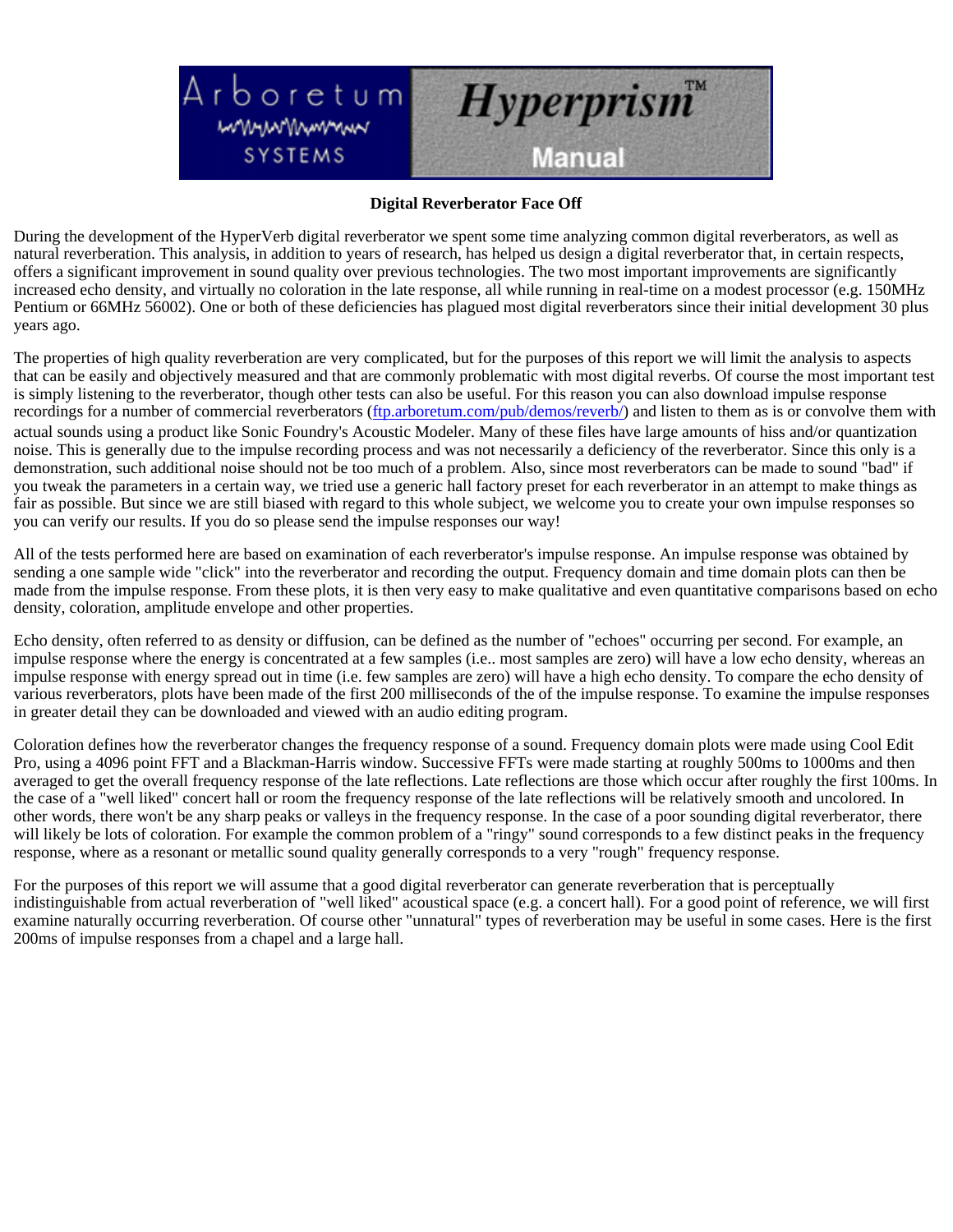<span id="page-53-0"></span>

#### **Digital Reverberator Face Off**

During the development of the HyperVerb digital reverberator we spent some time analyzing common digital reverberators, as well as natural reverberation. This analysis, in addition to years of research, has helped us design a digital reverberator that, in certain respects, offers a significant improvement in sound quality over previous technologies. The two most important improvements are significantly increased echo density, and virtually no coloration in the late response, all while running in real-time on a modest processor (e.g. 150MHz Pentium or 66MHz 56002). One or both of these deficiencies has plagued most digital reverberators since their initial development 30 plus years ago.

The properties of high quality reverberation are very complicated, but for the purposes of this report we will limit the analysis to aspects that can be easily and objectively measured and that are commonly problematic with most digital reverbs. Of course the most important test is simply listening to the reverberator, though other tests can also be useful. For this reason you can also download impulse response recordings for a number of commercial reverberators [\(ftp.arboretum.com/pub/demos/reverb/\)](ftp://ftp.arboretum.com/pub/demos/reverb/) and listen to them as is or convolve them with actual sounds using a product like Sonic Foundry's Acoustic Modeler. Many of these files have large amounts of hiss and/or quantization noise. This is generally due to the impulse recording process and was not necessarily a deficiency of the reverberator. Since this only is a demonstration, such additional noise should not be too much of a problem. Also, since most reverberators can be made to sound "bad" if you tweak the parameters in a certain way, we tried use a generic hall factory preset for each reverberator in an attempt to make things as fair as possible. But since we are still biased with regard to this whole subject, we welcome you to create your own impulse responses so you can verify our results. If you do so please send the impulse responses our way!

All of the tests performed here are based on examination of each reverberator's impulse response. An impulse response was obtained by sending a one sample wide "click" into the reverberator and recording the output. Frequency domain and time domain plots can then be made from the impulse response. From these plots, it is then very easy to make qualitative and even quantitative comparisons based on echo density, coloration, amplitude envelope and other properties.

Echo density, often referred to as density or diffusion, can be defined as the number of "echoes" occurring per second. For example, an impulse response where the energy is concentrated at a few samples (i.e.. most samples are zero) will have a low echo density, whereas an impulse response with energy spread out in time (i.e. few samples are zero) will have a high echo density. To compare the echo density of various reverberators, plots have been made of the first 200 milliseconds of the of the impulse response. To examine the impulse responses in greater detail they can be downloaded and viewed with an audio editing program.

Coloration defines how the reverberator changes the frequency response of a sound. Frequency domain plots were made using Cool Edit Pro, using a 4096 point FFT and a Blackman-Harris window. Successive FFTs were made starting at roughly 500ms to 1000ms and then averaged to get the overall frequency response of the late reflections. Late reflections are those which occur after roughly the first 100ms. In the case of a "well liked" concert hall or room the frequency response of the late reflections will be relatively smooth and uncolored. In other words, there won't be any sharp peaks or valleys in the frequency response. In the case of a poor sounding digital reverberator, there will likely be lots of coloration. For example the common problem of a "ringy" sound corresponds to a few distinct peaks in the frequency response, where as a resonant or metallic sound quality generally corresponds to a very "rough" frequency response.

For the purposes of this report we will assume that a good digital reverberator can generate reverberation that is perceptually indistinguishable from actual reverberation of "well liked" acoustical space (e.g. a concert hall). For a good point of reference, we will first examine naturally occurring reverberation. Of course other "unnatural" types of reverberation may be useful in some cases. Here is the first 200ms of impulse responses from a chapel and a large hall.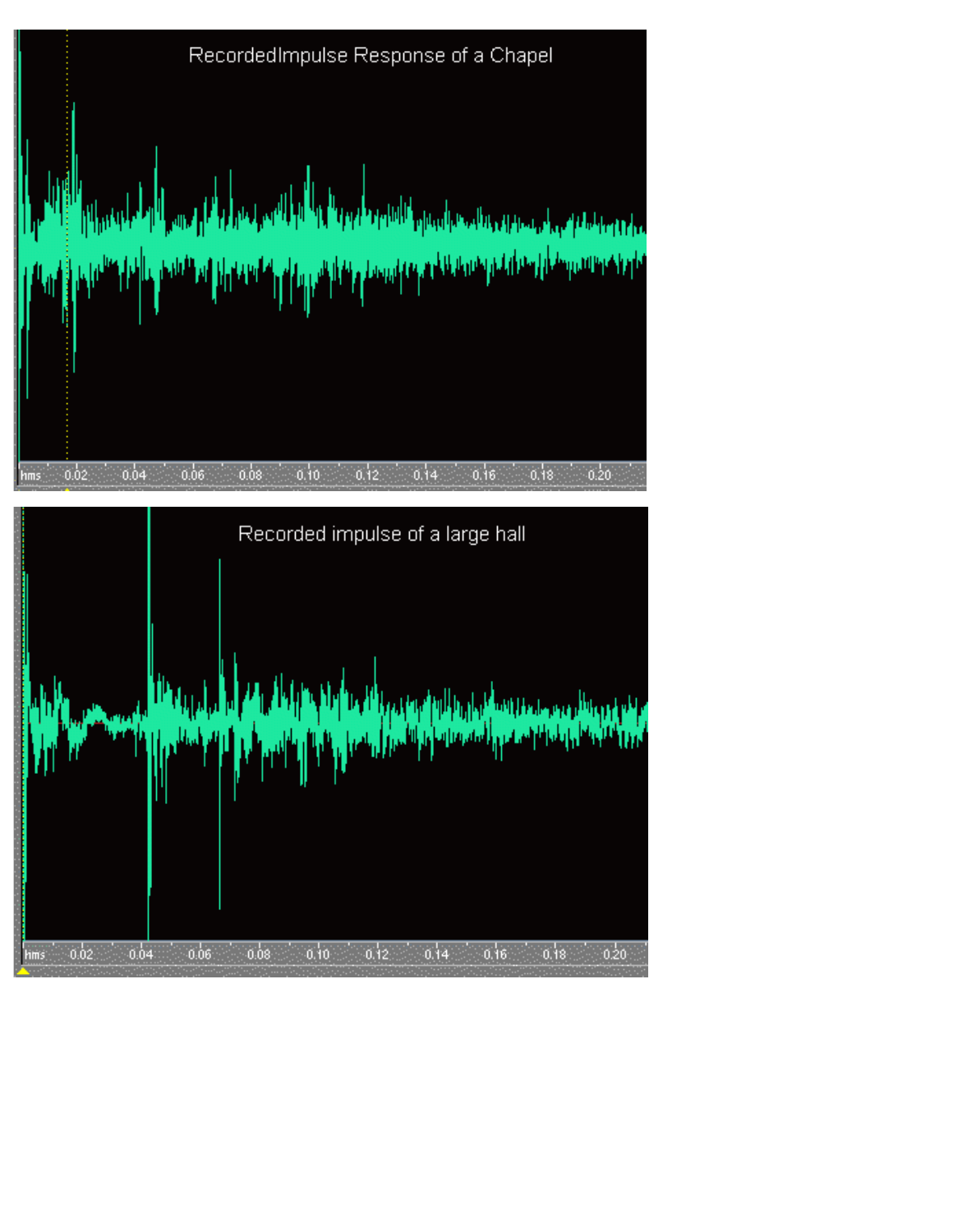

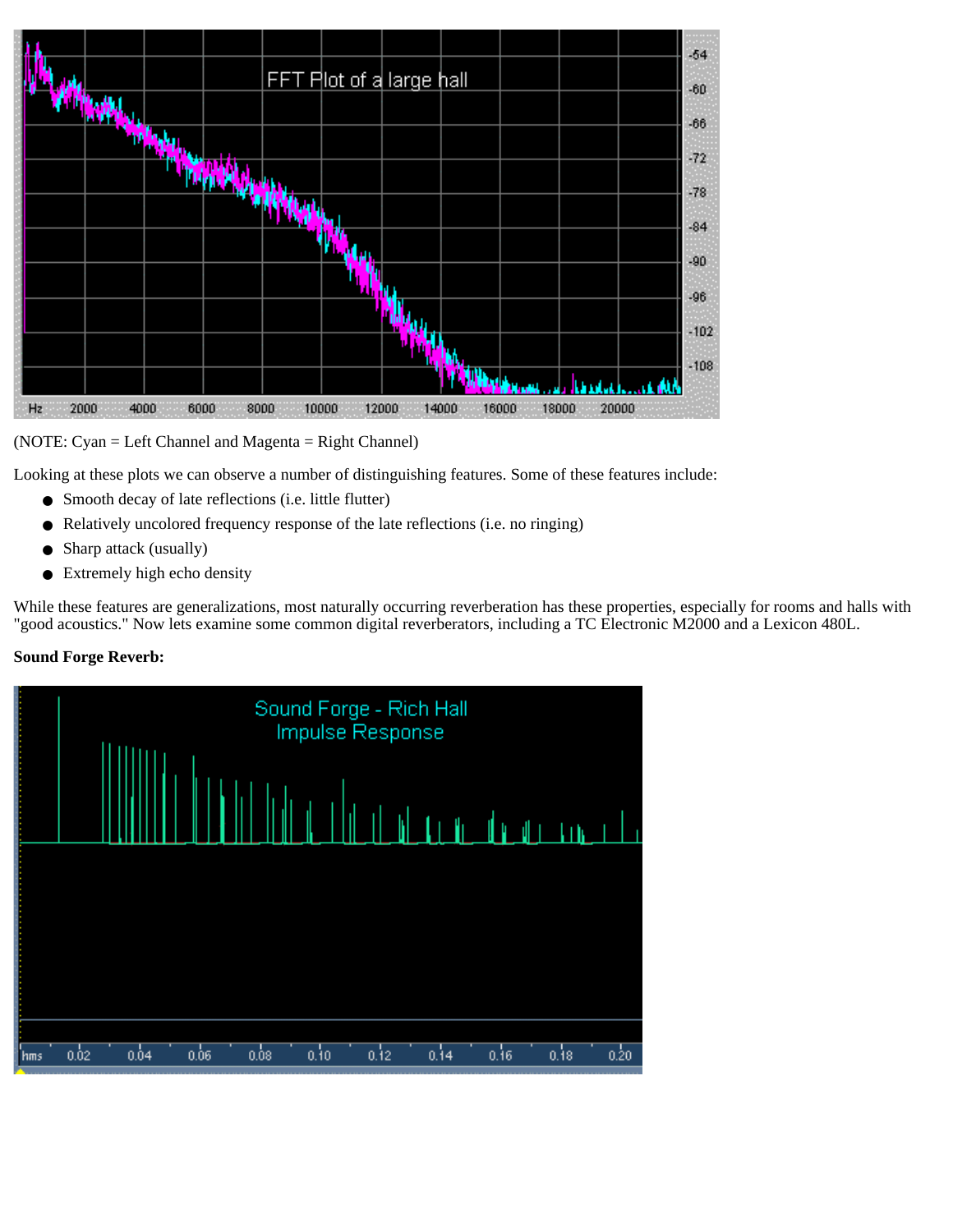

(NOTE: Cyan = Left Channel and Magenta = Right Channel)

Looking at these plots we can observe a number of distinguishing features. Some of these features include:

- Smooth decay of late reflections (i.e. little flutter)
- Relatively uncolored frequency response of the late reflections (i.e. no ringing)
- Sharp attack (usually)
- Extremely high echo density

While these features are generalizations, most naturally occurring reverberation has these properties, especially for rooms and halls with "good acoustics." Now lets examine some common digital reverberators, including a TC Electronic M2000 and a Lexicon 480L.

#### **Sound Forge Reverb:**

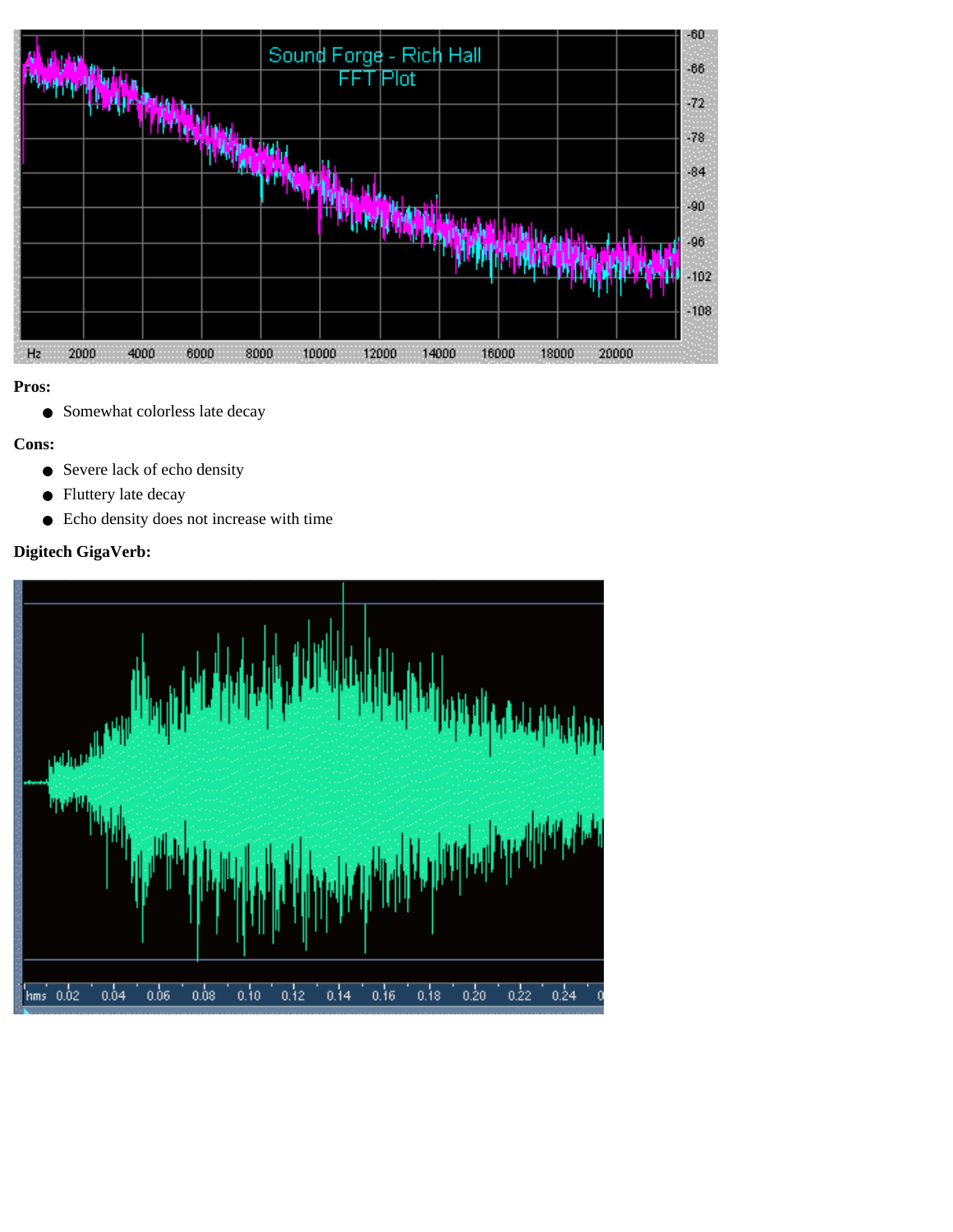

● Somewhat colorless late decay

#### **Cons:**

- Severe lack of echo density
- Fluttery late decay
- Echo density does not increase with time

### **Digitech GigaVerb:**

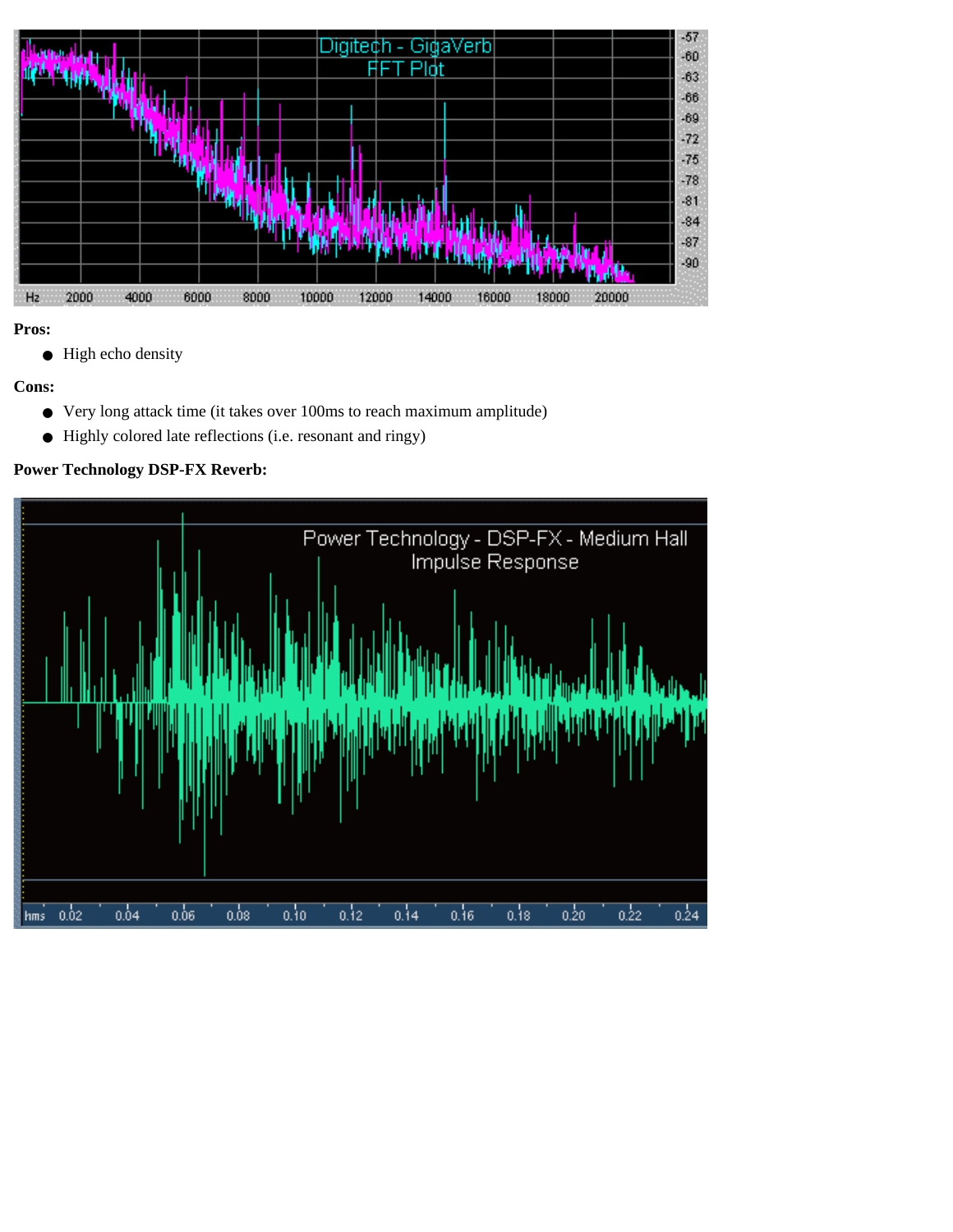

● High echo density

### **Cons:**

- Very long attack time (it takes over 100ms to reach maximum amplitude)
- Highly colored late reflections (i.e. resonant and ringy)

### **Power Technology DSP-FX Reverb:**

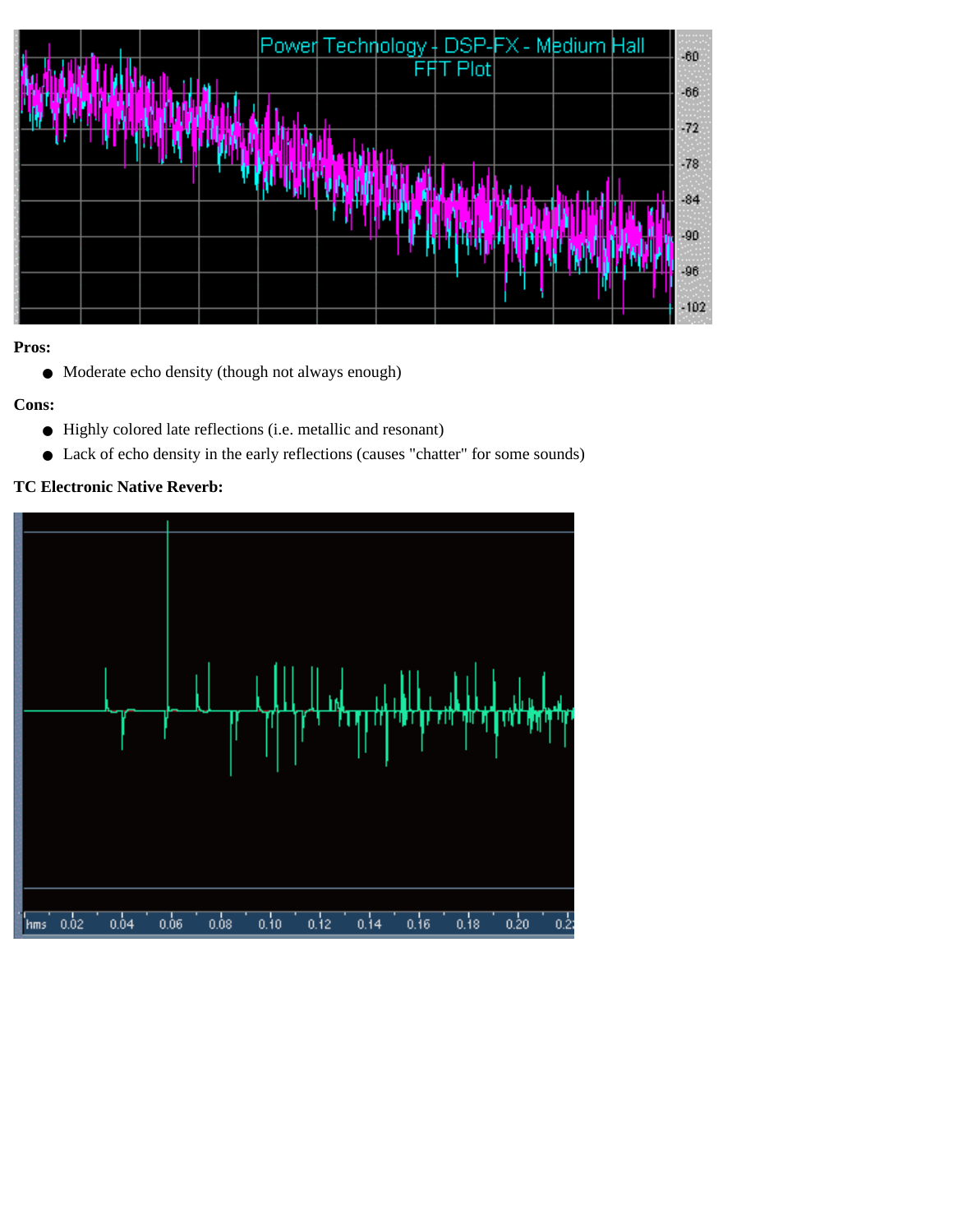

● Moderate echo density (though not always enough)

### **Cons:**

- Highly colored late reflections (i.e. metallic and resonant)
- Lack of echo density in the early reflections (causes "chatter" for some sounds)

#### **TC Electronic Native Reverb:**

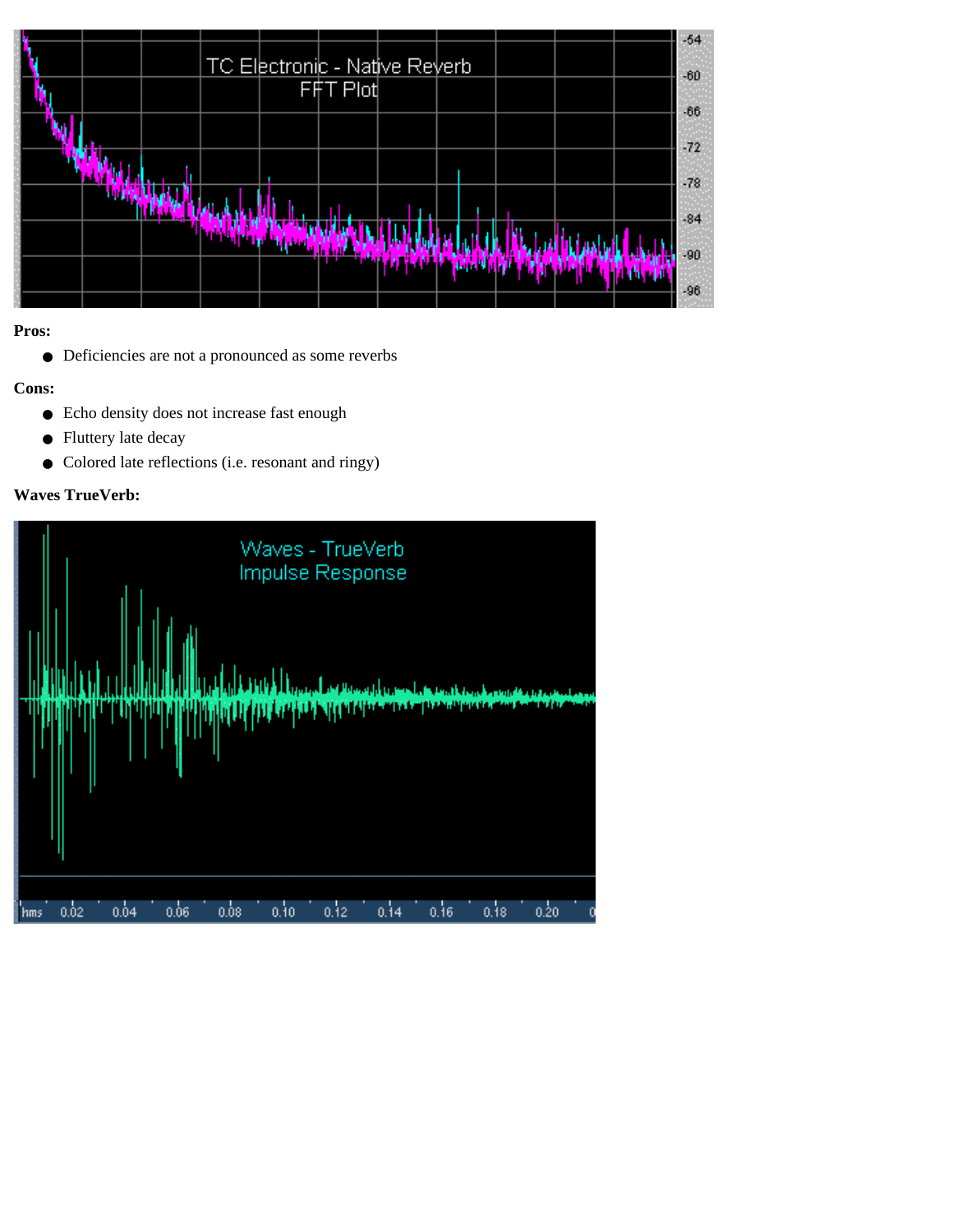|  | <b>TC Electronic - Native Reverb</b> | $-54$<br>$-60$ |
|--|--------------------------------------|----------------|
|  | FFT Plot                             | $-66$          |
|  |                                      | $-72$          |
|  |                                      | $-78$          |
|  |                                      | $-84$          |
|  |                                      | -90<br>$-96$   |

● Deficiencies are not a pronounced as some reverbs

### **Cons:**

- Echo density does not increase fast enough
- Fluttery late decay
- Colored late reflections (i.e. resonant and ringy)

### **Waves TrueVerb:**

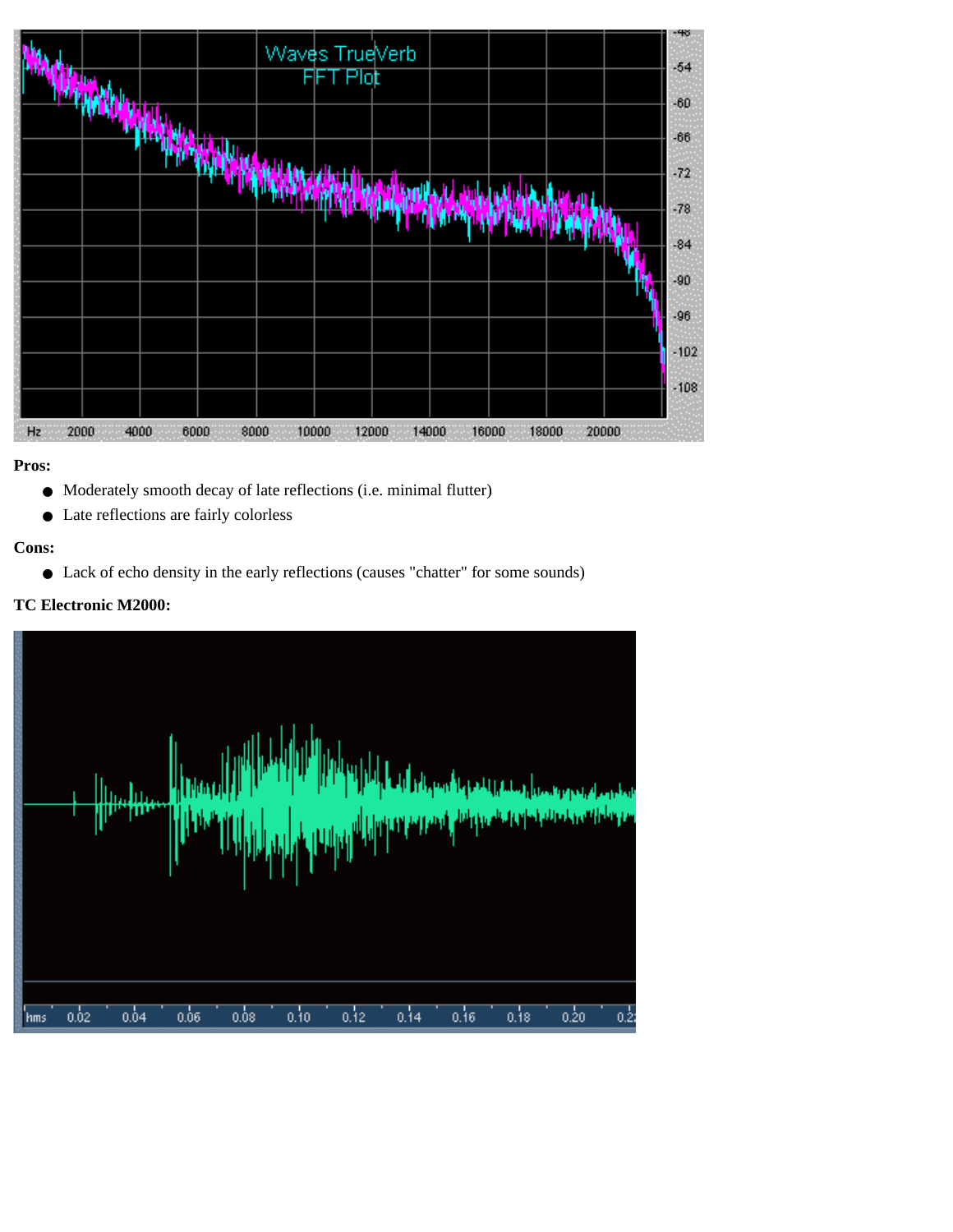|                        |              |      | н | Waves TrueVerb<br>Plot |       |                |       |  |
|------------------------|--------------|------|---|------------------------|-------|----------------|-------|--|
|                        |              |      |   |                        |       |                |       |  |
|                        |              |      |   |                        |       |                |       |  |
|                        |              |      |   |                        |       |                |       |  |
|                        |              |      |   |                        |       |                |       |  |
| H <sub>2</sub><br>2000 | 4000<br>6000 | 3000 |   | 10000<br>12000         | 14000 | 16000<br>18000 | 20000 |  |

- Moderately smooth decay of late reflections (i.e. minimal flutter)
- Late reflections are fairly colorless

#### **Cons:**

● Lack of echo density in the early reflections (causes "chatter" for some sounds)

#### **TC Electronic M2000:**

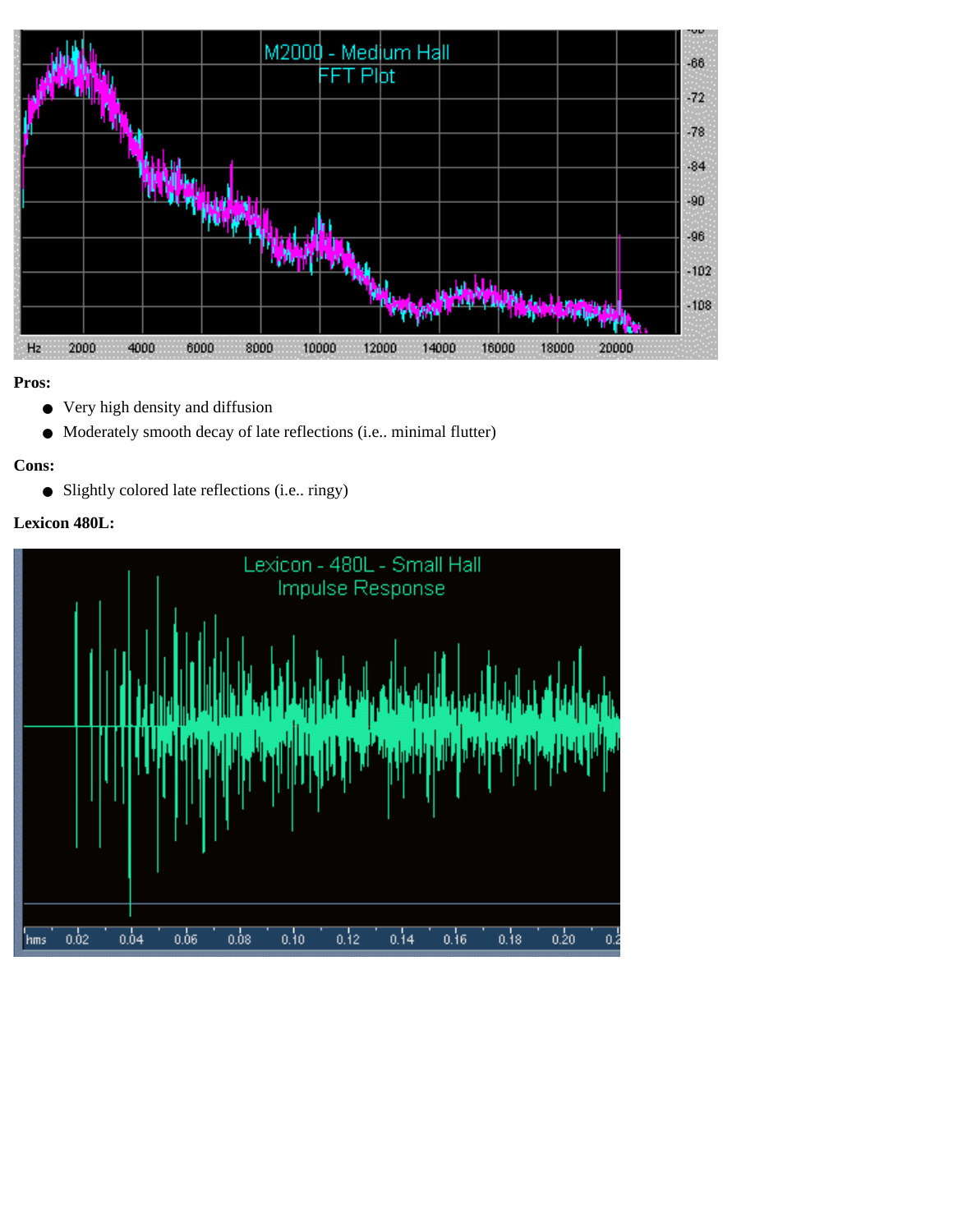

- Very high density and diffusion
- Moderately smooth decay of late reflections (i.e.. minimal flutter)

#### **Cons:**

● Slightly colored late reflections (i.e.. ringy)

### **Lexicon 480L:**

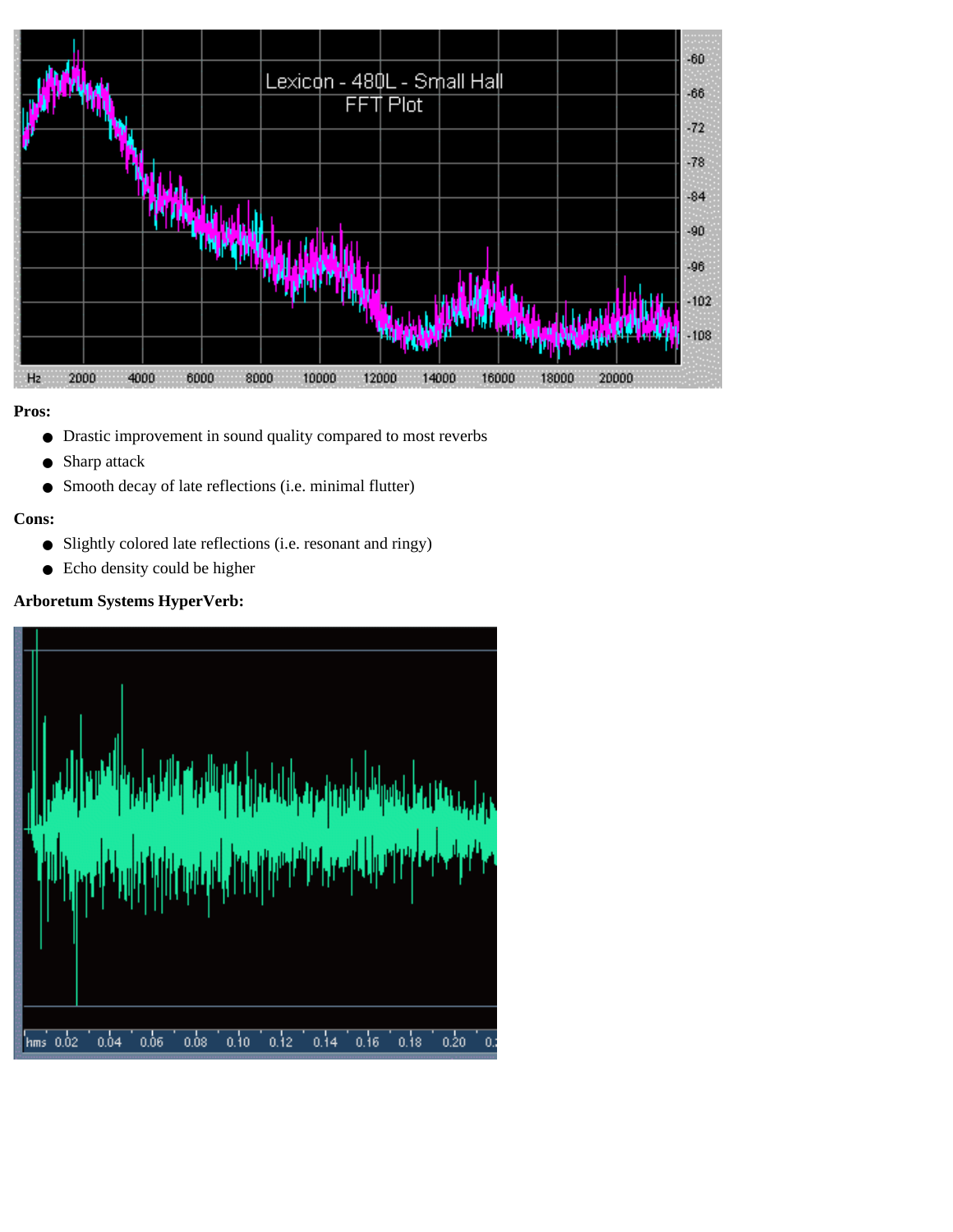

- Drastic improvement in sound quality compared to most reverbs
- Sharp attack
- Smooth decay of late reflections (i.e. minimal flutter)

#### **Cons:**

- Slightly colored late reflections (i.e. resonant and ringy)
- Echo density could be higher

### **Arboretum Systems HyperVerb:**

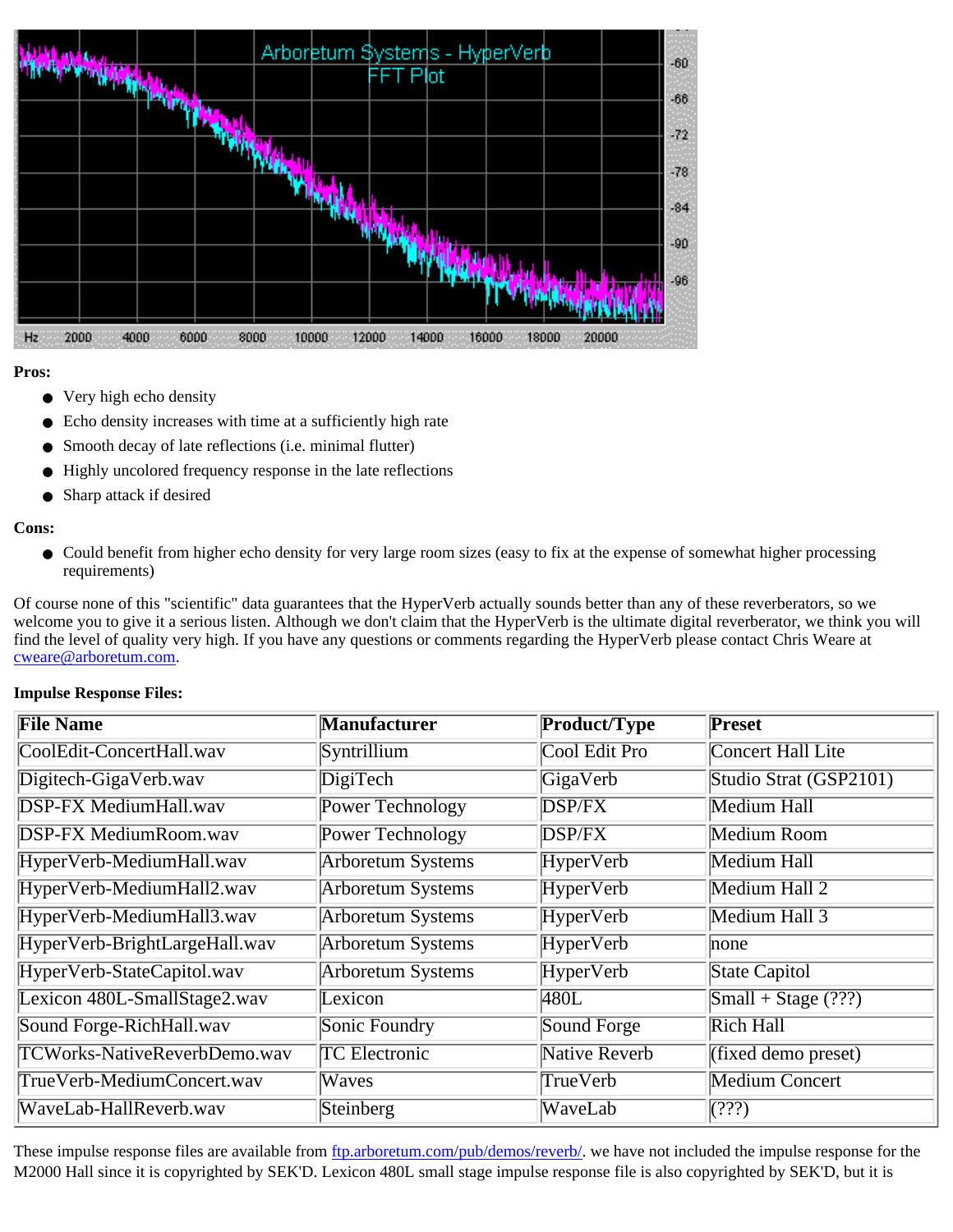

- Very high echo density
- Echo density increases with time at a sufficiently high rate
- Smooth decay of late reflections (i.e. minimal flutter)
- Highly uncolored frequency response in the late reflections
- Sharp attack if desired

#### **Cons:**

● Could benefit from higher echo density for very large room sizes (easy to fix at the expense of somewhat higher processing requirements)

Of course none of this "scientific" data guarantees that the HyperVerb actually sounds better than any of these reverberators, so we welcome you to give it a serious listen. Although we don't claim that the HyperVerb is the ultimate digital reverberator, we think you will find the level of quality very high. If you have any questions or comments regarding the HyperVerb please contact Chris Weare at [cweare@arboretum.com.](mailto:ctownsend@arboretum.com)

| <b>File Name</b>                    | <b>Manufacturer</b>      | Product/Type         | <b>Preset</b>          |
|-------------------------------------|--------------------------|----------------------|------------------------|
| CoolEdit-ConcertHall.wav            | Syntrillium              | Cool Edit Pro        | Concert Hall Lite      |
| Digitech-GigaVerb.wav               | DigiTech                 | GigaVerb             | Studio Strat (GSP2101) |
| <b>DSP-FX MediumHall.wav</b>        | Power Technology         | <b>DSP/FX</b>        | <b>Medium Hall</b>     |
| <b>DSP-FX MediumRoom.wav</b>        | Power Technology         | <b>DSP/FX</b>        | Medium Room            |
| HyperVerb-MediumHall.wav            | <b>Arboretum Systems</b> | HyperVerb            | Medium Hall            |
| HyperVerb-MediumHall2.wav           | <b>Arboretum Systems</b> | HyperVerb            | Medium Hall 2          |
| HyperVerb-MediumHall3.wav           | <b>Arboretum Systems</b> | HyperVerb            | Medium Hall 3          |
| HyperVerb-BrightLargeHall.wav       | <b>Arboretum Systems</b> | HyperVerb            | none                   |
| HyperVerb-StateCapitol.wav          | <b>Arboretum Systems</b> | HyperVerb            | State Capitol          |
| Lexicon 480L-SmallStage2.wav        | Lexicon                  | 480L                 | $Small + Stage (???)$  |
| Sound Forge-RichHall.wav            | Sonic Foundry            | Sound Forge          | Rich Hall              |
| <b>TCWorks-NativeReverbDemo.wav</b> | <b>TC</b> Electronic     | <b>Native Reverb</b> | (fixed demo preset)    |
| TrueVerb-MediumConcert.wav          | Waves                    | <b>TrueVerb</b>      | <b>Medium Concert</b>  |
| WaveLab-HallReverb.wav              | Steinberg                | WaveLab              | $\sqrt{(??)}$          |

### **Impulse Response Files:**

These impulse response files are available from [ftp.arboretum.com/pub/demos/reverb/](ftp://ftp.arboretum.com/pub/demos/reverb/). we have not included the impulse response for the M2000 Hall since it is copyrighted by SEK'D. Lexicon 480L small stage impulse response file is also copyrighted by SEK'D, but it is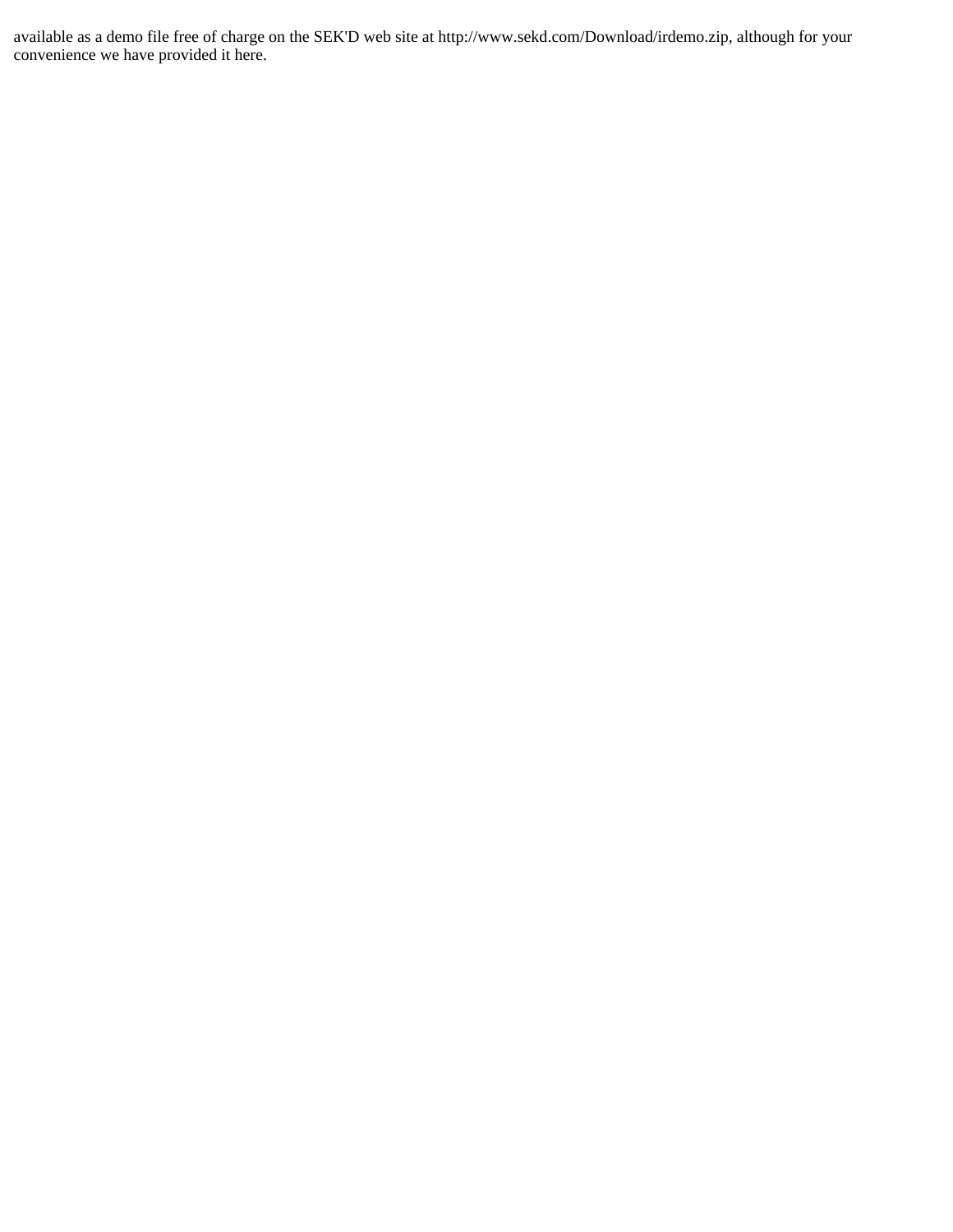available as a demo file free of charge on the SEK'D web site at http://www.sekd.com/Download/irdemo.zip, although for your convenience we have provided it here.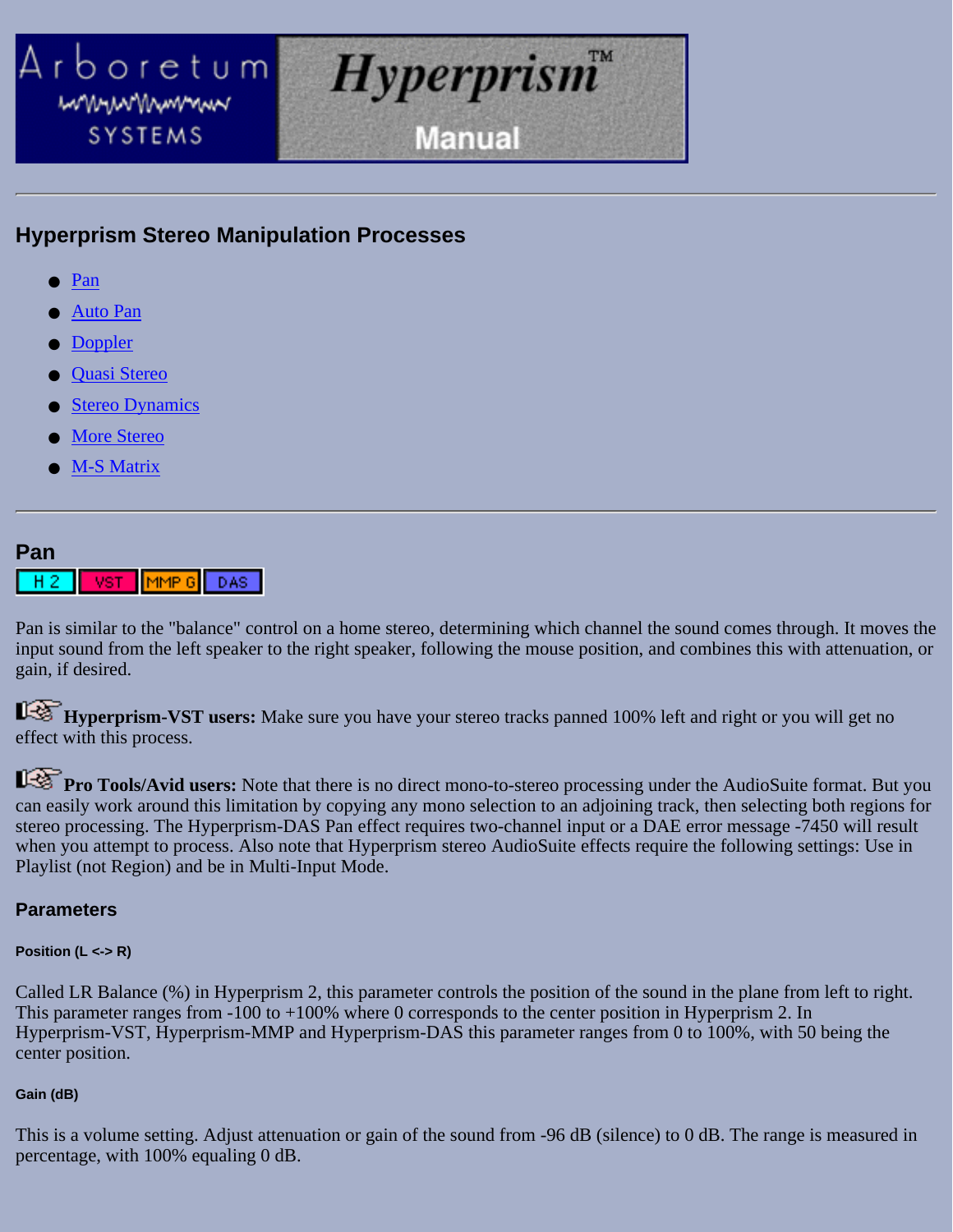<span id="page-65-0"></span>

# **Hyperprism Stereo Manipulation Processes**

- [Pan](#page-65-1)
- **[Auto Pan](#page-66-0)**
- **[Doppler](#page-67-0)**
- [Quasi Stereo](#page-68-0)
- **[Stereo Dynamics](#page-70-0)**
- **[More Stereo](#page-74-0)**
- **[M-S Matrix](#page-75-0)**

### <span id="page-65-1"></span>**Pan**



Pan is similar to the "balance" control on a home stereo, determining which channel the sound comes through. It moves the input sound from the left speaker to the right speaker, following the mouse position, and combines this with attenuation, or gain, if desired.

**Hyperprism-VST users:** Make sure you have your stereo tracks panned 100% left and right or you will get no effect with this process.

**Pro Tools/Avid users:** Note that there is no direct mono-to-stereo processing under the AudioSuite format. But you can easily work around this limitation by copying any mono selection to an adjoining track, then selecting both regions for stereo processing. The Hyperprism-DAS Pan effect requires two-channel input or a DAE error message -7450 will result when you attempt to process. Also note that Hyperprism stereo AudioSuite effects require the following settings: Use in Playlist (not Region) and be in Multi-Input Mode.

### **Parameters**

#### **Position (L <-> R)**

Called LR Balance (%) in Hyperprism 2, this parameter controls the position of the sound in the plane from left to right. This parameter ranges from -100 to +100% where 0 corresponds to the center position in Hyperprism 2. In Hyperprism-VST, Hyperprism-MMP and Hyperprism-DAS this parameter ranges from 0 to 100%, with 50 being the center position.

### **Gain (dB)**

This is a volume setting. Adjust attenuation or gain of the sound from -96 dB (silence) to 0 dB. The range is measured in percentage, with 100% equaling 0 dB.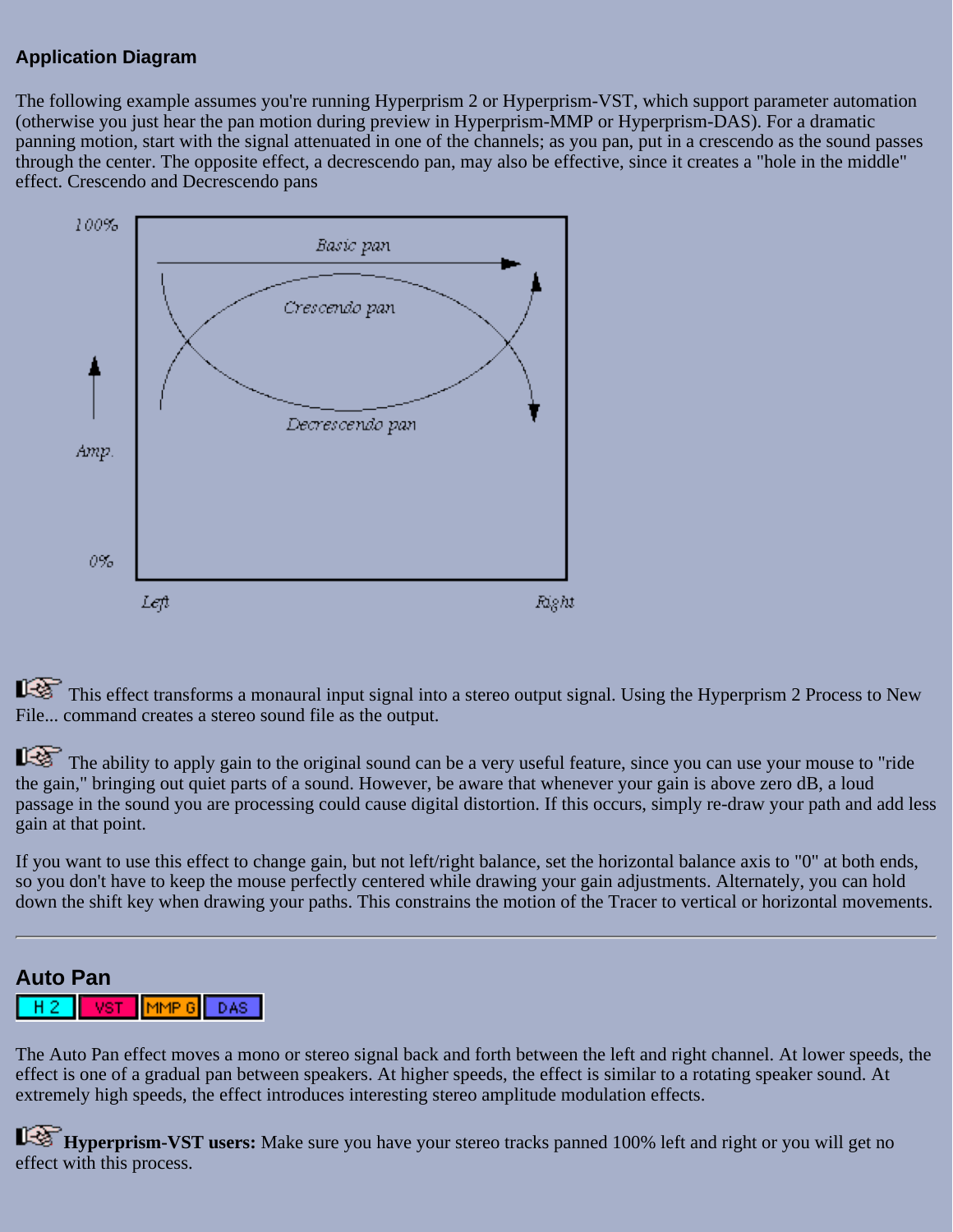## **Application Diagram**

The following example assumes you're running Hyperprism 2 or Hyperprism-VST, which support parameter automation (otherwise you just hear the pan motion during preview in Hyperprism-MMP or Hyperprism-DAS). For a dramatic panning motion, start with the signal attenuated in one of the channels; as you pan, put in a crescendo as the sound passes through the center. The opposite effect, a decrescendo pan, may also be effective, since it creates a "hole in the middle" effect. Crescendo and Decrescendo pans



This effect transforms a monaural input signal into a stereo output signal. Using the Hyperprism 2 Process to New File... command creates a stereo sound file as the output.

The ability to apply gain to the original sound can be a very useful feature, since you can use your mouse to "ride the gain," bringing out quiet parts of a sound. However, be aware that whenever your gain is above zero dB, a loud passage in the sound you are processing could cause digital distortion. If this occurs, simply re-draw your path and add less gain at that point.

If you want to use this effect to change gain, but not left/right balance, set the horizontal balance axis to "0" at both ends, so you don't have to keep the mouse perfectly centered while drawing your gain adjustments. Alternately, you can hold down the shift key when drawing your paths. This constrains the motion of the Tracer to vertical or horizontal movements.

#### <span id="page-66-0"></span>**Auto Pan** MMP<sub>6</sub> DAS.

The Auto Pan effect moves a mono or stereo signal back and forth between the left and right channel. At lower speeds, the effect is one of a gradual pan between speakers. At higher speeds, the effect is similar to a rotating speaker sound. At extremely high speeds, the effect introduces interesting stereo amplitude modulation effects.

**Hyperprism-VST users:** Make sure you have your stereo tracks panned 100% left and right or you will get no effect with this process.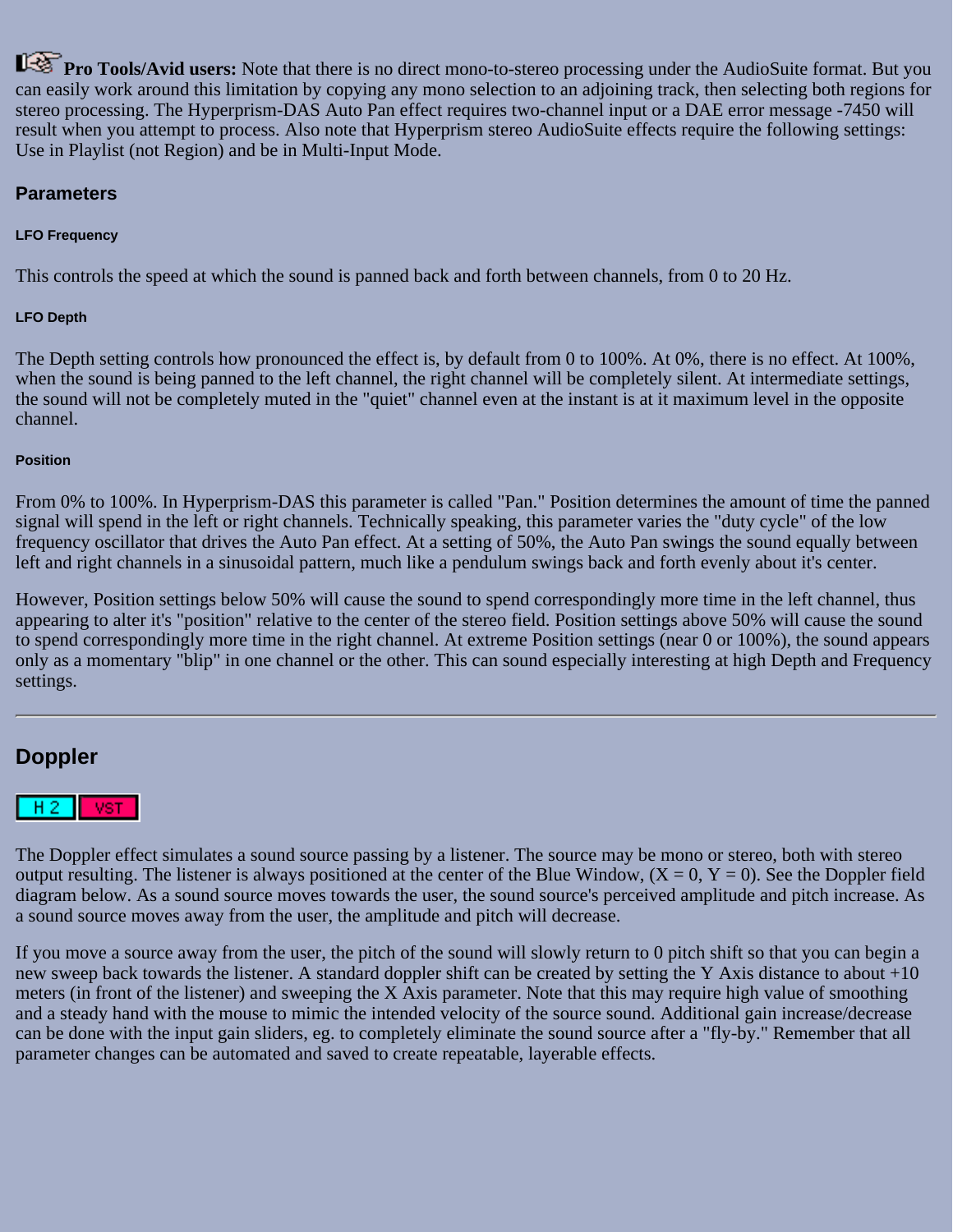**Pro Tools/Avid users:** Note that there is no direct mono-to-stereo processing under the AudioSuite format. But you can easily work around this limitation by copying any mono selection to an adjoining track, then selecting both regions for stereo processing. The Hyperprism-DAS Auto Pan effect requires two-channel input or a DAE error message -7450 will result when you attempt to process. Also note that Hyperprism stereo AudioSuite effects require the following settings: Use in Playlist (not Region) and be in Multi-Input Mode.

### **Parameters**

#### **LFO Frequency**

This controls the speed at which the sound is panned back and forth between channels, from 0 to 20 Hz.

#### **LFO Depth**

The Depth setting controls how pronounced the effect is, by default from 0 to 100%. At 0%, there is no effect. At 100%, when the sound is being panned to the left channel, the right channel will be completely silent. At intermediate settings, the sound will not be completely muted in the "quiet" channel even at the instant is at it maximum level in the opposite channel.

#### **Position**

From 0% to 100%. In Hyperprism-DAS this parameter is called "Pan." Position determines the amount of time the panned signal will spend in the left or right channels. Technically speaking, this parameter varies the "duty cycle" of the low frequency oscillator that drives the Auto Pan effect. At a setting of 50%, the Auto Pan swings the sound equally between left and right channels in a sinusoidal pattern, much like a pendulum swings back and forth evenly about it's center.

However, Position settings below 50% will cause the sound to spend correspondingly more time in the left channel, thus appearing to alter it's "position" relative to the center of the stereo field. Position settings above 50% will cause the sound to spend correspondingly more time in the right channel. At extreme Position settings (near 0 or 100%), the sound appears only as a momentary "blip" in one channel or the other. This can sound especially interesting at high Depth and Frequency settings.

# <span id="page-67-0"></span>**Doppler**



The Doppler effect simulates a sound source passing by a listener. The source may be mono or stereo, both with stereo output resulting. The listener is always positioned at the center of the Blue Window,  $(X = 0, Y = 0)$ . See the Doppler field diagram below. As a sound source moves towards the user, the sound source's perceived amplitude and pitch increase. As a sound source moves away from the user, the amplitude and pitch will decrease.

If you move a source away from the user, the pitch of the sound will slowly return to 0 pitch shift so that you can begin a new sweep back towards the listener. A standard doppler shift can be created by setting the Y Axis distance to about +10 meters (in front of the listener) and sweeping the X Axis parameter. Note that this may require high value of smoothing and a steady hand with the mouse to mimic the intended velocity of the source sound. Additional gain increase/decrease can be done with the input gain sliders, eg. to completely eliminate the sound source after a "fly-by." Remember that all parameter changes can be automated and saved to create repeatable, layerable effects.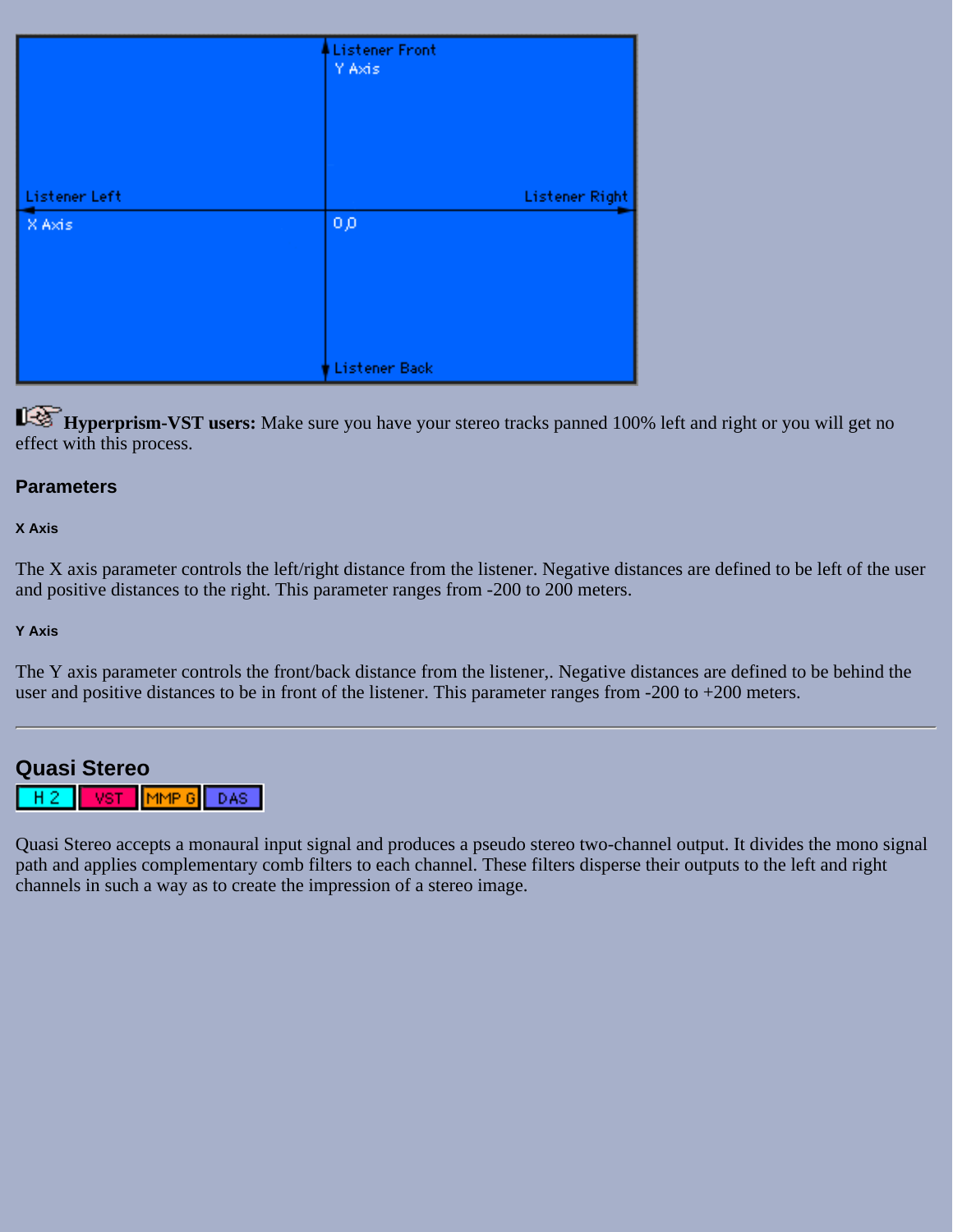|               | Listener Front<br>Y Axis |
|---------------|--------------------------|
|               |                          |
|               |                          |
| Listener Left | Listener Right           |
| X Axis        | 0,0                      |
|               |                          |
|               |                          |
|               |                          |
|               |                          |
|               |                          |
|               | Listener Back            |

**Hyperprism-VST users:** Make sure you have your stereo tracks panned 100% left and right or you will get no effect with this process.

### **Parameters**

#### **X Axis**

The X axis parameter controls the left/right distance from the listener. Negative distances are defined to be left of the user and positive distances to the right. This parameter ranges from -200 to 200 meters.

#### **Y Axis**

The Y axis parameter controls the front/back distance from the listener,. Negative distances are defined to be behind the user and positive distances to be in front of the listener. This parameter ranges from -200 to +200 meters.

<span id="page-68-0"></span>

Quasi Stereo accepts a monaural input signal and produces a pseudo stereo two-channel output. It divides the mono signal path and applies complementary comb filters to each channel. These filters disperse their outputs to the left and right channels in such a way as to create the impression of a stereo image.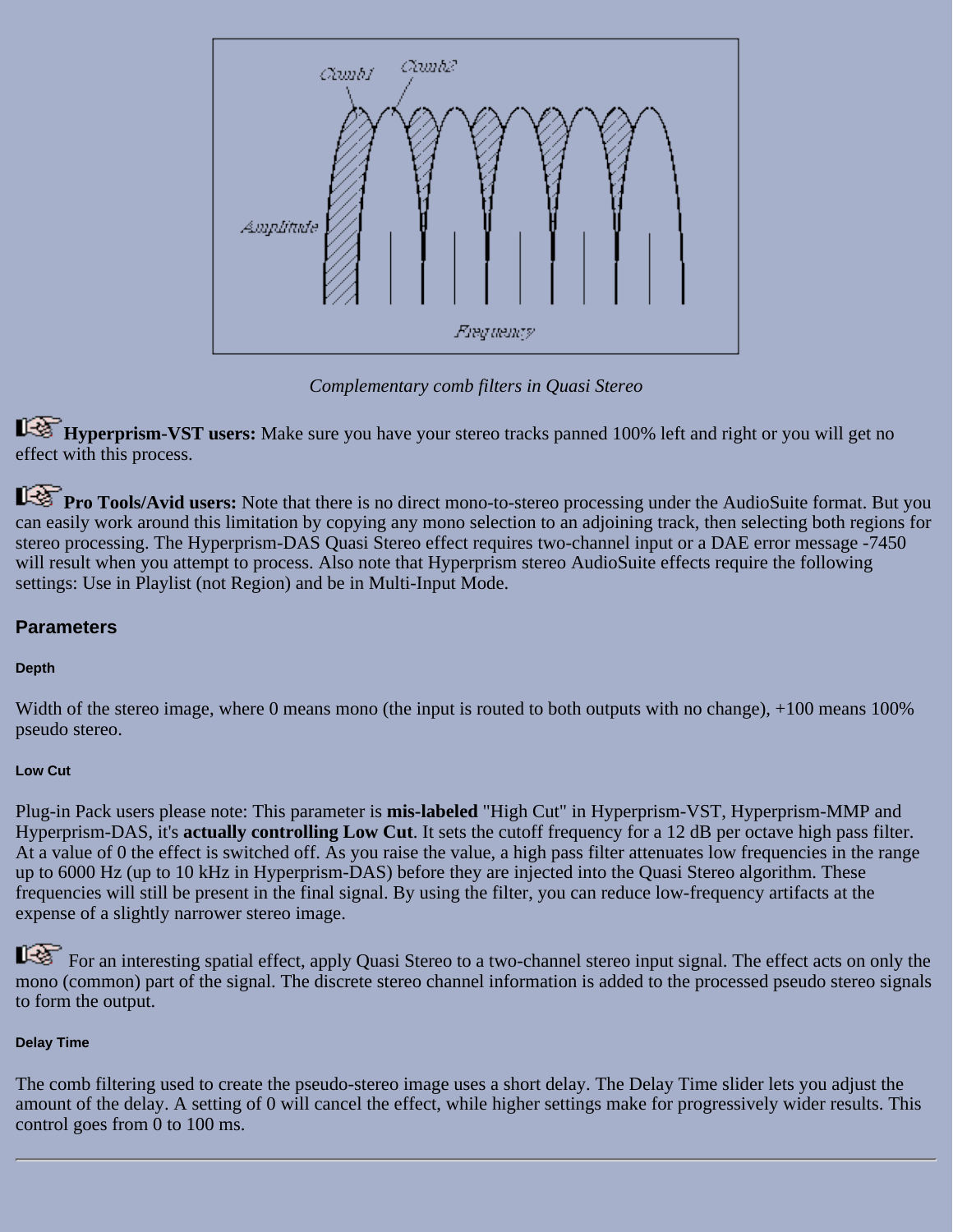

*Complementary comb filters in Quasi Stereo*

**Hyperprism-VST users:** Make sure you have your stereo tracks panned 100% left and right or you will get no effect with this process.

**Pro Tools/Avid users:** Note that there is no direct mono-to-stereo processing under the AudioSuite format. But you can easily work around this limitation by copying any mono selection to an adjoining track, then selecting both regions for stereo processing. The Hyperprism-DAS Quasi Stereo effect requires two-channel input or a DAE error message -7450 will result when you attempt to process. Also note that Hyperprism stereo AudioSuite effects require the following settings: Use in Playlist (not Region) and be in Multi-Input Mode.

## **Parameters**

## **Depth**

Width of the stereo image, where 0 means mono (the input is routed to both outputs with no change), +100 means 100% pseudo stereo.

### **Low Cut**

Plug-in Pack users please note: This parameter is **mis-labeled** "High Cut" in Hyperprism-VST, Hyperprism-MMP and Hyperprism-DAS, it's **actually controlling Low Cut**. It sets the cutoff frequency for a 12 dB per octave high pass filter. At a value of 0 the effect is switched off. As you raise the value, a high pass filter attenuates low frequencies in the range up to 6000 Hz (up to 10 kHz in Hyperprism-DAS) before they are injected into the Quasi Stereo algorithm. These frequencies will still be present in the final signal. By using the filter, you can reduce low-frequency artifacts at the expense of a slightly narrower stereo image.

For an interesting spatial effect, apply Quasi Stereo to a two-channel stereo input signal. The effect acts on only the mono (common) part of the signal. The discrete stereo channel information is added to the processed pseudo stereo signals to form the output.

### **Delay Time**

The comb filtering used to create the pseudo-stereo image uses a short delay. The Delay Time slider lets you adjust the amount of the delay. A setting of 0 will cancel the effect, while higher settings make for progressively wider results. This control goes from 0 to 100 ms.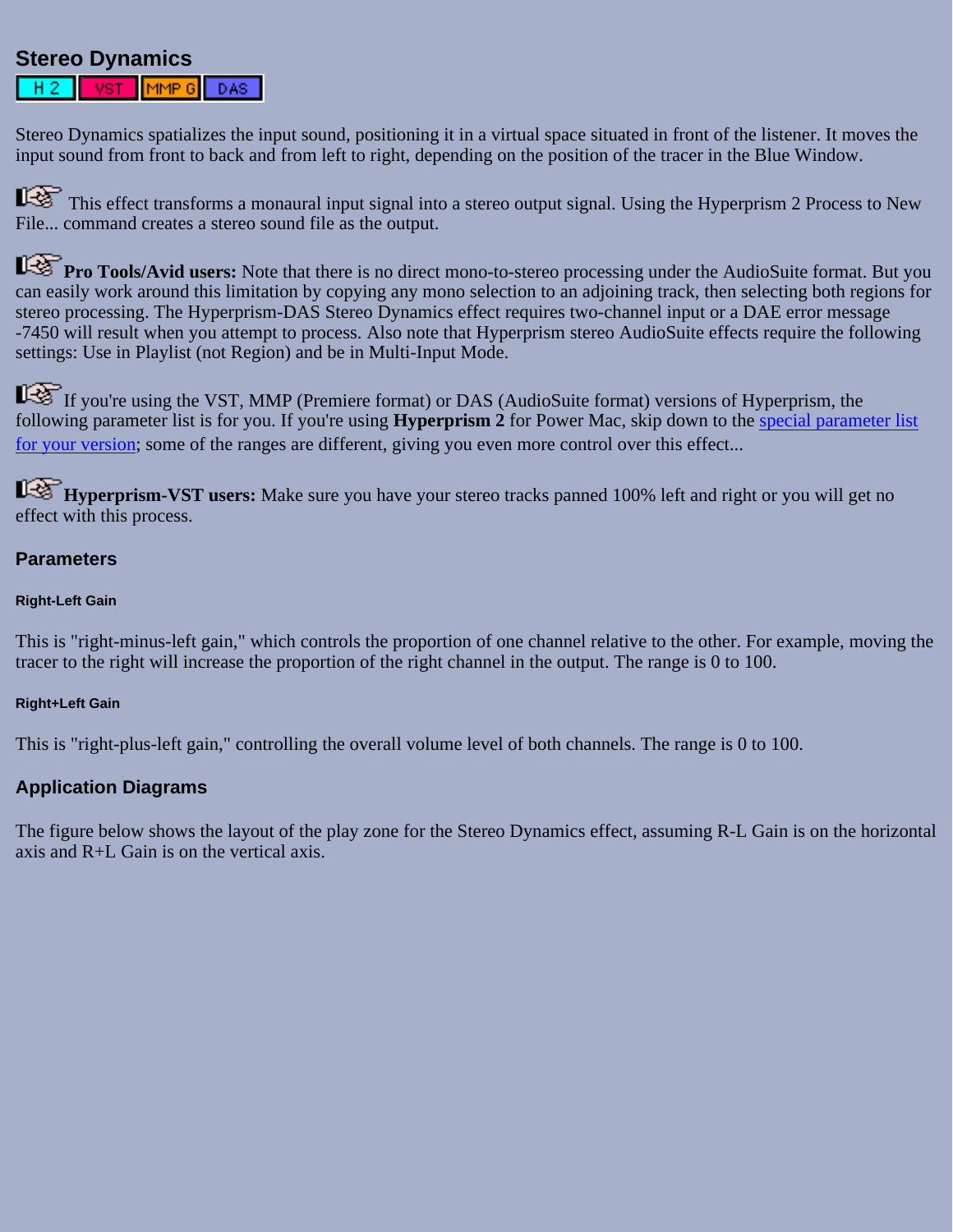# <span id="page-70-0"></span>**Stereo Dynamics**

MMP 6 DAS:

Stereo Dynamics spatializes the input sound, positioning it in a virtual space situated in front of the listener. It moves the input sound from front to back and from left to right, depending on the position of the tracer in the Blue Window.

This effect transforms a monaural input signal into a stereo output signal. Using the Hyperprism 2 Process to New File... command creates a stereo sound file as the output.

**Pro Tools/Avid users:** Note that there is no direct mono-to-stereo processing under the AudioSuite format. But you can easily work around this limitation by copying any mono selection to an adjoining track, then selecting both regions for stereo processing. The Hyperprism-DAS Stereo Dynamics effect requires two-channel input or a DAE error message -7450 will result when you attempt to process. Also note that Hyperprism stereo AudioSuite effects require the following settings: Use in Playlist (not Region) and be in Multi-Input Mode.

If you're using the VST, MMP (Premiere format) or DAS (AudioSuite format) versions of Hyperprism, the following parameter list is for you. If you're using **Hyperprism 2** for Power Mac, skip down to the [special parameter list](#page-72-0) [for your version](#page-72-0); some of the ranges are different, giving you even more control over this effect...

**Hyperprism-VST users:** Make sure you have your stereo tracks panned 100% left and right or you will get no effect with this process.

### **Parameters**

#### **Right-Left Gain**

This is "right-minus-left gain," which controls the proportion of one channel relative to the other. For example, moving the tracer to the right will increase the proportion of the right channel in the output. The range is 0 to 100.

#### **Right+Left Gain**

This is "right-plus-left gain," controlling the overall volume level of both channels. The range is 0 to 100.

### **Application Diagrams**

The figure below shows the layout of the play zone for the Stereo Dynamics effect, assuming R-L Gain is on the horizontal axis and R+L Gain is on the vertical axis.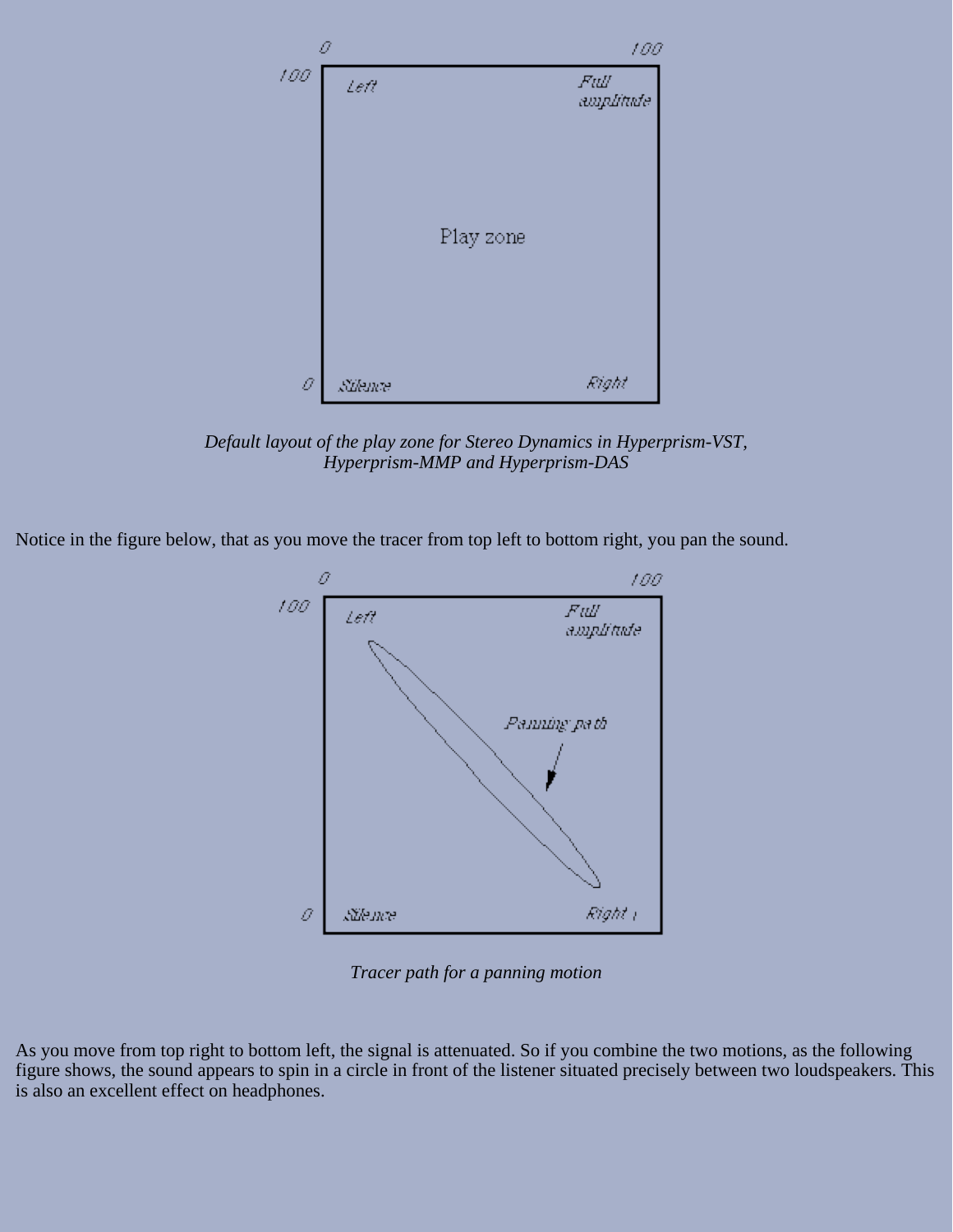

*Default layout of the play zone for Stereo Dynamics in Hyperprism-VST, Hyperprism-MMP and Hyperprism-DAS*

Notice in the figure below, that as you move the tracer from top left to bottom right, you pan the sound.



*Tracer path for a panning motion*

As you move from top right to bottom left, the signal is attenuated. So if you combine the two motions, as the following figure shows, the sound appears to spin in a circle in front of the listener situated precisely between two loudspeakers. This is also an excellent effect on headphones.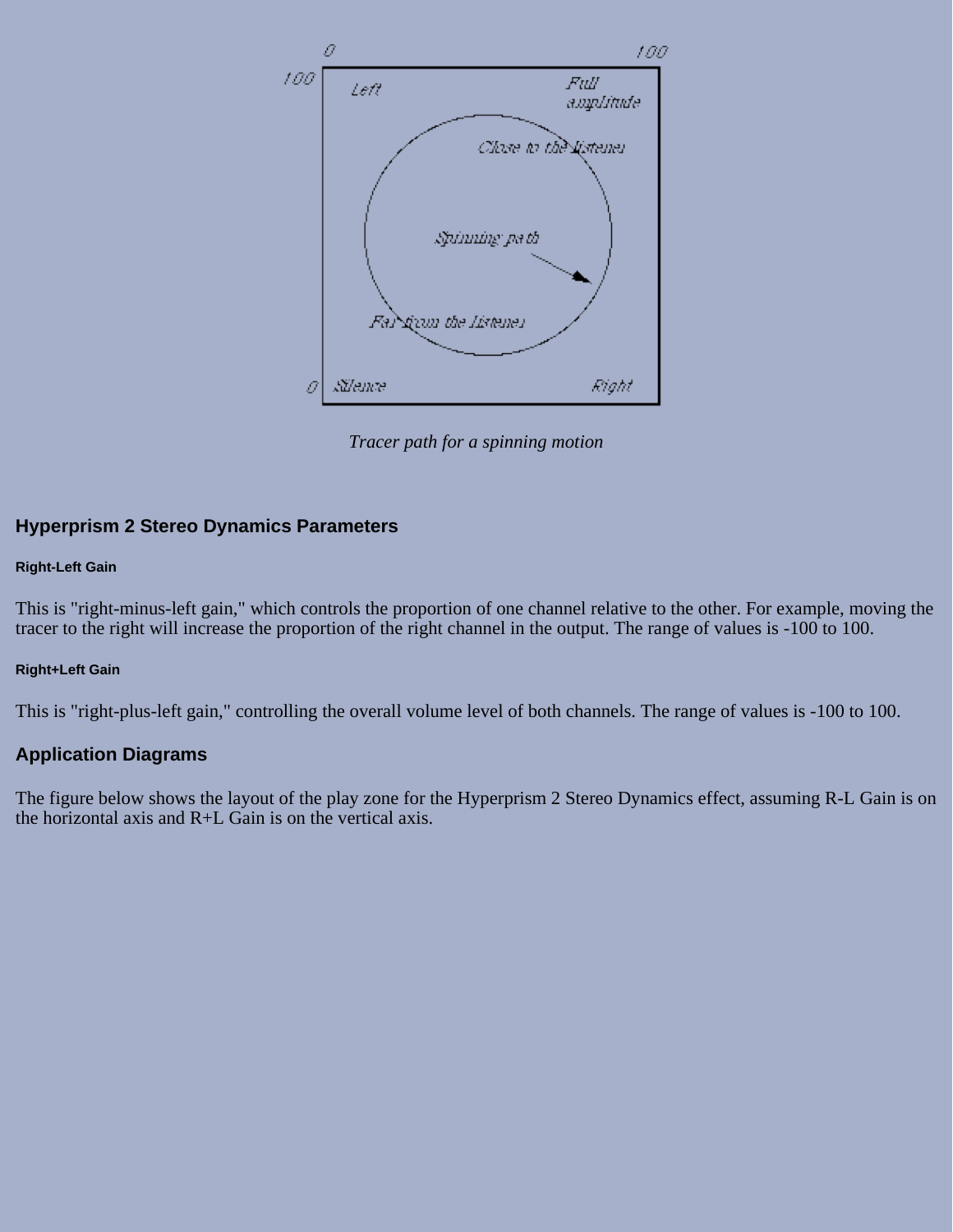

*Tracer path for a spinning motion*

### **Hyperprism 2 Stereo Dynamics Parameters**

#### **Right-Left Gain**

This is "right-minus-left gain," which controls the proportion of one channel relative to the other. For example, moving the tracer to the right will increase the proportion of the right channel in the output. The range of values is -100 to 100.

#### **Right+Left Gain**

This is "right-plus-left gain," controlling the overall volume level of both channels. The range of values is -100 to 100.

### **Application Diagrams**

The figure below shows the layout of the play zone for the Hyperprism 2 Stereo Dynamics effect, assuming R-L Gain is on the horizontal axis and R+L Gain is on the vertical axis.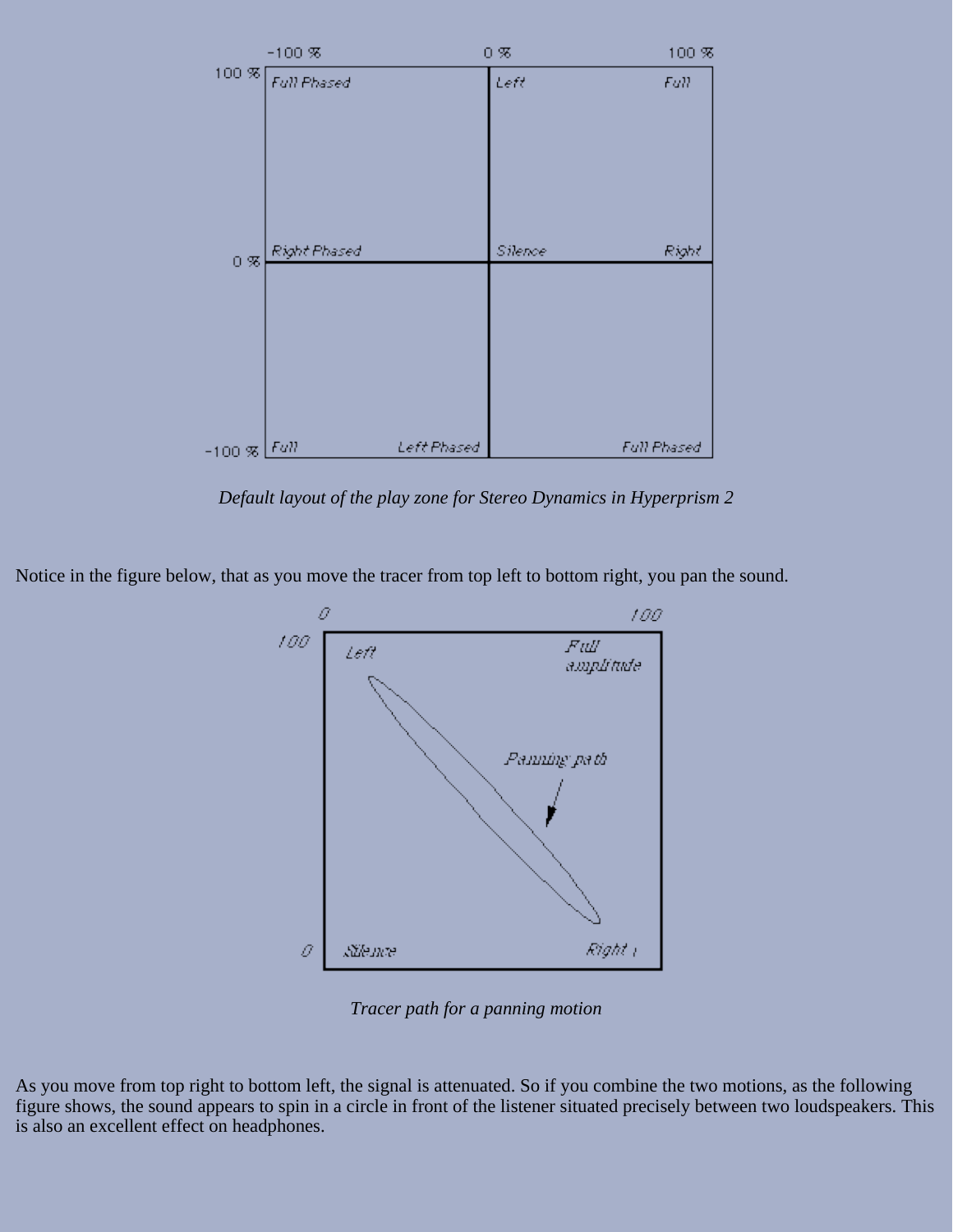

*Default layout of the play zone for Stereo Dynamics in Hyperprism 2*

Notice in the figure below, that as you move the tracer from top left to bottom right, you pan the sound.



*Tracer path for a panning motion*

As you move from top right to bottom left, the signal is attenuated. So if you combine the two motions, as the following figure shows, the sound appears to spin in a circle in front of the listener situated precisely between two loudspeakers. This is also an excellent effect on headphones.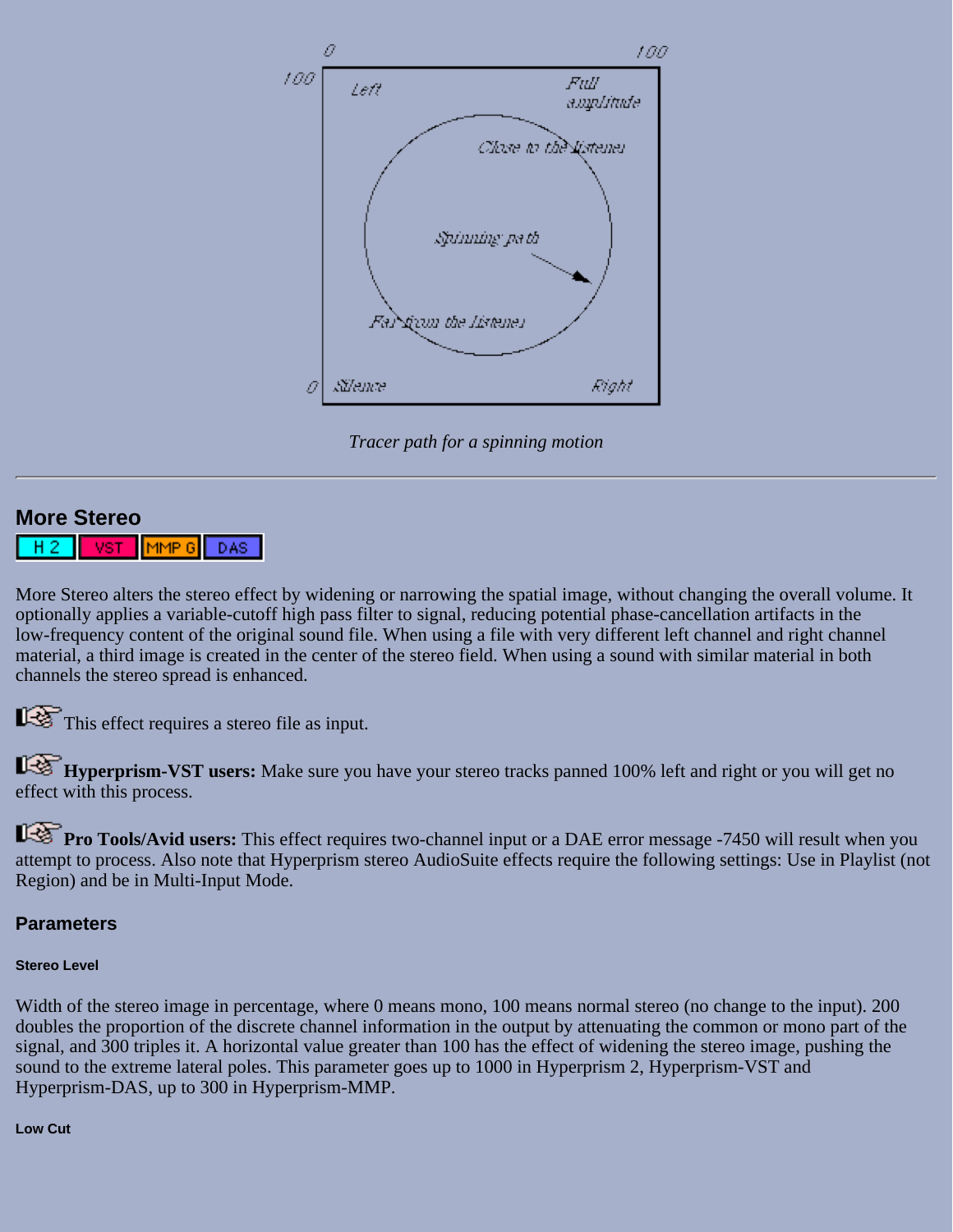

*Tracer path for a spinning motion*

## **More Stereo**

MMP<sub>G</sub> DAS

More Stereo alters the stereo effect by widening or narrowing the spatial image, without changing the overall volume. It optionally applies a variable-cutoff high pass filter to signal, reducing potential phase-cancellation artifacts in the low-frequency content of the original sound file. When using a file with very different left channel and right channel material, a third image is created in the center of the stereo field. When using a sound with similar material in both channels the stereo spread is enhanced.

This effect requires a stereo file as input.

**Hyperprism-VST users:** Make sure you have your stereo tracks panned 100% left and right or you will get no effect with this process.

**Pro Tools/Avid users:** This effect requires two-channel input or a DAE error message -7450 will result when you attempt to process. Also note that Hyperprism stereo AudioSuite effects require the following settings: Use in Playlist (not Region) and be in Multi-Input Mode.

## **Parameters**

## **Stereo Level**

Width of the stereo image in percentage, where 0 means mono, 100 means normal stereo (no change to the input). 200 doubles the proportion of the discrete channel information in the output by attenuating the common or mono part of the signal, and 300 triples it. A horizontal value greater than 100 has the effect of widening the stereo image, pushing the sound to the extreme lateral poles. This parameter goes up to 1000 in Hyperprism 2, Hyperprism-VST and Hyperprism-DAS, up to 300 in Hyperprism-MMP.

#### **Low Cut**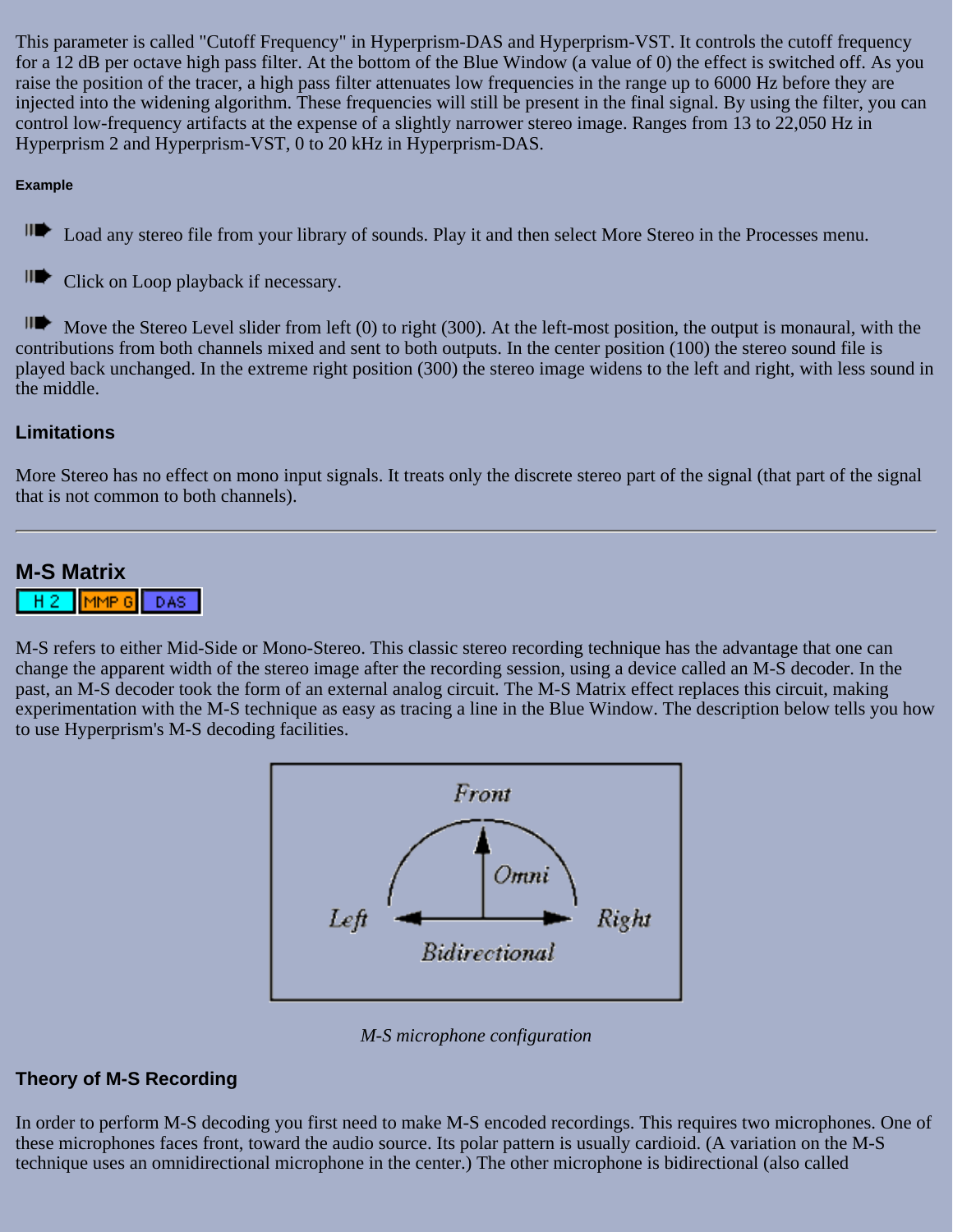This parameter is called "Cutoff Frequency" in Hyperprism-DAS and Hyperprism-VST. It controls the cutoff frequency for a 12 dB per octave high pass filter. At the bottom of the Blue Window (a value of 0) the effect is switched off. As you raise the position of the tracer, a high pass filter attenuates low frequencies in the range up to 6000 Hz before they are injected into the widening algorithm. These frequencies will still be present in the final signal. By using the filter, you can control low-frequency artifacts at the expense of a slightly narrower stereo image. Ranges from 13 to 22,050 Hz in Hyperprism 2 and Hyperprism-VST, 0 to 20 kHz in Hyperprism-DAS.

### **Example**

III Load any stereo file from your library of sounds. Play it and then select More Stereo in the Processes menu.

II Click on Loop playback if necessary.

Move the Stereo Level slider from left (0) to right (300). At the left-most position, the output is monaural, with the contributions from both channels mixed and sent to both outputs. In the center position (100) the stereo sound file is played back unchanged. In the extreme right position (300) the stereo image widens to the left and right, with less sound in the middle.

## **Limitations**

More Stereo has no effect on mono input signals. It treats only the discrete stereo part of the signal (that part of the signal that is not common to both channels).

## **M-S Matrix**

MMP<sub>6</sub> DAS |

M-S refers to either Mid-Side or Mono-Stereo. This classic stereo recording technique has the advantage that one can change the apparent width of the stereo image after the recording session, using a device called an M-S decoder. In the past, an M-S decoder took the form of an external analog circuit. The M-S Matrix effect replaces this circuit, making experimentation with the M-S technique as easy as tracing a line in the Blue Window. The description below tells you how to use Hyperprism's M-S decoding facilities.



*M-S microphone configuration*

### **Theory of M-S Recording**

In order to perform M-S decoding you first need to make M-S encoded recordings. This requires two microphones. One of these microphones faces front, toward the audio source. Its polar pattern is usually cardioid. (A variation on the M-S technique uses an omnidirectional microphone in the center.) The other microphone is bidirectional (also called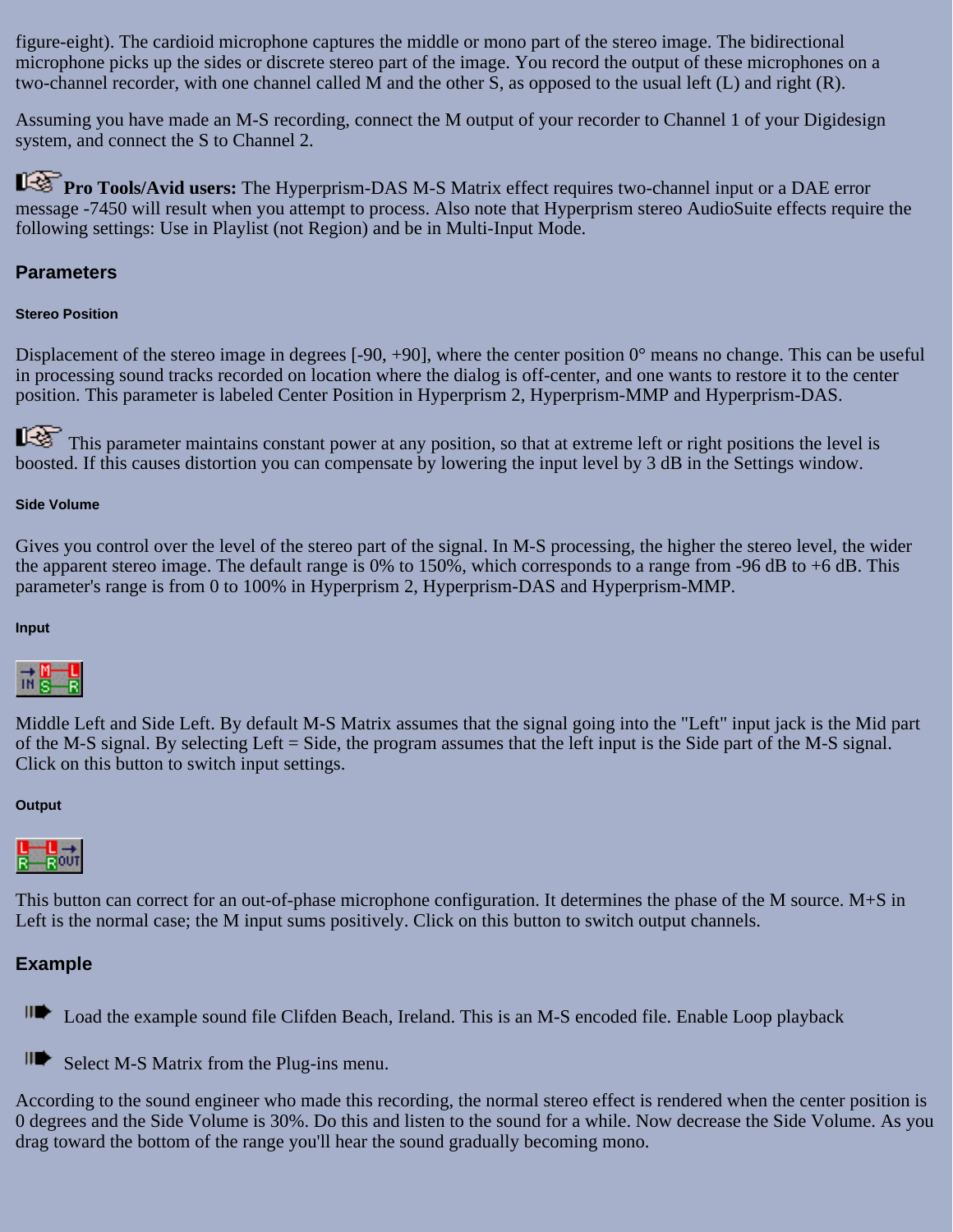figure-eight). The cardioid microphone captures the middle or mono part of the stereo image. The bidirectional microphone picks up the sides or discrete stereo part of the image. You record the output of these microphones on a two-channel recorder, with one channel called M and the other S, as opposed to the usual left (L) and right (R).

Assuming you have made an M-S recording, connect the M output of your recorder to Channel 1 of your Digidesign system, and connect the S to Channel 2.

**Pro Tools/Avid users:** The Hyperprism-DAS M-S Matrix effect requires two-channel input or a DAE error message -7450 will result when you attempt to process. Also note that Hyperprism stereo AudioSuite effects require the following settings: Use in Playlist (not Region) and be in Multi-Input Mode.

### **Parameters**

### **Stereo Position**

Displacement of the stereo image in degrees [-90, +90], where the center position 0° means no change. This can be useful in processing sound tracks recorded on location where the dialog is off-center, and one wants to restore it to the center position. This parameter is labeled Center Position in Hyperprism 2, Hyperprism-MMP and Hyperprism-DAS.

This parameter maintains constant power at any position, so that at extreme left or right positions the level is boosted. If this causes distortion you can compensate by lowering the input level by 3 dB in the Settings window.

### **Side Volume**

Gives you control over the level of the stereo part of the signal. In M-S processing, the higher the stereo level, the wider the apparent stereo image. The default range is 0% to 150%, which corresponds to a range from -96 dB to +6 dB. This parameter's range is from 0 to 100% in Hyperprism 2, Hyperprism-DAS and Hyperprism-MMP.

#### **Input**



Middle Left and Side Left. By default M-S Matrix assumes that the signal going into the "Left" input jack is the Mid part of the M-S signal. By selecting Left = Side, the program assumes that the left input is the Side part of the M-S signal. Click on this button to switch input settings.

#### **Output**



This button can correct for an out-of-phase microphone configuration. It determines the phase of the M source. M+S in Left is the normal case; the M input sums positively. Click on this button to switch output channels.

### **Example**

**ID** Load the example sound file Clifden Beach, Ireland. This is an M-S encoded file. Enable Loop playback

II Select M-S Matrix from the Plug-ins menu.

According to the sound engineer who made this recording, the normal stereo effect is rendered when the center position is 0 degrees and the Side Volume is 30%. Do this and listen to the sound for a while. Now decrease the Side Volume. As you drag toward the bottom of the range you'll hear the sound gradually becoming mono.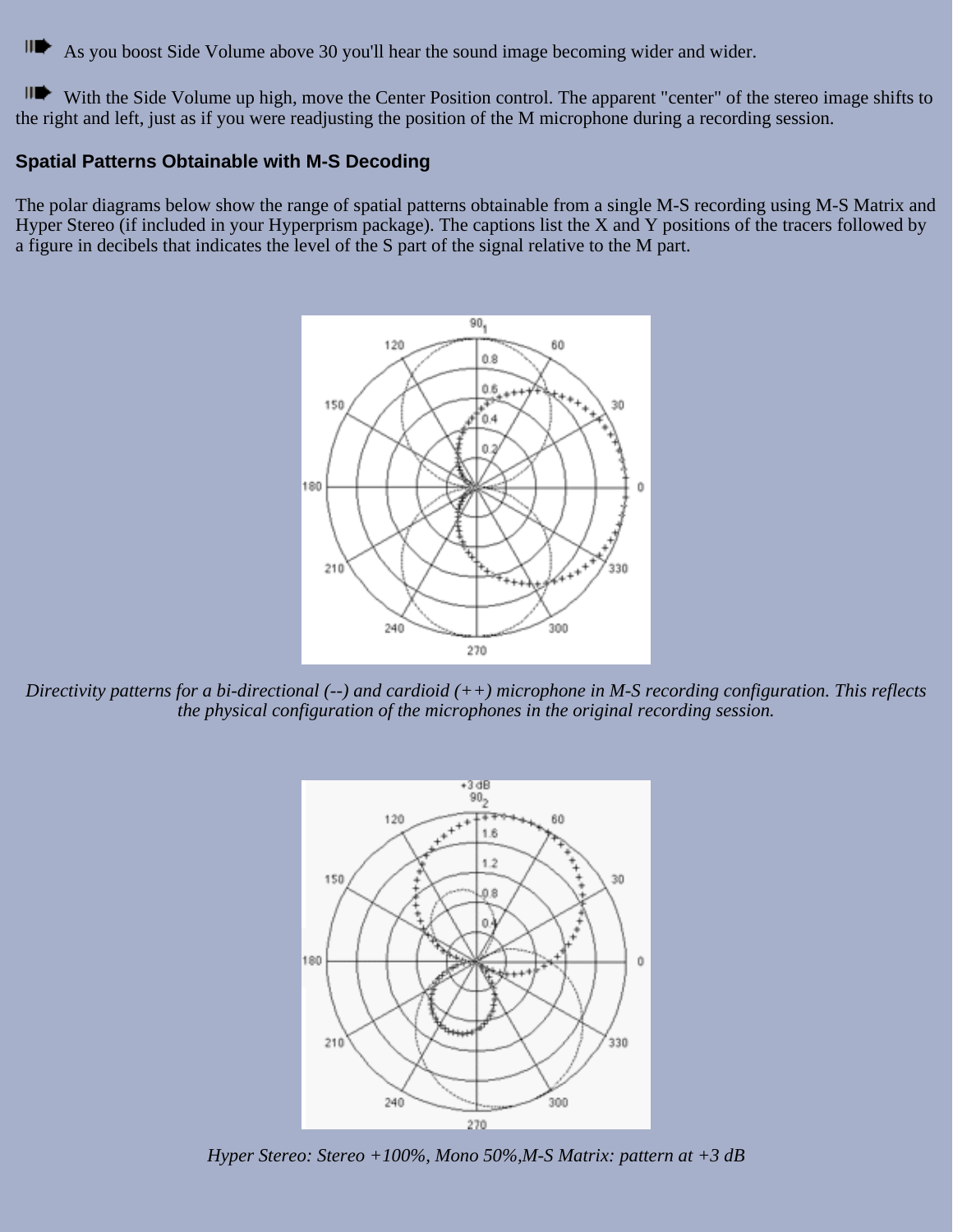Щ As you boost Side Volume above 30 you'll hear the sound image becoming wider and wider.

HD With the Side Volume up high, move the Center Position control. The apparent "center" of the stereo image shifts to the right and left, just as if you were readjusting the position of the M microphone during a recording session.

### **Spatial Patterns Obtainable with M-S Decoding**

The polar diagrams below show the range of spatial patterns obtainable from a single M-S recording using M-S Matrix and Hyper Stereo (if included in your Hyperprism package). The captions list the X and Y positions of the tracers followed by a figure in decibels that indicates the level of the S part of the signal relative to the M part.



*Directivity patterns for a bi-directional (--) and cardioid (++) microphone in M-S recording configuration. This reflects the physical configuration of the microphones in the original recording session.*



*Hyper Stereo: Stereo +100%, Mono 50%,M-S Matrix: pattern at +3 dB*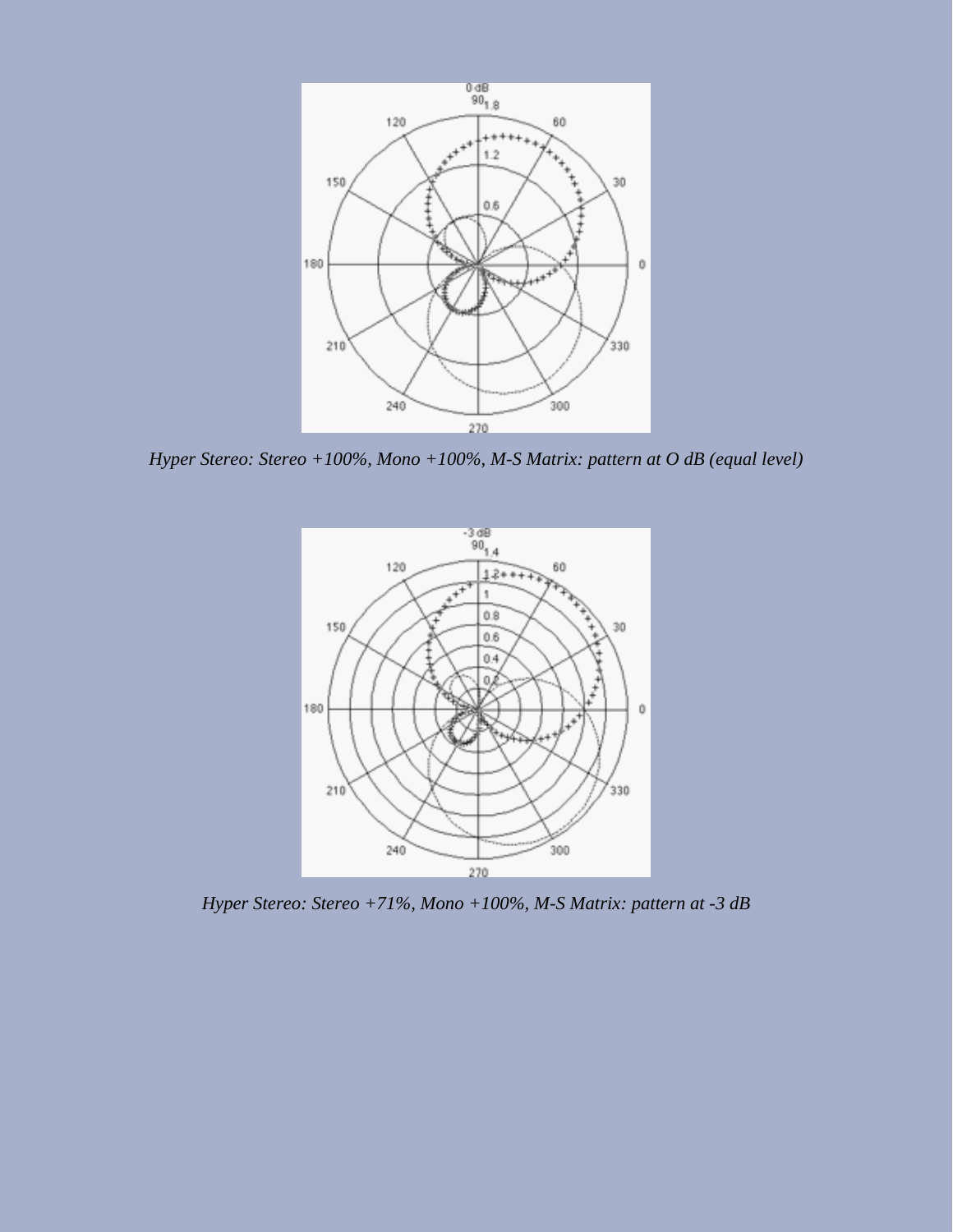

*Hyper Stereo: Stereo +100%, Mono +100%, M-S Matrix: pattern at O dB (equal level)*



*Hyper Stereo: Stereo +71%, Mono +100%, M-S Matrix: pattern at -3 dB*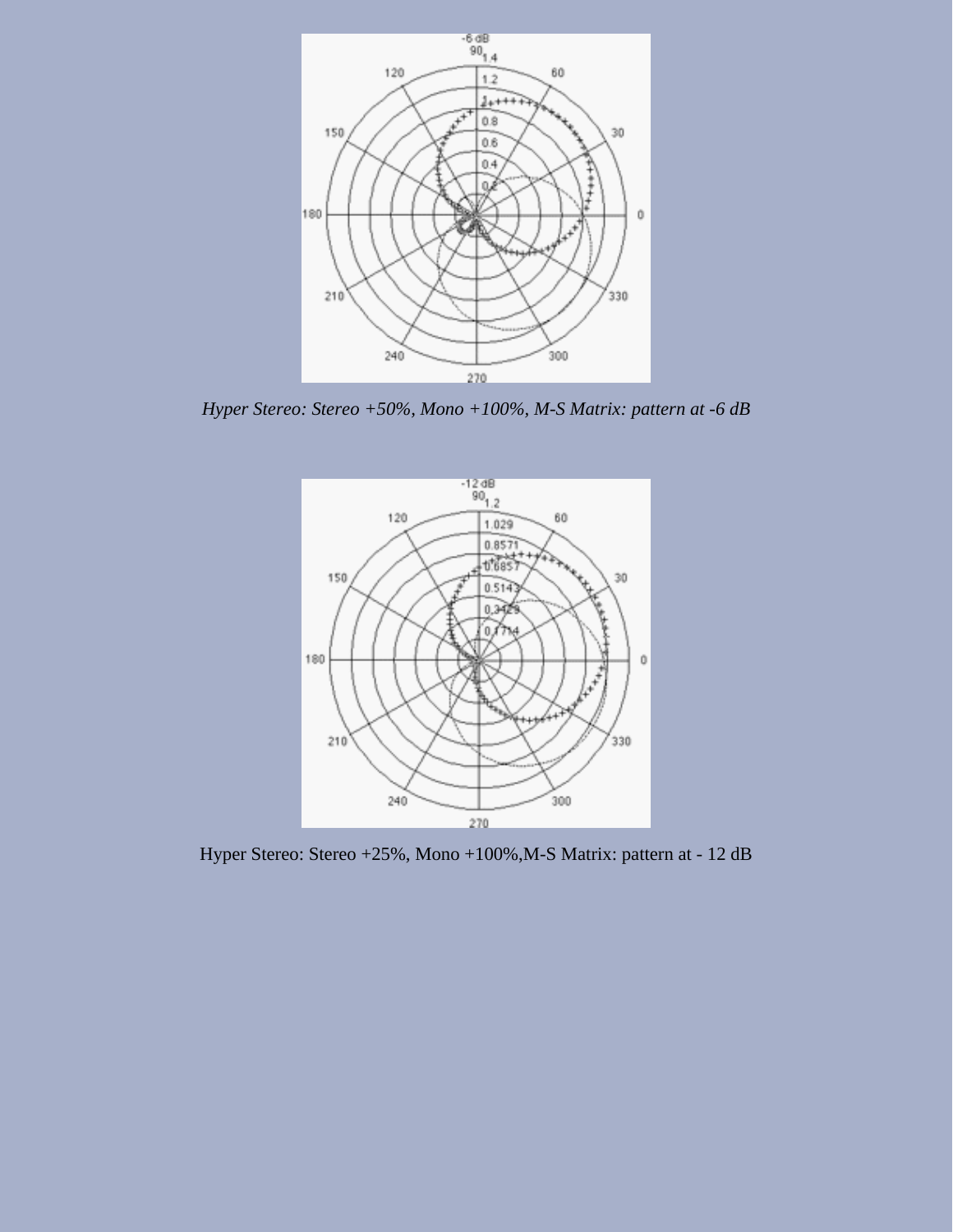

*Hyper Stereo: Stereo +50%, Mono +100%, M-S Matrix: pattern at -6 dB*



Hyper Stereo: Stereo +25%, Mono +100%,M-S Matrix: pattern at - 12 dB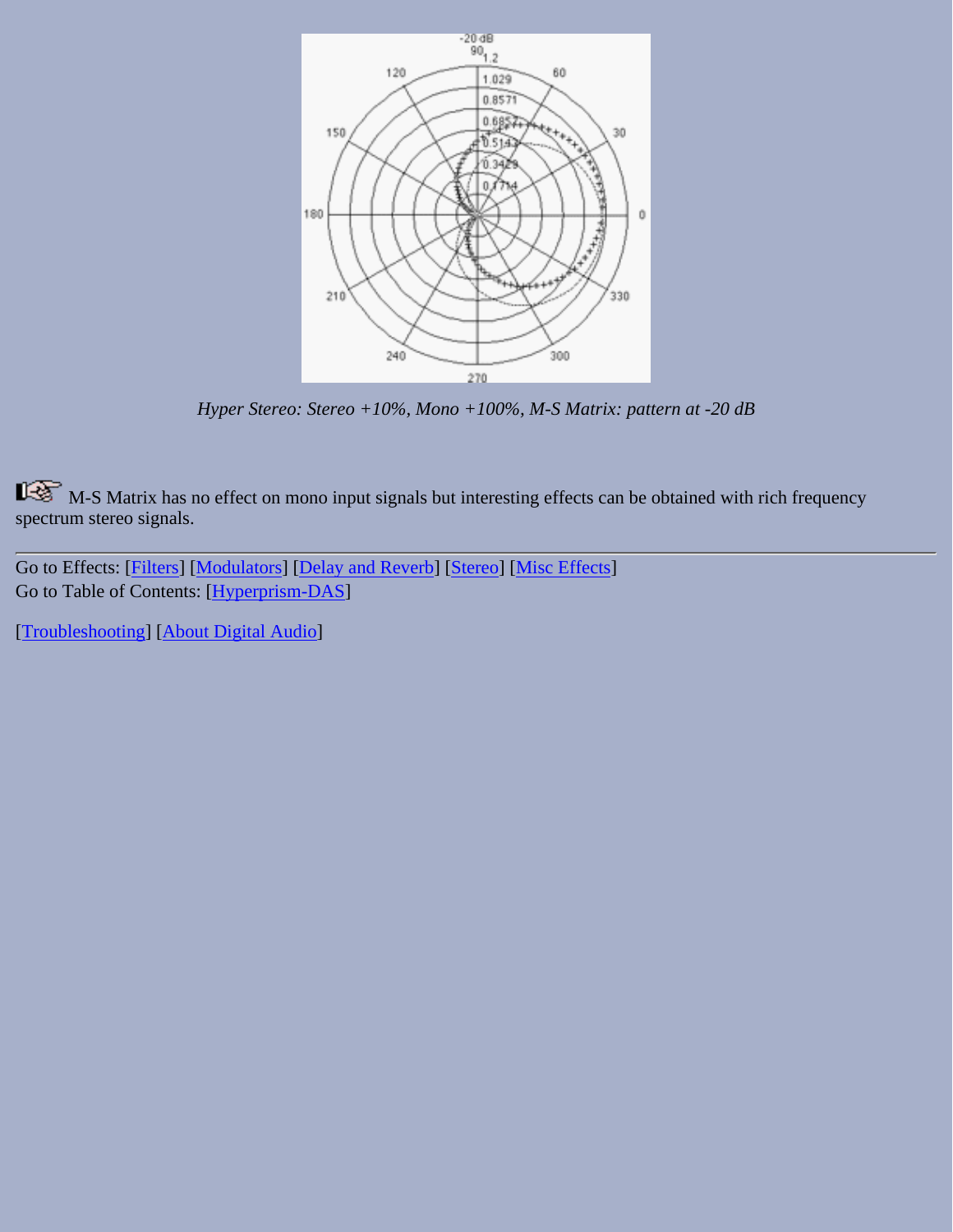

*Hyper Stereo: Stereo +10%, Mono +100%, M-S Matrix: pattern at -20 dB*

M-S Matrix has no effect on mono input signals but interesting effects can be obtained with rich frequency spectrum stereo signals.

Go to Effects: [\[Filters\]](#page-20-0) [[Modulators](#page-31-0)] [\[Delay and Reverb\]](#page-45-0) [[Stereo\]](#page-65-0) [[Misc Effects\]](#page-81-0) Go to Table of Contents: [\[Hyperprism-DAS\]](#page-1-0)

[[Troubleshooting](#page-94-0)] [\[About Digital Audio\]](#page-99-0)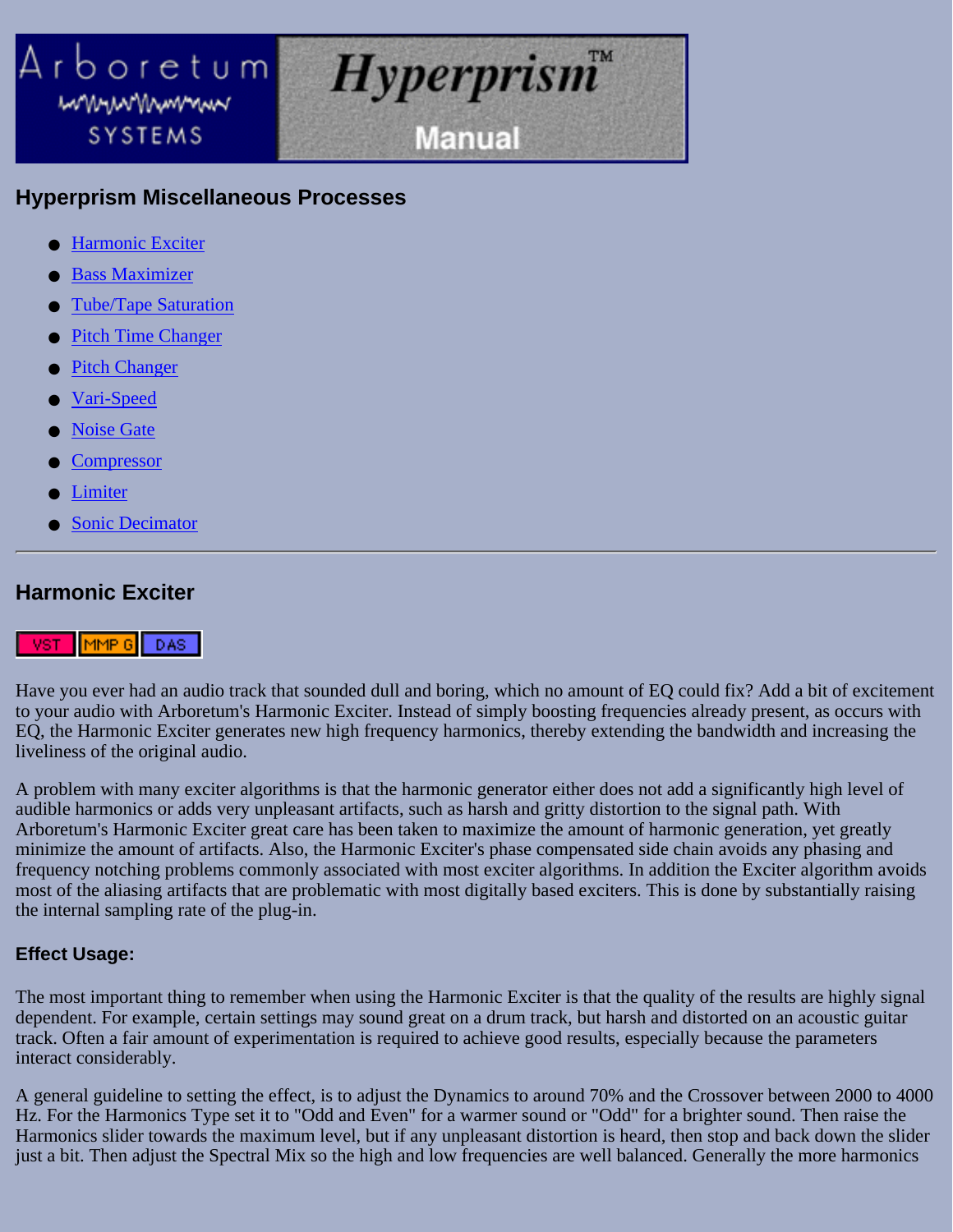# <span id="page-81-0"></span>Arboretum *Hyperprism* mmunwwwww **Manual** SYSTEMS

# **Hyperprism Miscellaneous Processes**

- [Harmonic Exciter](#page-81-1)
- **[Bass Maximizer](#page-83-0)**
- [Tube/Tape Saturation](#page-84-0)
- **[Pitch Time Changer](#page-85-0)**
- **[Pitch Changer](#page-87-0)**
- [Vari-Speed](#page-88-0)
- **[Noise Gate](#page-88-1)**
- **[Compressor](#page-89-0)**
- <u>[Limiter](#page-92-0)</u>
- **[Sonic Decimator](#page-93-0)**

# <span id="page-81-1"></span>**Harmonic Exciter**

#### <u>IVST HMMP GL</u> DAS:

Have you ever had an audio track that sounded dull and boring, which no amount of EQ could fix? Add a bit of excitement to your audio with Arboretum's Harmonic Exciter. Instead of simply boosting frequencies already present, as occurs with EQ, the Harmonic Exciter generates new high frequency harmonics, thereby extending the bandwidth and increasing the liveliness of the original audio.

A problem with many exciter algorithms is that the harmonic generator either does not add a significantly high level of audible harmonics or adds very unpleasant artifacts, such as harsh and gritty distortion to the signal path. With Arboretum's Harmonic Exciter great care has been taken to maximize the amount of harmonic generation, yet greatly minimize the amount of artifacts. Also, the Harmonic Exciter's phase compensated side chain avoids any phasing and frequency notching problems commonly associated with most exciter algorithms. In addition the Exciter algorithm avoids most of the aliasing artifacts that are problematic with most digitally based exciters. This is done by substantially raising the internal sampling rate of the plug-in.

# **Effect Usage:**

The most important thing to remember when using the Harmonic Exciter is that the quality of the results are highly signal dependent. For example, certain settings may sound great on a drum track, but harsh and distorted on an acoustic guitar track. Often a fair amount of experimentation is required to achieve good results, especially because the parameters interact considerably.

A general guideline to setting the effect, is to adjust the Dynamics to around 70% and the Crossover between 2000 to 4000 Hz. For the Harmonics Type set it to "Odd and Even" for a warmer sound or "Odd" for a brighter sound. Then raise the Harmonics slider towards the maximum level, but if any unpleasant distortion is heard, then stop and back down the slider just a bit. Then adjust the Spectral Mix so the high and low frequencies are well balanced. Generally the more harmonics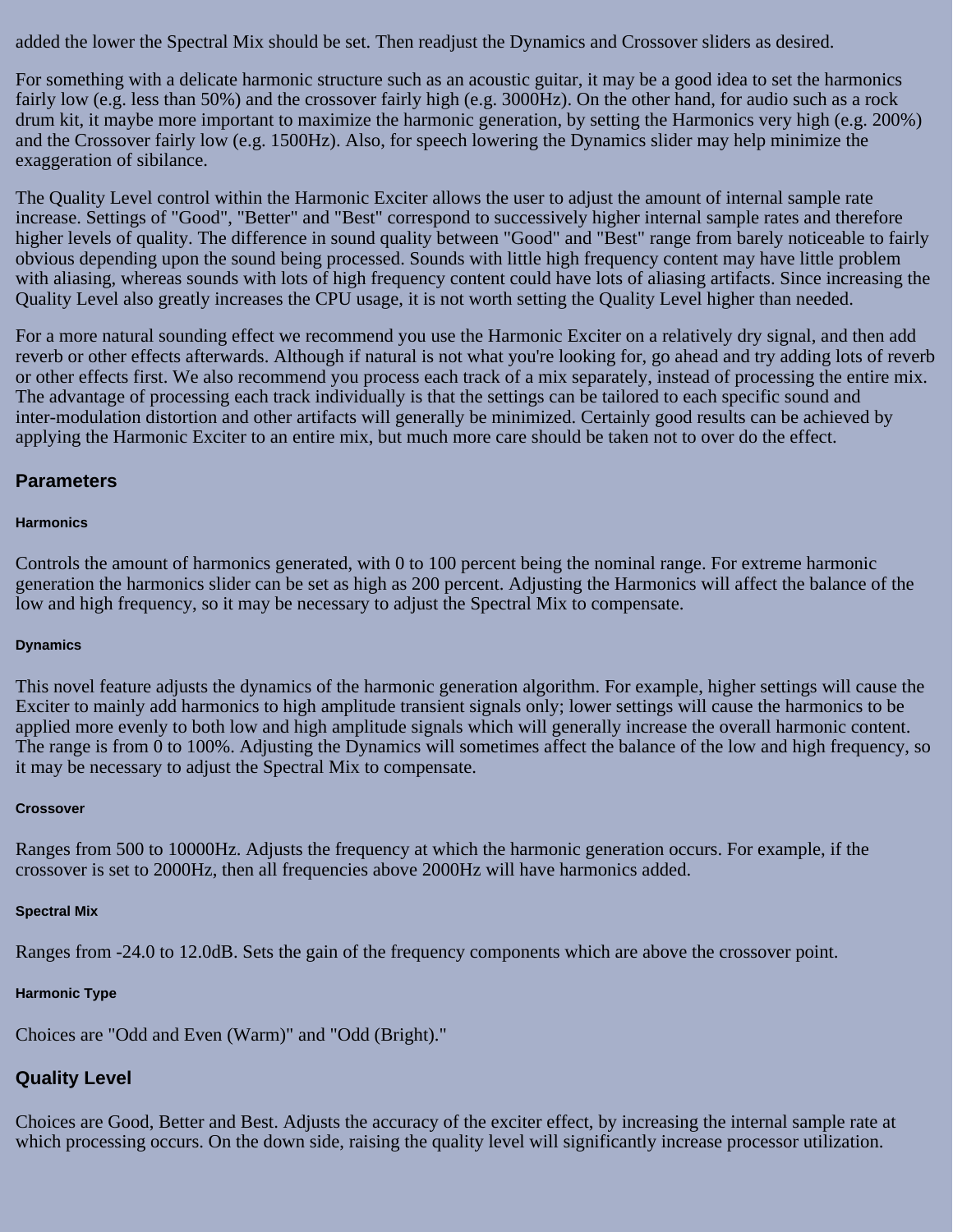added the lower the Spectral Mix should be set. Then readjust the Dynamics and Crossover sliders as desired.

For something with a delicate harmonic structure such as an acoustic guitar, it may be a good idea to set the harmonics fairly low (e.g. less than 50%) and the crossover fairly high (e.g. 3000Hz). On the other hand, for audio such as a rock drum kit, it maybe more important to maximize the harmonic generation, by setting the Harmonics very high (e.g. 200%) and the Crossover fairly low (e.g. 1500Hz). Also, for speech lowering the Dynamics slider may help minimize the exaggeration of sibilance.

The Quality Level control within the Harmonic Exciter allows the user to adjust the amount of internal sample rate increase. Settings of "Good", "Better" and "Best" correspond to successively higher internal sample rates and therefore higher levels of quality. The difference in sound quality between "Good" and "Best" range from barely noticeable to fairly obvious depending upon the sound being processed. Sounds with little high frequency content may have little problem with aliasing, whereas sounds with lots of high frequency content could have lots of aliasing artifacts. Since increasing the Quality Level also greatly increases the CPU usage, it is not worth setting the Quality Level higher than needed.

For a more natural sounding effect we recommend you use the Harmonic Exciter on a relatively dry signal, and then add reverb or other effects afterwards. Although if natural is not what you're looking for, go ahead and try adding lots of reverb or other effects first. We also recommend you process each track of a mix separately, instead of processing the entire mix. The advantage of processing each track individually is that the settings can be tailored to each specific sound and inter-modulation distortion and other artifacts will generally be minimized. Certainly good results can be achieved by applying the Harmonic Exciter to an entire mix, but much more care should be taken not to over do the effect.

### **Parameters**

#### **Harmonics**

Controls the amount of harmonics generated, with 0 to 100 percent being the nominal range. For extreme harmonic generation the harmonics slider can be set as high as 200 percent. Adjusting the Harmonics will affect the balance of the low and high frequency, so it may be necessary to adjust the Spectral Mix to compensate.

#### **Dynamics**

This novel feature adjusts the dynamics of the harmonic generation algorithm. For example, higher settings will cause the Exciter to mainly add harmonics to high amplitude transient signals only; lower settings will cause the harmonics to be applied more evenly to both low and high amplitude signals which will generally increase the overall harmonic content. The range is from 0 to 100%. Adjusting the Dynamics will sometimes affect the balance of the low and high frequency, so it may be necessary to adjust the Spectral Mix to compensate.

#### **Crossover**

Ranges from 500 to 10000Hz. Adjusts the frequency at which the harmonic generation occurs. For example, if the crossover is set to 2000Hz, then all frequencies above 2000Hz will have harmonics added.

#### **Spectral Mix**

Ranges from -24.0 to 12.0dB. Sets the gain of the frequency components which are above the crossover point.

#### **Harmonic Type**

Choices are "Odd and Even (Warm)" and "Odd (Bright)."

## **Quality Level**

Choices are Good, Better and Best. Adjusts the accuracy of the exciter effect, by increasing the internal sample rate at which processing occurs. On the down side, raising the quality level will significantly increase processor utilization.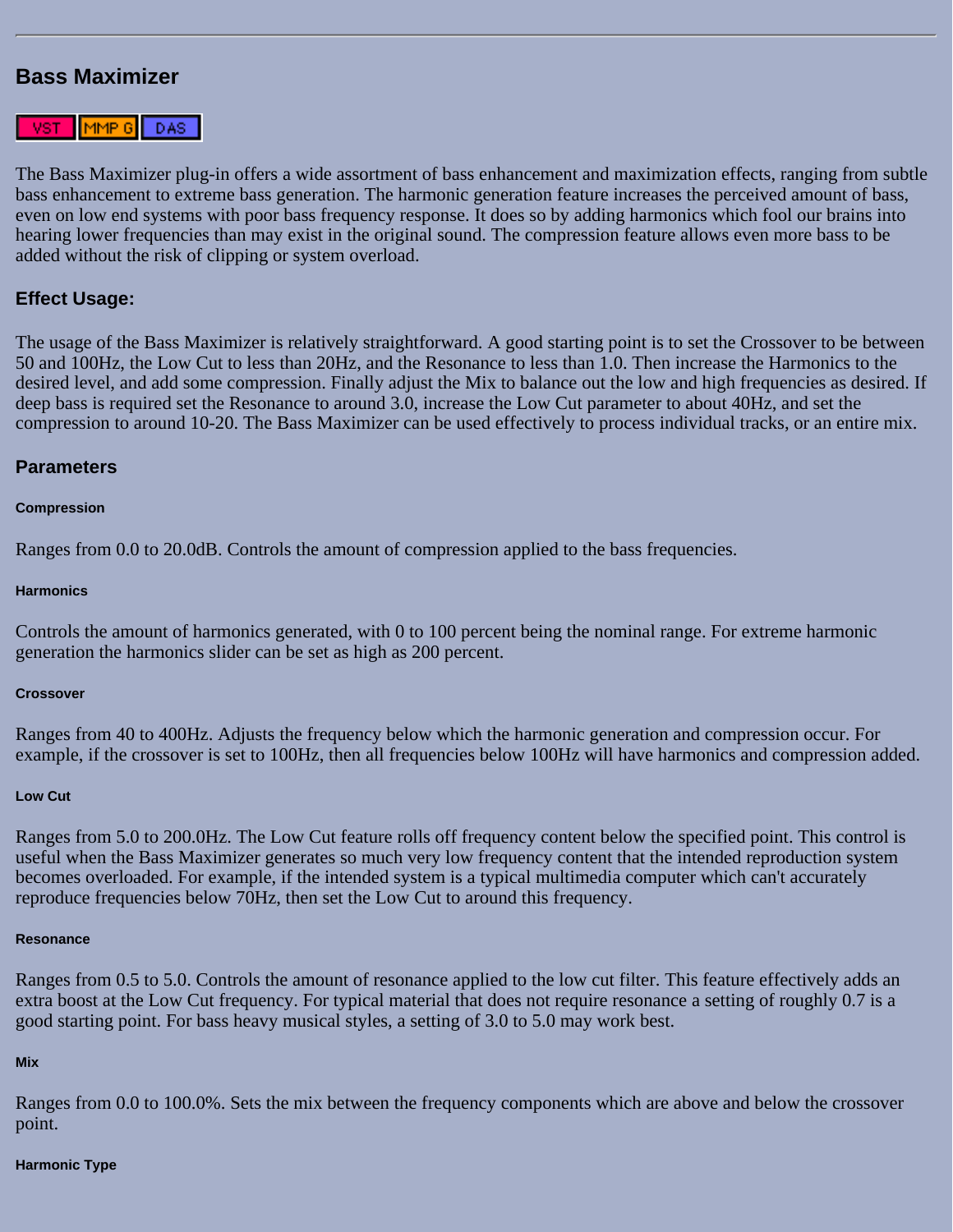## <span id="page-83-0"></span>**Bass Maximizer**



The Bass Maximizer plug-in offers a wide assortment of bass enhancement and maximization effects, ranging from subtle bass enhancement to extreme bass generation. The harmonic generation feature increases the perceived amount of bass, even on low end systems with poor bass frequency response. It does so by adding harmonics which fool our brains into hearing lower frequencies than may exist in the original sound. The compression feature allows even more bass to be added without the risk of clipping or system overload.

### **Effect Usage:**

The usage of the Bass Maximizer is relatively straightforward. A good starting point is to set the Crossover to be between 50 and 100Hz, the Low Cut to less than 20Hz, and the Resonance to less than 1.0. Then increase the Harmonics to the desired level, and add some compression. Finally adjust the Mix to balance out the low and high frequencies as desired. If deep bass is required set the Resonance to around 3.0, increase the Low Cut parameter to about 40Hz, and set the compression to around 10-20. The Bass Maximizer can be used effectively to process individual tracks, or an entire mix.

#### **Parameters**

#### **Compression**

Ranges from 0.0 to 20.0dB. Controls the amount of compression applied to the bass frequencies.

#### **Harmonics**

Controls the amount of harmonics generated, with 0 to 100 percent being the nominal range. For extreme harmonic generation the harmonics slider can be set as high as 200 percent.

#### **Crossover**

Ranges from 40 to 400Hz. Adjusts the frequency below which the harmonic generation and compression occur. For example, if the crossover is set to 100Hz, then all frequencies below 100Hz will have harmonics and compression added.

#### **Low Cut**

Ranges from 5.0 to 200.0Hz. The Low Cut feature rolls off frequency content below the specified point. This control is useful when the Bass Maximizer generates so much very low frequency content that the intended reproduction system becomes overloaded. For example, if the intended system is a typical multimedia computer which can't accurately reproduce frequencies below 70Hz, then set the Low Cut to around this frequency.

#### **Resonance**

Ranges from 0.5 to 5.0. Controls the amount of resonance applied to the low cut filter. This feature effectively adds an extra boost at the Low Cut frequency. For typical material that does not require resonance a setting of roughly 0.7 is a good starting point. For bass heavy musical styles, a setting of 3.0 to 5.0 may work best.

#### **Mix**

Ranges from 0.0 to 100.0%. Sets the mix between the frequency components which are above and below the crossover point.

#### **Harmonic Type**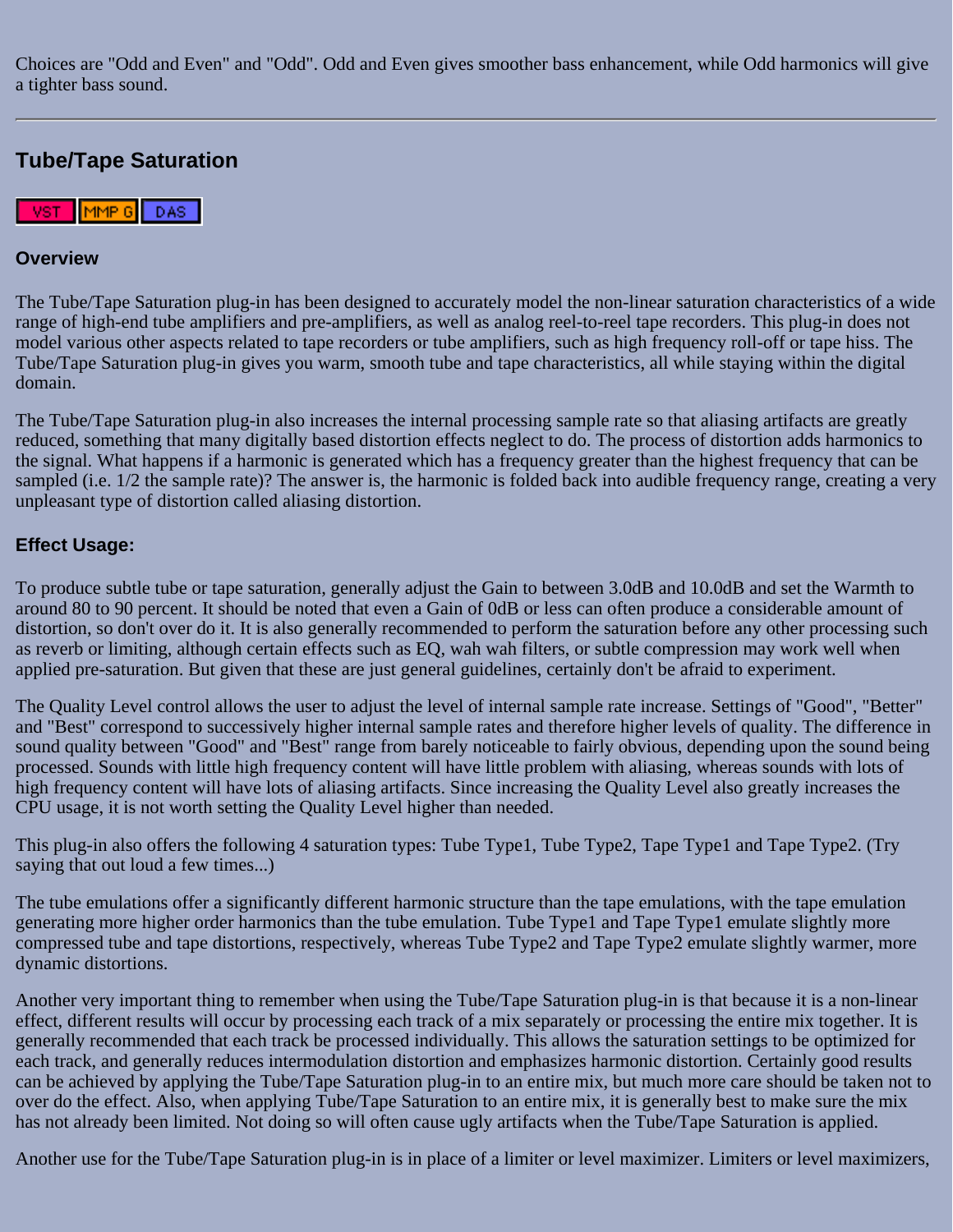Choices are "Odd and Even" and "Odd". Odd and Even gives smoother bass enhancement, while Odd harmonics will give a tighter bass sound.

# <span id="page-84-0"></span>**Tube/Tape Saturation**

 $[$ MMP  $\rm{G}$   $]$ DAS: VST<sub>1</sub>

### **Overview**

The Tube/Tape Saturation plug-in has been designed to accurately model the non-linear saturation characteristics of a wide range of high-end tube amplifiers and pre-amplifiers, as well as analog reel-to-reel tape recorders. This plug-in does not model various other aspects related to tape recorders or tube amplifiers, such as high frequency roll-off or tape hiss. The Tube/Tape Saturation plug-in gives you warm, smooth tube and tape characteristics, all while staying within the digital domain.

The Tube/Tape Saturation plug-in also increases the internal processing sample rate so that aliasing artifacts are greatly reduced, something that many digitally based distortion effects neglect to do. The process of distortion adds harmonics to the signal. What happens if a harmonic is generated which has a frequency greater than the highest frequency that can be sampled (i.e. 1/2 the sample rate)? The answer is, the harmonic is folded back into audible frequency range, creating a very unpleasant type of distortion called aliasing distortion.

## **Effect Usage:**

To produce subtle tube or tape saturation, generally adjust the Gain to between 3.0dB and 10.0dB and set the Warmth to around 80 to 90 percent. It should be noted that even a Gain of 0dB or less can often produce a considerable amount of distortion, so don't over do it. It is also generally recommended to perform the saturation before any other processing such as reverb or limiting, although certain effects such as EQ, wah wah filters, or subtle compression may work well when applied pre-saturation. But given that these are just general guidelines, certainly don't be afraid to experiment.

The Quality Level control allows the user to adjust the level of internal sample rate increase. Settings of "Good", "Better" and "Best" correspond to successively higher internal sample rates and therefore higher levels of quality. The difference in sound quality between "Good" and "Best" range from barely noticeable to fairly obvious, depending upon the sound being processed. Sounds with little high frequency content will have little problem with aliasing, whereas sounds with lots of high frequency content will have lots of aliasing artifacts. Since increasing the Quality Level also greatly increases the CPU usage, it is not worth setting the Quality Level higher than needed.

This plug-in also offers the following 4 saturation types: Tube Type1, Tube Type2, Tape Type1 and Tape Type2. (Try saying that out loud a few times...)

The tube emulations offer a significantly different harmonic structure than the tape emulations, with the tape emulation generating more higher order harmonics than the tube emulation. Tube Type1 and Tape Type1 emulate slightly more compressed tube and tape distortions, respectively, whereas Tube Type2 and Tape Type2 emulate slightly warmer, more dynamic distortions.

Another very important thing to remember when using the Tube/Tape Saturation plug-in is that because it is a non-linear effect, different results will occur by processing each track of a mix separately or processing the entire mix together. It is generally recommended that each track be processed individually. This allows the saturation settings to be optimized for each track, and generally reduces intermodulation distortion and emphasizes harmonic distortion. Certainly good results can be achieved by applying the Tube/Tape Saturation plug-in to an entire mix, but much more care should be taken not to over do the effect. Also, when applying Tube/Tape Saturation to an entire mix, it is generally best to make sure the mix has not already been limited. Not doing so will often cause ugly artifacts when the Tube/Tape Saturation is applied.

Another use for the Tube/Tape Saturation plug-in is in place of a limiter or level maximizer. Limiters or level maximizers,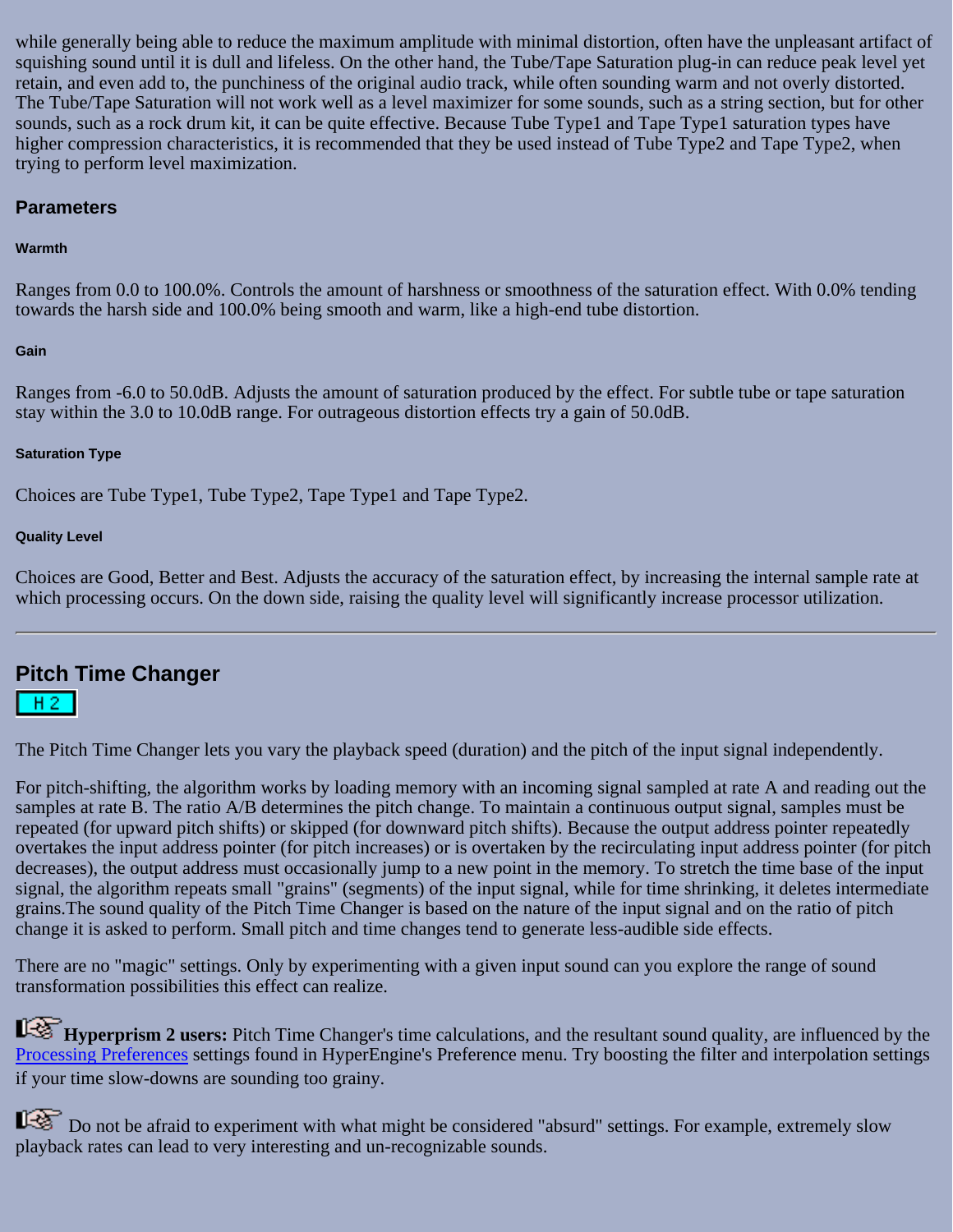while generally being able to reduce the maximum amplitude with minimal distortion, often have the unpleasant artifact of squishing sound until it is dull and lifeless. On the other hand, the Tube/Tape Saturation plug-in can reduce peak level yet retain, and even add to, the punchiness of the original audio track, while often sounding warm and not overly distorted. The Tube/Tape Saturation will not work well as a level maximizer for some sounds, such as a string section, but for other sounds, such as a rock drum kit, it can be quite effective. Because Tube Type1 and Tape Type1 saturation types have higher compression characteristics, it is recommended that they be used instead of Tube Type2 and Tape Type2, when trying to perform level maximization.

### **Parameters**

### **Warmth**

Ranges from 0.0 to 100.0%. Controls the amount of harshness or smoothness of the saturation effect. With 0.0% tending towards the harsh side and 100.0% being smooth and warm, like a high-end tube distortion.

### **Gain**

Ranges from -6.0 to 50.0dB. Adjusts the amount of saturation produced by the effect. For subtle tube or tape saturation stay within the 3.0 to 10.0dB range. For outrageous distortion effects try a gain of 50.0dB.

### **Saturation Type**

Choices are Tube Type1, Tube Type2, Tape Type1 and Tape Type2.

### **Quality Level**

Choices are Good, Better and Best. Adjusts the accuracy of the saturation effect, by increasing the internal sample rate at which processing occurs. On the down side, raising the quality level will significantly increase processor utilization.

## <span id="page-85-0"></span>**Pitch Time Changer**

### $H2$

The Pitch Time Changer lets you vary the playback speed (duration) and the pitch of the input signal independently.

For pitch-shifting, the algorithm works by loading memory with an incoming signal sampled at rate A and reading out the samples at rate B. The ratio A/B determines the pitch change. To maintain a continuous output signal, samples must be repeated (for upward pitch shifts) or skipped (for downward pitch shifts). Because the output address pointer repeatedly overtakes the input address pointer (for pitch increases) or is overtaken by the recirculating input address pointer (for pitch decreases), the output address must occasionally jump to a new point in the memory. To stretch the time base of the input signal, the algorithm repeats small "grains" (segments) of the input signal, while for time shrinking, it deletes intermediate grains.The sound quality of the Pitch Time Changer is based on the nature of the input signal and on the ratio of pitch change it is asked to perform. Small pitch and time changes tend to generate less-audible side effects.

There are no "magic" settings. Only by experimenting with a given input sound can you explore the range of sound transformation possibilities this effect can realize.

**Hyperprism 2 users:** Pitch Time Changer's time calculations, and the resultant sound quality, are influenced by the [Processing Preferences](file:///C|/Program Files/Arboretum Systems/Pdf manual/Hyperprism-DAS-AudioSuite Guide/Hyperprism%202-HyperEngine%20Guide/he_menus.html#anchor134715) settings found in HyperEngine's Preference menu. Try boosting the filter and interpolation settings if your time slow-downs are sounding too grainy.

Do not be afraid to experiment with what might be considered "absurd" settings. For example, extremely slow playback rates can lead to very interesting and un-recognizable sounds.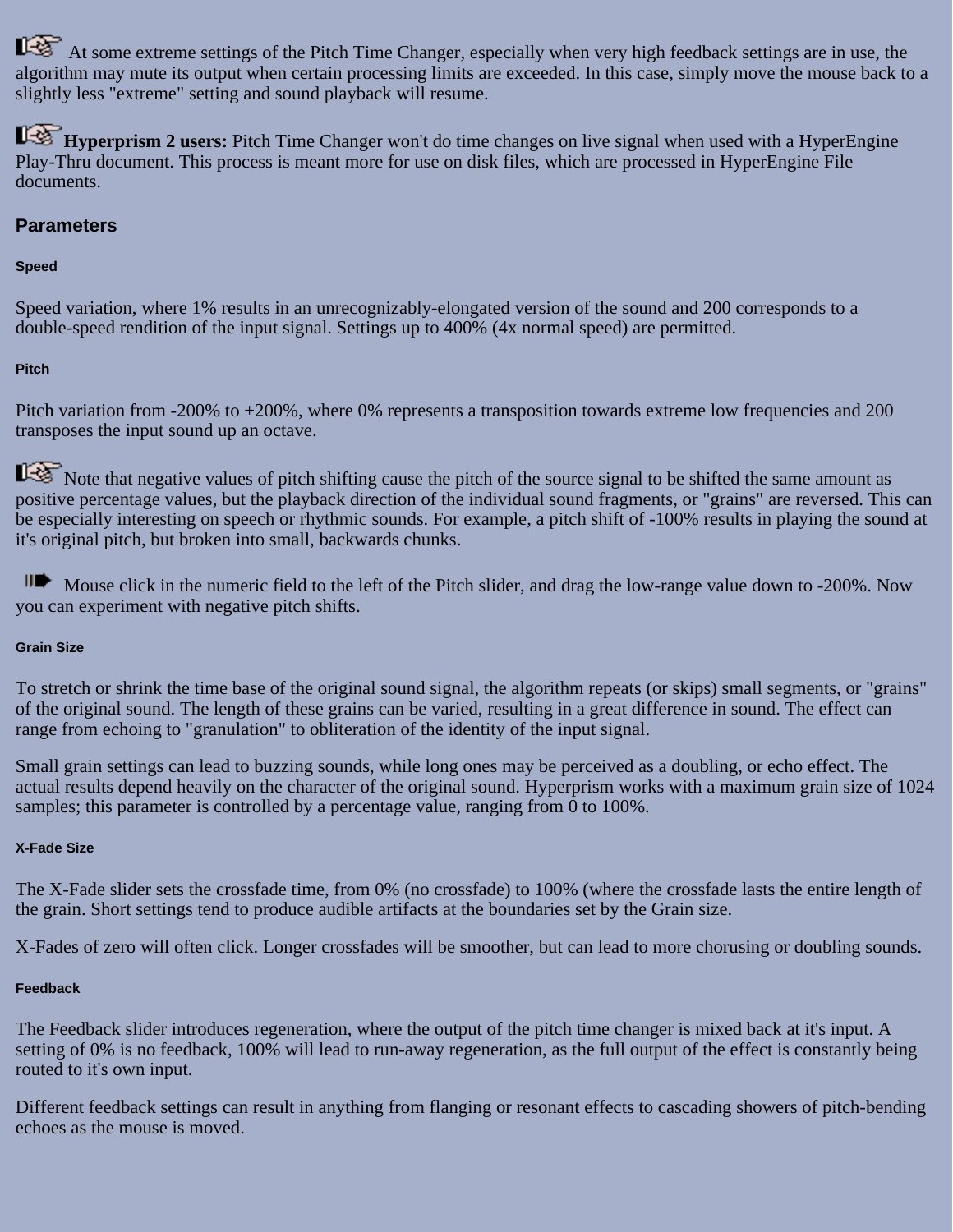At some extreme settings of the Pitch Time Changer, especially when very high feedback settings are in use, the algorithm may mute its output when certain processing limits are exceeded. In this case, simply move the mouse back to a slightly less "extreme" setting and sound playback will resume.

**Hyperprism 2 users:** Pitch Time Changer won't do time changes on live signal when used with a HyperEngine Play-Thru document. This process is meant more for use on disk files, which are processed in HyperEngine File documents.

### **Parameters**

### **Speed**

Speed variation, where 1% results in an unrecognizably-elongated version of the sound and 200 corresponds to a double-speed rendition of the input signal. Settings up to 400% (4x normal speed) are permitted.

### **Pitch**

Pitch variation from -200% to +200%, where 0% represents a transposition towards extreme low frequencies and 200 transposes the input sound up an octave.

Note that negative values of pitch shifting cause the pitch of the source signal to be shifted the same amount as positive percentage values, but the playback direction of the individual sound fragments, or "grains" are reversed. This can be especially interesting on speech or rhythmic sounds. For example, a pitch shift of -100% results in playing the sound at it's original pitch, but broken into small, backwards chunks.

Mouse click in the numeric field to the left of the Pitch slider, and drag the low-range value down to -200%. Now you can experiment with negative pitch shifts.

### **Grain Size**

To stretch or shrink the time base of the original sound signal, the algorithm repeats (or skips) small segments, or "grains" of the original sound. The length of these grains can be varied, resulting in a great difference in sound. The effect can range from echoing to "granulation" to obliteration of the identity of the input signal.

Small grain settings can lead to buzzing sounds, while long ones may be perceived as a doubling, or echo effect. The actual results depend heavily on the character of the original sound. Hyperprism works with a maximum grain size of 1024 samples; this parameter is controlled by a percentage value, ranging from 0 to 100%.

### **X-Fade Size**

The X-Fade slider sets the crossfade time, from 0% (no crossfade) to 100% (where the crossfade lasts the entire length of the grain. Short settings tend to produce audible artifacts at the boundaries set by the Grain size.

X-Fades of zero will often click. Longer crossfades will be smoother, but can lead to more chorusing or doubling sounds.

### **Feedback**

The Feedback slider introduces regeneration, where the output of the pitch time changer is mixed back at it's input. A setting of 0% is no feedback, 100% will lead to run-away regeneration, as the full output of the effect is constantly being routed to it's own input.

Different feedback settings can result in anything from flanging or resonant effects to cascading showers of pitch-bending echoes as the mouse is moved.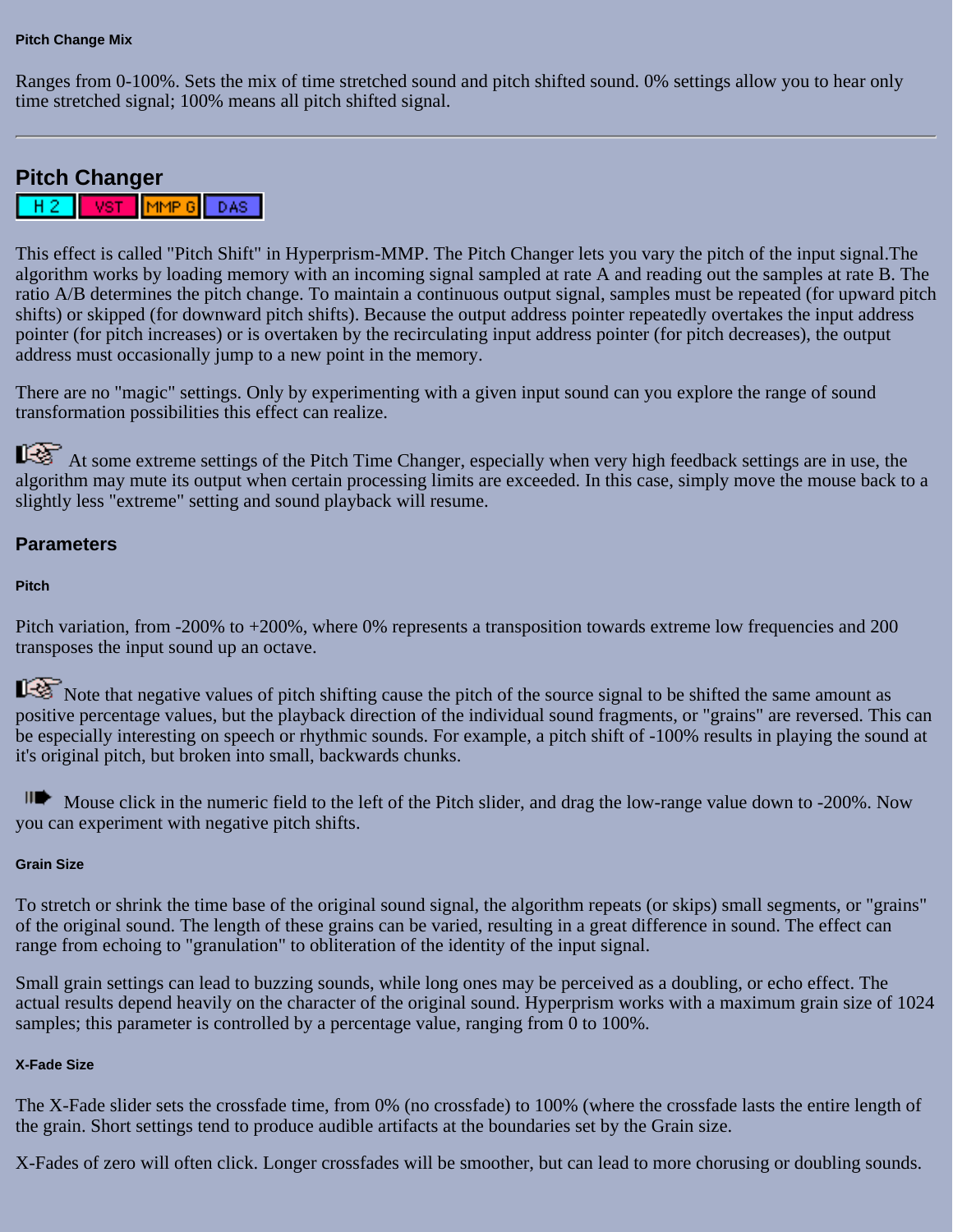Ranges from 0-100%. Sets the mix of time stretched sound and pitch shifted sound. 0% settings allow you to hear only time stretched signal; 100% means all pitch shifted signal.

# <span id="page-87-0"></span>**Pitch Changer**

|MMP G| DAS | **VST** HΖ

This effect is called "Pitch Shift" in Hyperprism-MMP. The Pitch Changer lets you vary the pitch of the input signal.The algorithm works by loading memory with an incoming signal sampled at rate A and reading out the samples at rate B. The ratio A/B determines the pitch change. To maintain a continuous output signal, samples must be repeated (for upward pitch shifts) or skipped (for downward pitch shifts). Because the output address pointer repeatedly overtakes the input address pointer (for pitch increases) or is overtaken by the recirculating input address pointer (for pitch decreases), the output address must occasionally jump to a new point in the memory.

There are no "magic" settings. Only by experimenting with a given input sound can you explore the range of sound transformation possibilities this effect can realize.

At some extreme settings of the Pitch Time Changer, especially when very high feedback settings are in use, the algorithm may mute its output when certain processing limits are exceeded. In this case, simply move the mouse back to a slightly less "extreme" setting and sound playback will resume.

### **Parameters**

### **Pitch**

Pitch variation, from -200% to +200%, where 0% represents a transposition towards extreme low frequencies and 200 transposes the input sound up an octave.

Note that negative values of pitch shifting cause the pitch of the source signal to be shifted the same amount as positive percentage values, but the playback direction of the individual sound fragments, or "grains" are reversed. This can be especially interesting on speech or rhythmic sounds. For example, a pitch shift of -100% results in playing the sound at it's original pitch, but broken into small, backwards chunks.

Mouse click in the numeric field to the left of the Pitch slider, and drag the low-range value down to -200%. Now you can experiment with negative pitch shifts.

### **Grain Size**

To stretch or shrink the time base of the original sound signal, the algorithm repeats (or skips) small segments, or "grains" of the original sound. The length of these grains can be varied, resulting in a great difference in sound. The effect can range from echoing to "granulation" to obliteration of the identity of the input signal.

Small grain settings can lead to buzzing sounds, while long ones may be perceived as a doubling, or echo effect. The actual results depend heavily on the character of the original sound. Hyperprism works with a maximum grain size of 1024 samples; this parameter is controlled by a percentage value, ranging from 0 to 100%.

#### **X-Fade Size**

The X-Fade slider sets the crossfade time, from 0% (no crossfade) to 100% (where the crossfade lasts the entire length of the grain. Short settings tend to produce audible artifacts at the boundaries set by the Grain size.

X-Fades of zero will often click. Longer crossfades will be smoother, but can lead to more chorusing or doubling sounds.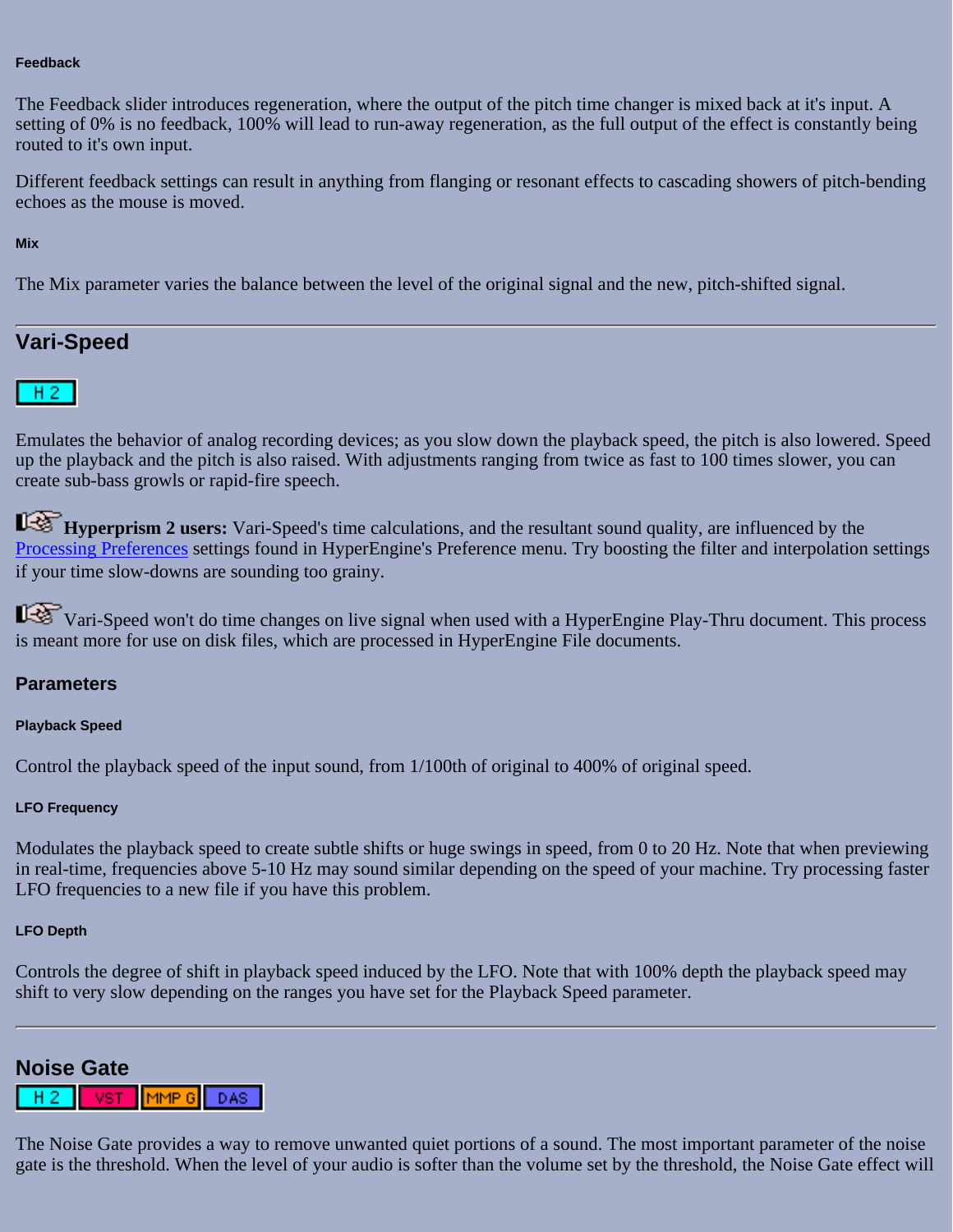#### **Feedback**

The Feedback slider introduces regeneration, where the output of the pitch time changer is mixed back at it's input. A setting of 0% is no feedback, 100% will lead to run-away regeneration, as the full output of the effect is constantly being routed to it's own input.

Different feedback settings can result in anything from flanging or resonant effects to cascading showers of pitch-bending echoes as the mouse is moved.

#### **Mix**

The Mix parameter varies the balance between the level of the original signal and the new, pitch-shifted signal.

## <span id="page-88-0"></span>**Vari-Speed**



Emulates the behavior of analog recording devices; as you slow down the playback speed, the pitch is also lowered. Speed up the playback and the pitch is also raised. With adjustments ranging from twice as fast to 100 times slower, you can create sub-bass growls or rapid-fire speech.

**Hyperprism 2 users:** Vari-Speed's time calculations, and the resultant sound quality, are influenced by the [Processing Preferences](file:///C|/Program Files/Arboretum Systems/Pdf manual/Hyperprism-DAS-AudioSuite Guide/Hyperprism%202-HyperEngine%20Guide/he_menus.html#anchor134715) settings found in HyperEngine's Preference menu. Try boosting the filter and interpolation settings if your time slow-downs are sounding too grainy.

Vari-Speed won't do time changes on live signal when used with a HyperEngine Play-Thru document. This process is meant more for use on disk files, which are processed in HyperEngine File documents.

### **Parameters**

#### **Playback Speed**

Control the playback speed of the input sound, from 1/100th of original to 400% of original speed.

#### **LFO Frequency**

Modulates the playback speed to create subtle shifts or huge swings in speed, from 0 to 20 Hz. Note that when previewing in real-time, frequencies above 5-10 Hz may sound similar depending on the speed of your machine. Try processing faster LFO frequencies to a new file if you have this problem.

#### **LFO Depth**

Controls the degree of shift in playback speed induced by the LFO. Note that with 100% depth the playback speed may shift to very slow depending on the ranges you have set for the Playback Speed parameter.

### <span id="page-88-1"></span>**Noise Gate**



The Noise Gate provides a way to remove unwanted quiet portions of a sound. The most important parameter of the noise gate is the threshold. When the level of your audio is softer than the volume set by the threshold, the Noise Gate effect will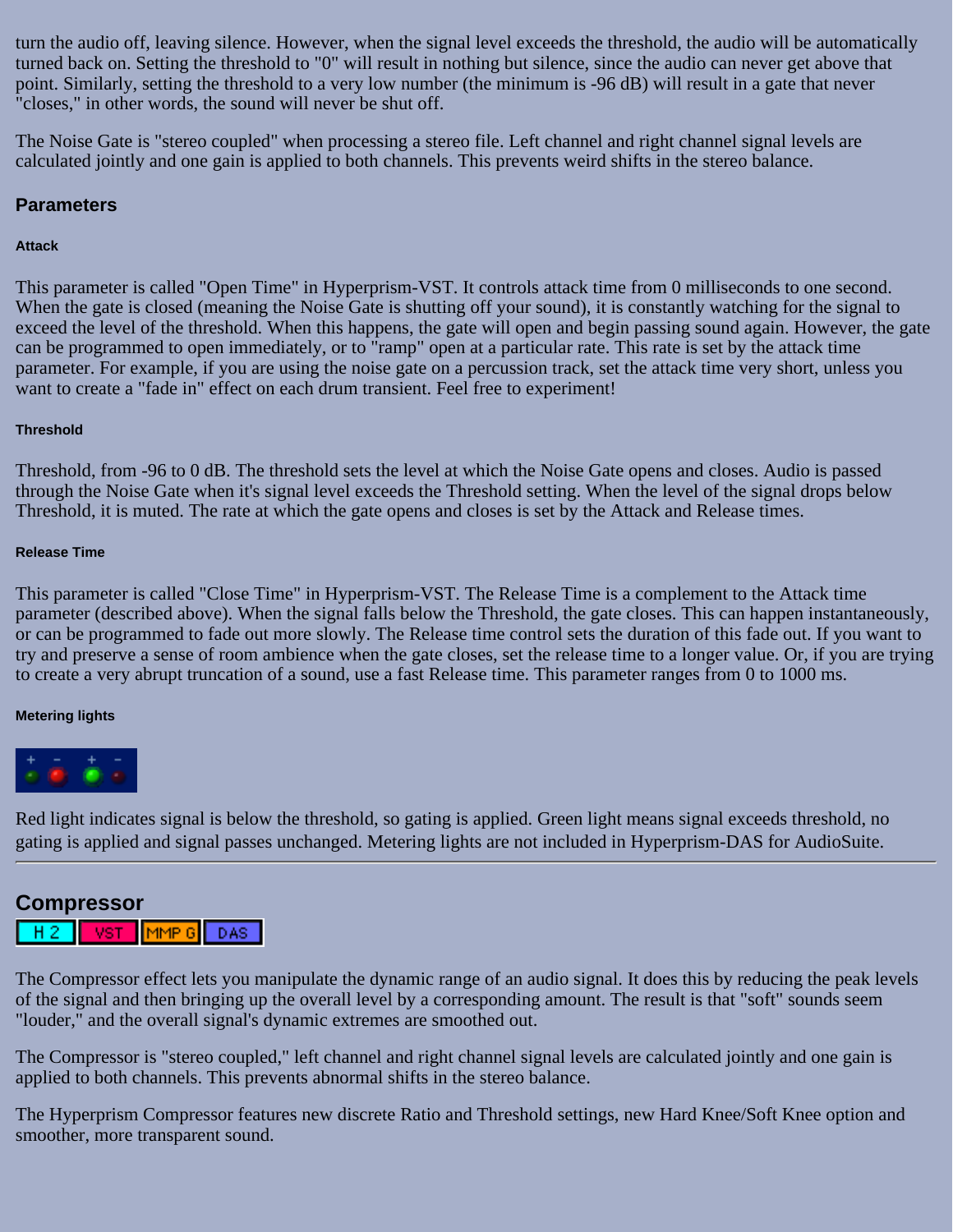turn the audio off, leaving silence. However, when the signal level exceeds the threshold, the audio will be automatically turned back on. Setting the threshold to "0" will result in nothing but silence, since the audio can never get above that point. Similarly, setting the threshold to a very low number (the minimum is -96 dB) will result in a gate that never "closes," in other words, the sound will never be shut off.

The Noise Gate is "stereo coupled" when processing a stereo file. Left channel and right channel signal levels are calculated jointly and one gain is applied to both channels. This prevents weird shifts in the stereo balance.

### **Parameters**

### **Attack**

This parameter is called "Open Time" in Hyperprism-VST. It controls attack time from 0 milliseconds to one second. When the gate is closed (meaning the Noise Gate is shutting off your sound), it is constantly watching for the signal to exceed the level of the threshold. When this happens, the gate will open and begin passing sound again. However, the gate can be programmed to open immediately, or to "ramp" open at a particular rate. This rate is set by the attack time parameter. For example, if you are using the noise gate on a percussion track, set the attack time very short, unless you want to create a "fade in" effect on each drum transient. Feel free to experiment!

### **Threshold**

Threshold, from -96 to 0 dB. The threshold sets the level at which the Noise Gate opens and closes. Audio is passed through the Noise Gate when it's signal level exceeds the Threshold setting. When the level of the signal drops below Threshold, it is muted. The rate at which the gate opens and closes is set by the Attack and Release times.

### **Release Time**

This parameter is called "Close Time" in Hyperprism-VST. The Release Time is a complement to the Attack time parameter (described above). When the signal falls below the Threshold, the gate closes. This can happen instantaneously, or can be programmed to fade out more slowly. The Release time control sets the duration of this fade out. If you want to try and preserve a sense of room ambience when the gate closes, set the release time to a longer value. Or, if you are trying to create a very abrupt truncation of a sound, use a fast Release time. This parameter ranges from 0 to 1000 ms.

### **Metering lights**



Red light indicates signal is below the threshold, so gating is applied. Green light means signal exceeds threshold, no gating is applied and signal passes unchanged. Metering lights are not included in Hyperprism-DAS for AudioSuite.

## <span id="page-89-0"></span>**Compressor**



The Compressor effect lets you manipulate the dynamic range of an audio signal. It does this by reducing the peak levels of the signal and then bringing up the overall level by a corresponding amount. The result is that "soft" sounds seem "louder," and the overall signal's dynamic extremes are smoothed out.

The Compressor is "stereo coupled," left channel and right channel signal levels are calculated jointly and one gain is applied to both channels. This prevents abnormal shifts in the stereo balance.

The Hyperprism Compressor features new discrete Ratio and Threshold settings, new Hard Knee/Soft Knee option and smoother, more transparent sound.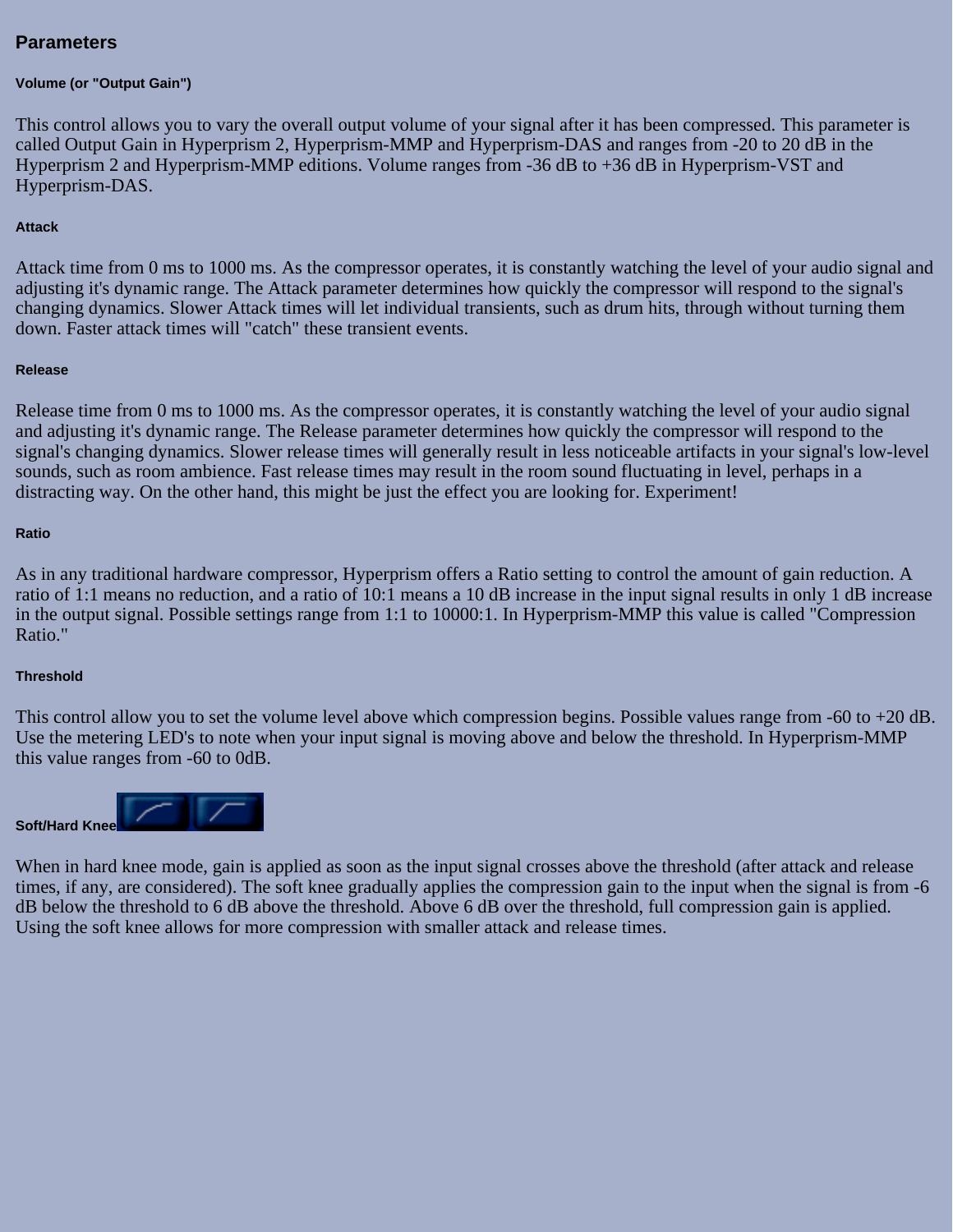### **Parameters**

#### **Volume (or "Output Gain")**

This control allows you to vary the overall output volume of your signal after it has been compressed. This parameter is called Output Gain in Hyperprism 2, Hyperprism-MMP and Hyperprism-DAS and ranges from -20 to 20 dB in the Hyperprism 2 and Hyperprism-MMP editions. Volume ranges from -36 dB to +36 dB in Hyperprism-VST and Hyperprism-DAS.

#### **Attack**

Attack time from 0 ms to 1000 ms. As the compressor operates, it is constantly watching the level of your audio signal and adjusting it's dynamic range. The Attack parameter determines how quickly the compressor will respond to the signal's changing dynamics. Slower Attack times will let individual transients, such as drum hits, through without turning them down. Faster attack times will "catch" these transient events.

#### **Release**

Release time from 0 ms to 1000 ms. As the compressor operates, it is constantly watching the level of your audio signal and adjusting it's dynamic range. The Release parameter determines how quickly the compressor will respond to the signal's changing dynamics. Slower release times will generally result in less noticeable artifacts in your signal's low-level sounds, such as room ambience. Fast release times may result in the room sound fluctuating in level, perhaps in a distracting way. On the other hand, this might be just the effect you are looking for. Experiment!

#### **Ratio**

As in any traditional hardware compressor, Hyperprism offers a Ratio setting to control the amount of gain reduction. A ratio of 1:1 means no reduction, and a ratio of 10:1 means a 10 dB increase in the input signal results in only 1 dB increase in the output signal. Possible settings range from 1:1 to 10000:1. In Hyperprism-MMP this value is called "Compression Ratio."

#### **Threshold**

This control allow you to set the volume level above which compression begins. Possible values range from -60 to +20 dB. Use the metering LED's to note when your input signal is moving above and below the threshold. In Hyperprism-MMP this value ranges from -60 to 0dB.



When in hard knee mode, gain is applied as soon as the input signal crosses above the threshold (after attack and release times, if any, are considered). The soft knee gradually applies the compression gain to the input when the signal is from -6 dB below the threshold to 6 dB above the threshold. Above 6 dB over the threshold, full compression gain is applied. Using the soft knee allows for more compression with smaller attack and release times.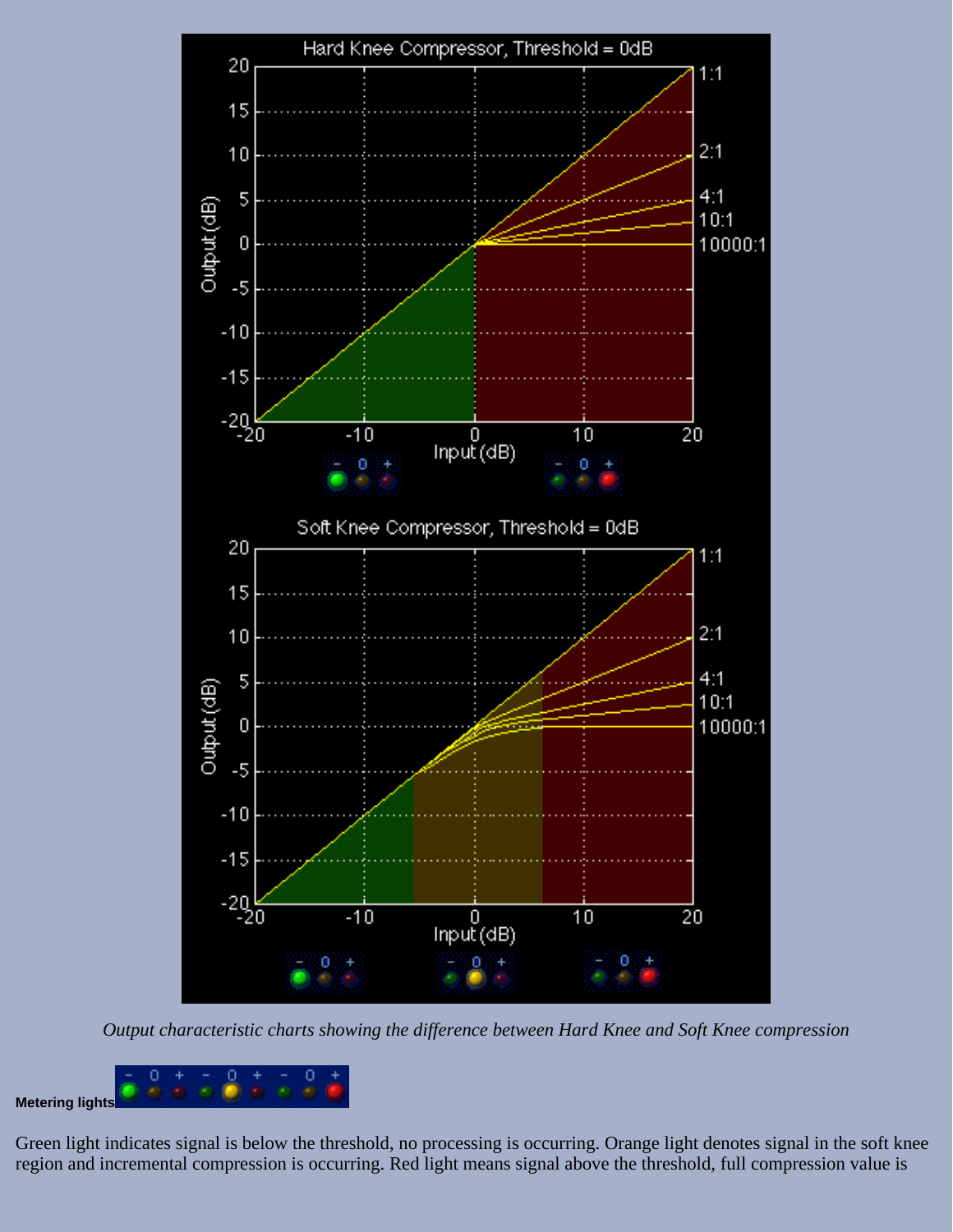

*Output characteristic charts showing the difference between Hard Knee and Soft Knee compression*



Green light indicates signal is below the threshold, no processing is occurring. Orange light denotes signal in the soft knee region and incremental compression is occurring. Red light means signal above the threshold, full compression value is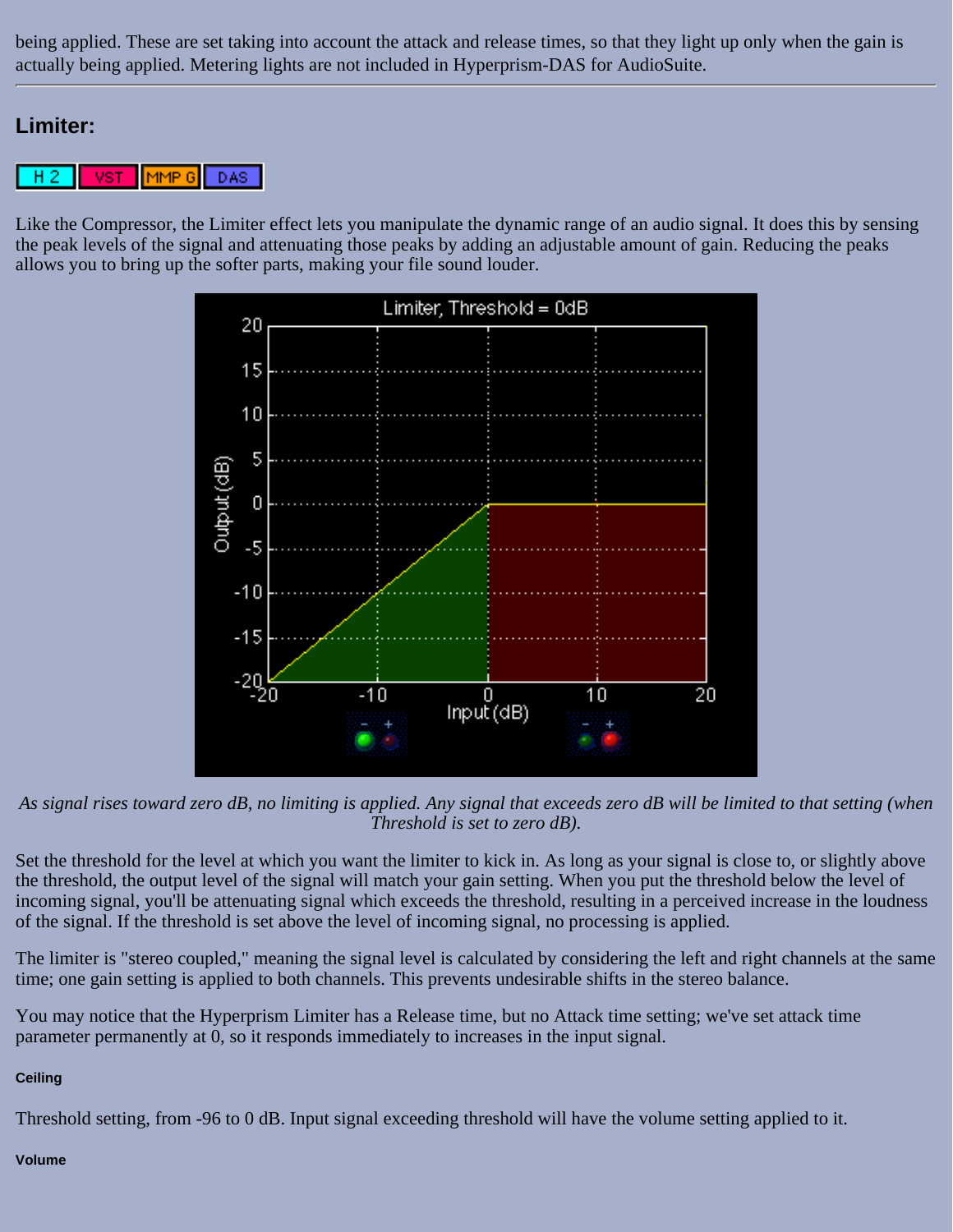being applied. These are set taking into account the attack and release times, so that they light up only when the gain is actually being applied. Metering lights are not included in Hyperprism-DAS for AudioSuite.

## <span id="page-92-0"></span>**Limiter:**

**VST** MMP<sub>6</sub> DAS. н

Like the Compressor, the Limiter effect lets you manipulate the dynamic range of an audio signal. It does this by sensing the peak levels of the signal and attenuating those peaks by adding an adjustable amount of gain. Reducing the peaks allows you to bring up the softer parts, making your file sound louder.



*As signal rises toward zero dB, no limiting is applied. Any signal that exceeds zero dB will be limited to that setting (when Threshold is set to zero dB).*

Set the threshold for the level at which you want the limiter to kick in. As long as your signal is close to, or slightly above the threshold, the output level of the signal will match your gain setting. When you put the threshold below the level of incoming signal, you'll be attenuating signal which exceeds the threshold, resulting in a perceived increase in the loudness of the signal. If the threshold is set above the level of incoming signal, no processing is applied.

The limiter is "stereo coupled," meaning the signal level is calculated by considering the left and right channels at the same time; one gain setting is applied to both channels. This prevents undesirable shifts in the stereo balance.

You may notice that the Hyperprism Limiter has a Release time, but no Attack time setting; we've set attack time parameter permanently at 0, so it responds immediately to increases in the input signal.

### **Ceiling**

Threshold setting, from -96 to 0 dB. Input signal exceeding threshold will have the volume setting applied to it.

#### **Volume**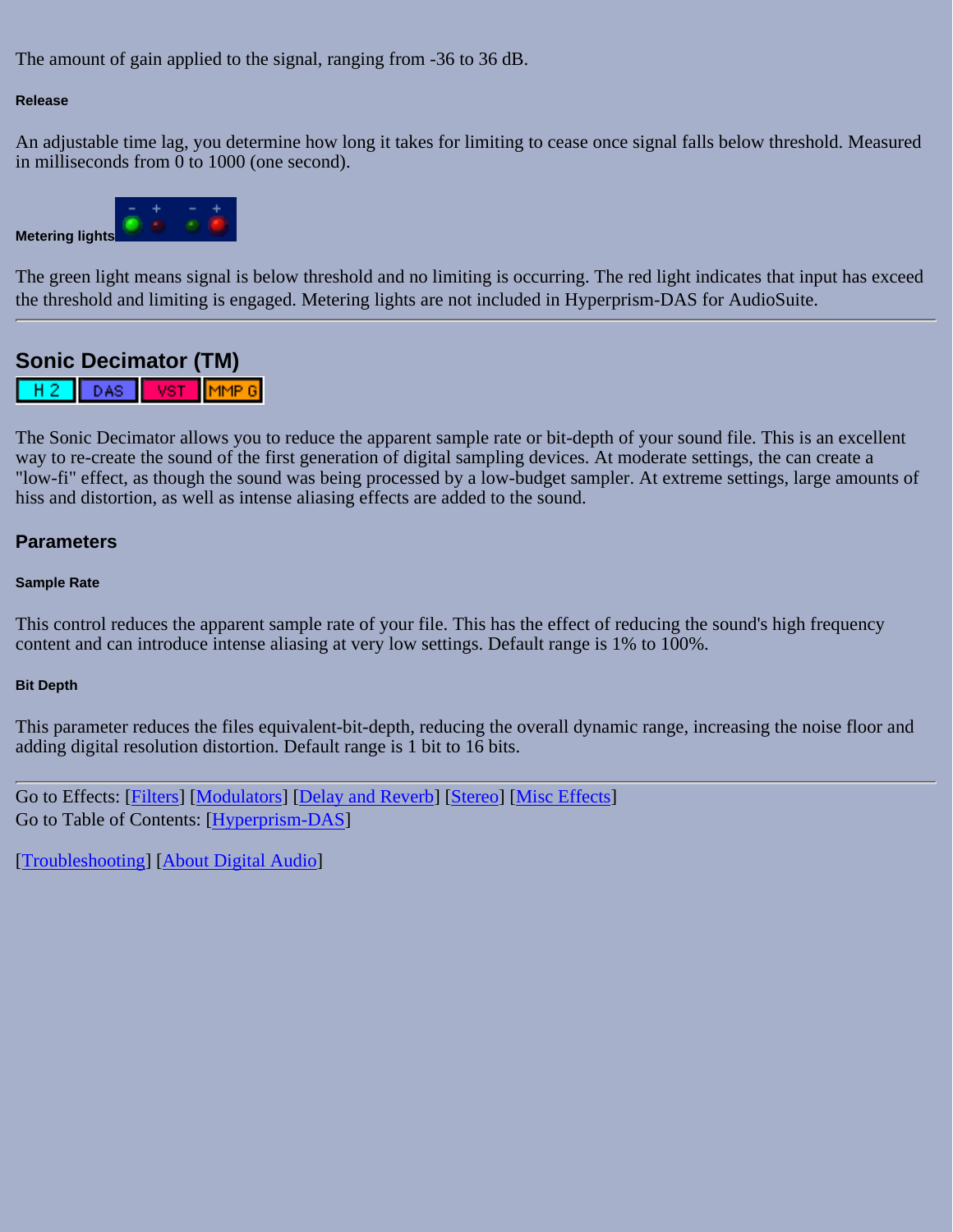The amount of gain applied to the signal, ranging from -36 to 36 dB.

### **Release**

An adjustable time lag, you determine how long it takes for limiting to cease once signal falls below threshold. Measured in milliseconds from 0 to 1000 (one second).



The green light means signal is below threshold and no limiting is occurring. The red light indicates that input has exceed the threshold and limiting is engaged. Metering lights are not included in Hyperprism-DAS for AudioSuite.

# <span id="page-93-0"></span>**Sonic Decimator (TM)**

 $H<sub>2</sub>$ DAS VST.  $\mathsf{IMMP}$  6 $\mathsf I$ 

The Sonic Decimator allows you to reduce the apparent sample rate or bit-depth of your sound file. This is an excellent way to re-create the sound of the first generation of digital sampling devices. At moderate settings, the can create a "low-fi" effect, as though the sound was being processed by a low-budget sampler. At extreme settings, large amounts of hiss and distortion, as well as intense aliasing effects are added to the sound.

### **Parameters**

### **Sample Rate**

This control reduces the apparent sample rate of your file. This has the effect of reducing the sound's high frequency content and can introduce intense aliasing at very low settings. Default range is 1% to 100%.

### **Bit Depth**

This parameter reduces the files equivalent-bit-depth, reducing the overall dynamic range, increasing the noise floor and adding digital resolution distortion. Default range is 1 bit to 16 bits.

Go to Effects: [\[Filters\]](#page-20-0) [[Modulators](#page-31-0)] [\[Delay and Reverb\]](#page-45-0) [[Stereo\]](#page-65-0) [[Misc Effects\]](#page-81-0) Go to Table of Contents: [\[Hyperprism-DAS\]](#page-1-0)

[[Troubleshooting](#page-94-0)] [\[About Digital Audio\]](#page-99-0)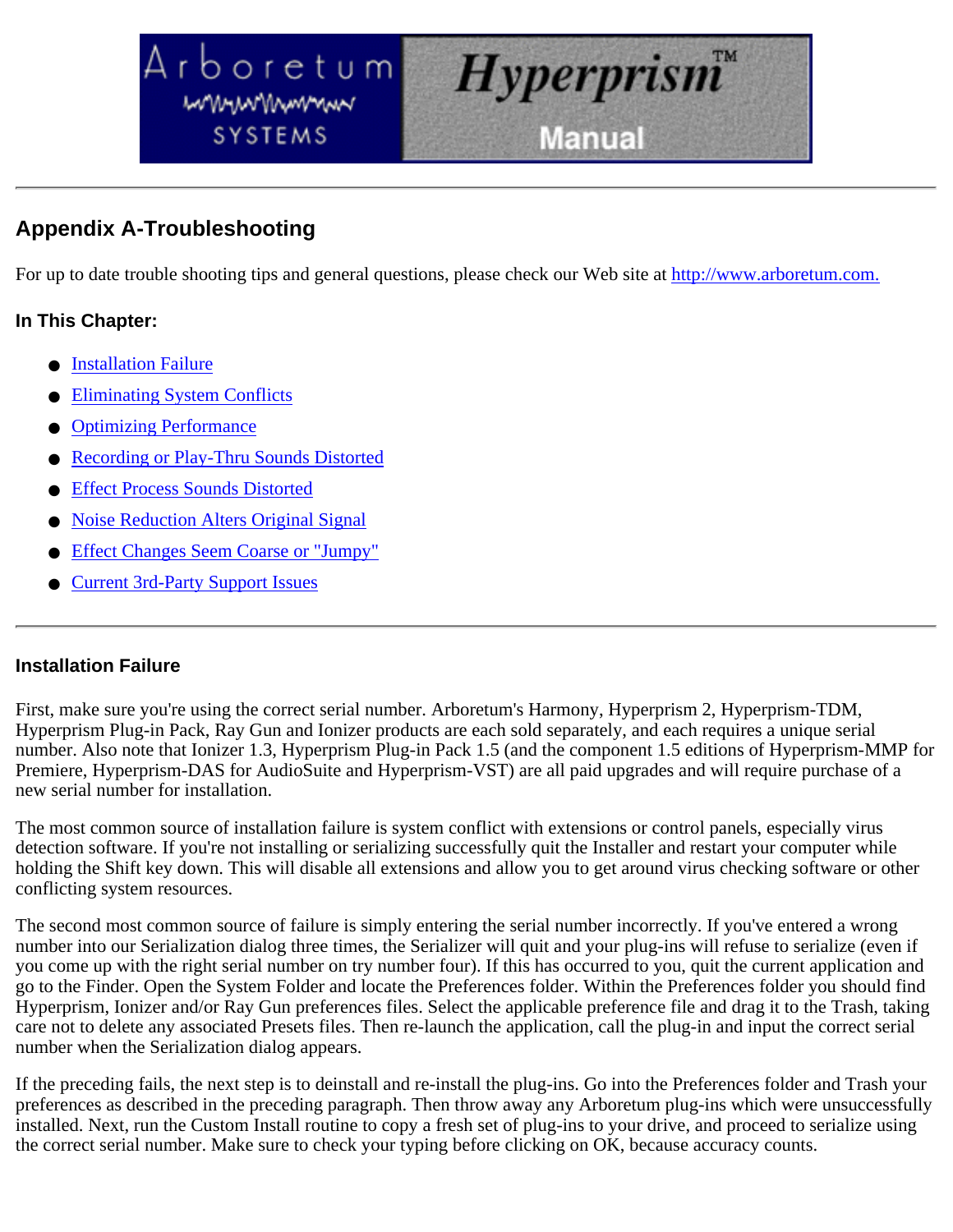<span id="page-94-0"></span>



# **Appendix A-Troubleshooting**

For up to date trouble shooting tips and general questions, please check our Web site at [http://www.arboretum.com.](http://www.arboretum.com/)

## **In This Chapter:**

- Installation Failure
- **Eliminating System Conflicts**
- **Optimizing Performance**
- Recording or Play-Thru Sounds Distorted
- **Effect Process Sounds Distorted**
- **Noise Reduction Alters Original Signal**
- **Effect Changes Seem Coarse or "Jumpy"**
- **Current 3rd-Party Support Issues**

## **Installation Failure**

First, make sure you're using the correct serial number. Arboretum's Harmony, Hyperprism 2, Hyperprism-TDM, Hyperprism Plug-in Pack, Ray Gun and Ionizer products are each sold separately, and each requires a unique serial number. Also note that Ionizer 1.3, Hyperprism Plug-in Pack 1.5 (and the component 1.5 editions of Hyperprism-MMP for Premiere, Hyperprism-DAS for AudioSuite and Hyperprism-VST) are all paid upgrades and will require purchase of a new serial number for installation.

The most common source of installation failure is system conflict with extensions or control panels, especially virus detection software. If you're not installing or serializing successfully quit the Installer and restart your computer while holding the Shift key down. This will disable all extensions and allow you to get around virus checking software or other conflicting system resources.

The second most common source of failure is simply entering the serial number incorrectly. If you've entered a wrong number into our Serialization dialog three times, the Serializer will quit and your plug-ins will refuse to serialize (even if you come up with the right serial number on try number four). If this has occurred to you, quit the current application and go to the Finder. Open the System Folder and locate the Preferences folder. Within the Preferences folder you should find Hyperprism, Ionizer and/or Ray Gun preferences files. Select the applicable preference file and drag it to the Trash, taking care not to delete any associated Presets files. Then re-launch the application, call the plug-in and input the correct serial number when the Serialization dialog appears.

If the preceding fails, the next step is to deinstall and re-install the plug-ins. Go into the Preferences folder and Trash your preferences as described in the preceding paragraph. Then throw away any Arboretum plug-ins which were unsuccessfully installed. Next, run the Custom Install routine to copy a fresh set of plug-ins to your drive, and proceed to serialize using the correct serial number. Make sure to check your typing before clicking on OK, because accuracy counts.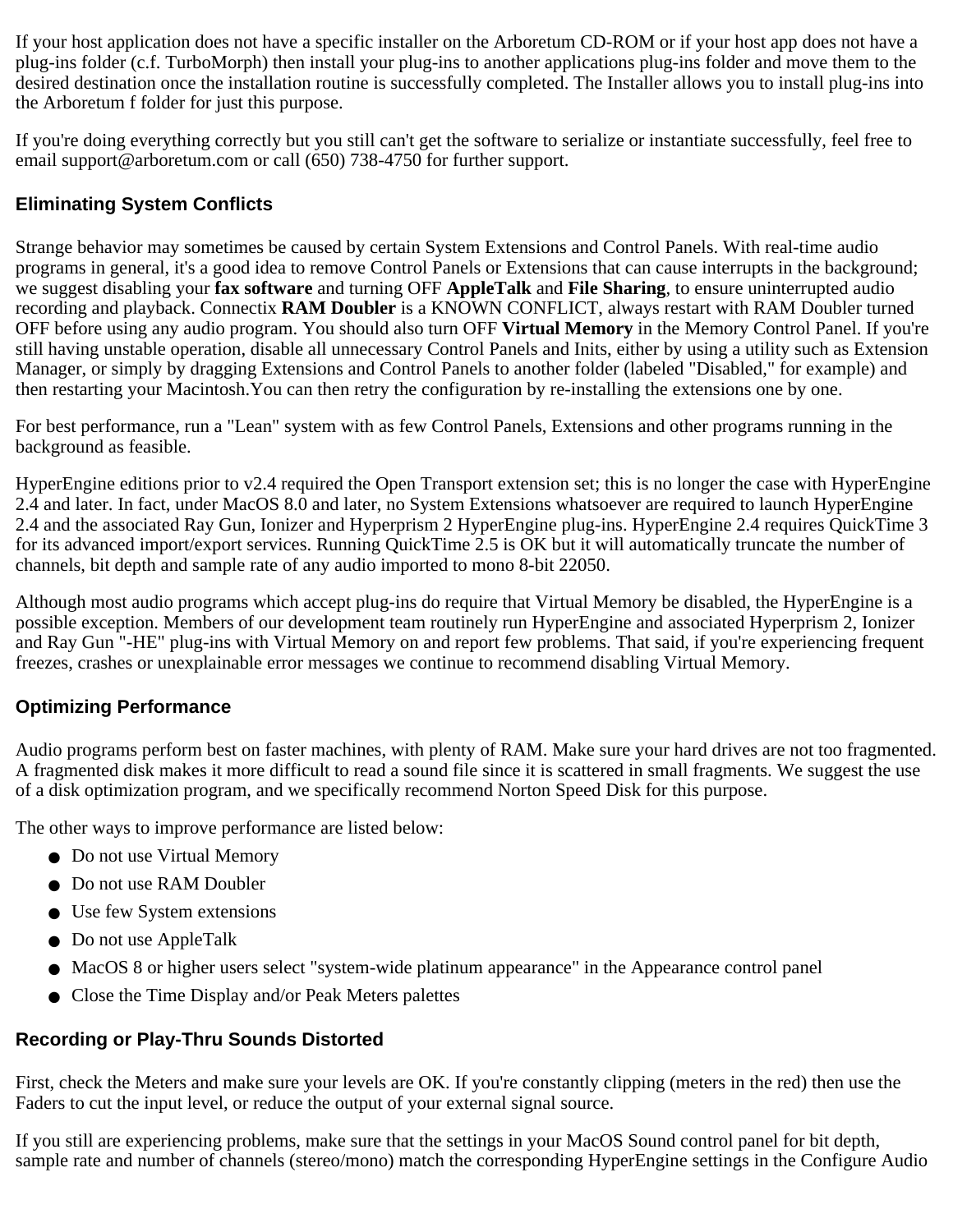If your host application does not have a specific installer on the Arboretum CD-ROM or if your host app does not have a plug-ins folder (c.f. TurboMorph) then install your plug-ins to another applications plug-ins folder and move them to the desired destination once the installation routine is successfully completed. The Installer allows you to install plug-ins into the Arboretum f folder for just this purpose.

If you're doing everything correctly but you still can't get the software to serialize or instantiate successfully, feel free to email support@arboretum.com or call (650) 738-4750 for further support.

## **Eliminating System Conflicts**

Strange behavior may sometimes be caused by certain System Extensions and Control Panels. With real-time audio programs in general, it's a good idea to remove Control Panels or Extensions that can cause interrupts in the background; we suggest disabling your **fax software** and turning OFF **AppleTalk** and **File Sharing**, to ensure uninterrupted audio recording and playback. Connectix **RAM Doubler** is a KNOWN CONFLICT, always restart with RAM Doubler turned OFF before using any audio program. You should also turn OFF **Virtual Memory** in the Memory Control Panel. If you're still having unstable operation, disable all unnecessary Control Panels and Inits, either by using a utility such as Extension Manager, or simply by dragging Extensions and Control Panels to another folder (labeled "Disabled," for example) and then restarting your Macintosh.You can then retry the configuration by re-installing the extensions one by one.

For best performance, run a "Lean" system with as few Control Panels, Extensions and other programs running in the background as feasible.

HyperEngine editions prior to v2.4 required the Open Transport extension set; this is no longer the case with HyperEngine 2.4 and later. In fact, under MacOS 8.0 and later, no System Extensions whatsoever are required to launch HyperEngine 2.4 and the associated Ray Gun, Ionizer and Hyperprism 2 HyperEngine plug-ins. HyperEngine 2.4 requires QuickTime 3 for its advanced import/export services. Running QuickTime 2.5 is OK but it will automatically truncate the number of channels, bit depth and sample rate of any audio imported to mono 8-bit 22050.

Although most audio programs which accept plug-ins do require that Virtual Memory be disabled, the HyperEngine is a possible exception. Members of our development team routinely run HyperEngine and associated Hyperprism 2, Ionizer and Ray Gun "-HE" plug-ins with Virtual Memory on and report few problems. That said, if you're experiencing frequent freezes, crashes or unexplainable error messages we continue to recommend disabling Virtual Memory.

## **Optimizing Performance**

Audio programs perform best on faster machines, with plenty of RAM. Make sure your hard drives are not too fragmented. A fragmented disk makes it more difficult to read a sound file since it is scattered in small fragments. We suggest the use of a disk optimization program, and we specifically recommend Norton Speed Disk for this purpose.

The other ways to improve performance are listed below:

- Do not use Virtual Memory
- Do not use RAM Doubler
- Use few System extensions
- Do not use AppleTalk
- MacOS 8 or higher users select "system-wide platinum appearance" in the Appearance control panel
- Close the Time Display and/or Peak Meters palettes

# **Recording or Play-Thru Sounds Distorted**

First, check the Meters and make sure your levels are OK. If you're constantly clipping (meters in the red) then use the Faders to cut the input level, or reduce the output of your external signal source.

If you still are experiencing problems, make sure that the settings in your MacOS Sound control panel for bit depth, sample rate and number of channels (stereo/mono) match the corresponding HyperEngine settings in the Configure Audio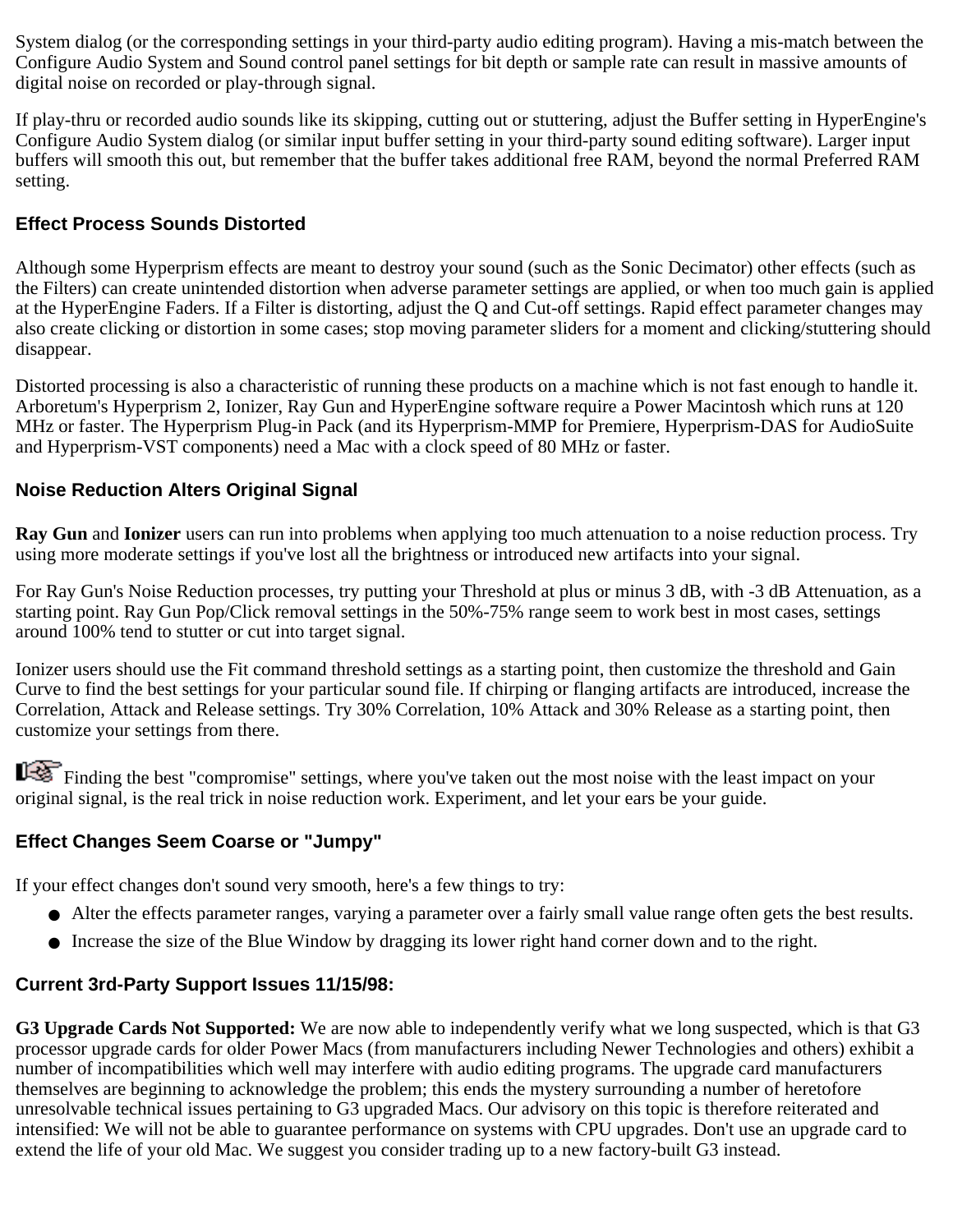System dialog (or the corresponding settings in your third-party audio editing program). Having a mis-match between the Configure Audio System and Sound control panel settings for bit depth or sample rate can result in massive amounts of digital noise on recorded or play-through signal.

If play-thru or recorded audio sounds like its skipping, cutting out or stuttering, adjust the Buffer setting in HyperEngine's Configure Audio System dialog (or similar input buffer setting in your third-party sound editing software). Larger input buffers will smooth this out, but remember that the buffer takes additional free RAM, beyond the normal Preferred RAM setting.

## **Effect Process Sounds Distorted**

Although some Hyperprism effects are meant to destroy your sound (such as the Sonic Decimator) other effects (such as the Filters) can create unintended distortion when adverse parameter settings are applied, or when too much gain is applied at the HyperEngine Faders. If a Filter is distorting, adjust the Q and Cut-off settings. Rapid effect parameter changes may also create clicking or distortion in some cases; stop moving parameter sliders for a moment and clicking/stuttering should disappear.

Distorted processing is also a characteristic of running these products on a machine which is not fast enough to handle it. Arboretum's Hyperprism 2, Ionizer, Ray Gun and HyperEngine software require a Power Macintosh which runs at 120 MHz or faster. The Hyperprism Plug-in Pack (and its Hyperprism-MMP for Premiere, Hyperprism-DAS for AudioSuite and Hyperprism-VST components) need a Mac with a clock speed of 80 MHz or faster.

## **Noise Reduction Alters Original Signal**

**Ray Gun** and **Ionizer** users can run into problems when applying too much attenuation to a noise reduction process. Try using more moderate settings if you've lost all the brightness or introduced new artifacts into your signal.

For Ray Gun's Noise Reduction processes, try putting your Threshold at plus or minus 3 dB, with -3 dB Attenuation, as a starting point. Ray Gun Pop/Click removal settings in the 50%-75% range seem to work best in most cases, settings around 100% tend to stutter or cut into target signal.

Ionizer users should use the Fit command threshold settings as a starting point, then customize the threshold and Gain Curve to find the best settings for your particular sound file. If chirping or flanging artifacts are introduced, increase the Correlation, Attack and Release settings. Try 30% Correlation, 10% Attack and 30% Release as a starting point, then customize your settings from there.

Finding the best "compromise" settings, where you've taken out the most noise with the least impact on your original signal, is the real trick in noise reduction work. Experiment, and let your ears be your guide.

## **Effect Changes Seem Coarse or "Jumpy"**

If your effect changes don't sound very smooth, here's a few things to try:

- Alter the effects parameter ranges, varying a parameter over a fairly small value range often gets the best results.
- Increase the size of the Blue Window by dragging its lower right hand corner down and to the right.

# **Current 3rd-Party Support Issues 11/15/98:**

**G3 Upgrade Cards Not Supported:** We are now able to independently verify what we long suspected, which is that G3 processor upgrade cards for older Power Macs (from manufacturers including Newer Technologies and others) exhibit a number of incompatibilities which well may interfere with audio editing programs. The upgrade card manufacturers themselves are beginning to acknowledge the problem; this ends the mystery surrounding a number of heretofore unresolvable technical issues pertaining to G3 upgraded Macs. Our advisory on this topic is therefore reiterated and intensified: We will not be able to guarantee performance on systems with CPU upgrades. Don't use an upgrade card to extend the life of your old Mac. We suggest you consider trading up to a new factory-built G3 instead.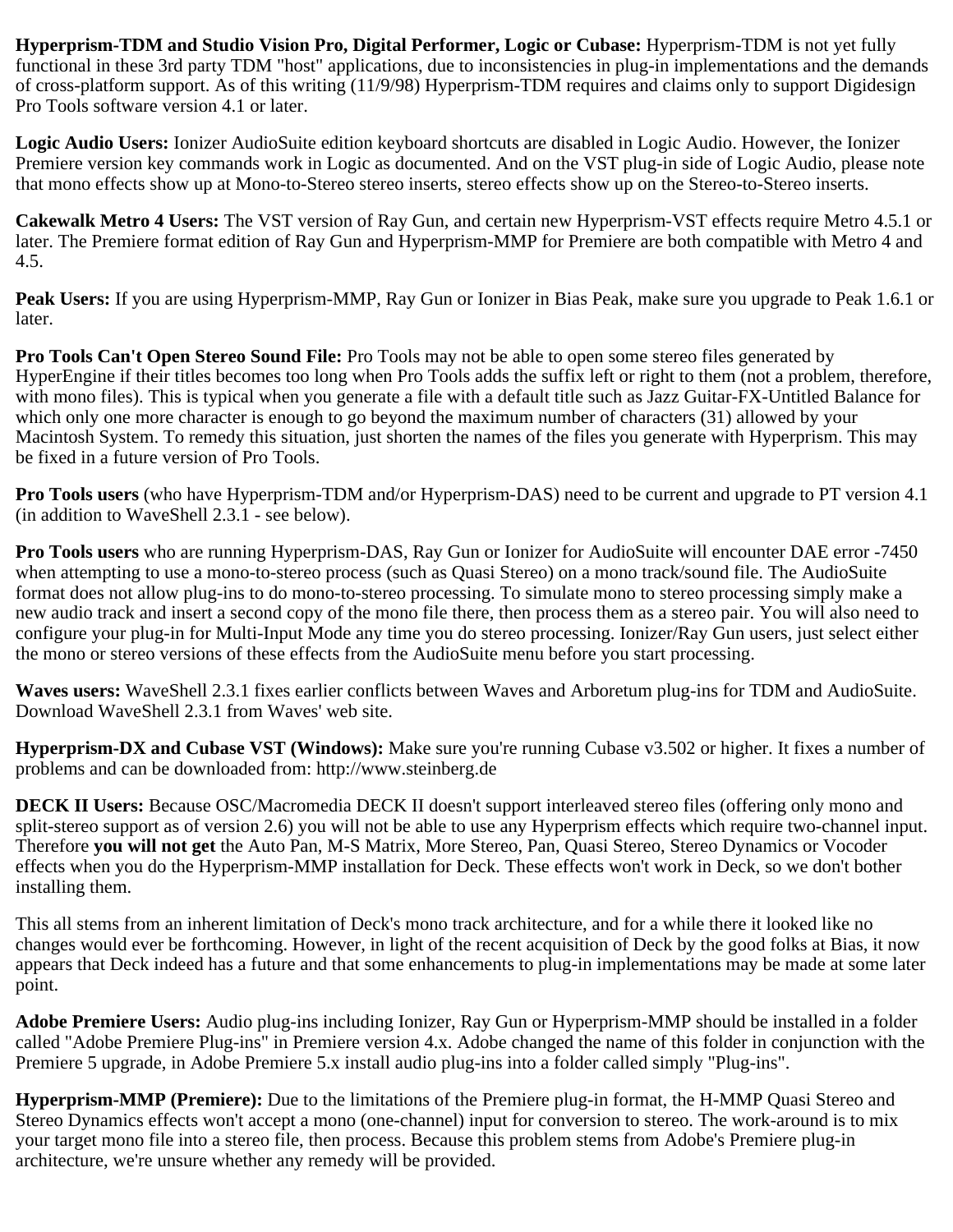**Hyperprism-TDM and Studio Vision Pro, Digital Performer, Logic or Cubase:** Hyperprism-TDM is not yet fully functional in these 3rd party TDM "host" applications, due to inconsistencies in plug-in implementations and the demands of cross-platform support. As of this writing (11/9/98) Hyperprism-TDM requires and claims only to support Digidesign Pro Tools software version 4.1 or later.

**Logic Audio Users:** Ionizer AudioSuite edition keyboard shortcuts are disabled in Logic Audio. However, the Ionizer Premiere version key commands work in Logic as documented. And on the VST plug-in side of Logic Audio, please note that mono effects show up at Mono-to-Stereo stereo inserts, stereo effects show up on the Stereo-to-Stereo inserts.

**Cakewalk Metro 4 Users:** The VST version of Ray Gun, and certain new Hyperprism-VST effects require Metro 4.5.1 or later. The Premiere format edition of Ray Gun and Hyperprism-MMP for Premiere are both compatible with Metro 4 and 4.5.

**Peak Users:** If you are using Hyperprism-MMP, Ray Gun or Ionizer in Bias Peak, make sure you upgrade to Peak 1.6.1 or later.

**Pro Tools Can't Open Stereo Sound File:** Pro Tools may not be able to open some stereo files generated by HyperEngine if their titles becomes too long when Pro Tools adds the suffix left or right to them (not a problem, therefore, with mono files). This is typical when you generate a file with a default title such as Jazz Guitar-FX-Untitled Balance for which only one more character is enough to go beyond the maximum number of characters (31) allowed by your Macintosh System. To remedy this situation, just shorten the names of the files you generate with Hyperprism. This may be fixed in a future version of Pro Tools.

**Pro Tools users** (who have Hyperprism-TDM and/or Hyperprism-DAS) need to be current and upgrade to PT version 4.1 (in addition to WaveShell 2.3.1 - see below).

**Pro Tools users** who are running Hyperprism-DAS, Ray Gun or Ionizer for AudioSuite will encounter DAE error -7450 when attempting to use a mono-to-stereo process (such as Quasi Stereo) on a mono track/sound file. The AudioSuite format does not allow plug-ins to do mono-to-stereo processing. To simulate mono to stereo processing simply make a new audio track and insert a second copy of the mono file there, then process them as a stereo pair. You will also need to configure your plug-in for Multi-Input Mode any time you do stereo processing. Ionizer/Ray Gun users, just select either the mono or stereo versions of these effects from the AudioSuite menu before you start processing.

**Waves users:** WaveShell 2.3.1 fixes earlier conflicts between Waves and Arboretum plug-ins for TDM and AudioSuite. Download WaveShell 2.3.1 from Waves' web site.

**Hyperprism-DX and Cubase VST (Windows):** Make sure you're running Cubase v3.502 or higher. It fixes a number of problems and can be downloaded from: http://www.steinberg.de

**DECK II Users:** Because OSC/Macromedia DECK II doesn't support interleaved stereo files (offering only mono and split-stereo support as of version 2.6) you will not be able to use any Hyperprism effects which require two-channel input. Therefore **you will not get** the Auto Pan, M-S Matrix, More Stereo, Pan, Quasi Stereo, Stereo Dynamics or Vocoder effects when you do the Hyperprism-MMP installation for Deck. These effects won't work in Deck, so we don't bother installing them.

This all stems from an inherent limitation of Deck's mono track architecture, and for a while there it looked like no changes would ever be forthcoming. However, in light of the recent acquisition of Deck by the good folks at Bias, it now appears that Deck indeed has a future and that some enhancements to plug-in implementations may be made at some later point.

**Adobe Premiere Users:** Audio plug-ins including Ionizer, Ray Gun or Hyperprism-MMP should be installed in a folder called "Adobe Premiere Plug-ins" in Premiere version 4.x. Adobe changed the name of this folder in conjunction with the Premiere 5 upgrade, in Adobe Premiere 5.x install audio plug-ins into a folder called simply "Plug-ins".

**Hyperprism-MMP (Premiere):** Due to the limitations of the Premiere plug-in format, the H-MMP Quasi Stereo and Stereo Dynamics effects won't accept a mono (one-channel) input for conversion to stereo. The work-around is to mix your target mono file into a stereo file, then process. Because this problem stems from Adobe's Premiere plug-in architecture, we're unsure whether any remedy will be provided.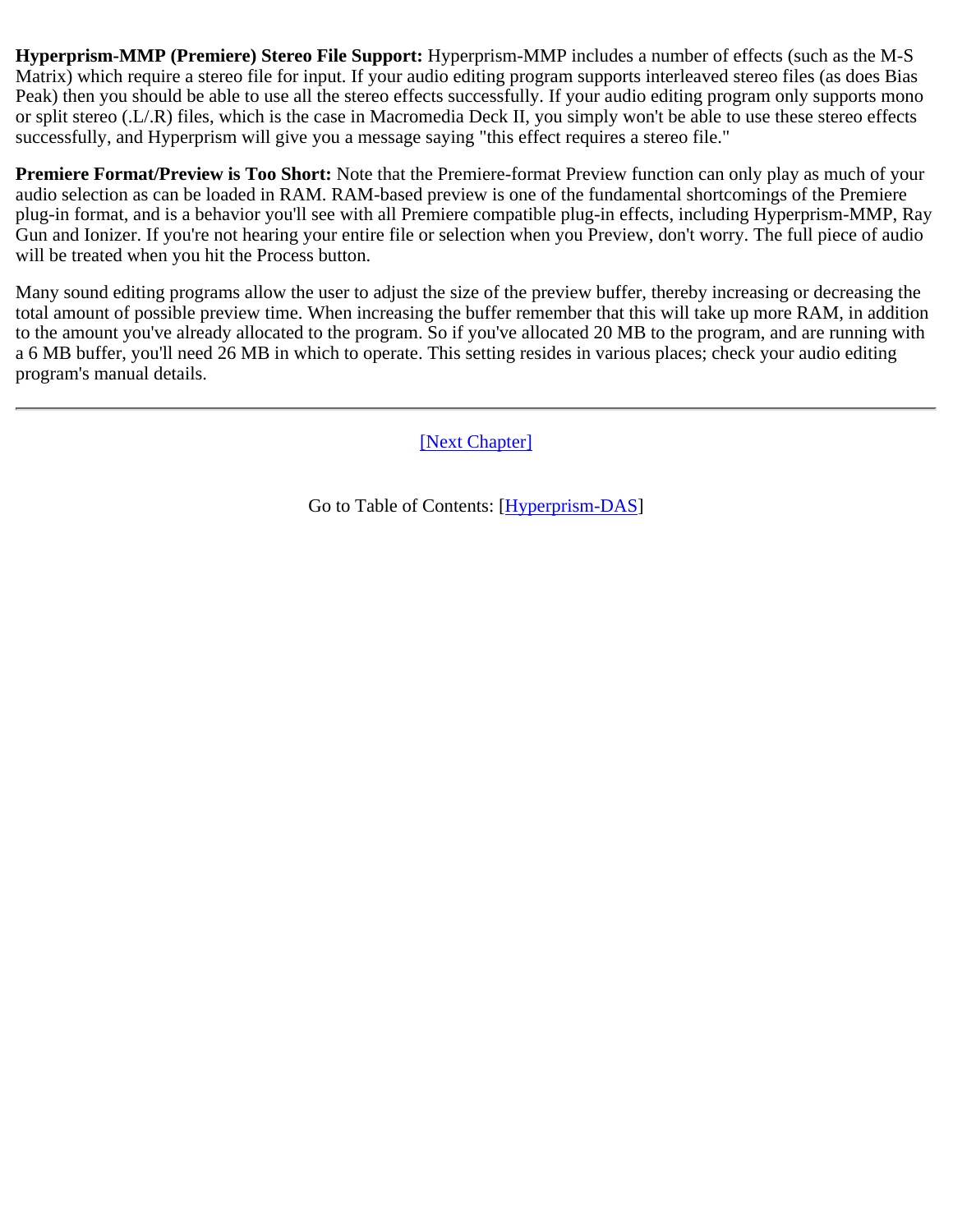**Hyperprism-MMP (Premiere) Stereo File Support:** Hyperprism-MMP includes a number of effects (such as the M-S Matrix) which require a stereo file for input. If your audio editing program supports interleaved stereo files (as does Bias Peak) then you should be able to use all the stereo effects successfully. If your audio editing program only supports mono or split stereo (.L/.R) files, which is the case in Macromedia Deck II, you simply won't be able to use these stereo effects successfully, and Hyperprism will give you a message saying "this effect requires a stereo file."

**Premiere Format/Preview is Too Short:** Note that the Premiere-format Preview function can only play as much of your audio selection as can be loaded in RAM. RAM-based preview is one of the fundamental shortcomings of the Premiere plug-in format, and is a behavior you'll see with all Premiere compatible plug-in effects, including Hyperprism-MMP, Ray Gun and Ionizer. If you're not hearing your entire file or selection when you Preview, don't worry. The full piece of audio will be treated when you hit the Process button.

Many sound editing programs allow the user to adjust the size of the preview buffer, thereby increasing or decreasing the total amount of possible preview time. When increasing the buffer remember that this will take up more RAM, in addition to the amount you've already allocated to the program. So if you've allocated 20 MB to the program, and are running with a 6 MB buffer, you'll need 26 MB in which to operate. This setting resides in various places; check your audio editing program's manual details.

[\[Next Chapter\]](#page-99-0)

Go to Table of Contents: [[Hyperprism-DAS\]](#page-1-0)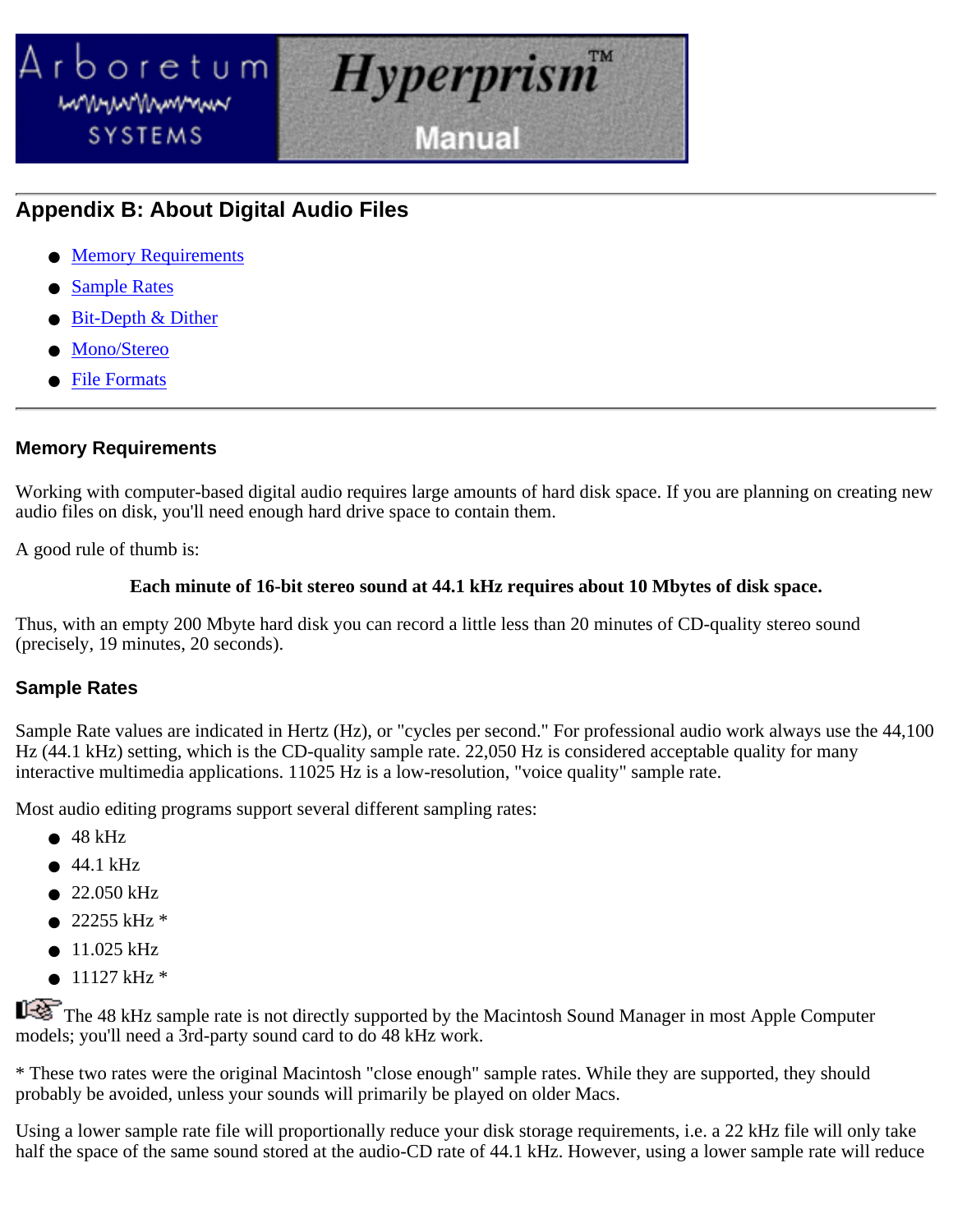<span id="page-99-0"></span>

# **Appendix B: About Digital Audio Files**

- Memory Requirements
- **Sample Rates**
- **Bit-Depth & Dither**
- Mono/Stereo
- **File Formats**

### **Memory Requirements**

Working with computer-based digital audio requires large amounts of hard disk space. If you are planning on creating new audio files on disk, you'll need enough hard drive space to contain them.

A good rule of thumb is:

### **Each minute of 16-bit stereo sound at 44.1 kHz requires about 10 Mbytes of disk space.**

Thus, with an empty 200 Mbyte hard disk you can record a little less than 20 minutes of CD-quality stereo sound (precisely, 19 minutes, 20 seconds).

## **Sample Rates**

Sample Rate values are indicated in Hertz (Hz), or "cycles per second." For professional audio work always use the 44,100 Hz (44.1 kHz) setting, which is the CD-quality sample rate. 22,050 Hz is considered acceptable quality for many interactive multimedia applications. 11025 Hz is a low-resolution, "voice quality" sample rate.

Most audio editing programs support several different sampling rates:

- $\bullet$  48 kHz
- $\bullet$  44.1 kHz
- 22.050 kHz
- $\bullet$  22255 kHz  $*$
- $\bullet$  11.025 kHz
- $\bullet$  11127 kHz  $*$

The 48 kHz sample rate is not directly supported by the Macintosh Sound Manager in most Apple Computer models; you'll need a 3rd-party sound card to do 48 kHz work.

\* These two rates were the original Macintosh "close enough" sample rates. While they are supported, they should probably be avoided, unless your sounds will primarily be played on older Macs.

Using a lower sample rate file will proportionally reduce your disk storage requirements, i.e. a 22 kHz file will only take half the space of the same sound stored at the audio-CD rate of 44.1 kHz. However, using a lower sample rate will reduce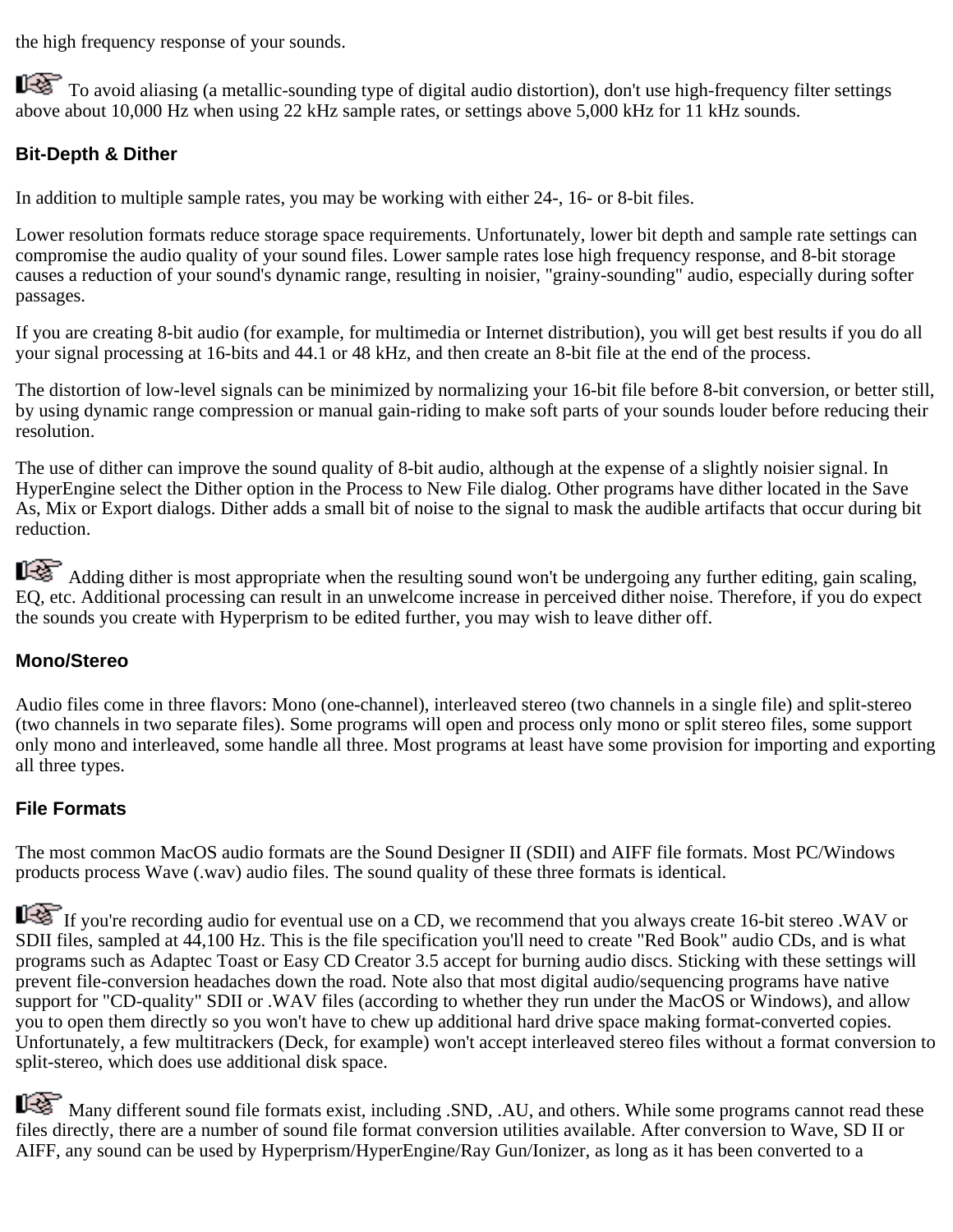the high frequency response of your sounds.

To avoid aliasing (a metallic-sounding type of digital audio distortion), don't use high-frequency filter settings above about 10,000 Hz when using 22 kHz sample rates, or settings above 5,000 kHz for 11 kHz sounds.

## **Bit-Depth & Dither**

In addition to multiple sample rates, you may be working with either 24-, 16- or 8-bit files.

Lower resolution formats reduce storage space requirements. Unfortunately, lower bit depth and sample rate settings can compromise the audio quality of your sound files. Lower sample rates lose high frequency response, and 8-bit storage causes a reduction of your sound's dynamic range, resulting in noisier, "grainy-sounding" audio, especially during softer passages.

If you are creating 8-bit audio (for example, for multimedia or Internet distribution), you will get best results if you do all your signal processing at 16-bits and 44.1 or 48 kHz, and then create an 8-bit file at the end of the process.

The distortion of low-level signals can be minimized by normalizing your 16-bit file before 8-bit conversion, or better still, by using dynamic range compression or manual gain-riding to make soft parts of your sounds louder before reducing their resolution.

The use of dither can improve the sound quality of 8-bit audio, although at the expense of a slightly noisier signal. In HyperEngine select the Dither option in the Process to New File dialog. Other programs have dither located in the Save As, Mix or Export dialogs. Dither adds a small bit of noise to the signal to mask the audible artifacts that occur during bit reduction.

Adding dither is most appropriate when the resulting sound won't be undergoing any further editing, gain scaling, EQ, etc. Additional processing can result in an unwelcome increase in perceived dither noise. Therefore, if you do expect the sounds you create with Hyperprism to be edited further, you may wish to leave dither off.

## **Mono/Stereo**

Audio files come in three flavors: Mono (one-channel), interleaved stereo (two channels in a single file) and split-stereo (two channels in two separate files). Some programs will open and process only mono or split stereo files, some support only mono and interleaved, some handle all three. Most programs at least have some provision for importing and exporting all three types.

## **File Formats**

The most common MacOS audio formats are the Sound Designer II (SDII) and AIFF file formats. Most PC/Windows products process Wave (.wav) audio files. The sound quality of these three formats is identical.

If you're recording audio for eventual use on a CD, we recommend that you always create 16-bit stereo .WAV or SDII files, sampled at 44,100 Hz. This is the file specification you'll need to create "Red Book" audio CDs, and is what programs such as Adaptec Toast or Easy CD Creator 3.5 accept for burning audio discs. Sticking with these settings will prevent file-conversion headaches down the road. Note also that most digital audio/sequencing programs have native support for "CD-quality" SDII or .WAV files (according to whether they run under the MacOS or Windows), and allow you to open them directly so you won't have to chew up additional hard drive space making format-converted copies. Unfortunately, a few multitrackers (Deck, for example) won't accept interleaved stereo files without a format conversion to split-stereo, which does use additional disk space.

Many different sound file formats exist, including .SND, .AU, and others. While some programs cannot read these files directly, there are a number of sound file format conversion utilities available. After conversion to Wave, SD II or AIFF, any sound can be used by Hyperprism/HyperEngine/Ray Gun/Ionizer, as long as it has been converted to a